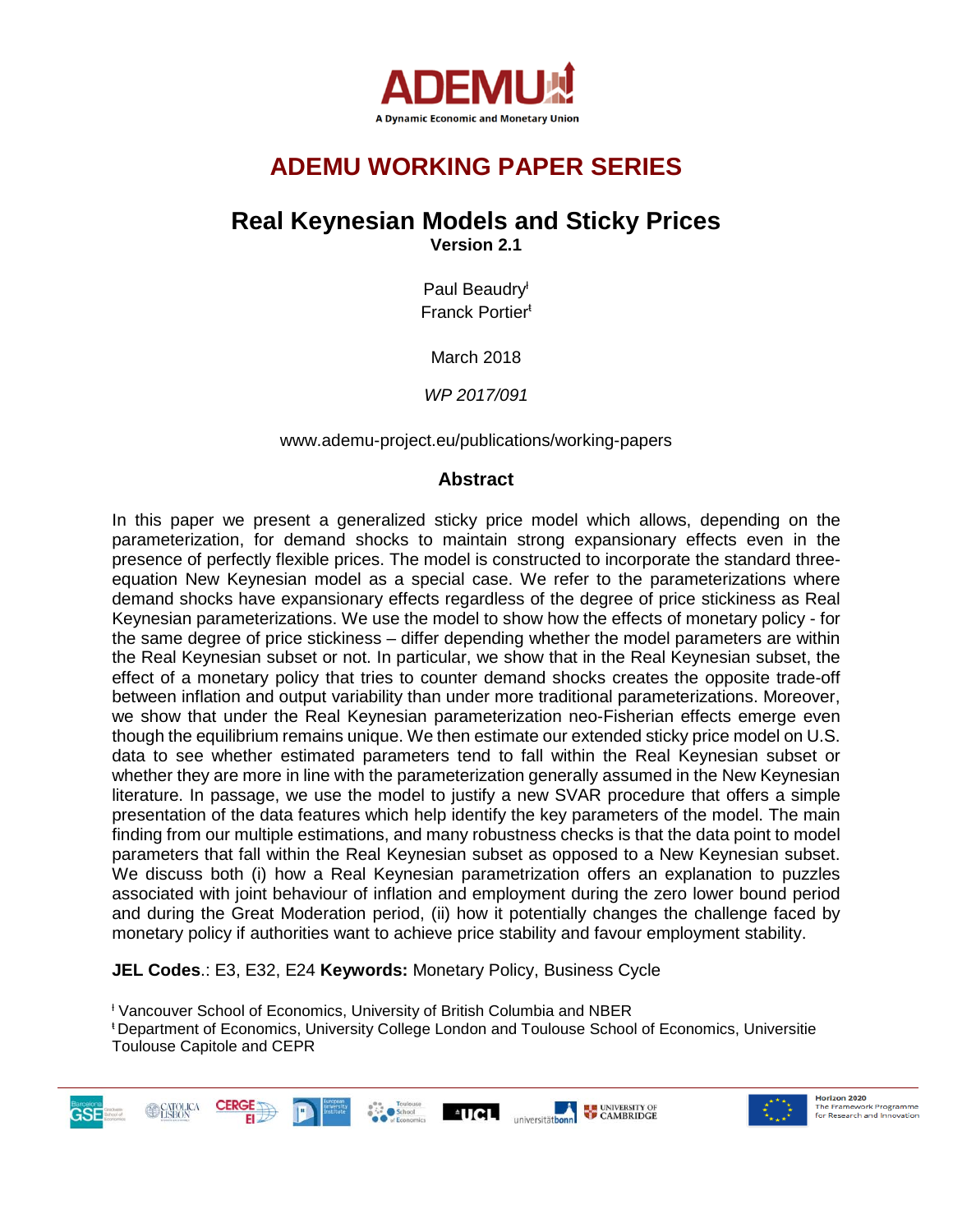

# **ADEMU WORKING PAPER SERIES**

# **Real Keynesian Models and Sticky Prices**

**Version 2.1**

Paul Beaudry<sup>t</sup> Franck Portier<sup>ŧ</sup>

March 2018

*WP 2017/091*

www.ademu-project.eu/publications/working-papers

## **Abstract**

In this paper we present a generalized sticky price model which allows, depending on the parameterization, for demand shocks to maintain strong expansionary effects even in the presence of perfectly flexible prices. The model is constructed to incorporate the standard threeequation New Keynesian model as a special case. We refer to the parameterizations where demand shocks have expansionary effects regardless of the degree of price stickiness as Real Keynesian parameterizations. We use the model to show how the effects of monetary policy - for the same degree of price stickiness – differ depending whether the model parameters are within the Real Keynesian subset or not. In particular, we show that in the Real Keynesian subset, the effect of a monetary policy that tries to counter demand shocks creates the opposite trade-off between inflation and output variability than under more traditional parameterizations. Moreover, we show that under the Real Keynesian parameterization neo-Fisherian effects emerge even though the equilibrium remains unique. We then estimate our extended sticky price model on U.S. data to see whether estimated parameters tend to fall within the Real Keynesian subset or whether they are more in line with the parameterization generally assumed in the New Keynesian literature. In passage, we use the model to justify a new SVAR procedure that offers a simple presentation of the data features which help identify the key parameters of the model. The main finding from our multiple estimations, and many robustness checks is that the data point to model parameters that fall within the Real Keynesian subset as opposed to a New Keynesian subset. We discuss both (i) how a Real Keynesian parametrization offers an explanation to puzzles associated with joint behaviour of inflation and employment during the zero lower bound period and during the Great Moderation period, (ii) how it potentially changes the challenge faced by monetary policy if authorities want to achieve price stability and favour employment stability.

**JEL Codes**.: E3, E32, E24 **Keywords:** Monetary Policy, Business Cycle

<sup>ƚ</sup> Vancouver School of Economics, University of British Columbia and NBER

<sup>ŧ</sup>Department of Economics, University College London and Toulouse School of Economics, Universitie Toulouse Capitole and CEPR



Horizon 2020 The Framework Programme for Research and Innovation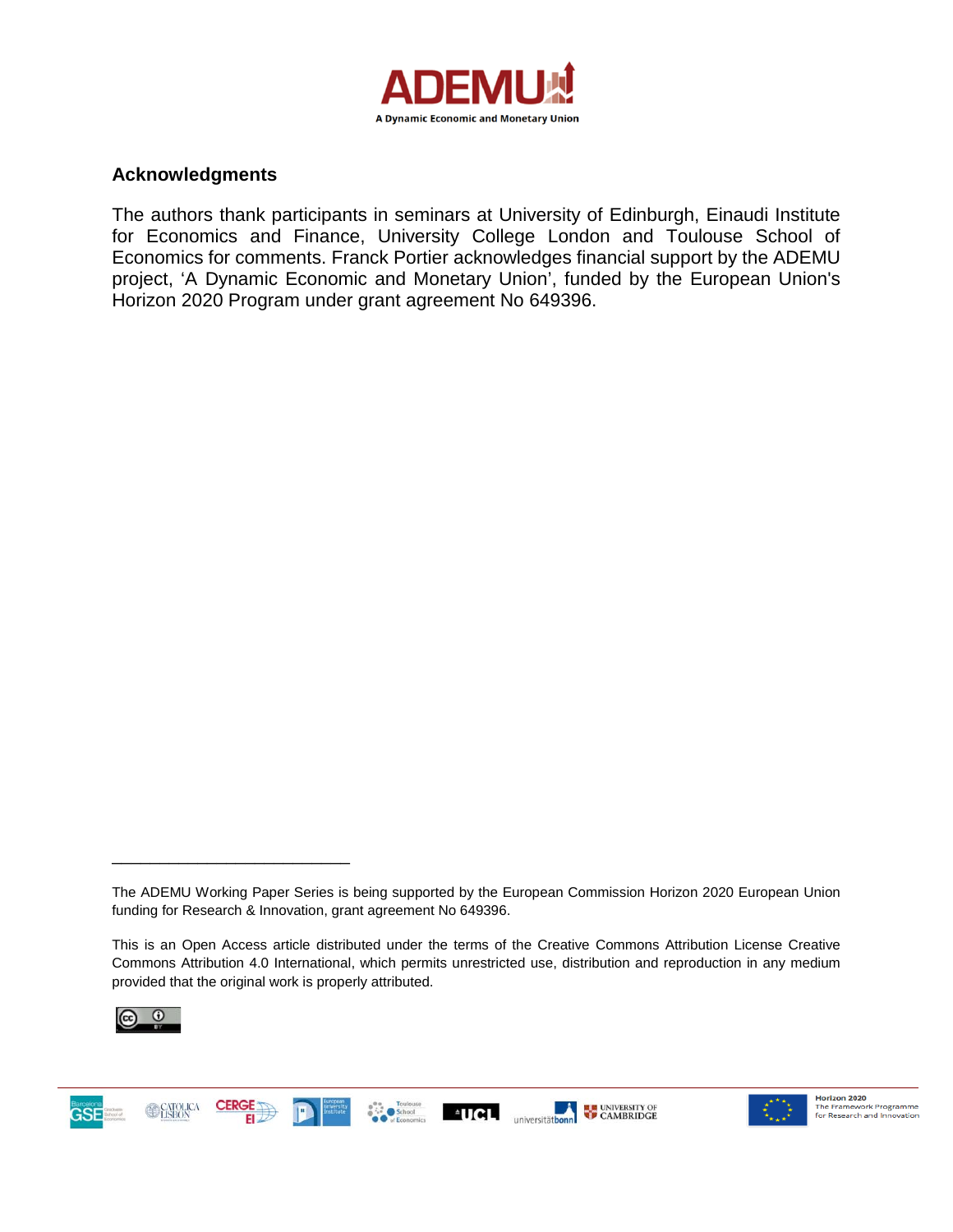

## **Acknowledgments**

The authors thank participants in seminars at University of Edinburgh, Einaudi Institute for Economics and Finance, University College London and Toulouse School of Economics for comments. Franck Portier acknowledges financial support by the ADEMU project, 'A Dynamic Economic and Monetary Union', funded by the European Union's Horizon 2020 Program under grant agreement No 649396.

This is an Open Access article distributed under the terms of the Creative Commons Attribution License Creative Commons Attribution 4.0 International, which permits unrestricted use, distribution and reproduction in any medium provided that the original work is properly attributed.



**GSE** 

\_\_\_\_\_\_\_\_\_\_\_\_\_\_\_\_\_\_\_\_\_\_\_\_\_





The ADEMU Working Paper Series is being supported by the European Commission Horizon 2020 European Union funding for Research & Innovation, grant agreement No 649396.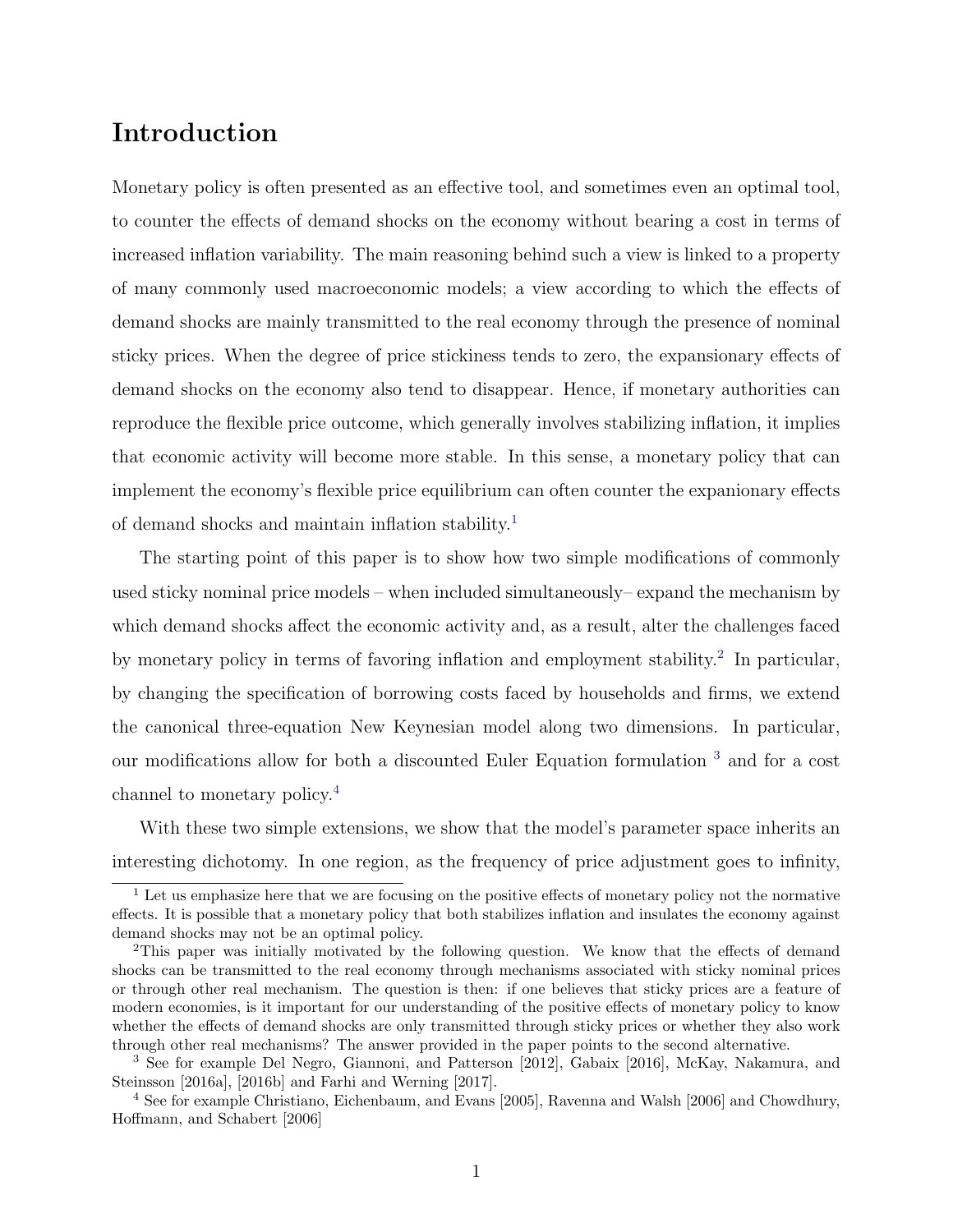## Introduction

Monetary policy is often presented as an effective tool, and sometimes even an optimal tool, to counter the effects of demand shocks on the economy without bearing a cost in terms of increased inflation variability. The main reasoning behind such a view is linked to a property of many commonly used macroeconomic models; a view according to which the effects of demand shocks are mainly transmitted to the real economy through the presence of nominal sticky prices. When the degree of price stickiness tends to zero, the expansionary effects of demand shocks on the economy also tend to disappear. Hence, if monetary authorities can reproduce the flexible price outcome, which generally involves stabilizing inflation, it implies that economic activity will become more stable. In this sense, a monetary policy that can implement the economy's flexible price equilibrium can often counter the expanionary effects of demand shocks and maintain inflation stability.[1](#page-2-0)

The starting point of this paper is to show how two simple modifications of commonly used sticky nominal price models – when included simultaneously– expand the mechanism by which demand shocks affect the economic activity and, as a result, alter the challenges faced by monetary policy in terms of favoring inflation and employment stability.<sup>[2](#page-2-1)</sup> In particular, by changing the specification of borrowing costs faced by households and firms, we extend the canonical three-equation New Keynesian model along two dimensions. In particular, our modifications allow for both a discounted Euler Equation formulation [3](#page-2-2) and for a cost channel to monetary policy.[4](#page-2-3)

With these two simple extensions, we show that the model's parameter space inherits an interesting dichotomy. In one region, as the frequency of price adjustment goes to infinity,

<span id="page-2-0"></span> $\frac{1}{1}$  Let us emphasize here that we are focusing on the positive effects of monetary policy not the normative effects. It is possible that a monetary policy that both stabilizes inflation and insulates the economy against demand shocks may not be an optimal policy.

<span id="page-2-1"></span><sup>2</sup>This paper was initially motivated by the following question. We know that the effects of demand shocks can be transmitted to the real economy through mechanisms associated with sticky nominal prices or through other real mechanism. The question is then: if one believes that sticky prices are a feature of modern economies, is it important for our understanding of the positive effects of monetary policy to know whether the effects of demand shocks are only transmitted through sticky prices or whether they also work through other real mechanisms? The answer provided in the paper points to the second alternative.

<span id="page-2-2"></span><sup>3</sup> See for example Del Negro, Giannoni, and Patterson [2012], Gabaix [2016], McKay, Nakamura, and Steinsson [2016a], [2016b] and Farhi and Werning [2017].

<span id="page-2-3"></span><sup>4</sup> See for example Christiano, Eichenbaum, and Evans [2005], Ravenna and Walsh [2006] and Chowdhury, Hoffmann, and Schabert [2006]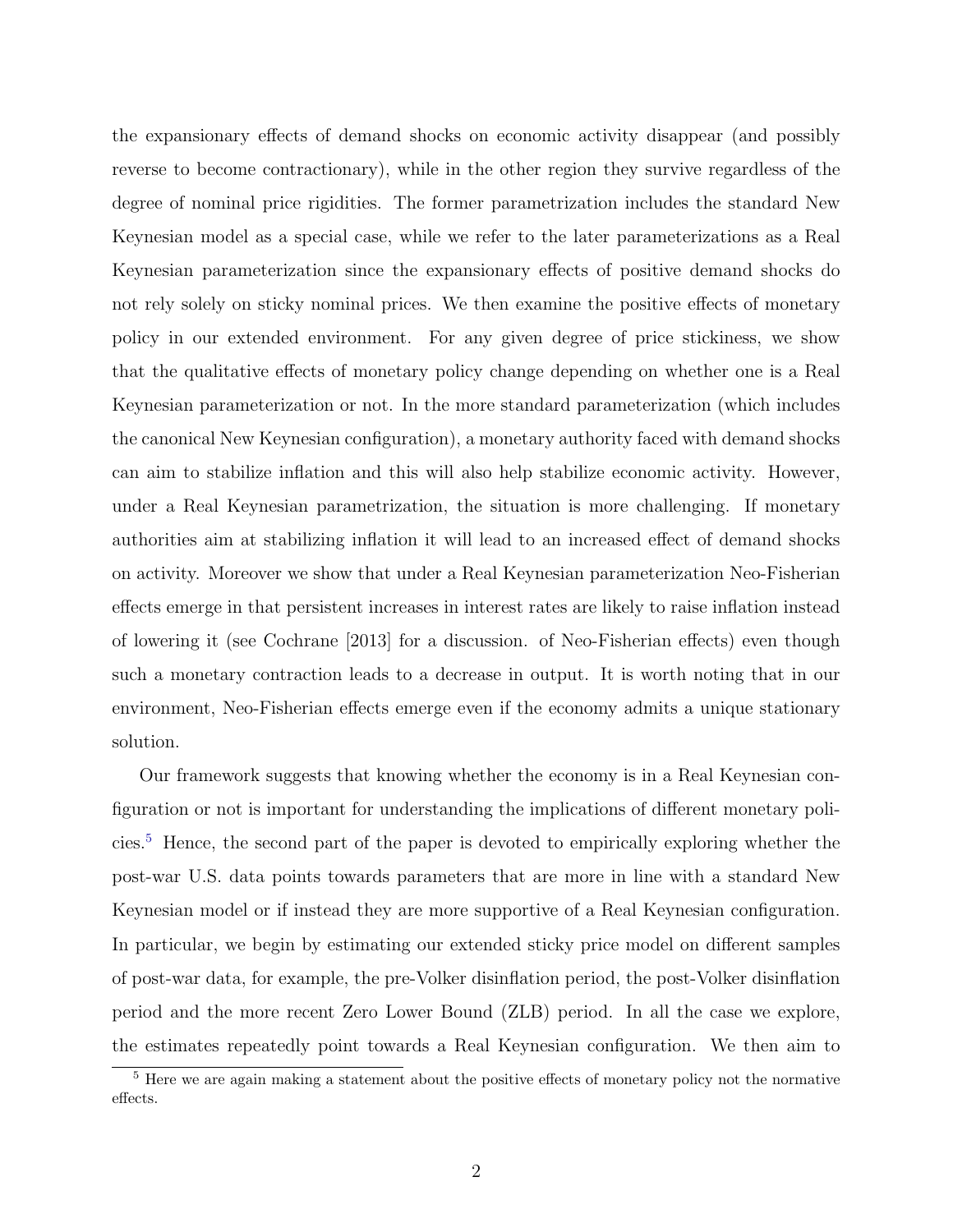the expansionary effects of demand shocks on economic activity disappear (and possibly reverse to become contractionary), while in the other region they survive regardless of the degree of nominal price rigidities. The former parametrization includes the standard New Keynesian model as a special case, while we refer to the later parameterizations as a Real Keynesian parameterization since the expansionary effects of positive demand shocks do not rely solely on sticky nominal prices. We then examine the positive effects of monetary policy in our extended environment. For any given degree of price stickiness, we show that the qualitative effects of monetary policy change depending on whether one is a Real Keynesian parameterization or not. In the more standard parameterization (which includes the canonical New Keynesian configuration), a monetary authority faced with demand shocks can aim to stabilize inflation and this will also help stabilize economic activity. However, under a Real Keynesian parametrization, the situation is more challenging. If monetary authorities aim at stabilizing inflation it will lead to an increased effect of demand shocks on activity. Moreover we show that under a Real Keynesian parameterization Neo-Fisherian effects emerge in that persistent increases in interest rates are likely to raise inflation instead of lowering it (see Cochrane [2013] for a discussion. of Neo-Fisherian effects) even though such a monetary contraction leads to a decrease in output. It is worth noting that in our environment, Neo-Fisherian effects emerge even if the economy admits a unique stationary solution.

Our framework suggests that knowing whether the economy is in a Real Keynesian configuration or not is important for understanding the implications of different monetary policies.[5](#page-3-0) Hence, the second part of the paper is devoted to empirically exploring whether the post-war U.S. data points towards parameters that are more in line with a standard New Keynesian model or if instead they are more supportive of a Real Keynesian configuration. In particular, we begin by estimating our extended sticky price model on different samples of post-war data, for example, the pre-Volker disinflation period, the post-Volker disinflation period and the more recent Zero Lower Bound (ZLB) period. In all the case we explore, the estimates repeatedly point towards a Real Keynesian configuration. We then aim to

<span id="page-3-0"></span><sup>5</sup> Here we are again making a statement about the positive effects of monetary policy not the normative effects.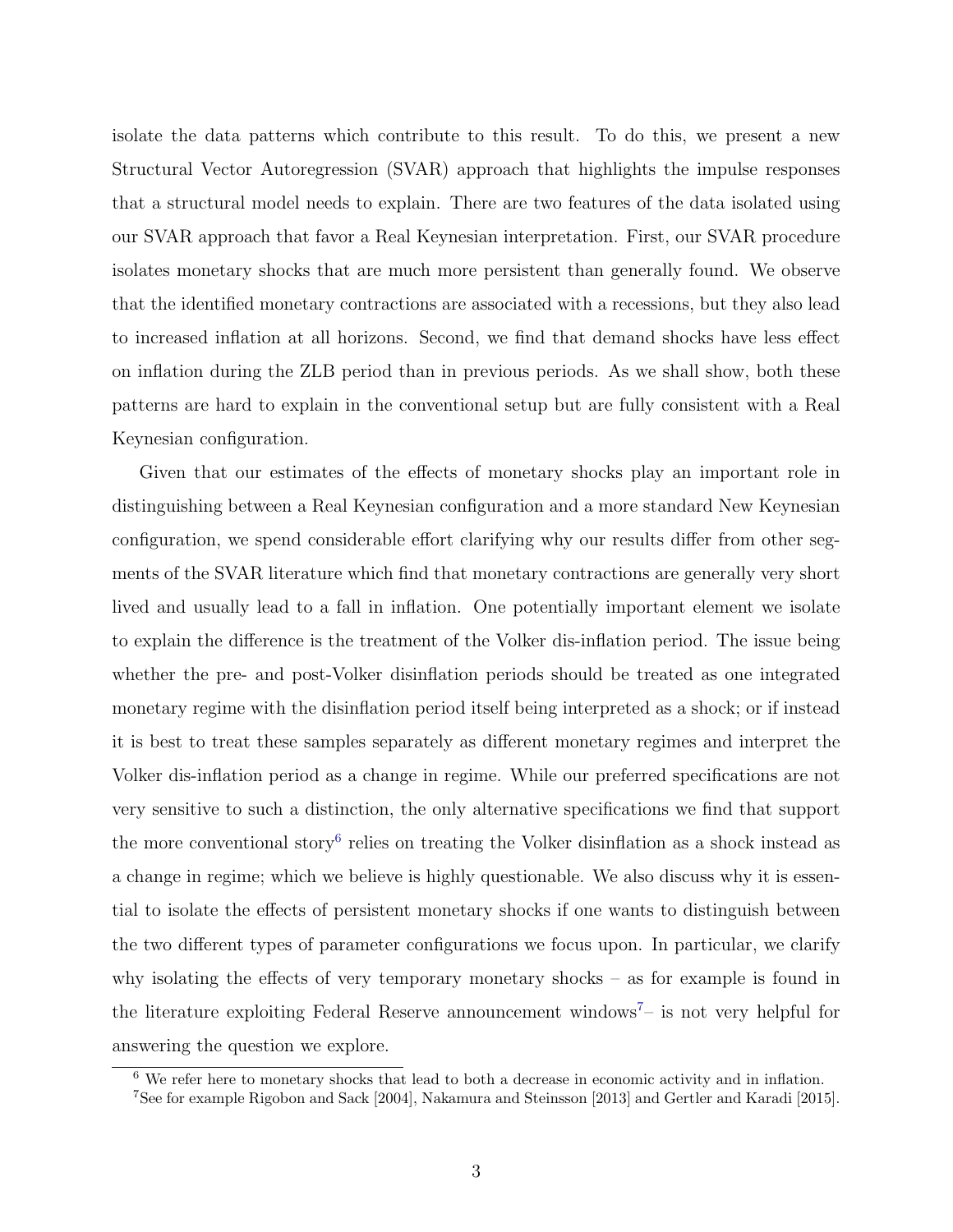isolate the data patterns which contribute to this result. To do this, we present a new Structural Vector Autoregression (SVAR) approach that highlights the impulse responses that a structural model needs to explain. There are two features of the data isolated using our SVAR approach that favor a Real Keynesian interpretation. First, our SVAR procedure isolates monetary shocks that are much more persistent than generally found. We observe that the identified monetary contractions are associated with a recessions, but they also lead to increased inflation at all horizons. Second, we find that demand shocks have less effect on inflation during the ZLB period than in previous periods. As we shall show, both these patterns are hard to explain in the conventional setup but are fully consistent with a Real Keynesian configuration.

Given that our estimates of the effects of monetary shocks play an important role in distinguishing between a Real Keynesian configuration and a more standard New Keynesian configuration, we spend considerable effort clarifying why our results differ from other segments of the SVAR literature which find that monetary contractions are generally very short lived and usually lead to a fall in inflation. One potentially important element we isolate to explain the difference is the treatment of the Volker dis-inflation period. The issue being whether the pre- and post-Volker disinflation periods should be treated as one integrated monetary regime with the disinflation period itself being interpreted as a shock; or if instead it is best to treat these samples separately as different monetary regimes and interpret the Volker dis-inflation period as a change in regime. While our preferred specifications are not very sensitive to such a distinction, the only alternative specifications we find that support the more conventional story<sup>[6](#page-4-0)</sup> relies on treating the Volker disinflation as a shock instead as a change in regime; which we believe is highly questionable. We also discuss why it is essential to isolate the effects of persistent monetary shocks if one wants to distinguish between the two different types of parameter configurations we focus upon. In particular, we clarify why isolating the effects of very temporary monetary shocks – as for example is found in the literature exploiting Federal Reserve announcement windows<sup>[7](#page-4-1)</sup>– is not very helpful for answering the question we explore.

<span id="page-4-0"></span><sup>6</sup> We refer here to monetary shocks that lead to both a decrease in economic activity and in inflation.

<span id="page-4-1"></span><sup>7</sup>See for example Rigobon and Sack [2004], Nakamura and Steinsson [2013] and Gertler and Karadi [2015].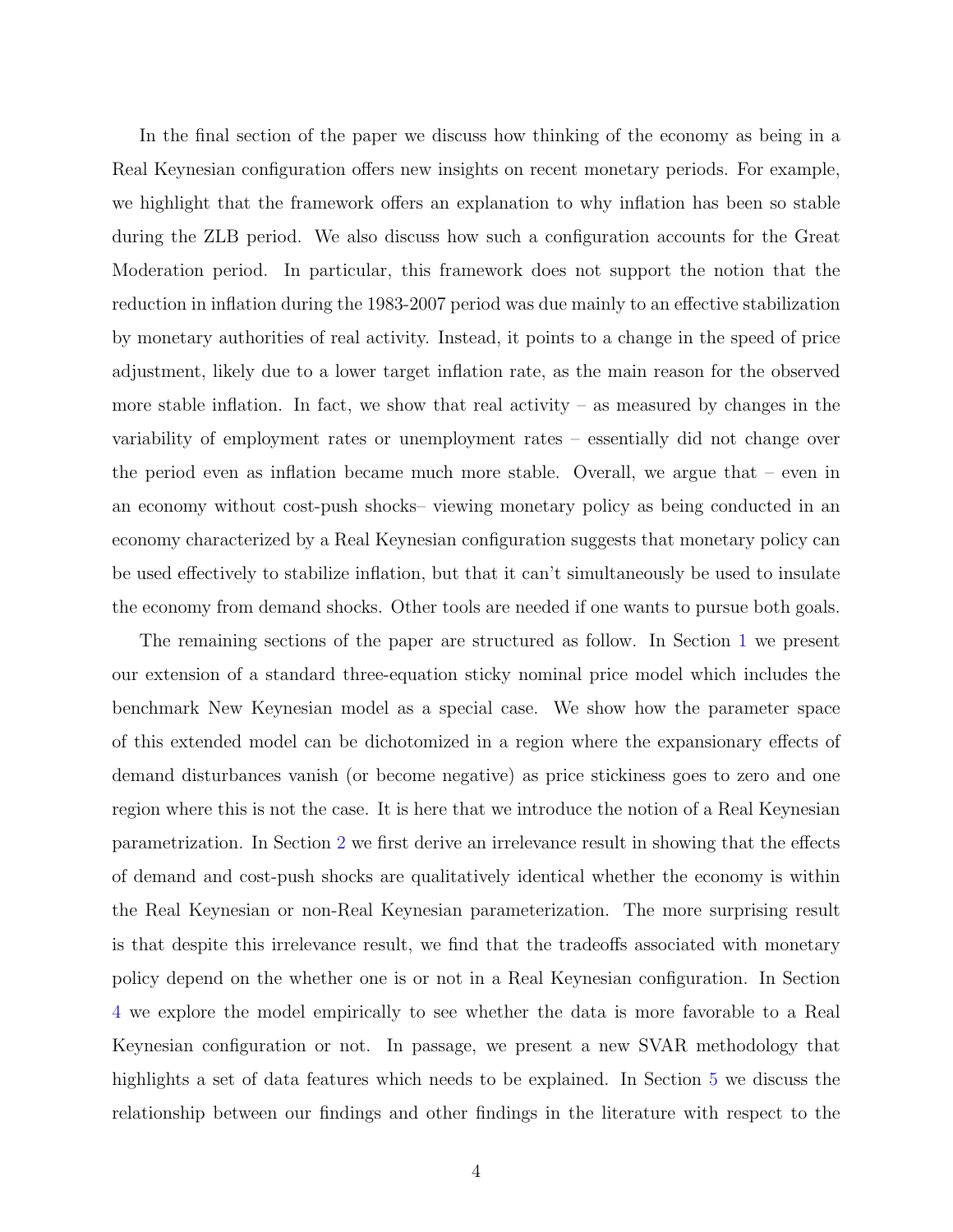In the final section of the paper we discuss how thinking of the economy as being in a Real Keynesian configuration offers new insights on recent monetary periods. For example, we highlight that the framework offers an explanation to why inflation has been so stable during the ZLB period. We also discuss how such a configuration accounts for the Great Moderation period. In particular, this framework does not support the notion that the reduction in inflation during the 1983-2007 period was due mainly to an effective stabilization by monetary authorities of real activity. Instead, it points to a change in the speed of price adjustment, likely due to a lower target inflation rate, as the main reason for the observed more stable inflation. In fact, we show that real activity – as measured by changes in the variability of employment rates or unemployment rates – essentially did not change over the period even as inflation became much more stable. Overall, we argue that – even in an economy without cost-push shocks– viewing monetary policy as being conducted in an economy characterized by a Real Keynesian configuration suggests that monetary policy can be used effectively to stabilize inflation, but that it can't simultaneously be used to insulate the economy from demand shocks. Other tools are needed if one wants to pursue both goals.

The remaining sections of the paper are structured as follow. In Section [1](#page-6-0) we present our extension of a standard three-equation sticky nominal price model which includes the benchmark New Keynesian model as a special case. We show how the parameter space of this extended model can be dichotomized in a region where the expansionary effects of demand disturbances vanish (or become negative) as price stickiness goes to zero and one region where this is not the case. It is here that we introduce the notion of a Real Keynesian parametrization. In Section [2](#page-10-0) we first derive an irrelevance result in showing that the effects of demand and cost-push shocks are qualitatively identical whether the economy is within the Real Keynesian or non-Real Keynesian parameterization. The more surprising result is that despite this irrelevance result, we find that the tradeoffs associated with monetary policy depend on the whether one is or not in a Real Keynesian configuration. In Section [4](#page-22-0) we explore the model empirically to see whether the data is more favorable to a Real Keynesian configuration or not. In passage, we present a new SVAR methodology that highlights a set of data features which needs to be explained. In Section [5](#page-34-0) we discuss the relationship between our findings and other findings in the literature with respect to the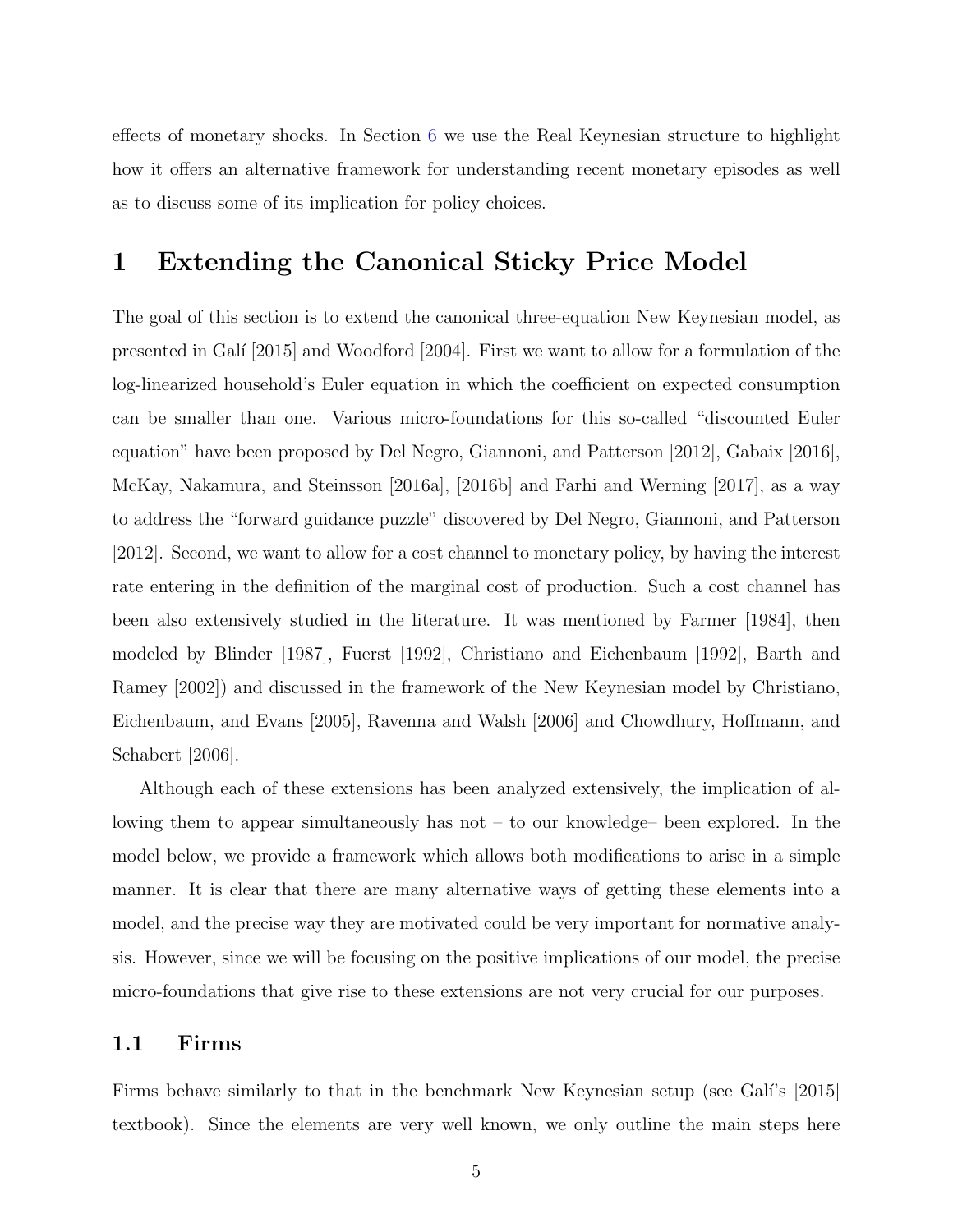effects of monetary shocks. In Section [6](#page-35-0) we use the Real Keynesian structure to highlight how it offers an alternative framework for understanding recent monetary episodes as well as to discuss some of its implication for policy choices.

## <span id="page-6-0"></span>1 Extending the Canonical Sticky Price Model

The goal of this section is to extend the canonical three-equation New Keynesian model, as presented in Galí<sup>[2015]</sup> and Woodford [2004]. First we want to allow for a formulation of the log-linearized household's Euler equation in which the coefficient on expected consumption can be smaller than one. Various micro-foundations for this so-called "discounted Euler equation" have been proposed by Del Negro, Giannoni, and Patterson [2012], Gabaix [2016], McKay, Nakamura, and Steinsson [2016a], [2016b] and Farhi and Werning [2017], as a way to address the "forward guidance puzzle" discovered by Del Negro, Giannoni, and Patterson [2012]. Second, we want to allow for a cost channel to monetary policy, by having the interest rate entering in the definition of the marginal cost of production. Such a cost channel has been also extensively studied in the literature. It was mentioned by Farmer [1984], then modeled by Blinder [1987], Fuerst [1992], Christiano and Eichenbaum [1992], Barth and Ramey [2002]) and discussed in the framework of the New Keynesian model by Christiano, Eichenbaum, and Evans [2005], Ravenna and Walsh [2006] and Chowdhury, Hoffmann, and Schabert [2006].

Although each of these extensions has been analyzed extensively, the implication of allowing them to appear simultaneously has not – to our knowledge– been explored. In the model below, we provide a framework which allows both modifications to arise in a simple manner. It is clear that there are many alternative ways of getting these elements into a model, and the precise way they are motivated could be very important for normative analysis. However, since we will be focusing on the positive implications of our model, the precise micro-foundations that give rise to these extensions are not very crucial for our purposes.

### 1.1 Firms

Firms behave similarly to that in the benchmark New Keynesian setup (see Gali's [2015] textbook). Since the elements are very well known, we only outline the main steps here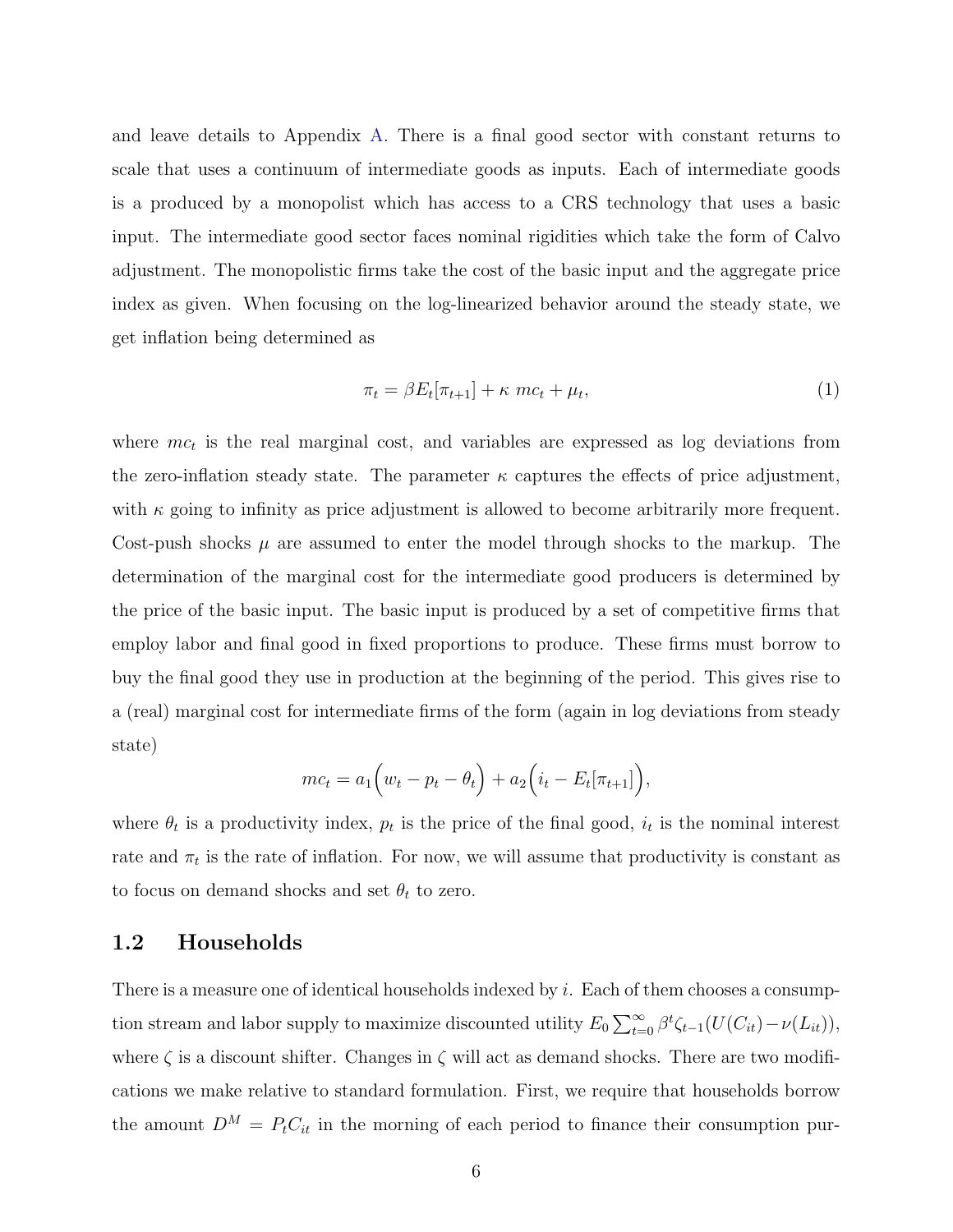and leave details to Appendix [A.](#page-44-0) There is a final good sector with constant returns to scale that uses a continuum of intermediate goods as inputs. Each of intermediate goods is a produced by a monopolist which has access to a CRS technology that uses a basic input. The intermediate good sector faces nominal rigidities which take the form of Calvo adjustment. The monopolistic firms take the cost of the basic input and the aggregate price index as given. When focusing on the log-linearized behavior around the steady state, we get inflation being determined as

$$
\pi_t = \beta E_t[\pi_{t+1}] + \kappa \ mc_t + \mu_t,\tag{1}
$$

where  $mc_t$  is the real marginal cost, and variables are expressed as log deviations from the zero-inflation steady state. The parameter  $\kappa$  captures the effects of price adjustment, with  $\kappa$  going to infinity as price adjustment is allowed to become arbitrarily more frequent. Cost-push shocks  $\mu$  are assumed to enter the model through shocks to the markup. The determination of the marginal cost for the intermediate good producers is determined by the price of the basic input. The basic input is produced by a set of competitive firms that employ labor and final good in fixed proportions to produce. These firms must borrow to buy the final good they use in production at the beginning of the period. This gives rise to a (real) marginal cost for intermediate firms of the form (again in log deviations from steady state)

$$
mc_t = a_1 (w_t - p_t - \theta_t) + a_2 (i_t - E_t[\pi_{t+1}]),
$$

where  $\theta_t$  is a productivity index,  $p_t$  is the price of the final good,  $i_t$  is the nominal interest rate and  $\pi_t$  is the rate of inflation. For now, we will assume that productivity is constant as to focus on demand shocks and set  $\theta_t$  to zero.

#### 1.2 Households

There is a measure one of identical households indexed by  $i$ . Each of them chooses a consumption stream and labor supply to maximize discounted utility  $E_0 \sum_{t=0}^{\infty} \beta^t \zeta_{t-1}(U(C_{it}) - \nu(L_{it})),$ where  $\zeta$  is a discount shifter. Changes in  $\zeta$  will act as demand shocks. There are two modifications we make relative to standard formulation. First, we require that households borrow the amount  $D^M = P_t C_{it}$  in the morning of each period to finance their consumption pur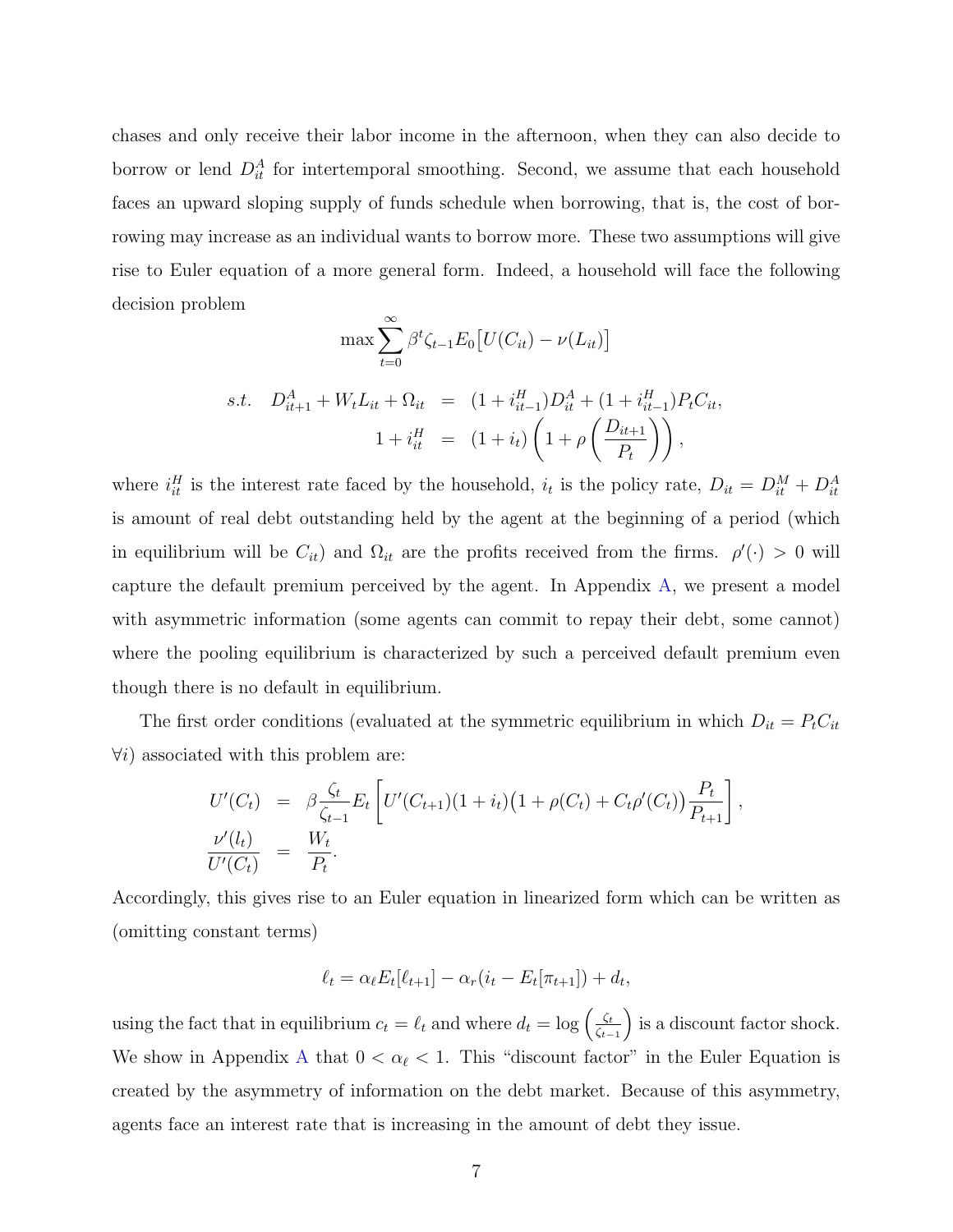chases and only receive their labor income in the afternoon, when they can also decide to borrow or lend  $D_{it}^A$  for intertemporal smoothing. Second, we assume that each household faces an upward sloping supply of funds schedule when borrowing, that is, the cost of borrowing may increase as an individual wants to borrow more. These two assumptions will give rise to Euler equation of a more general form. Indeed, a household will face the following decision problem

$$
\max \sum_{t=0}^{\infty} \beta^t \zeta_{t-1} E_0 \left[ U(C_{it}) - \nu(L_{it}) \right]
$$
  
s.t.  $D_{it+1}^A + W_t L_{it} + \Omega_{it} = (1 + i_{it-1}^H) D_{it}^A + (1 + i_{it-1}^H) P_t C_{it},$   

$$
1 + i_{it}^H = (1 + i_t) \left( 1 + \rho \left( \frac{D_{it+1}}{P_t} \right) \right),
$$

where  $i_{it}^H$  is the interest rate faced by the household,  $i_t$  is the policy rate,  $D_{it} = D_{it}^M + D_{it}^A$ is amount of real debt outstanding held by the agent at the beginning of a period (which in equilibrium will be  $C_{it}$ ) and  $\Omega_{it}$  are the profits received from the firms.  $\rho'(\cdot) > 0$  will capture the default premium perceived by the agent. In Appendix [A,](#page-44-0) we present a model with asymmetric information (some agents can commit to repay their debt, some cannot) where the pooling equilibrium is characterized by such a perceived default premium even though there is no default in equilibrium.

The first order conditions (evaluated at the symmetric equilibrium in which  $D_{it} = P_t C_{it}$  $\forall i$ ) associated with this problem are:

$$
U'(C_t) = \beta \frac{\zeta_t}{\zeta_{t-1}} E_t \left[ U'(C_{t+1})(1+i_t) \left( 1 + \rho(C_t) + C_t \rho'(C_t) \right) \frac{P_t}{P_{t+1}} \right],
$$
  
\n
$$
\frac{\nu'(l_t)}{U'(C_t)} = \frac{W_t}{P_t}.
$$

Accordingly, this gives rise to an Euler equation in linearized form which can be written as (omitting constant terms)

$$
\ell_t = \alpha_{\ell} E_t[\ell_{t+1}] - \alpha_r(i_t - E_t[\pi_{t+1}]) + d_t,
$$

using the fact that in equilibrium  $c_t = \ell_t$  and where  $d_t = \log \left( \frac{\zeta_t}{\zeta_t} \right)$  $\zeta_{t-1}$ ) is a discount factor shock. We show in [A](#page-44-0)ppendix A that  $0 < \alpha_{\ell} < 1$ . This "discount factor" in the Euler Equation is created by the asymmetry of information on the debt market. Because of this asymmetry, agents face an interest rate that is increasing in the amount of debt they issue.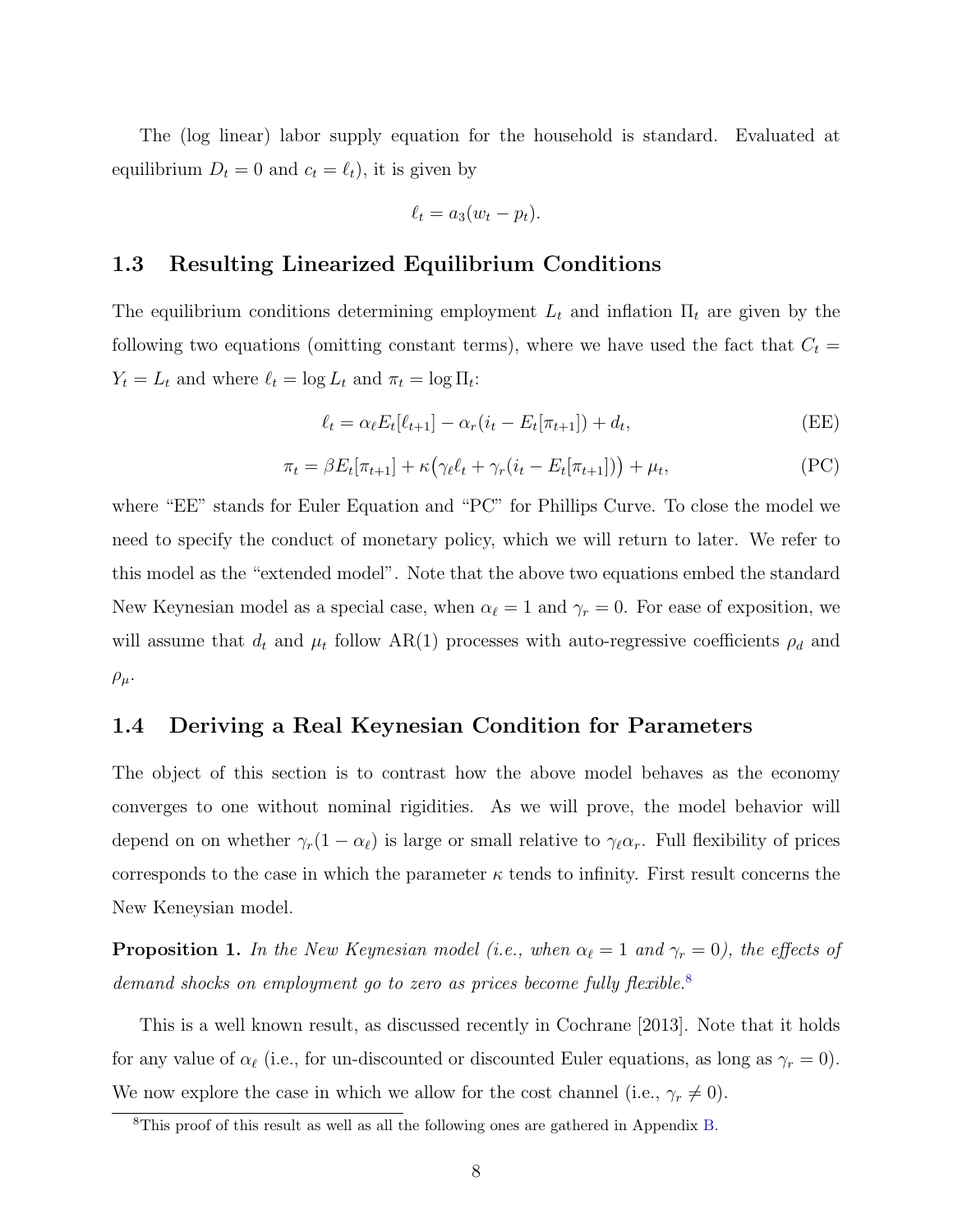The (log linear) labor supply equation for the household is standard. Evaluated at equilibrium  $D_t = 0$  and  $c_t = \ell_t$ ), it is given by

$$
\ell_t = a_3(w_t - p_t).
$$

## 1.3 Resulting Linearized Equilibrium Conditions

The equilibrium conditions determining employment  $L_t$  and inflation  $\Pi_t$  are given by the following two equations (omitting constant terms), where we have used the fact that  $C_t$  =  $Y_t = L_t$  and where  $\ell_t = \log L_t$  and  $\pi_t = \log \Pi_t$ :

$$
\ell_t = \alpha_\ell E_t[\ell_{t+1}] - \alpha_r(i_t - E_t[\pi_{t+1}]) + d_t,
$$
 (EE)

$$
\pi_t = \beta E_t[\pi_{t+1}] + \kappa \left( \gamma_\ell \ell_t + \gamma_r (i_t - E_t[\pi_{t+1}]) \right) + \mu_t,
$$
\n(PC)

where "EE" stands for Euler Equation and "PC" for Phillips Curve. To close the model we need to specify the conduct of monetary policy, which we will return to later. We refer to this model as the "extended model". Note that the above two equations embed the standard New Keynesian model as a special case, when  $\alpha_{\ell} = 1$  and  $\gamma_r = 0$ . For ease of exposition, we will assume that  $d_t$  and  $\mu_t$  follow AR(1) processes with auto-regressive coefficients  $\rho_d$  and  $\rho_\mu$ .

### 1.4 Deriving a Real Keynesian Condition for Parameters

The object of this section is to contrast how the above model behaves as the economy converges to one without nominal rigidities. As we will prove, the model behavior will depend on on whether  $\gamma_r(1 - \alpha_\ell)$  is large or small relative to  $\gamma_\ell \alpha_r$ . Full flexibility of prices corresponds to the case in which the parameter  $\kappa$  tends to infinity. First result concerns the New Keneysian model.

**Proposition 1.** In the New Keynesian model (i.e., when  $\alpha_{\ell} = 1$  and  $\gamma_r = 0$ ), the effects of demand shocks on employment go to zero as prices become fully flexible.<sup>[8](#page-9-0)</sup>

This is a well known result, as discussed recently in Cochrane [2013]. Note that it holds for any value of  $\alpha_{\ell}$  (i.e., for un-discounted or discounted Euler equations, as long as  $\gamma_r = 0$ ). We now explore the case in which we allow for the cost channel (i.e.,  $\gamma_r \neq 0$ ).

<span id="page-9-0"></span><sup>8</sup>This proof of this result as well as all the following ones are gathered in Appendix [B.](#page-48-0)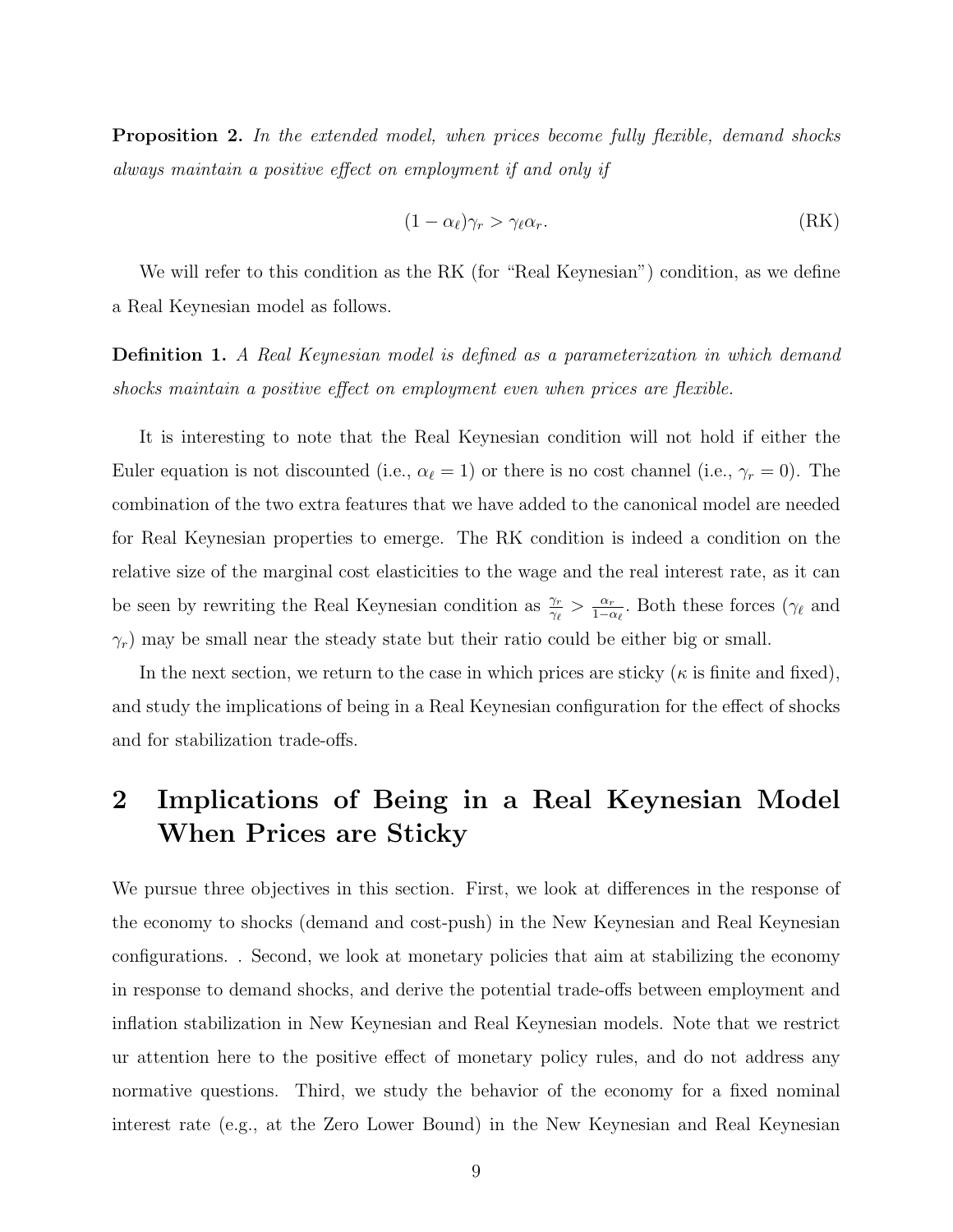**Proposition 2.** In the extended model, when prices become fully flexible, demand shocks always maintain a positive effect on employment if and only if

$$
(1 - \alpha_{\ell})\gamma_r > \gamma_{\ell}\alpha_r. \tag{RK}
$$

We will refer to this condition as the RK (for "Real Keynesian") condition, as we define a Real Keynesian model as follows.

Definition 1. A Real Keynesian model is defined as a parameterization in which demand shocks maintain a positive effect on employment even when prices are flexible.

It is interesting to note that the Real Keynesian condition will not hold if either the Euler equation is not discounted (i.e.,  $\alpha_{\ell} = 1$ ) or there is no cost channel (i.e.,  $\gamma_r = 0$ ). The combination of the two extra features that we have added to the canonical model are needed for Real Keynesian properties to emerge. The RK condition is indeed a condition on the relative size of the marginal cost elasticities to the wage and the real interest rate, as it can be seen by rewriting the Real Keynesian condition as  $\frac{\gamma_r}{\gamma_{\ell}} > \frac{\alpha_r}{1-\epsilon}$  $\frac{\alpha_r}{1-\alpha_\ell}$ . Both these forces ( $\gamma_\ell$  and  $\gamma_r$ ) may be small near the steady state but their ratio could be either big or small.

In the next section, we return to the case in which prices are sticky ( $\kappa$  is finite and fixed), and study the implications of being in a Real Keynesian configuration for the effect of shocks and for stabilization trade-offs.

# <span id="page-10-0"></span>2 Implications of Being in a Real Keynesian Model When Prices are Sticky

We pursue three objectives in this section. First, we look at differences in the response of the economy to shocks (demand and cost-push) in the New Keynesian and Real Keynesian configurations. . Second, we look at monetary policies that aim at stabilizing the economy in response to demand shocks, and derive the potential trade-offs between employment and inflation stabilization in New Keynesian and Real Keynesian models. Note that we restrict ur attention here to the positive effect of monetary policy rules, and do not address any normative questions. Third, we study the behavior of the economy for a fixed nominal interest rate (e.g., at the Zero Lower Bound) in the New Keynesian and Real Keynesian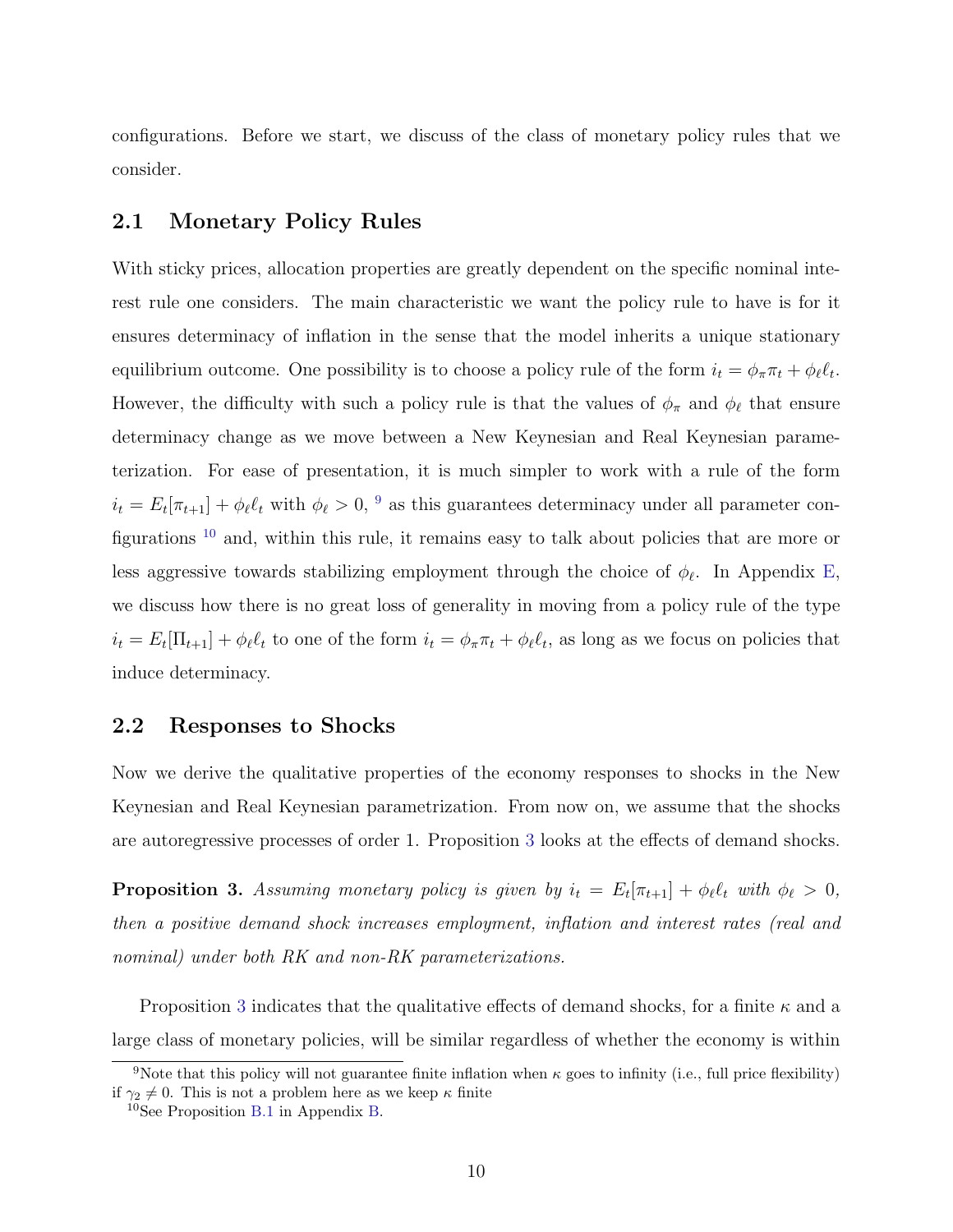configurations. Before we start, we discuss of the class of monetary policy rules that we consider.

### 2.1 Monetary Policy Rules

With sticky prices, allocation properties are greatly dependent on the specific nominal interest rule one considers. The main characteristic we want the policy rule to have is for it ensures determinacy of inflation in the sense that the model inherits a unique stationary equilibrium outcome. One possibility is to choose a policy rule of the form  $i_t = \phi_\pi \pi_t + \phi_\ell \ell_t$ . However, the difficulty with such a policy rule is that the values of  $\phi_{\pi}$  and  $\phi_{\ell}$  that ensure determinacy change as we move between a New Keynesian and Real Keynesian parameterization. For ease of presentation, it is much simpler to work with a rule of the form  $i_t = E_t[\pi_{t+1}] + \phi_\ell \ell_t$  with  $\phi_\ell > 0$ , <sup>[9](#page-11-0)</sup> as this guarantees determinacy under all parameter configurations [10](#page-11-1) and, within this rule, it remains easy to talk about policies that are more or less aggressive towards stabilizing employment through the choice of  $\phi_{\ell}$ . In Appendix [E,](#page-53-0) we discuss how there is no great loss of generality in moving from a policy rule of the type  $i_t = E_t[\Pi_{t+1}] + \phi_\ell \ell_t$  to one of the form  $i_t = \phi_\pi \pi_t + \phi_\ell \ell_t$ , as long as we focus on policies that induce determinacy.

## 2.2 Responses to Shocks

Now we derive the qualitative properties of the economy responses to shocks in the New Keynesian and Real Keynesian parametrization. From now on, we assume that the shocks are autoregressive processes of order 1. Proposition [3](#page-11-2) looks at the effects of demand shocks.

<span id="page-11-2"></span>**Proposition 3.** Assuming monetary policy is given by  $i_t = E_t[\pi_{t+1}] + \phi_\ell \ell_t$  with  $\phi_\ell > 0$ , then a positive demand shock increases employment, inflation and interest rates (real and nominal) under both RK and non-RK parameterizations.

Proposition [3](#page-11-2) indicates that the qualitative effects of demand shocks, for a finite  $\kappa$  and a large class of monetary policies, will be similar regardless of whether the economy is within

<span id="page-11-0"></span><sup>&</sup>lt;sup>9</sup>Note that this policy will not guarantee finite inflation when  $\kappa$  goes to infinity (i.e., full price flexibility) if  $\gamma_2 \neq 0$ . This is not a problem here as we keep  $\kappa$  finite

<span id="page-11-1"></span><sup>10</sup>See Proposition [B.1](#page-49-0) in Appendix [B.](#page-48-0)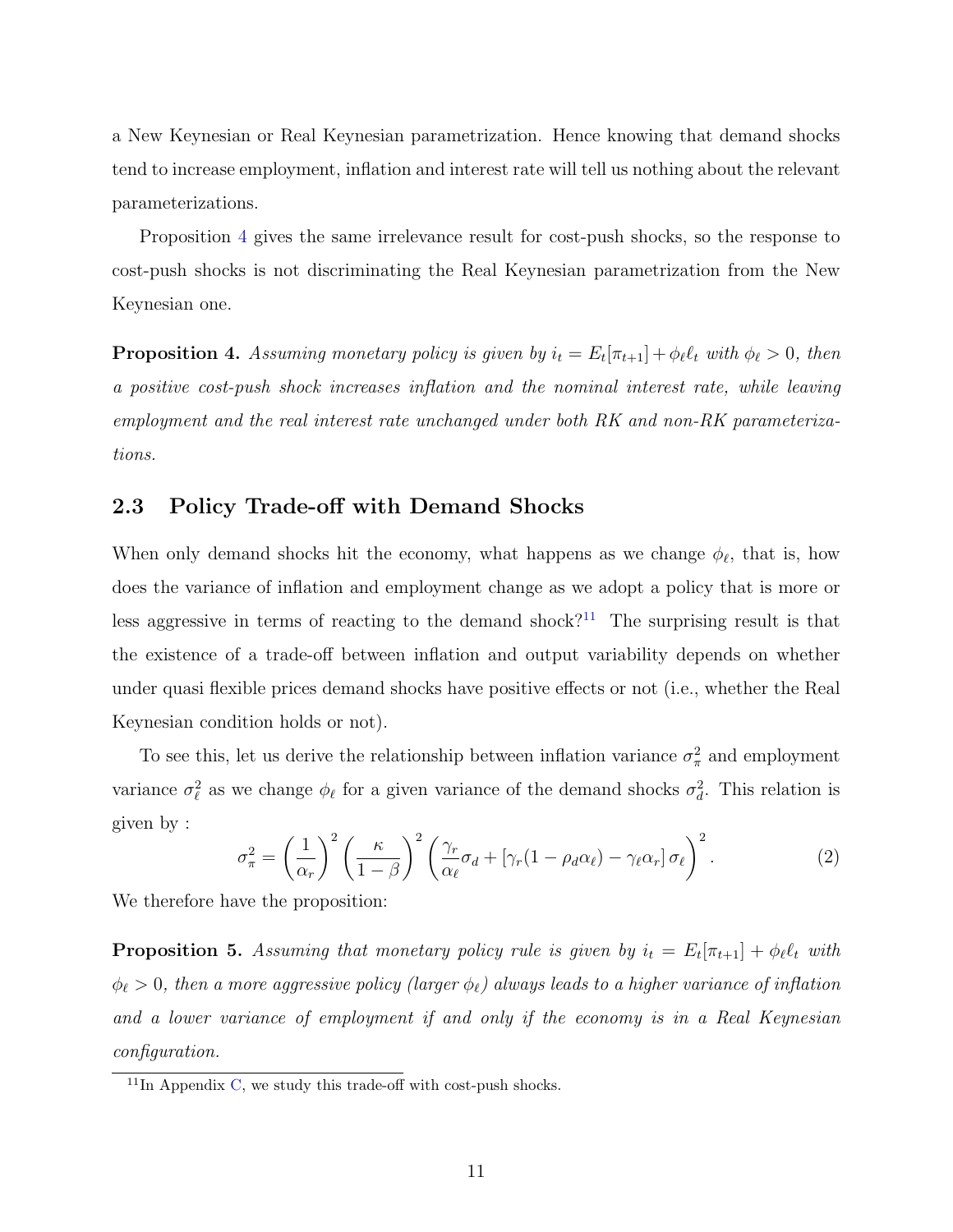a New Keynesian or Real Keynesian parametrization. Hence knowing that demand shocks tend to increase employment, inflation and interest rate will tell us nothing about the relevant parameterizations.

Proposition [4](#page-12-0) gives the same irrelevance result for cost-push shocks, so the response to cost-push shocks is not discriminating the Real Keynesian parametrization from the New Keynesian one.

<span id="page-12-0"></span>**Proposition 4.** Assuming monetary policy is given by  $i_t = E_t[\pi_{t+1}] + \phi_\ell \ell_t$  with  $\phi_\ell > 0$ , then a positive cost-push shock increases inflation and the nominal interest rate, while leaving employment and the real interest rate unchanged under both RK and non-RK parameterizations.

## 2.3 Policy Trade-off with Demand Shocks

When only demand shocks hit the economy, what happens as we change  $\phi_{\ell}$ , that is, how does the variance of inflation and employment change as we adopt a policy that is more or less aggressive in terms of reacting to the demand shock?<sup>[11](#page-12-1)</sup> The surprising result is that the existence of a trade-off between inflation and output variability depends on whether under quasi flexible prices demand shocks have positive effects or not (i.e., whether the Real Keynesian condition holds or not).

To see this, let us derive the relationship between inflation variance  $\sigma_{\pi}^2$  and employment variance  $\sigma_{\ell}^2$  as we change  $\phi_{\ell}$  for a given variance of the demand shocks  $\sigma_d^2$ . This relation is given by :

$$
\sigma_{\pi}^{2} = \left(\frac{1}{\alpha_{r}}\right)^{2} \left(\frac{\kappa}{1-\beta}\right)^{2} \left(\frac{\gamma_{r}}{\alpha_{\ell}}\sigma_{d} + \left[\gamma_{r}(1-\rho_{d}\alpha_{\ell}) - \gamma_{\ell}\alpha_{r}\right]\sigma_{\ell}\right)^{2}.
$$
\n(2)

We therefore have the proposition:

**Proposition 5.** Assuming that monetary policy rule is given by  $i_t = E_t[\pi_{t+1}] + \phi_\ell \ell_t$  with  $\phi_{\ell} > 0$ , then a more aggressive policy (larger  $\phi_{\ell}$ ) always leads to a higher variance of inflation and a lower variance of employment if and only if the economy is in a Real Keynesian configuration.

<span id="page-12-1"></span> $11$ In Appendix [C,](#page-52-0) we study this trade-off with cost-push shocks.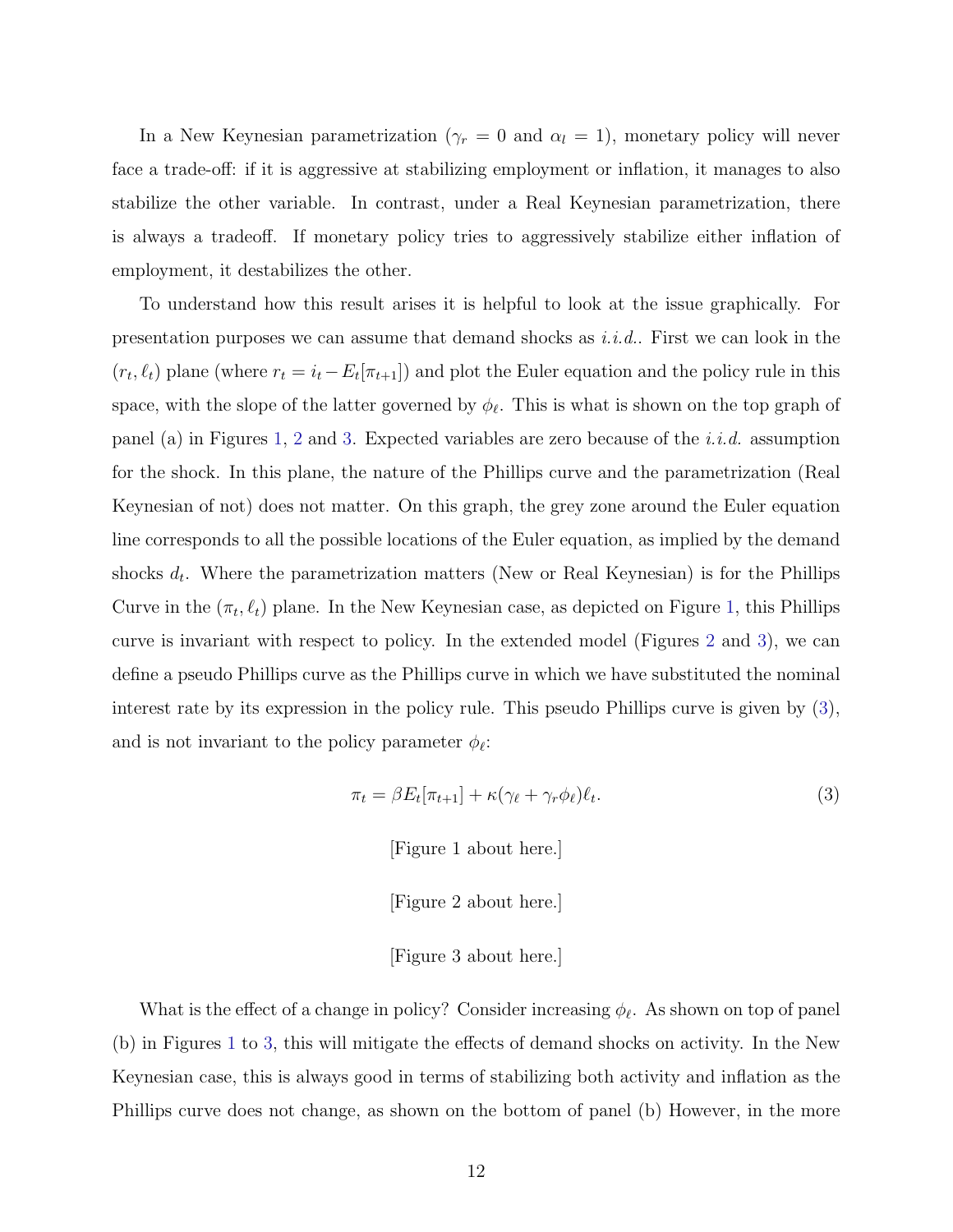In a New Keynesian parametrization ( $\gamma_r = 0$  and  $\alpha_l = 1$ ), monetary policy will never face a trade-off: if it is aggressive at stabilizing employment or inflation, it manages to also stabilize the other variable. In contrast, under a Real Keynesian parametrization, there is always a tradeoff. If monetary policy tries to aggressively stabilize either inflation of employment, it destabilizes the other.

To understand how this result arises it is helpful to look at the issue graphically. For presentation purposes we can assume that demand shocks as  $i.i.d.$ . First we can look in the  $(r_t, \ell_t)$  plane (where  $r_t = i_t - E_t[\pi_{t+1}]$ ) and plot the Euler equation and the policy rule in this space, with the slope of the latter governed by  $\phi_{\ell}$ . This is what is shown on the top graph of panel (a) in Figures [1,](#page-60-0) [2](#page-61-0) and [3.](#page-62-0) Expected variables are zero because of the *i.i.d.* assumption for the shock. In this plane, the nature of the Phillips curve and the parametrization (Real Keynesian of not) does not matter. On this graph, the grey zone around the Euler equation line corresponds to all the possible locations of the Euler equation, as implied by the demand shocks  $d_t$ . Where the parametrization matters (New or Real Keynesian) is for the Phillips Curve in the  $(\pi_t, \ell_t)$  plane. In the New Keynesian case, as depicted on Figure [1,](#page-60-0) this Phillips curve is invariant with respect to policy. In the extended model (Figures [2](#page-61-0) and [3\)](#page-62-0), we can define a pseudo Phillips curve as the Phillips curve in which we have substituted the nominal interest rate by its expression in the policy rule. This pseudo Phillips curve is given by [\(3\)](#page-13-0), and is not invariant to the policy parameter  $\phi_{\ell}$ :

<span id="page-13-0"></span>
$$
\pi_t = \beta E_t[\pi_{t+1}] + \kappa (\gamma_\ell + \gamma_r \phi_\ell) \ell_t.
$$
\n(3)

[Figure 1 about here.]

[Figure 2 about here.]

[Figure 3 about here.]

What is the effect of a change in policy? Consider increasing  $\phi_{\ell}$ . As shown on top of panel (b) in Figures [1](#page-60-0) to [3,](#page-62-0) this will mitigate the effects of demand shocks on activity. In the New Keynesian case, this is always good in terms of stabilizing both activity and inflation as the Phillips curve does not change, as shown on the bottom of panel (b) However, in the more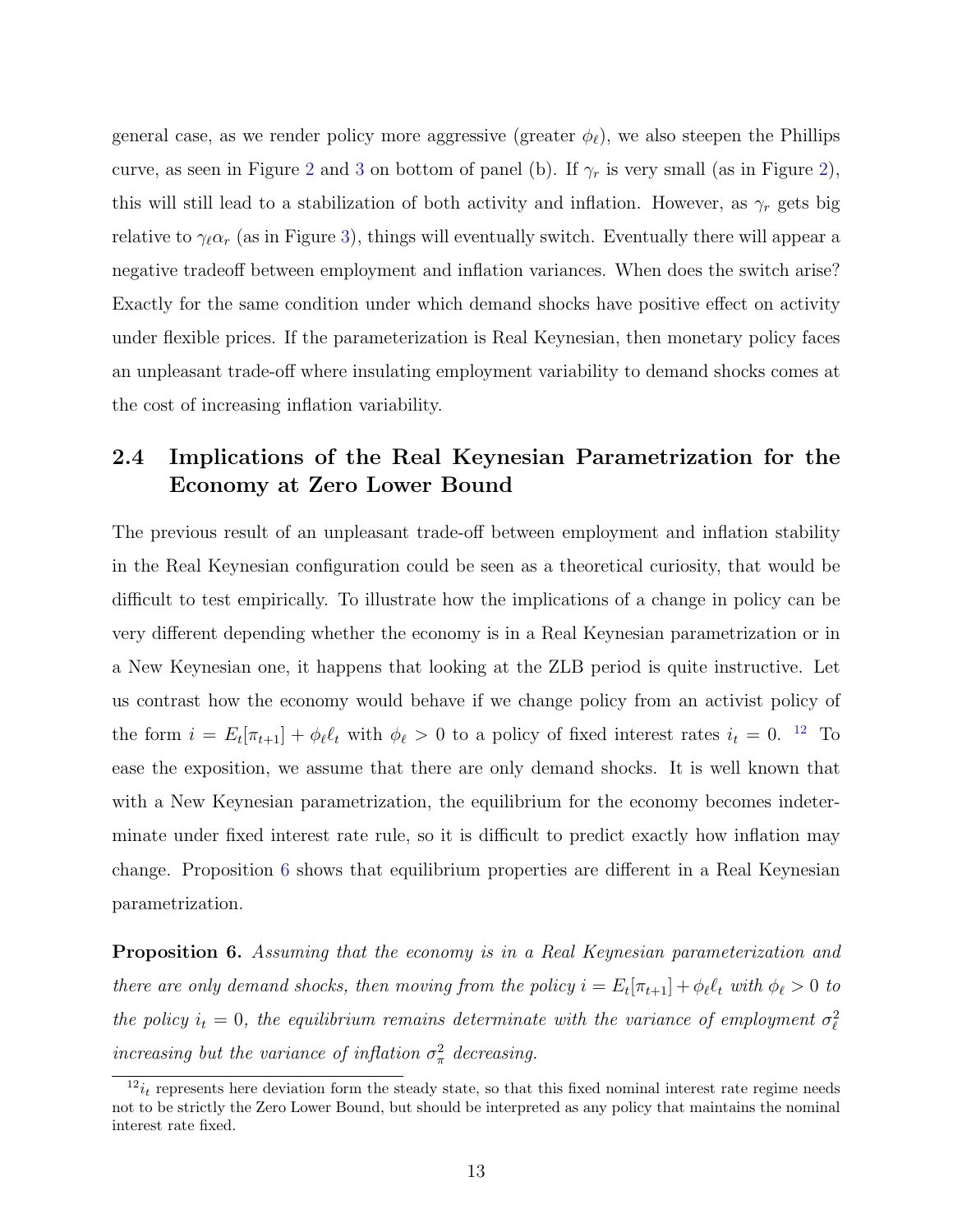general case, as we render policy more aggressive (greater  $\phi_{\ell}$ ), we also steepen the Phillips curve, as seen in Figure [2](#page-61-0) and [3](#page-62-0) on bottom of panel (b). If  $\gamma_r$  is very small (as in Figure [2\)](#page-61-0), this will still lead to a stabilization of both activity and inflation. However, as  $\gamma_r$  gets big relative to  $\gamma_{\ell} \alpha_r$  (as in Figure [3\)](#page-62-0), things will eventually switch. Eventually there will appear a negative tradeoff between employment and inflation variances. When does the switch arise? Exactly for the same condition under which demand shocks have positive effect on activity under flexible prices. If the parameterization is Real Keynesian, then monetary policy faces an unpleasant trade-off where insulating employment variability to demand shocks comes at the cost of increasing inflation variability.

## 2.4 Implications of the Real Keynesian Parametrization for the Economy at Zero Lower Bound

The previous result of an unpleasant trade-off between employment and inflation stability in the Real Keynesian configuration could be seen as a theoretical curiosity, that would be difficult to test empirically. To illustrate how the implications of a change in policy can be very different depending whether the economy is in a Real Keynesian parametrization or in a New Keynesian one, it happens that looking at the ZLB period is quite instructive. Let us contrast how the economy would behave if we change policy from an activist policy of the form  $i = E_t[\pi_{t+1}] + \phi_\ell \ell_t$  with  $\phi_\ell > 0$  to a policy of fixed interest rates  $i_t = 0$ . <sup>[12](#page-14-0)</sup> To ease the exposition, we assume that there are only demand shocks. It is well known that with a New Keynesian parametrization, the equilibrium for the economy becomes indeterminate under fixed interest rate rule, so it is difficult to predict exactly how inflation may change. Proposition [6](#page-14-1) shows that equilibrium properties are different in a Real Keynesian parametrization.

<span id="page-14-1"></span>Proposition 6. Assuming that the economy is in a Real Keynesian parameterization and there are only demand shocks, then moving from the policy  $i = E_t[\pi_{t+1}] + \phi_\ell \ell_t$  with  $\phi_\ell > 0$  to the policy  $i_t = 0$ , the equilibrium remains determinate with the variance of employment  $\sigma_\ell^2$ increasing but the variance of inflation  $\sigma_{\pi}^2$  decreasing.

<span id="page-14-0"></span> $12_{i_t}$  represents here deviation form the steady state, so that this fixed nominal interest rate regime needs not to be strictly the Zero Lower Bound, but should be interpreted as any policy that maintains the nominal interest rate fixed.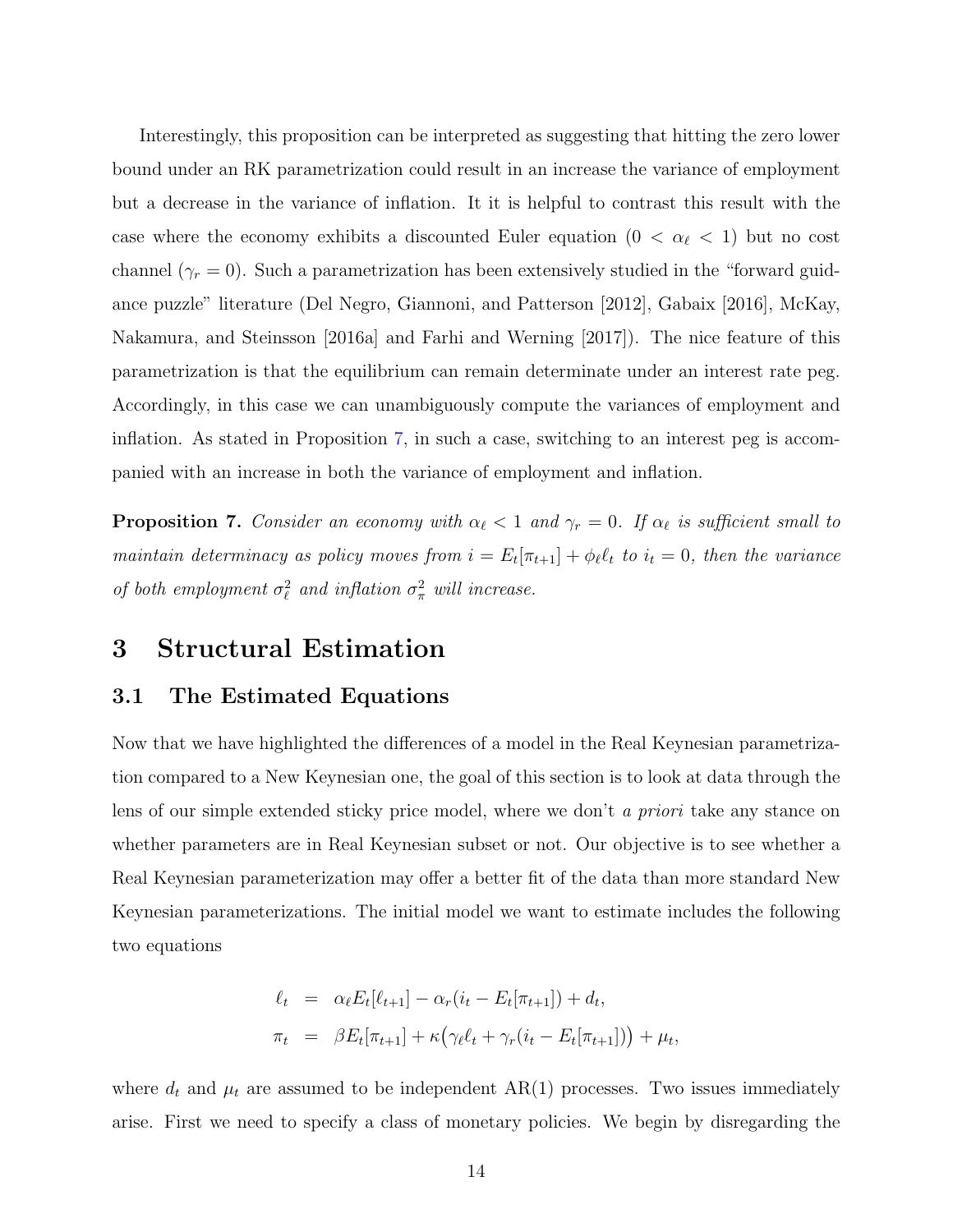Interestingly, this proposition can be interpreted as suggesting that hitting the zero lower bound under an RK parametrization could result in an increase the variance of employment but a decrease in the variance of inflation. It it is helpful to contrast this result with the case where the economy exhibits a discounted Euler equation  $(0 < \alpha_{\ell} < 1)$  but no cost channel ( $\gamma_r = 0$ ). Such a parametrization has been extensively studied in the "forward guidance puzzle" literature (Del Negro, Giannoni, and Patterson [2012], Gabaix [2016], McKay, Nakamura, and Steinsson [2016a] and Farhi and Werning [2017]). The nice feature of this parametrization is that the equilibrium can remain determinate under an interest rate peg. Accordingly, in this case we can unambiguously compute the variances of employment and inflation. As stated in Proposition [7,](#page-15-0) in such a case, switching to an interest peg is accompanied with an increase in both the variance of employment and inflation.

<span id="page-15-0"></span>**Proposition 7.** Consider an economy with  $\alpha_{\ell} < 1$  and  $\gamma_r = 0$ . If  $\alpha_{\ell}$  is sufficient small to maintain determinacy as policy moves from  $i = E_t[\pi_{t+1}] + \phi_\ell \ell_t$  to  $i_t = 0$ , then the variance of both employment  $\sigma_{\ell}^2$  and inflation  $\sigma_{\pi}^2$  will increase.

## 3 Structural Estimation

### 3.1 The Estimated Equations

Now that we have highlighted the differences of a model in the Real Keynesian parametrization compared to a New Keynesian one, the goal of this section is to look at data through the lens of our simple extended sticky price model, where we don't a priori take any stance on whether parameters are in Real Keynesian subset or not. Our objective is to see whether a Real Keynesian parameterization may offer a better fit of the data than more standard New Keynesian parameterizations. The initial model we want to estimate includes the following two equations

$$
\ell_t = \alpha_{\ell} E_t[\ell_{t+1}] - \alpha_r (i_t - E_t[\pi_{t+1}]) + d_t,
$$
  

$$
\pi_t = \beta E_t[\pi_{t+1}] + \kappa (\gamma_{\ell} \ell_t + \gamma_r (i_t - E_t[\pi_{t+1}])) + \mu_t,
$$

where  $d_t$  and  $\mu_t$  are assumed to be independent AR(1) processes. Two issues immediately arise. First we need to specify a class of monetary policies. We begin by disregarding the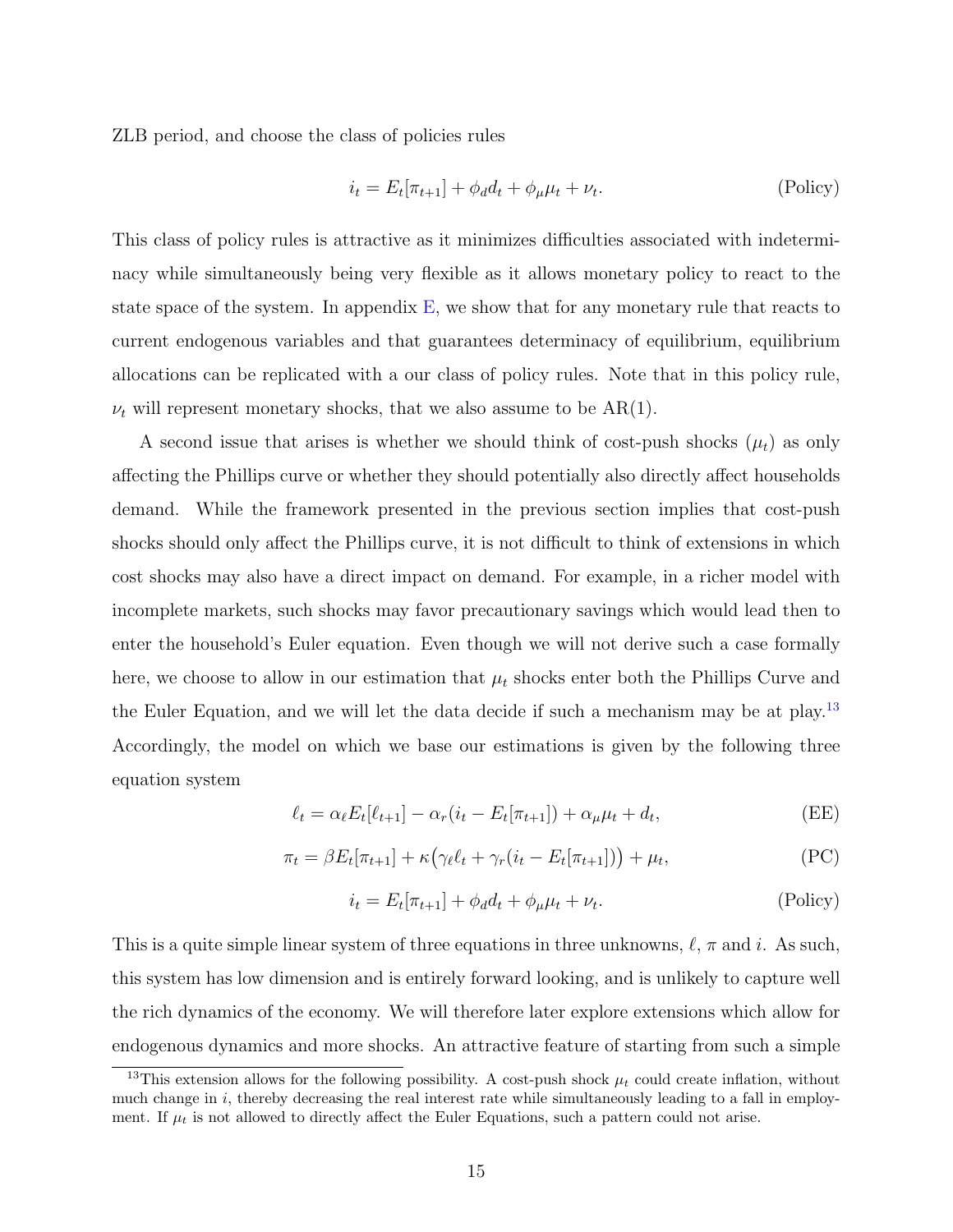ZLB period, and choose the class of policies rules

$$
i_t = E_t[\pi_{t+1}] + \phi_d d_t + \phi_\mu \mu_t + \nu_t.
$$
 (Policy)

This class of policy rules is attractive as it minimizes difficulties associated with indeterminacy while simultaneously being very flexible as it allows monetary policy to react to the state space of the system. In appendix [E,](#page-53-0) we show that for any monetary rule that reacts to current endogenous variables and that guarantees determinacy of equilibrium, equilibrium allocations can be replicated with a our class of policy rules. Note that in this policy rule,  $\nu_t$  will represent monetary shocks, that we also assume to be AR(1).

A second issue that arises is whether we should think of cost-push shocks  $(\mu_t)$  as only affecting the Phillips curve or whether they should potentially also directly affect households demand. While the framework presented in the previous section implies that cost-push shocks should only affect the Phillips curve, it is not difficult to think of extensions in which cost shocks may also have a direct impact on demand. For example, in a richer model with incomplete markets, such shocks may favor precautionary savings which would lead then to enter the household's Euler equation. Even though we will not derive such a case formally here, we choose to allow in our estimation that  $\mu_t$  shocks enter both the Phillips Curve and the Euler Equation, and we will let the data decide if such a mechanism may be at play.<sup>[13](#page-16-0)</sup> Accordingly, the model on which we base our estimations is given by the following three equation system

$$
\ell_t = \alpha_\ell E_t[\ell_{t+1}] - \alpha_r(i_t - E_t[\pi_{t+1}]) + \alpha_\mu \mu_t + d_t,
$$
 (EE)

$$
\pi_t = \beta E_t[\pi_{t+1}] + \kappa \left( \gamma_\ell \ell_t + \gamma_r (i_t - E_t[\pi_{t+1}]) \right) + \mu_t,
$$
\n(PC)

$$
i_t = E_t[\pi_{t+1}] + \phi_d d_t + \phi_\mu \mu_t + \nu_t.
$$
 (Policy)

This is a quite simple linear system of three equations in three unknowns,  $\ell$ ,  $\pi$  and i. As such, this system has low dimension and is entirely forward looking, and is unlikely to capture well the rich dynamics of the economy. We will therefore later explore extensions which allow for endogenous dynamics and more shocks. An attractive feature of starting from such a simple

<span id="page-16-0"></span><sup>&</sup>lt;sup>13</sup>This extension allows for the following possibility. A cost-push shock  $\mu_t$  could create inflation, without much change in i, thereby decreasing the real interest rate while simultaneously leading to a fall in employment. If  $\mu_t$  is not allowed to directly affect the Euler Equations, such a pattern could not arise.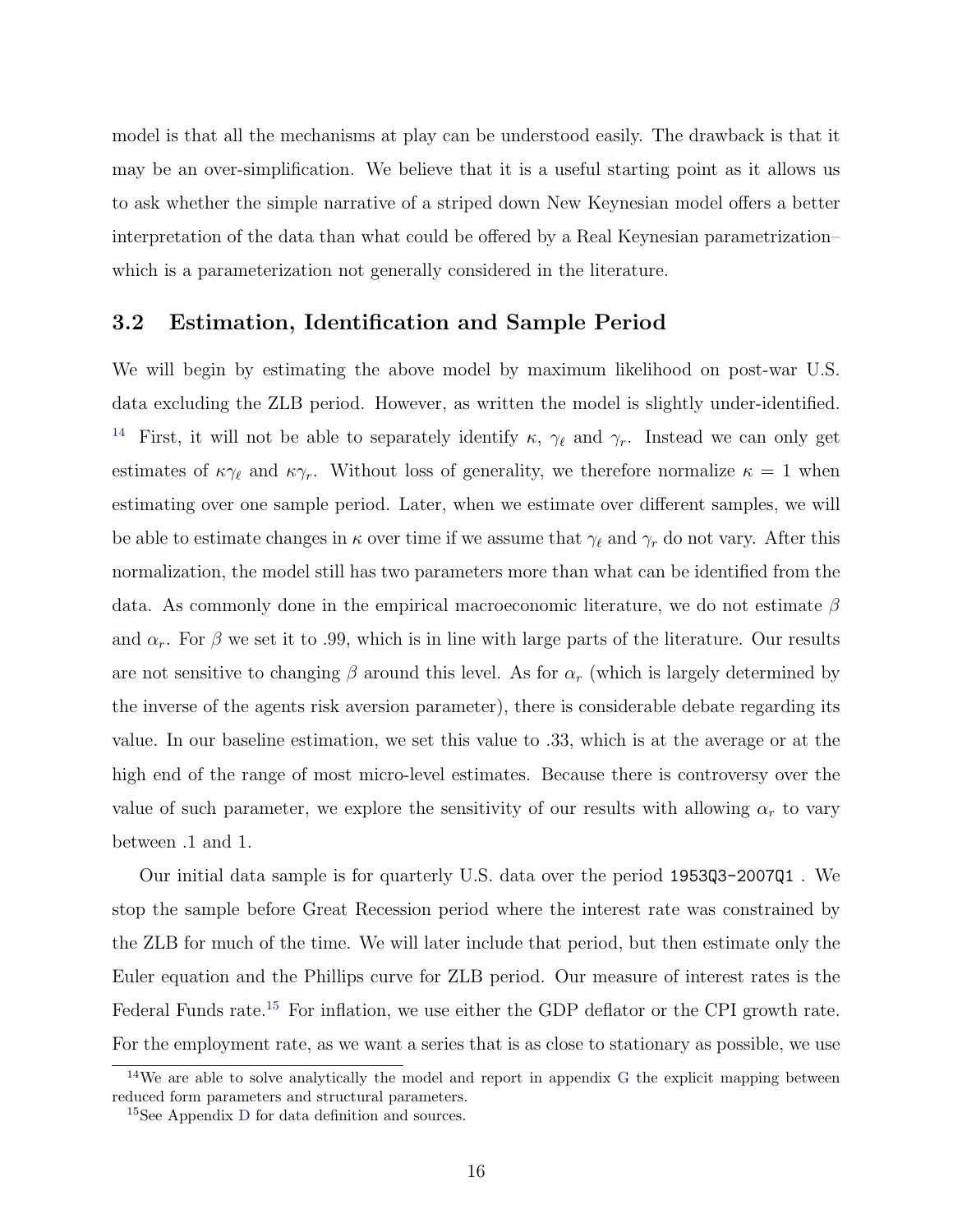model is that all the mechanisms at play can be understood easily. The drawback is that it may be an over-simplification. We believe that it is a useful starting point as it allows us to ask whether the simple narrative of a striped down New Keynesian model offers a better interpretation of the data than what could be offered by a Real Keynesian parametrization– which is a parameterization not generally considered in the literature.

### 3.2 Estimation, Identification and Sample Period

We will begin by estimating the above model by maximum likelihood on post-war U.S. data excluding the ZLB period. However, as written the model is slightly under-identified. <sup>[14](#page-17-0)</sup> First, it will not be able to separately identify  $\kappa$ ,  $\gamma_{\ell}$  and  $\gamma_r$ . Instead we can only get estimates of  $\kappa\gamma_\ell$  and  $\kappa\gamma_r$ . Without loss of generality, we therefore normalize  $\kappa = 1$  when estimating over one sample period. Later, when we estimate over different samples, we will be able to estimate changes in  $\kappa$  over time if we assume that  $\gamma_{\ell}$  and  $\gamma_r$  do not vary. After this normalization, the model still has two parameters more than what can be identified from the data. As commonly done in the empirical macroeconomic literature, we do not estimate  $\beta$ and  $\alpha_r$ . For  $\beta$  we set it to .99, which is in line with large parts of the literature. Our results are not sensitive to changing  $\beta$  around this level. As for  $\alpha_r$  (which is largely determined by the inverse of the agents risk aversion parameter), there is considerable debate regarding its value. In our baseline estimation, we set this value to .33, which is at the average or at the high end of the range of most micro-level estimates. Because there is controversy over the value of such parameter, we explore the sensitivity of our results with allowing  $\alpha_r$  to vary between .1 and 1.

Our initial data sample is for quarterly U.S. data over the period 1953Q3-2007Q1 . We stop the sample before Great Recession period where the interest rate was constrained by the ZLB for much of the time. We will later include that period, but then estimate only the Euler equation and the Phillips curve for ZLB period. Our measure of interest rates is the Federal Funds rate.<sup>[15](#page-17-1)</sup> For inflation, we use either the GDP deflator or the CPI growth rate. For the employment rate, as we want a series that is as close to stationary as possible, we use

<span id="page-17-0"></span><sup>&</sup>lt;sup>14</sup>We are able to solve analytically the model and report in appendix [G](#page-55-0) the explicit mapping between reduced form parameters and structural parameters.

<span id="page-17-1"></span><sup>15</sup>See Appendix [D](#page-52-1) for data definition and sources.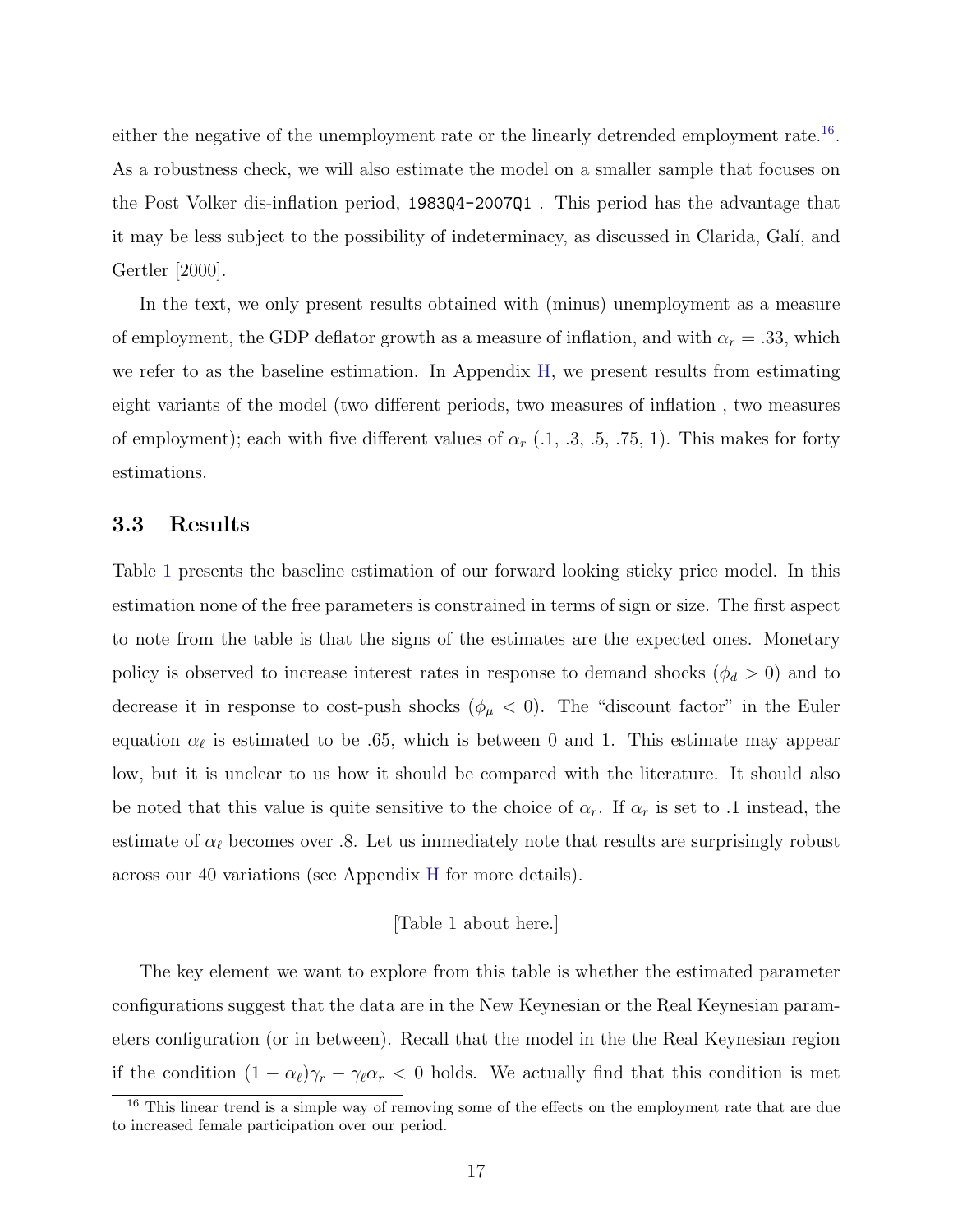either the negative of the unemployment rate or the linearly detrended employment rate.<sup>[16](#page-18-0)</sup>. As a robustness check, we will also estimate the model on a smaller sample that focuses on the Post Volker dis-inflation period, 1983Q4-2007Q1 . This period has the advantage that it may be less subject to the possibility of indeterminacy, as discussed in Clarida, Gal´ı, and Gertler [2000].

In the text, we only present results obtained with (minus) unemployment as a measure of employment, the GDP deflator growth as a measure of inflation, and with  $\alpha_r = .33$ , which we refer to as the baseline estimation. In Appendix [H,](#page-55-1) we present results from estimating eight variants of the model (two different periods, two measures of inflation , two measures of employment); each with five different values of  $\alpha_r$  (1, 1, 3, 1, 75, 1). This makes for forty estimations.

### 3.3 Results

Table [1](#page-74-0) presents the baseline estimation of our forward looking sticky price model. In this estimation none of the free parameters is constrained in terms of sign or size. The first aspect to note from the table is that the signs of the estimates are the expected ones. Monetary policy is observed to increase interest rates in response to demand shocks ( $\phi_d > 0$ ) and to decrease it in response to cost-push shocks ( $\phi_{\mu} < 0$ ). The "discount factor" in the Euler equation  $\alpha_{\ell}$  is estimated to be .65, which is between 0 and 1. This estimate may appear low, but it is unclear to us how it should be compared with the literature. It should also be noted that this value is quite sensitive to the choice of  $\alpha_r$ . If  $\alpha_r$  is set to .1 instead, the estimate of  $\alpha_{\ell}$  becomes over .8. Let us immediately note that results are surprisingly robust across our 40 variations (see Appendix [H](#page-55-1) for more details).

#### [Table 1 about here.]

The key element we want to explore from this table is whether the estimated parameter configurations suggest that the data are in the New Keynesian or the Real Keynesian parameters configuration (or in between). Recall that the model in the the Real Keynesian region if the condition  $(1 - \alpha_\ell)\gamma_r - \gamma_\ell \alpha_r < 0$  holds. We actually find that this condition is met

<span id="page-18-0"></span><sup>&</sup>lt;sup>16</sup> This linear trend is a simple way of removing some of the effects on the employment rate that are due to increased female participation over our period.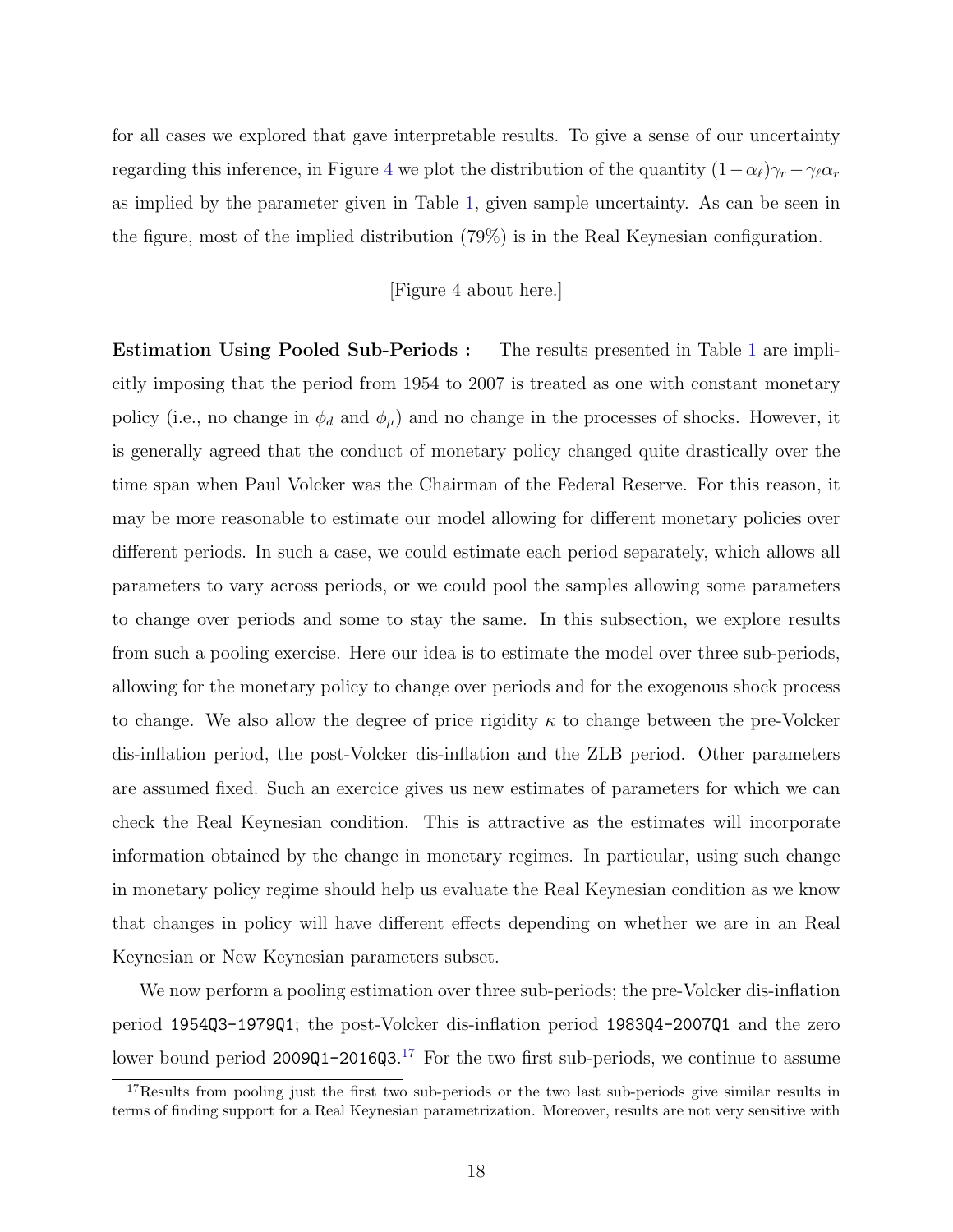for all cases we explored that gave interpretable results. To give a sense of our uncertainty regarding this inference, in Figure [4](#page-63-0) we plot the distribution of the quantity  $(1-\alpha_\ell)\gamma_r - \gamma_\ell \alpha_r$ as implied by the parameter given in Table [1,](#page-74-0) given sample uncertainty. As can be seen in the figure, most of the implied distribution (79%) is in the Real Keynesian configuration.

#### [Figure 4 about here.]

Estimation Using Pooled Sub-Periods : The results presented in Table [1](#page-74-0) are implicitly imposing that the period from 1954 to 2007 is treated as one with constant monetary policy (i.e., no change in  $\phi_d$  and  $\phi_\mu$ ) and no change in the processes of shocks. However, it is generally agreed that the conduct of monetary policy changed quite drastically over the time span when Paul Volcker was the Chairman of the Federal Reserve. For this reason, it may be more reasonable to estimate our model allowing for different monetary policies over different periods. In such a case, we could estimate each period separately, which allows all parameters to vary across periods, or we could pool the samples allowing some parameters to change over periods and some to stay the same. In this subsection, we explore results from such a pooling exercise. Here our idea is to estimate the model over three sub-periods, allowing for the monetary policy to change over periods and for the exogenous shock process to change. We also allow the degree of price rigidity  $\kappa$  to change between the pre-Volcker dis-inflation period, the post-Volcker dis-inflation and the ZLB period. Other parameters are assumed fixed. Such an exercice gives us new estimates of parameters for which we can check the Real Keynesian condition. This is attractive as the estimates will incorporate information obtained by the change in monetary regimes. In particular, using such change in monetary policy regime should help us evaluate the Real Keynesian condition as we know that changes in policy will have different effects depending on whether we are in an Real Keynesian or New Keynesian parameters subset.

We now perform a pooling estimation over three sub-periods; the pre-Volcker dis-inflation period 1954Q3-1979Q1; the post-Volcker dis-inflation period 1983Q4-2007Q1 and the zero lower bound period 2009Q1-2016Q3.<sup>[17](#page-19-0)</sup> For the two first sub-periods, we continue to assume

<span id="page-19-0"></span><sup>&</sup>lt;sup>17</sup>Results from pooling just the first two sub-periods or the two last sub-periods give similar results in terms of finding support for a Real Keynesian parametrization. Moreover, results are not very sensitive with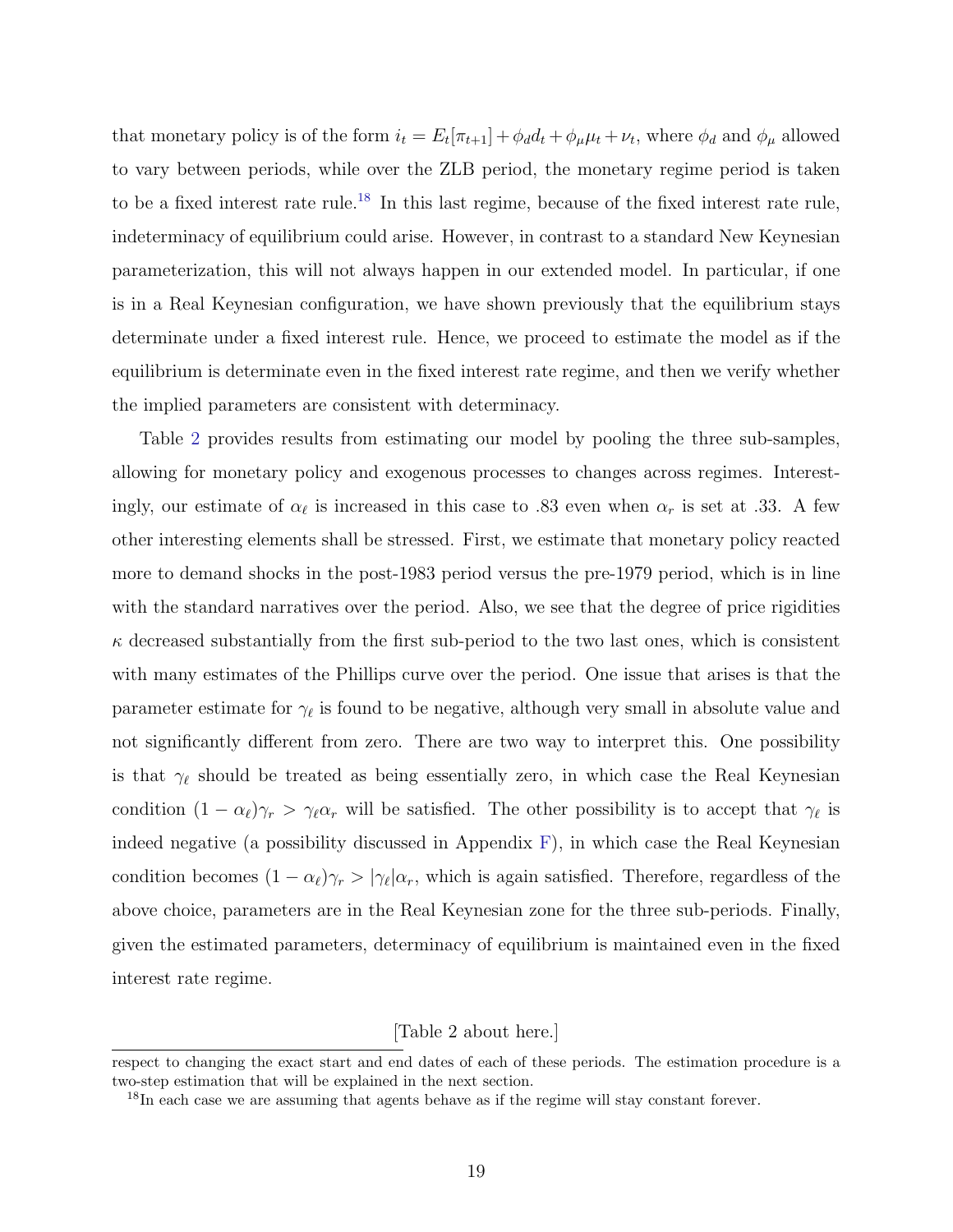that monetary policy is of the form  $i_t = E_t[\pi_{t+1}] + \phi_d d_t + \phi_\mu \mu_t + \nu_t$ , where  $\phi_d$  and  $\phi_\mu$  allowed to vary between periods, while over the ZLB period, the monetary regime period is taken to be a fixed interest rate rule.<sup>[18](#page-20-0)</sup> In this last regime, because of the fixed interest rate rule, indeterminacy of equilibrium could arise. However, in contrast to a standard New Keynesian parameterization, this will not always happen in our extended model. In particular, if one is in a Real Keynesian configuration, we have shown previously that the equilibrium stays determinate under a fixed interest rule. Hence, we proceed to estimate the model as if the equilibrium is determinate even in the fixed interest rate regime, and then we verify whether the implied parameters are consistent with determinacy.

Table [2](#page-74-1) provides results from estimating our model by pooling the three sub-samples, allowing for monetary policy and exogenous processes to changes across regimes. Interestingly, our estimate of  $\alpha_{\ell}$  is increased in this case to .83 even when  $\alpha_r$  is set at .33. A few other interesting elements shall be stressed. First, we estimate that monetary policy reacted more to demand shocks in the post-1983 period versus the pre-1979 period, which is in line with the standard narratives over the period. Also, we see that the degree of price rigidities  $\kappa$  decreased substantially from the first sub-period to the two last ones, which is consistent with many estimates of the Phillips curve over the period. One issue that arises is that the parameter estimate for  $\gamma_{\ell}$  is found to be negative, although very small in absolute value and not significantly different from zero. There are two way to interpret this. One possibility is that  $\gamma_{\ell}$  should be treated as being essentially zero, in which case the Real Keynesian condition  $(1 - \alpha_\ell)\gamma_r > \gamma_\ell \alpha_r$  will be satisfied. The other possibility is to accept that  $\gamma_\ell$  is indeed negative (a possibility discussed in Appendix [F\)](#page-54-0), in which case the Real Keynesian condition becomes  $(1 - \alpha_\ell)\gamma_r > |\gamma_\ell| \alpha_r$ , which is again satisfied. Therefore, regardless of the above choice, parameters are in the Real Keynesian zone for the three sub-periods. Finally, given the estimated parameters, determinacy of equilibrium is maintained even in the fixed interest rate regime.

[Table 2 about here.]

respect to changing the exact start and end dates of each of these periods. The estimation procedure is a two-step estimation that will be explained in the next section.

<span id="page-20-0"></span><sup>&</sup>lt;sup>18</sup>In each case we are assuming that agents behave as if the regime will stay constant forever.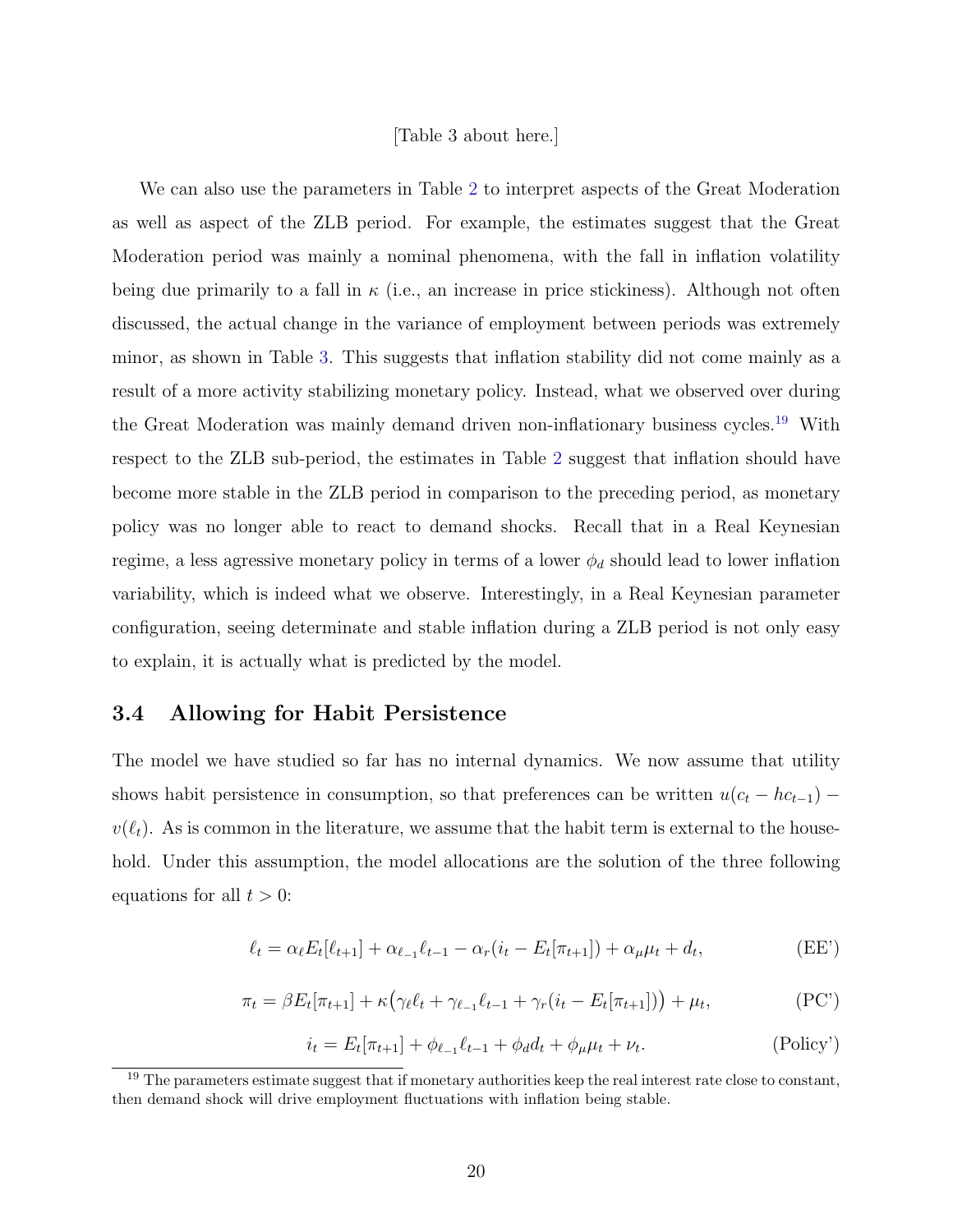#### [Table 3 about here.]

We can also use the parameters in Table [2](#page-74-1) to interpret aspects of the Great Moderation as well as aspect of the ZLB period. For example, the estimates suggest that the Great Moderation period was mainly a nominal phenomena, with the fall in inflation volatility being due primarily to a fall in  $\kappa$  (i.e., an increase in price stickiness). Although not often discussed, the actual change in the variance of employment between periods was extremely minor, as shown in Table [3.](#page-75-0) This suggests that inflation stability did not come mainly as a result of a more activity stabilizing monetary policy. Instead, what we observed over during the Great Moderation was mainly demand driven non-inflationary business cycles.<sup>[19](#page-21-0)</sup> With respect to the ZLB sub-period, the estimates in Table [2](#page-74-1) suggest that inflation should have become more stable in the ZLB period in comparison to the preceding period, as monetary policy was no longer able to react to demand shocks. Recall that in a Real Keynesian regime, a less agressive monetary policy in terms of a lower  $\phi_d$  should lead to lower inflation variability, which is indeed what we observe. Interestingly, in a Real Keynesian parameter configuration, seeing determinate and stable inflation during a ZLB period is not only easy to explain, it is actually what is predicted by the model.

### <span id="page-21-1"></span>3.4 Allowing for Habit Persistence

The model we have studied so far has no internal dynamics. We now assume that utility shows habit persistence in consumption, so that preferences can be written  $u(c_t - h c_{t-1})$  –  $v(\ell_t)$ . As is common in the literature, we assume that the habit term is external to the household. Under this assumption, the model allocations are the solution of the three following equations for all  $t > 0$ :

$$
\ell_t = \alpha_t E_t[\ell_{t+1}] + \alpha_{\ell-1} \ell_{t-1} - \alpha_r (i_t - E_t[\pi_{t+1}]) + \alpha_\mu \mu_t + d_t,
$$
 (EE')

$$
\pi_t = \beta E_t[\pi_{t+1}] + \kappa \left( \gamma_\ell \ell_t + \gamma_{\ell-1} \ell_{t-1} + \gamma_r (i_t - E_t[\pi_{t+1}]) \right) + \mu_t,
$$
\n(PC')

$$
i_t = E_t[\pi_{t+1}] + \phi_{\ell-1}\ell_{t-1} + \phi_d d_t + \phi_\mu \mu_t + \nu_t.
$$
 (Policy')

<span id="page-21-0"></span> $19$  The parameters estimate suggest that if monetary authorities keep the real interest rate close to constant, then demand shock will drive employment fluctuations with inflation being stable.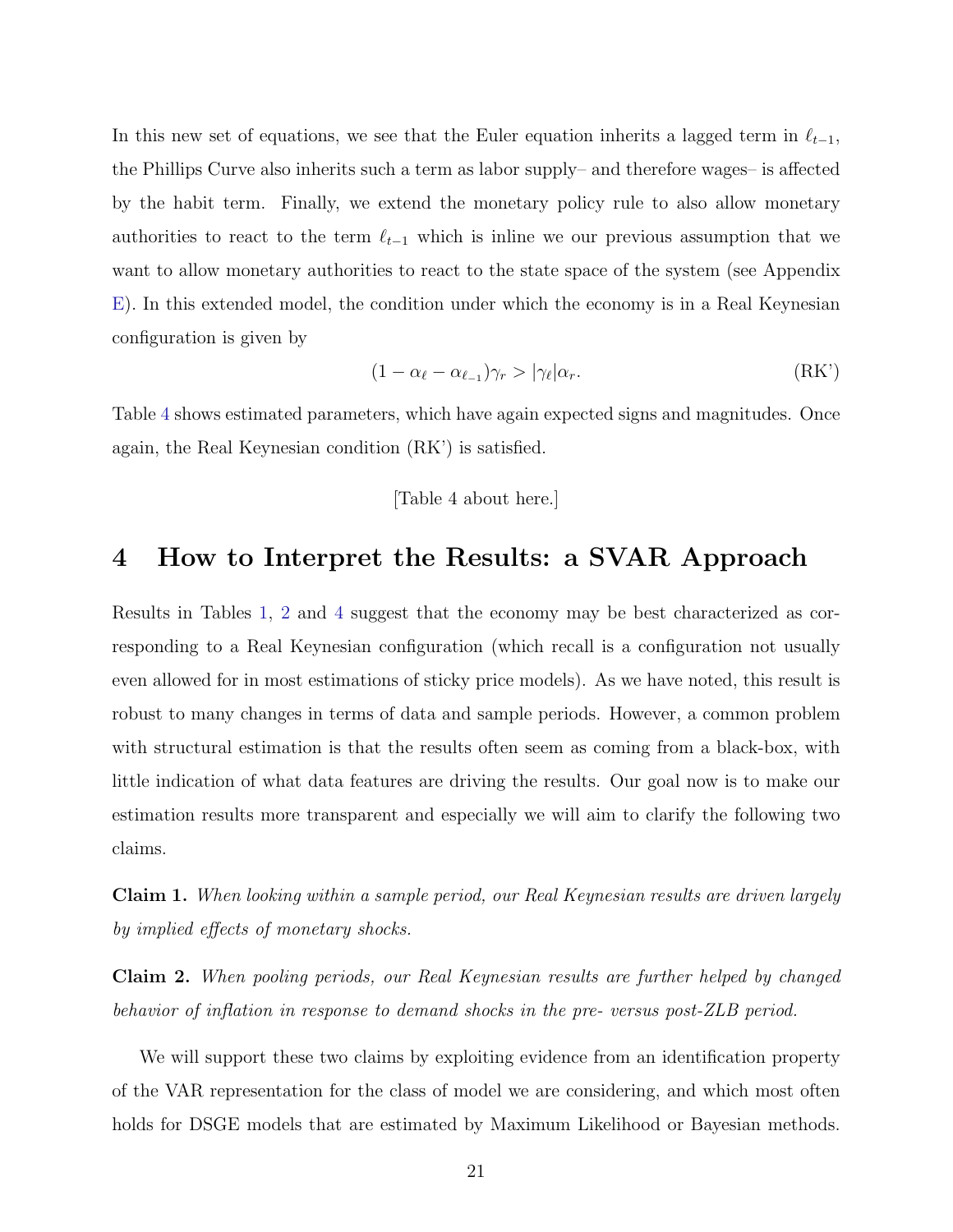In this new set of equations, we see that the Euler equation inherits a lagged term in  $\ell_{t-1}$ , the Phillips Curve also inherits such a term as labor supply– and therefore wages– is affected by the habit term. Finally, we extend the monetary policy rule to also allow monetary authorities to react to the term  $\ell_{t-1}$  which is inline we our previous assumption that we want to allow monetary authorities to react to the state space of the system (see Appendix [E\)](#page-53-0). In this extended model, the condition under which the economy is in a Real Keynesian configuration is given by

$$
(1 - \alpha_{\ell} - \alpha_{\ell-1})\gamma_r > |\gamma_{\ell}|\alpha_r. \tag{RK'}
$$

Table [4](#page-75-1) shows estimated parameters, which have again expected signs and magnitudes. Once again, the Real Keynesian condition (RK') is satisfied.

#### [Table 4 about here.]

## <span id="page-22-0"></span>4 How to Interpret the Results: a SVAR Approach

Results in Tables [1,](#page-74-0) [2](#page-74-1) and [4](#page-75-1) suggest that the economy may be best characterized as corresponding to a Real Keynesian configuration (which recall is a configuration not usually even allowed for in most estimations of sticky price models). As we have noted, this result is robust to many changes in terms of data and sample periods. However, a common problem with structural estimation is that the results often seem as coming from a black-box, with little indication of what data features are driving the results. Our goal now is to make our estimation results more transparent and especially we will aim to clarify the following two claims.

Claim 1. When looking within a sample period, our Real Keynesian results are driven largely by implied effects of monetary shocks.

Claim 2. When pooling periods, our Real Keynesian results are further helped by changed behavior of inflation in response to demand shocks in the pre- versus post-ZLB period.

We will support these two claims by exploiting evidence from an identification property of the VAR representation for the class of model we are considering, and which most often holds for DSGE models that are estimated by Maximum Likelihood or Bayesian methods.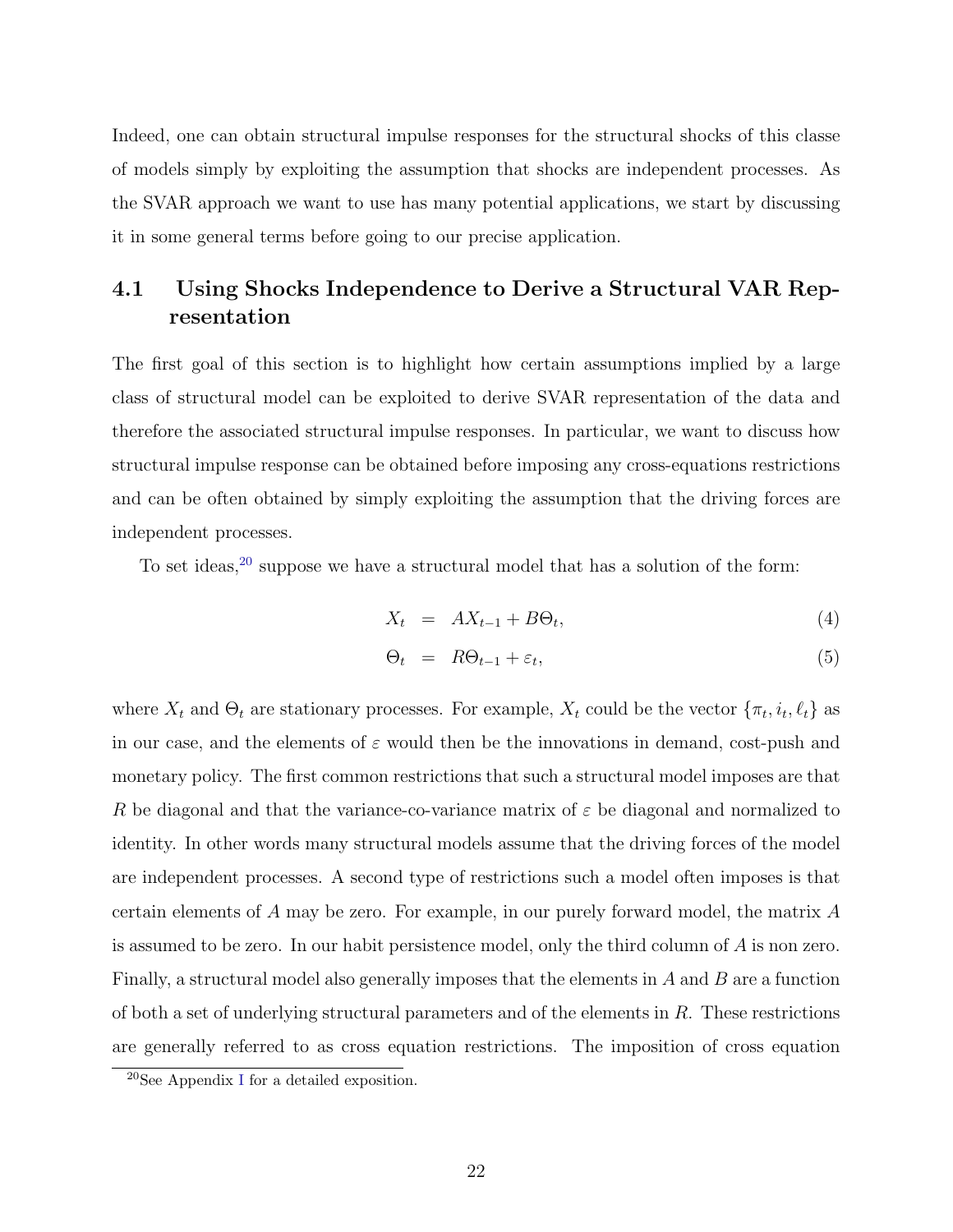Indeed, one can obtain structural impulse responses for the structural shocks of this classe of models simply by exploiting the assumption that shocks are independent processes. As the SVAR approach we want to use has many potential applications, we start by discussing it in some general terms before going to our precise application.

## 4.1 Using Shocks Independence to Derive a Structural VAR Representation

The first goal of this section is to highlight how certain assumptions implied by a large class of structural model can be exploited to derive SVAR representation of the data and therefore the associated structural impulse responses. In particular, we want to discuss how structural impulse response can be obtained before imposing any cross-equations restrictions and can be often obtained by simply exploiting the assumption that the driving forces are independent processes.

To set ideas,  $20$  suppose we have a structural model that has a solution of the form:

<span id="page-23-1"></span>
$$
X_t = AX_{t-1} + B\Theta_t, \tag{4}
$$

$$
\Theta_t = R\Theta_{t-1} + \varepsilon_t, \tag{5}
$$

where  $X_t$  and  $\Theta_t$  are stationary processes. For example,  $X_t$  could be the vector  $\{\pi_t, i_t, \ell_t\}$  as in our case, and the elements of  $\varepsilon$  would then be the innovations in demand, cost-push and monetary policy. The first common restrictions that such a structural model imposes are that R be diagonal and that the variance-co-variance matrix of  $\varepsilon$  be diagonal and normalized to identity. In other words many structural models assume that the driving forces of the model are independent processes. A second type of restrictions such a model often imposes is that certain elements of A may be zero. For example, in our purely forward model, the matrix A is assumed to be zero. In our habit persistence model, only the third column of A is non zero. Finally, a structural model also generally imposes that the elements in A and B are a function of both a set of underlying structural parameters and of the elements in  $R$ . These restrictions are generally referred to as cross equation restrictions. The imposition of cross equation

<span id="page-23-0"></span><sup>20</sup>See Appendix [I](#page-57-0) for a detailed exposition.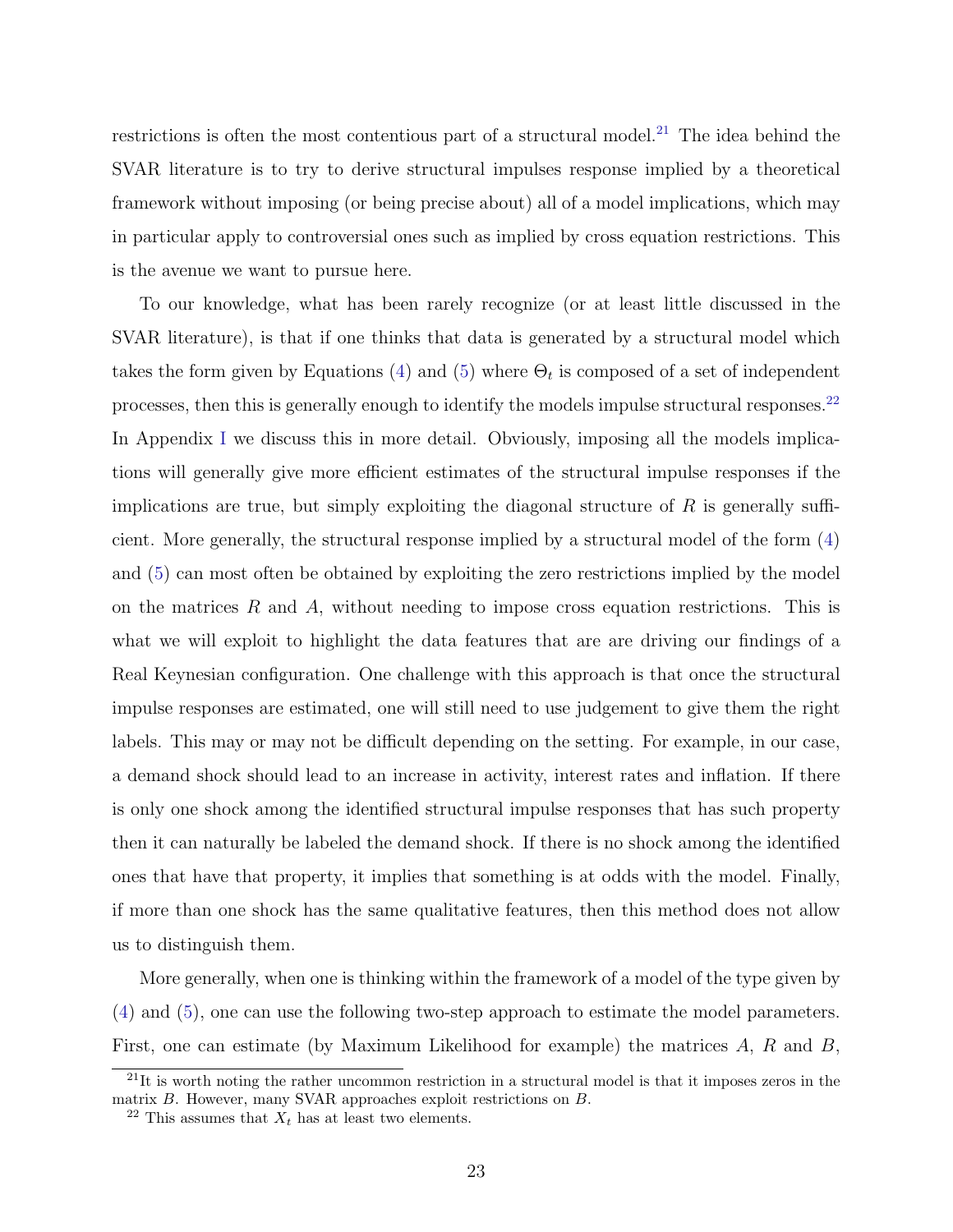restrictions is often the most contentious part of a structural model.<sup>[21](#page-24-0)</sup> The idea behind the SVAR literature is to try to derive structural impulses response implied by a theoretical framework without imposing (or being precise about) all of a model implications, which may in particular apply to controversial ones such as implied by cross equation restrictions. This is the avenue we want to pursue here.

To our knowledge, what has been rarely recognize (or at least little discussed in the SVAR literature), is that if one thinks that data is generated by a structural model which takes the form given by Equations [\(4\)](#page-23-1) and [\(5\)](#page-23-1) where  $\Theta_t$  is composed of a set of independent processes, then this is generally enough to identify the models impulse structural responses.<sup>[22](#page-24-1)</sup> In Appendix [I](#page-57-0) we discuss this in more detail. Obviously, imposing all the models implications will generally give more efficient estimates of the structural impulse responses if the implications are true, but simply exploiting the diagonal structure of  $R$  is generally sufficient. More generally, the structural response implied by a structural model of the form [\(4\)](#page-23-1) and [\(5\)](#page-23-1) can most often be obtained by exploiting the zero restrictions implied by the model on the matrices  $R$  and  $A$ , without needing to impose cross equation restrictions. This is what we will exploit to highlight the data features that are are driving our findings of a Real Keynesian configuration. One challenge with this approach is that once the structural impulse responses are estimated, one will still need to use judgement to give them the right labels. This may or may not be difficult depending on the setting. For example, in our case, a demand shock should lead to an increase in activity, interest rates and inflation. If there is only one shock among the identified structural impulse responses that has such property then it can naturally be labeled the demand shock. If there is no shock among the identified ones that have that property, it implies that something is at odds with the model. Finally, if more than one shock has the same qualitative features, then this method does not allow us to distinguish them.

More generally, when one is thinking within the framework of a model of the type given by [\(4\)](#page-23-1) and [\(5\)](#page-23-1), one can use the following two-step approach to estimate the model parameters. First, one can estimate (by Maximum Likelihood for example) the matrices A, R and B,

<span id="page-24-0"></span><sup>&</sup>lt;sup>21</sup>It is worth noting the rather uncommon restriction in a structural model is that it imposes zeros in the matrix B. However, many SVAR approaches exploit restrictions on B.

<span id="page-24-1"></span><sup>&</sup>lt;sup>22</sup> This assumes that  $X_t$  has at least two elements.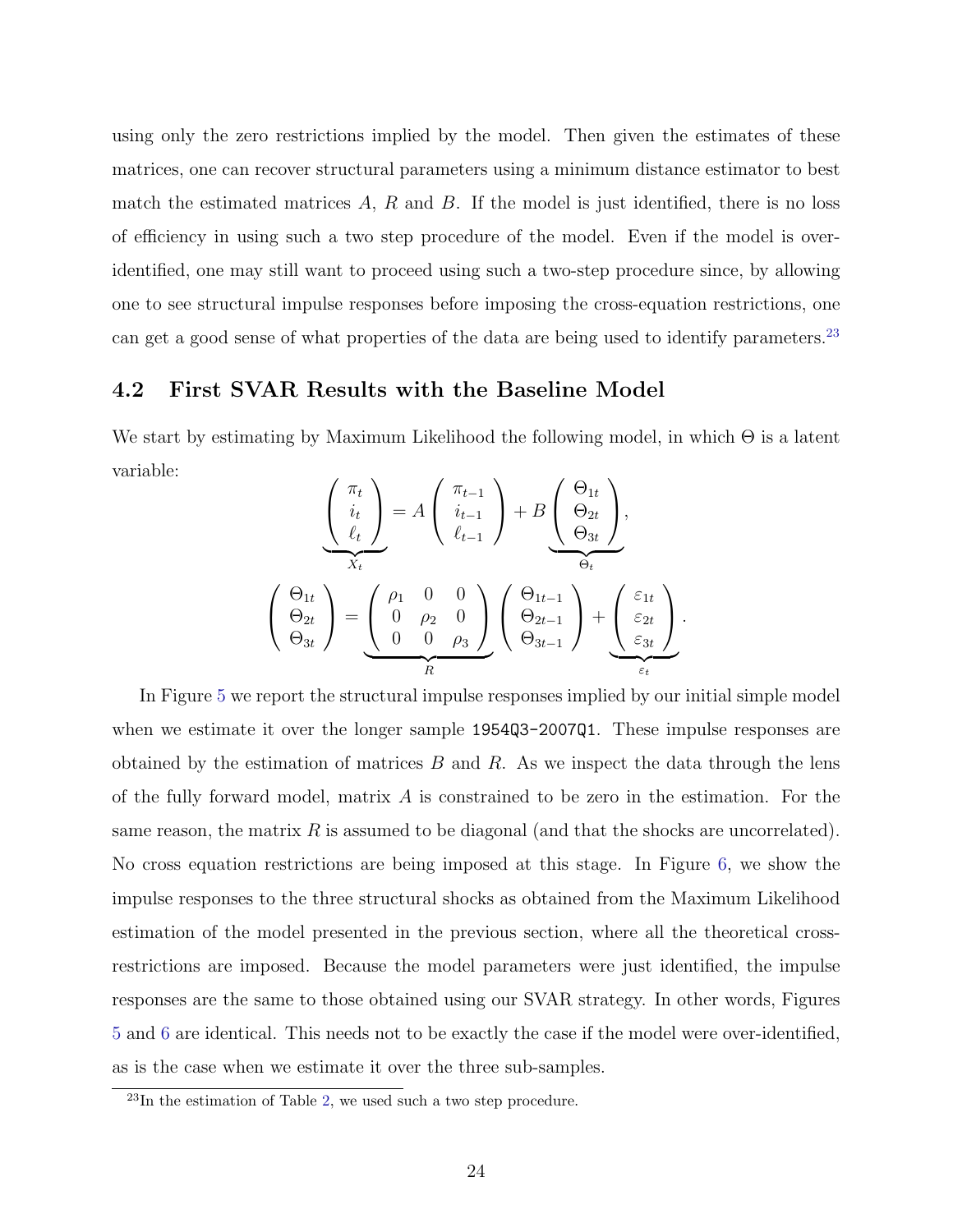using only the zero restrictions implied by the model. Then given the estimates of these matrices, one can recover structural parameters using a minimum distance estimator to best match the estimated matrices  $A$ ,  $R$  and  $B$ . If the model is just identified, there is no loss of efficiency in using such a two step procedure of the model. Even if the model is overidentified, one may still want to proceed using such a two-step procedure since, by allowing one to see structural impulse responses before imposing the cross-equation restrictions, one can get a good sense of what properties of the data are being used to identify parameters.<sup>[23](#page-25-0)</sup>

### 4.2 First SVAR Results with the Baseline Model

We start by estimating by Maximum Likelihood the following model, in which  $\Theta$  is a latent variable:

$$
\left(\begin{array}{c}\n\pi_t \\
i_t \\
\ell_t\n\end{array}\right) = A \left(\begin{array}{c}\n\pi_{t-1} \\
i_{t-1} \\
\ell_{t-1}\n\end{array}\right) + B \left(\begin{array}{c}\n\Theta_{1t} \\
\Theta_{2t} \\
\Theta_{3t}\n\end{array}\right),
$$
\n
$$
\left(\begin{array}{c}\n\Theta_{1t} \\
\Theta_{2t} \\
\Theta_{3t}\n\end{array}\right) = \left(\begin{array}{ccc}\n\rho_1 & 0 & 0 \\
0 & \rho_2 & 0 \\
0 & 0 & \rho_3\n\end{array}\right) \left(\begin{array}{c}\n\Theta_{1t-1} \\
\Theta_{2t-1} \\
\Theta_{3t-1}\n\end{array}\right) + \left(\begin{array}{c}\n\varepsilon_{1t} \\
\varepsilon_{2t} \\
\varepsilon_{3t}\n\end{array}\right).
$$

In Figure [5](#page-63-1) we report the structural impulse responses implied by our initial simple model when we estimate it over the longer sample 1954Q3-2007Q1. These impulse responses are obtained by the estimation of matrices  $B$  and  $R$ . As we inspect the data through the lens of the fully forward model, matrix  $A$  is constrained to be zero in the estimation. For the same reason, the matrix  $R$  is assumed to be diagonal (and that the shocks are uncorrelated). No cross equation restrictions are being imposed at this stage. In Figure [6,](#page-64-0) we show the impulse responses to the three structural shocks as obtained from the Maximum Likelihood estimation of the model presented in the previous section, where all the theoretical crossrestrictions are imposed. Because the model parameters were just identified, the impulse responses are the same to those obtained using our SVAR strategy. In other words, Figures [5](#page-63-1) and [6](#page-64-0) are identical. This needs not to be exactly the case if the model were over-identified, as is the case when we estimate it over the three sub-samples.

<span id="page-25-0"></span> $^{23}$ In the estimation of Table [2,](#page-74-1) we used such a two step procedure.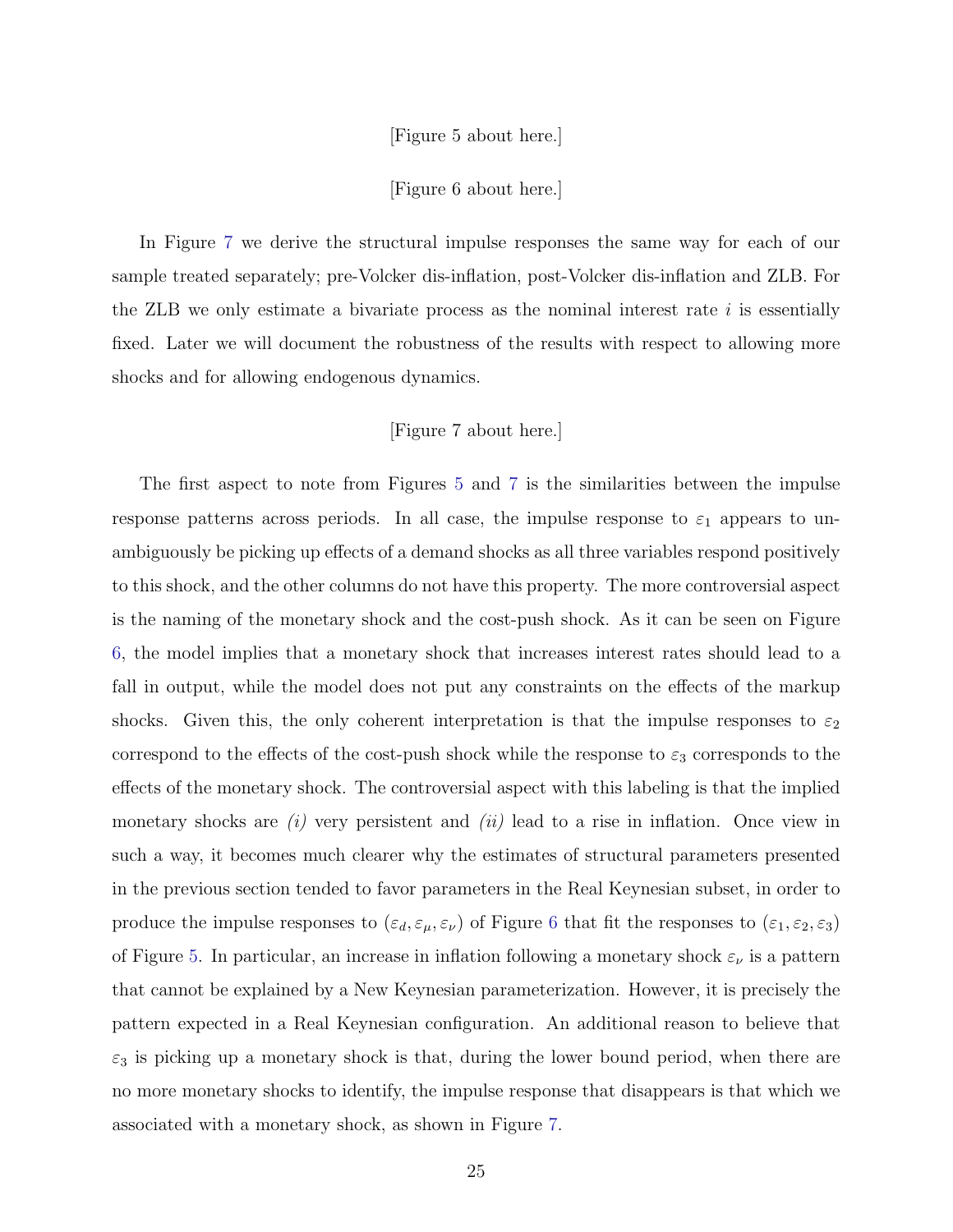[Figure 5 about here.]

[Figure 6 about here.]

In Figure [7](#page-65-0) we derive the structural impulse responses the same way for each of our sample treated separately; pre-Volcker dis-inflation, post-Volcker dis-inflation and ZLB. For the ZLB we only estimate a bivariate process as the nominal interest rate  $i$  is essentially fixed. Later we will document the robustness of the results with respect to allowing more shocks and for allowing endogenous dynamics.

#### [Figure 7 about here.]

The first aspect to note from Figures [5](#page-63-1) and [7](#page-65-0) is the similarities between the impulse response patterns across periods. In all case, the impulse response to  $\varepsilon_1$  appears to unambiguously be picking up effects of a demand shocks as all three variables respond positively to this shock, and the other columns do not have this property. The more controversial aspect is the naming of the monetary shock and the cost-push shock. As it can be seen on Figure [6,](#page-64-0) the model implies that a monetary shock that increases interest rates should lead to a fall in output, while the model does not put any constraints on the effects of the markup shocks. Given this, the only coherent interpretation is that the impulse responses to  $\varepsilon_2$ correspond to the effects of the cost-push shock while the response to  $\varepsilon_3$  corresponds to the effects of the monetary shock. The controversial aspect with this labeling is that the implied monetary shocks are  $(i)$  very persistent and  $(ii)$  lead to a rise in inflation. Once view in such a way, it becomes much clearer why the estimates of structural parameters presented in the previous section tended to favor parameters in the Real Keynesian subset, in order to produce the impulse responses to  $(\varepsilon_d, \varepsilon_\mu, \varepsilon_\nu)$  of Figure [6](#page-64-0) that fit the responses to  $(\varepsilon_1, \varepsilon_2, \varepsilon_3)$ of Figure [5.](#page-63-1) In particular, an increase in inflation following a monetary shock  $\varepsilon_{\nu}$  is a pattern that cannot be explained by a New Keynesian parameterization. However, it is precisely the pattern expected in a Real Keynesian configuration. An additional reason to believe that  $\varepsilon_3$  is picking up a monetary shock is that, during the lower bound period, when there are no more monetary shocks to identify, the impulse response that disappears is that which we associated with a monetary shock, as shown in Figure [7.](#page-65-0)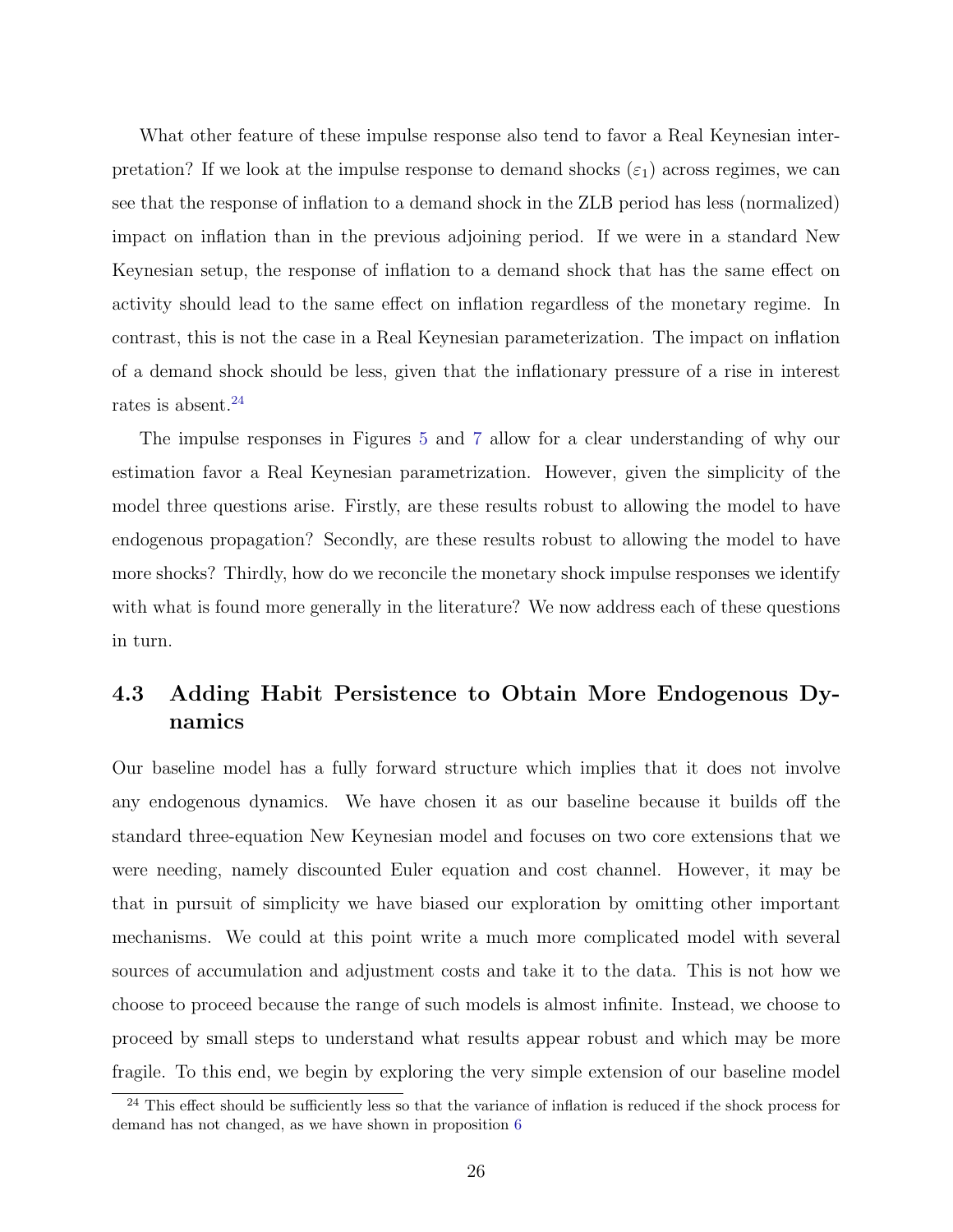What other feature of these impulse response also tend to favor a Real Keynesian interpretation? If we look at the impulse response to demand shocks  $(\varepsilon_1)$  across regimes, we can see that the response of inflation to a demand shock in the ZLB period has less (normalized) impact on inflation than in the previous adjoining period. If we were in a standard New Keynesian setup, the response of inflation to a demand shock that has the same effect on activity should lead to the same effect on inflation regardless of the monetary regime. In contrast, this is not the case in a Real Keynesian parameterization. The impact on inflation of a demand shock should be less, given that the inflationary pressure of a rise in interest rates is absent.<sup>[24](#page-27-0)</sup>

The impulse responses in Figures [5](#page-63-1) and [7](#page-65-0) allow for a clear understanding of why our estimation favor a Real Keynesian parametrization. However, given the simplicity of the model three questions arise. Firstly, are these results robust to allowing the model to have endogenous propagation? Secondly, are these results robust to allowing the model to have more shocks? Thirdly, how do we reconcile the monetary shock impulse responses we identify with what is found more generally in the literature? We now address each of these questions in turn.

## 4.3 Adding Habit Persistence to Obtain More Endogenous Dynamics

Our baseline model has a fully forward structure which implies that it does not involve any endogenous dynamics. We have chosen it as our baseline because it builds off the standard three-equation New Keynesian model and focuses on two core extensions that we were needing, namely discounted Euler equation and cost channel. However, it may be that in pursuit of simplicity we have biased our exploration by omitting other important mechanisms. We could at this point write a much more complicated model with several sources of accumulation and adjustment costs and take it to the data. This is not how we choose to proceed because the range of such models is almost infinite. Instead, we choose to proceed by small steps to understand what results appear robust and which may be more fragile. To this end, we begin by exploring the very simple extension of our baseline model

<span id="page-27-0"></span><sup>&</sup>lt;sup>24</sup> This effect should be sufficiently less so that the variance of inflation is reduced if the shock process for demand has not changed, as we have shown in proposition [6](#page-14-1)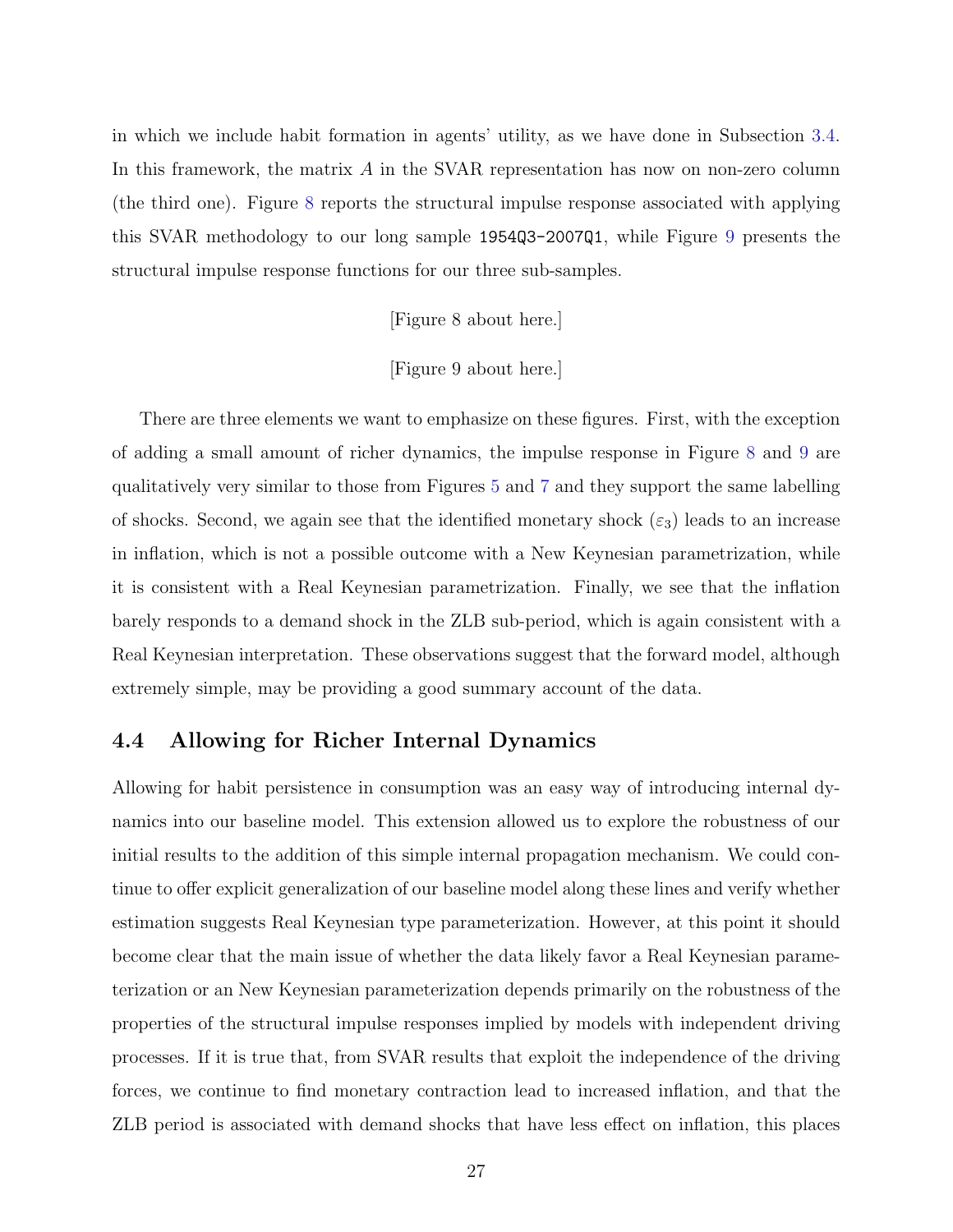in which we include habit formation in agents' utility, as we have done in Subsection [3.4.](#page-21-1) In this framework, the matrix A in the SVAR representation has now on non-zero column (the third one). Figure [8](#page-66-0) reports the structural impulse response associated with applying this SVAR methodology to our long sample 1954Q3-2007Q1, while Figure [9](#page-67-0) presents the structural impulse response functions for our three sub-samples.

[Figure 8 about here.]

#### [Figure 9 about here.]

There are three elements we want to emphasize on these figures. First, with the exception of adding a small amount of richer dynamics, the impulse response in Figure [8](#page-66-0) and [9](#page-67-0) are qualitatively very similar to those from Figures [5](#page-63-1) and [7](#page-65-0) and they support the same labelling of shocks. Second, we again see that the identified monetary shock  $(\varepsilon_3)$  leads to an increase in inflation, which is not a possible outcome with a New Keynesian parametrization, while it is consistent with a Real Keynesian parametrization. Finally, we see that the inflation barely responds to a demand shock in the ZLB sub-period, which is again consistent with a Real Keynesian interpretation. These observations suggest that the forward model, although extremely simple, may be providing a good summary account of the data.

### 4.4 Allowing for Richer Internal Dynamics

Allowing for habit persistence in consumption was an easy way of introducing internal dynamics into our baseline model. This extension allowed us to explore the robustness of our initial results to the addition of this simple internal propagation mechanism. We could continue to offer explicit generalization of our baseline model along these lines and verify whether estimation suggests Real Keynesian type parameterization. However, at this point it should become clear that the main issue of whether the data likely favor a Real Keynesian parameterization or an New Keynesian parameterization depends primarily on the robustness of the properties of the structural impulse responses implied by models with independent driving processes. If it is true that, from SVAR results that exploit the independence of the driving forces, we continue to find monetary contraction lead to increased inflation, and that the ZLB period is associated with demand shocks that have less effect on inflation, this places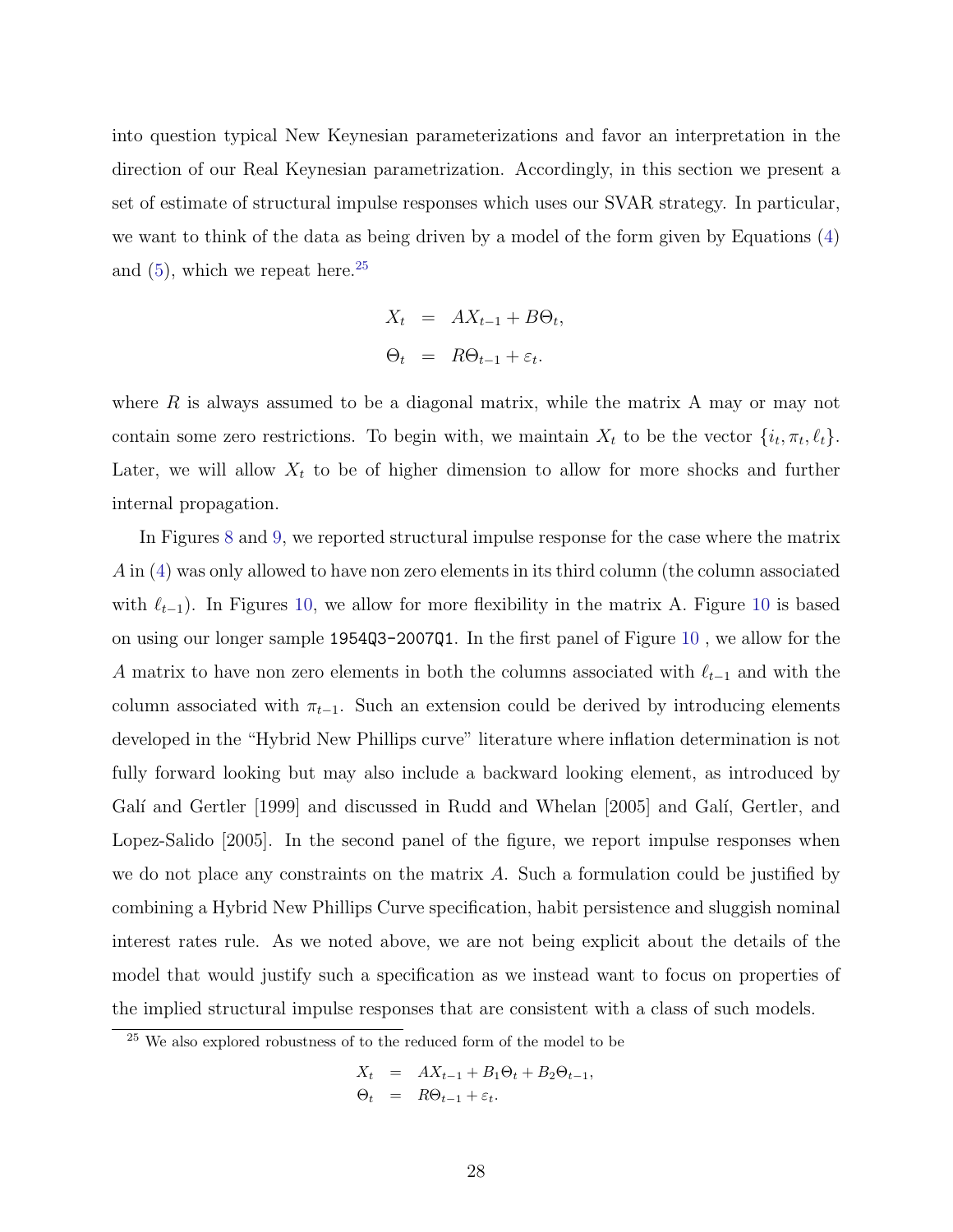into question typical New Keynesian parameterizations and favor an interpretation in the direction of our Real Keynesian parametrization. Accordingly, in this section we present a set of estimate of structural impulse responses which uses our SVAR strategy. In particular, we want to think of the data as being driven by a model of the form given by Equations [\(4\)](#page-23-1) and  $(5)$ , which we repeat here.<sup>[25](#page-29-0)</sup>

$$
X_t = AX_{t-1} + B\Theta_t,
$$
  

$$
\Theta_t = R\Theta_{t-1} + \varepsilon_t.
$$

where  $R$  is always assumed to be a diagonal matrix, while the matrix  $A$  may or may not contain some zero restrictions. To begin with, we maintain  $X_t$  to be the vector  $\{i_t, \pi_t, \ell_t\}$ . Later, we will allow  $X_t$  to be of higher dimension to allow for more shocks and further internal propagation.

In Figures [8](#page-66-0) and [9,](#page-67-0) we reported structural impulse response for the case where the matrix A in [\(4\)](#page-23-1) was only allowed to have non zero elements in its third column (the column associated with  $\ell_{t-1}$ ). In Figures [10,](#page-68-0) we allow for more flexibility in the matrix A. Figure [10](#page-68-0) is based on using our longer sample 1954Q3-2007Q1. In the first panel of Figure [10](#page-68-0) , we allow for the A matrix to have non zero elements in both the columns associated with  $\ell_{t-1}$  and with the column associated with  $\pi_{t-1}$ . Such an extension could be derived by introducing elements developed in the "Hybrid New Phillips curve" literature where inflation determination is not fully forward looking but may also include a backward looking element, as introduced by Galí and Gertler [1999] and discussed in Rudd and Whelan [2005] and Galí, Gertler, and Lopez-Salido [2005]. In the second panel of the figure, we report impulse responses when we do not place any constraints on the matrix  $A$ . Such a formulation could be justified by combining a Hybrid New Phillips Curve specification, habit persistence and sluggish nominal interest rates rule. As we noted above, we are not being explicit about the details of the model that would justify such a specification as we instead want to focus on properties of the implied structural impulse responses that are consistent with a class of such models.

$$
X_t = AX_{t-1} + B_1\Theta_t + B_2\Theta_{t-1},
$$
  
\n
$$
\Theta_t = R\Theta_{t-1} + \varepsilon_t.
$$

<span id="page-29-0"></span><sup>&</sup>lt;sup>25</sup> We also explored robustness of to the reduced form of the model to be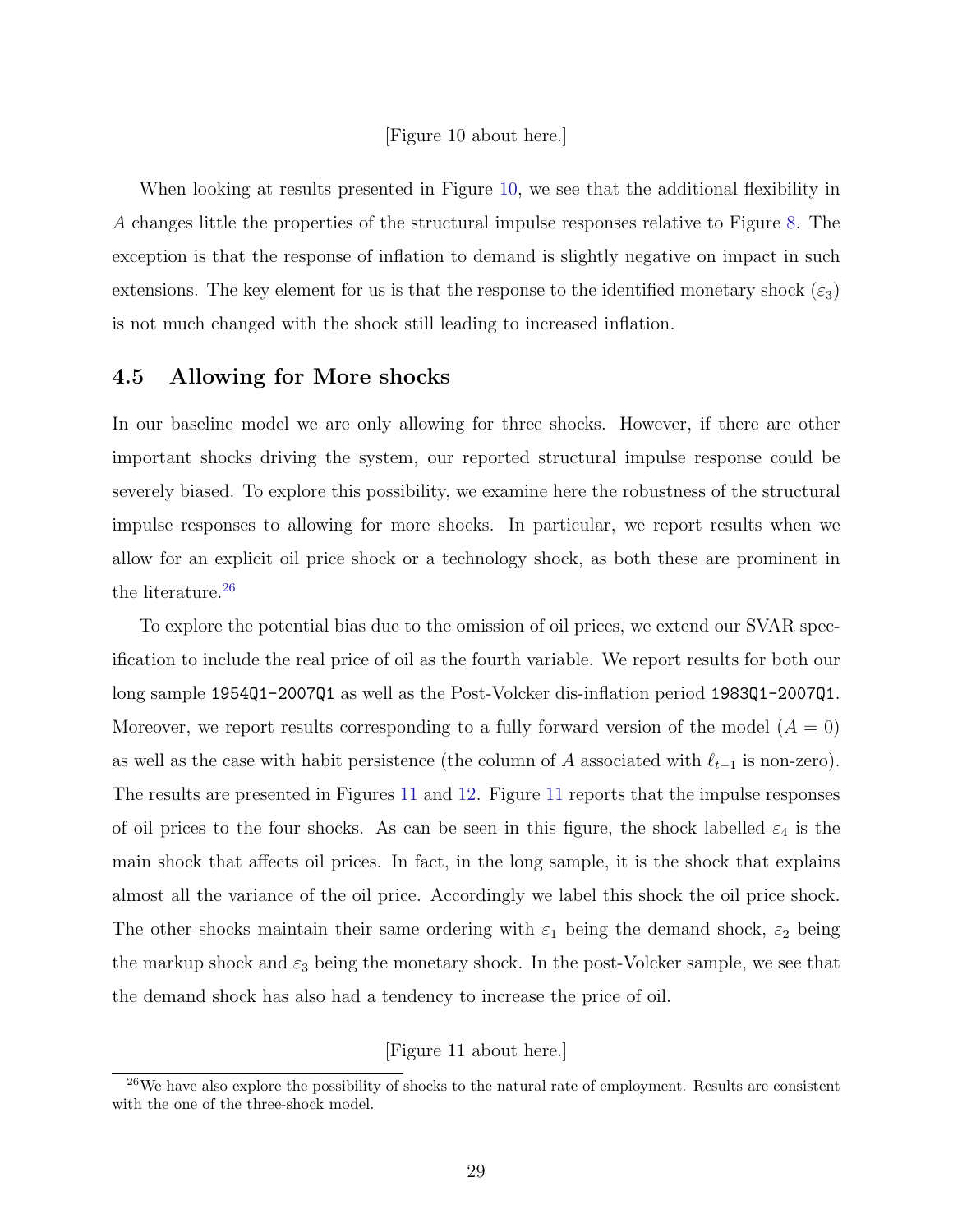#### [Figure 10 about here.]

When looking at results presented in Figure [10,](#page-68-0) we see that the additional flexibility in A changes little the properties of the structural impulse responses relative to Figure [8.](#page-66-0) The exception is that the response of inflation to demand is slightly negative on impact in such extensions. The key element for us is that the response to the identified monetary shock  $(\varepsilon_3)$ is not much changed with the shock still leading to increased inflation.

### 4.5 Allowing for More shocks

In our baseline model we are only allowing for three shocks. However, if there are other important shocks driving the system, our reported structural impulse response could be severely biased. To explore this possibility, we examine here the robustness of the structural impulse responses to allowing for more shocks. In particular, we report results when we allow for an explicit oil price shock or a technology shock, as both these are prominent in the literature.<sup>[26](#page-30-0)</sup>

To explore the potential bias due to the omission of oil prices, we extend our SVAR specification to include the real price of oil as the fourth variable. We report results for both our long sample 1954Q1-2007Q1 as well as the Post-Volcker dis-inflation period 1983Q1-2007Q1. Moreover, we report results corresponding to a fully forward version of the model  $(A = 0)$ as well as the case with habit persistence (the column of A associated with  $\ell_{t-1}$  is non-zero). The results are presented in Figures [11](#page-68-1) and [12.](#page-69-0) Figure [11](#page-68-1) reports that the impulse responses of oil prices to the four shocks. As can be seen in this figure, the shock labelled  $\varepsilon_4$  is the main shock that affects oil prices. In fact, in the long sample, it is the shock that explains almost all the variance of the oil price. Accordingly we label this shock the oil price shock. The other shocks maintain their same ordering with  $\varepsilon_1$  being the demand shock,  $\varepsilon_2$  being the markup shock and  $\varepsilon_3$  being the monetary shock. In the post-Volcker sample, we see that the demand shock has also had a tendency to increase the price of oil.

[Figure 11 about here.]

<span id="page-30-0"></span> $26$ We have also explore the possibility of shocks to the natural rate of employment. Results are consistent with the one of the three-shock model.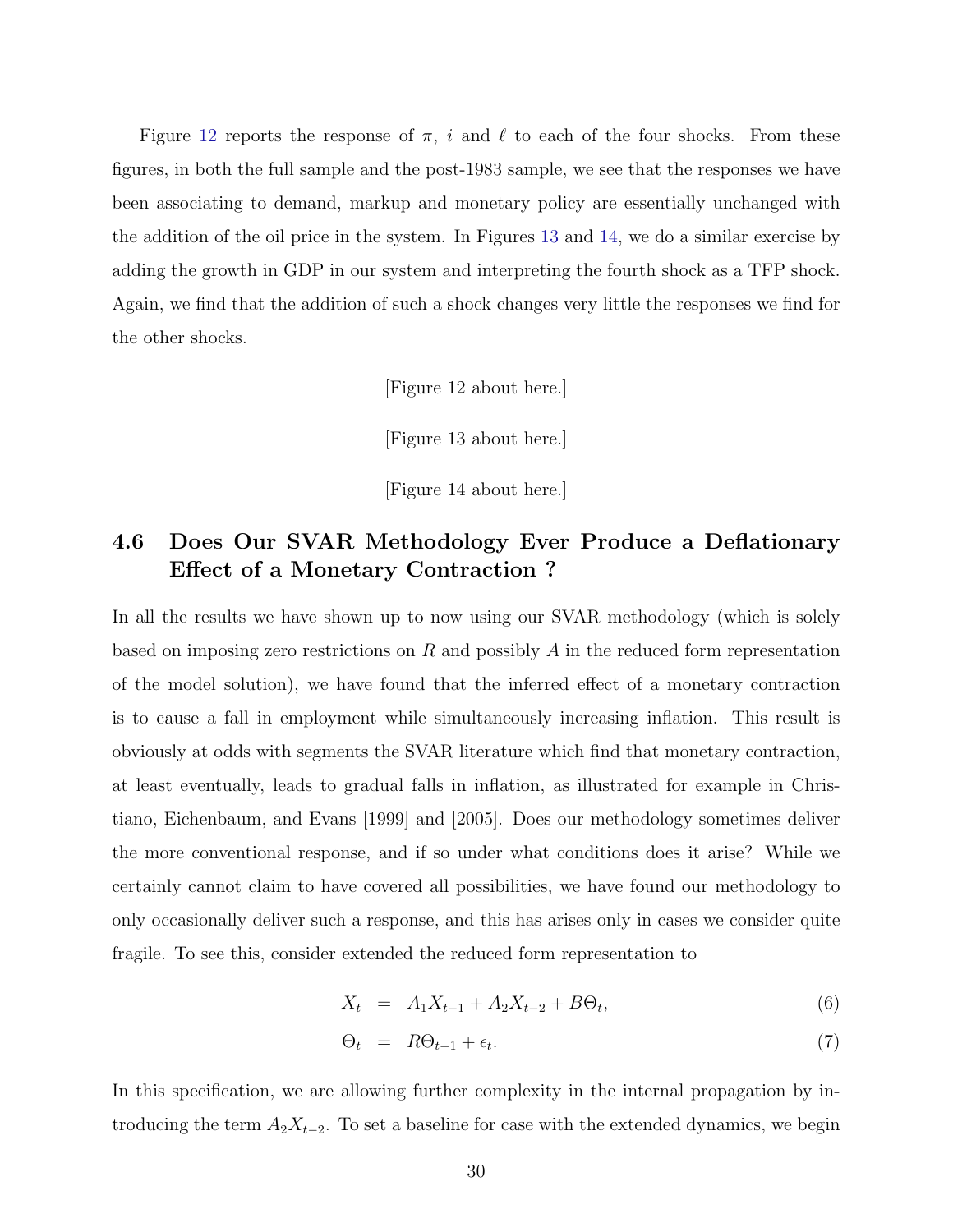Figure [12](#page-69-0) reports the response of  $\pi$ , i and  $\ell$  to each of the four shocks. From these figures, in both the full sample and the post-1983 sample, we see that the responses we have been associating to demand, markup and monetary policy are essentially unchanged with the addition of the oil price in the system. In Figures [13](#page-70-0) and [14,](#page-71-0) we do a similar exercise by adding the growth in GDP in our system and interpreting the fourth shock as a TFP shock. Again, we find that the addition of such a shock changes very little the responses we find for the other shocks.

[Figure 12 about here.]

[Figure 13 about here.]

[Figure 14 about here.]

## 4.6 Does Our SVAR Methodology Ever Produce a Deflationary Effect of a Monetary Contraction ?

In all the results we have shown up to now using our SVAR methodology (which is solely based on imposing zero restrictions on R and possibly A in the reduced form representation of the model solution), we have found that the inferred effect of a monetary contraction is to cause a fall in employment while simultaneously increasing inflation. This result is obviously at odds with segments the SVAR literature which find that monetary contraction, at least eventually, leads to gradual falls in inflation, as illustrated for example in Christiano, Eichenbaum, and Evans [1999] and [2005]. Does our methodology sometimes deliver the more conventional response, and if so under what conditions does it arise? While we certainly cannot claim to have covered all possibilities, we have found our methodology to only occasionally deliver such a response, and this has arises only in cases we consider quite fragile. To see this, consider extended the reduced form representation to

$$
X_t = A_1 X_{t-1} + A_2 X_{t-2} + B\Theta_t, \tag{6}
$$

$$
\Theta_t = R\Theta_{t-1} + \epsilon_t. \tag{7}
$$

In this specification, we are allowing further complexity in the internal propagation by introducing the term  $A_2X_{t-2}$ . To set a baseline for case with the extended dynamics, we begin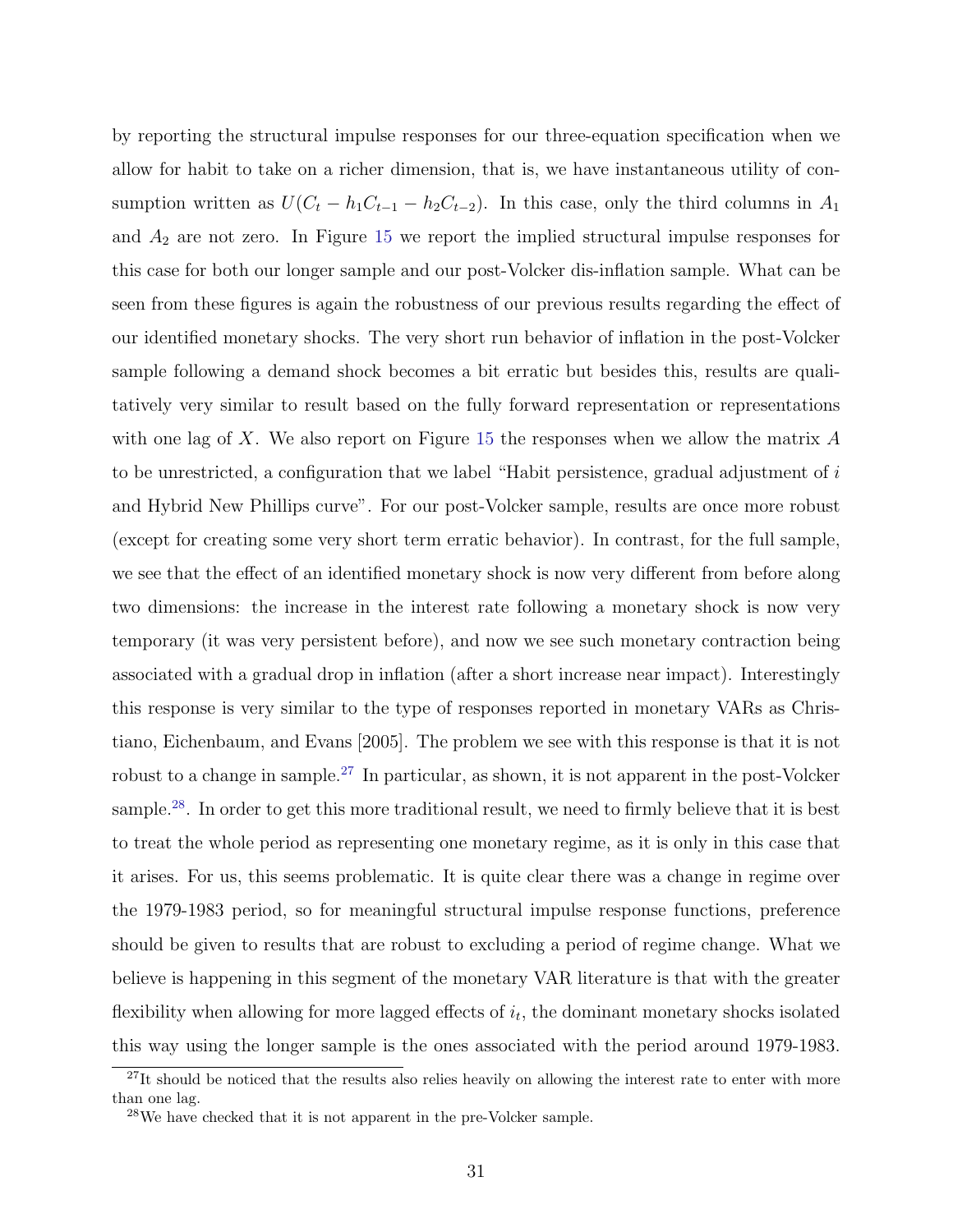by reporting the structural impulse responses for our three-equation specification when we allow for habit to take on a richer dimension, that is, we have instantaneous utility of consumption written as  $U(C_t - h_1C_{t-1} - h_2C_{t-2})$ . In this case, only the third columns in  $A_1$ and  $A_2$  are not zero. In Figure [15](#page-72-0) we report the implied structural impulse responses for this case for both our longer sample and our post-Volcker dis-inflation sample. What can be seen from these figures is again the robustness of our previous results regarding the effect of our identified monetary shocks. The very short run behavior of inflation in the post-Volcker sample following a demand shock becomes a bit erratic but besides this, results are qualitatively very similar to result based on the fully forward representation or representations with one lag of X. We also report on Figure [15](#page-72-0) the responses when we allow the matrix  $A$ to be unrestricted, a configuration that we label "Habit persistence, gradual adjustment of i and Hybrid New Phillips curve". For our post-Volcker sample, results are once more robust (except for creating some very short term erratic behavior). In contrast, for the full sample, we see that the effect of an identified monetary shock is now very different from before along two dimensions: the increase in the interest rate following a monetary shock is now very temporary (it was very persistent before), and now we see such monetary contraction being associated with a gradual drop in inflation (after a short increase near impact). Interestingly this response is very similar to the type of responses reported in monetary VARs as Christiano, Eichenbaum, and Evans [2005]. The problem we see with this response is that it is not robust to a change in sample.[27](#page-32-0) In particular, as shown, it is not apparent in the post-Volcker sample.<sup>[28](#page-32-1)</sup>. In order to get this more traditional result, we need to firmly believe that it is best to treat the whole period as representing one monetary regime, as it is only in this case that it arises. For us, this seems problematic. It is quite clear there was a change in regime over the 1979-1983 period, so for meaningful structural impulse response functions, preference should be given to results that are robust to excluding a period of regime change. What we believe is happening in this segment of the monetary VAR literature is that with the greater flexibility when allowing for more lagged effects of  $i_t$ , the dominant monetary shocks isolated this way using the longer sample is the ones associated with the period around 1979-1983.

<span id="page-32-0"></span><sup>&</sup>lt;sup>27</sup>It should be noticed that the results also relies heavily on allowing the interest rate to enter with more than one lag.

<span id="page-32-1"></span><sup>28</sup>We have checked that it is not apparent in the pre-Volcker sample.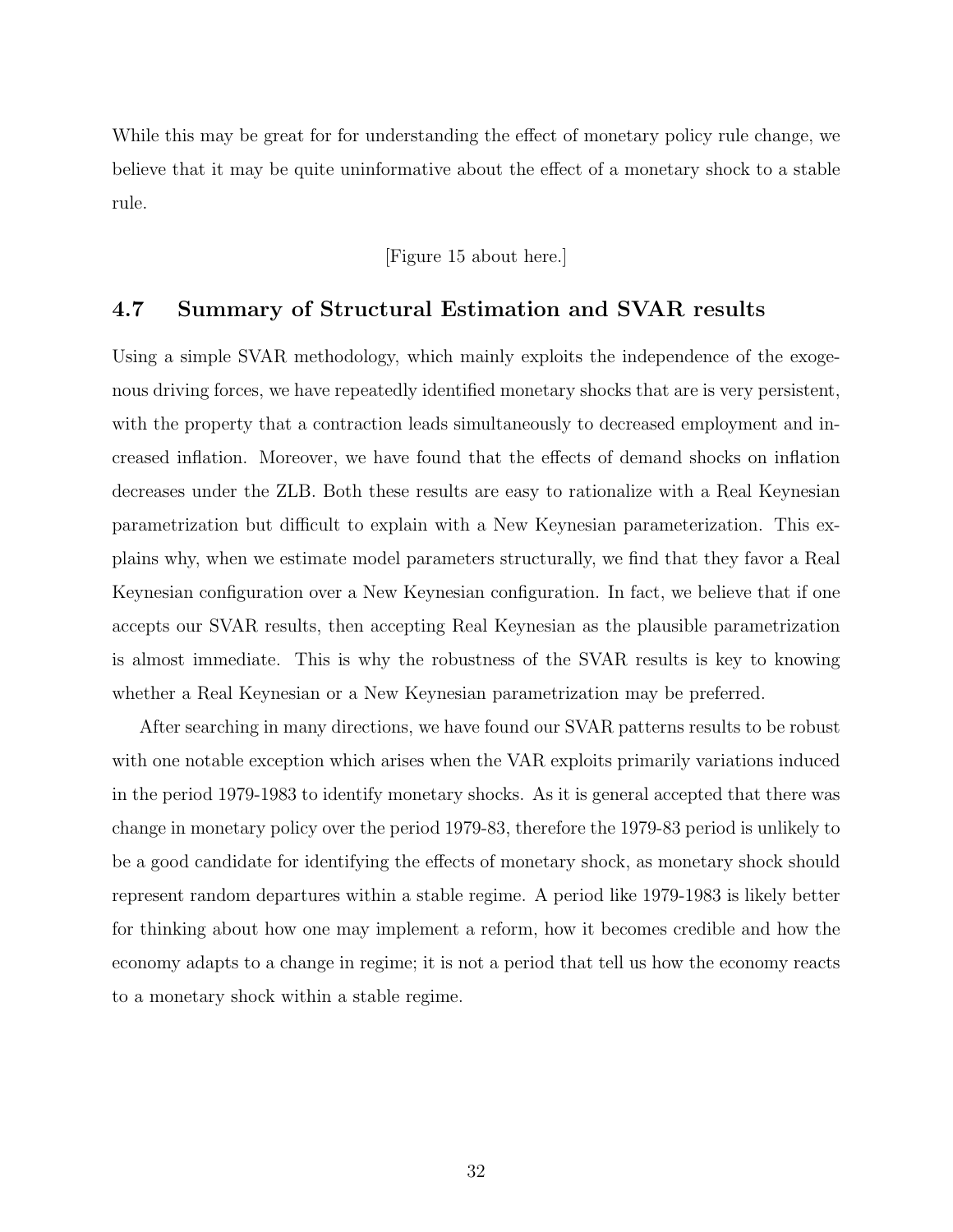While this may be great for for understanding the effect of monetary policy rule change, we believe that it may be quite uninformative about the effect of a monetary shock to a stable rule.

[Figure 15 about here.]

## 4.7 Summary of Structural Estimation and SVAR results

Using a simple SVAR methodology, which mainly exploits the independence of the exogenous driving forces, we have repeatedly identified monetary shocks that are is very persistent, with the property that a contraction leads simultaneously to decreased employment and increased inflation. Moreover, we have found that the effects of demand shocks on inflation decreases under the ZLB. Both these results are easy to rationalize with a Real Keynesian parametrization but difficult to explain with a New Keynesian parameterization. This explains why, when we estimate model parameters structurally, we find that they favor a Real Keynesian configuration over a New Keynesian configuration. In fact, we believe that if one accepts our SVAR results, then accepting Real Keynesian as the plausible parametrization is almost immediate. This is why the robustness of the SVAR results is key to knowing whether a Real Keynesian or a New Keynesian parametrization may be preferred.

After searching in many directions, we have found our SVAR patterns results to be robust with one notable exception which arises when the VAR exploits primarily variations induced in the period 1979-1983 to identify monetary shocks. As it is general accepted that there was change in monetary policy over the period 1979-83, therefore the 1979-83 period is unlikely to be a good candidate for identifying the effects of monetary shock, as monetary shock should represent random departures within a stable regime. A period like 1979-1983 is likely better for thinking about how one may implement a reform, how it becomes credible and how the economy adapts to a change in regime; it is not a period that tell us how the economy reacts to a monetary shock within a stable regime.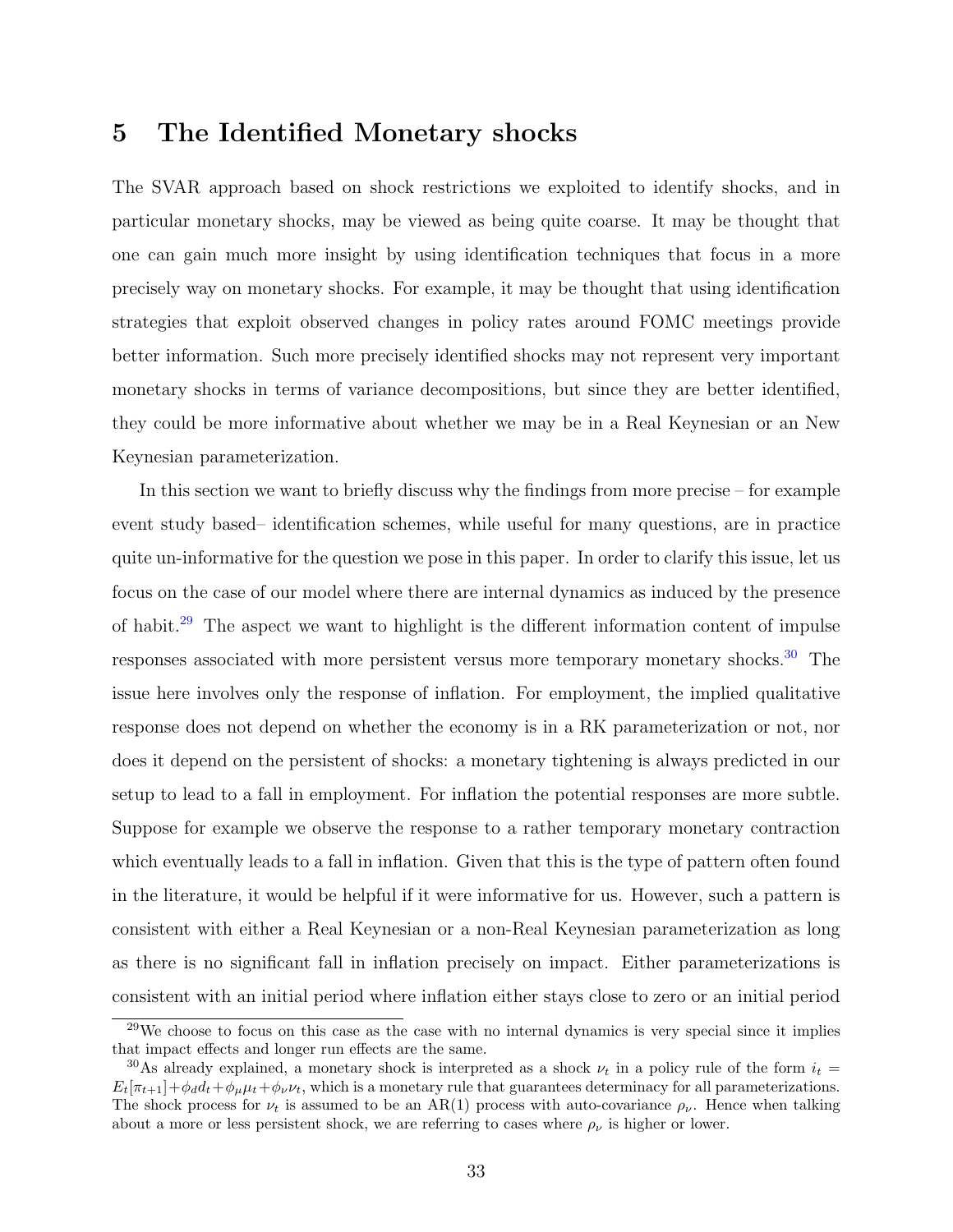## <span id="page-34-0"></span>5 The Identified Monetary shocks

The SVAR approach based on shock restrictions we exploited to identify shocks, and in particular monetary shocks, may be viewed as being quite coarse. It may be thought that one can gain much more insight by using identification techniques that focus in a more precisely way on monetary shocks. For example, it may be thought that using identification strategies that exploit observed changes in policy rates around FOMC meetings provide better information. Such more precisely identified shocks may not represent very important monetary shocks in terms of variance decompositions, but since they are better identified, they could be more informative about whether we may be in a Real Keynesian or an New Keynesian parameterization.

In this section we want to briefly discuss why the findings from more precise – for example event study based– identification schemes, while useful for many questions, are in practice quite un-informative for the question we pose in this paper. In order to clarify this issue, let us focus on the case of our model where there are internal dynamics as induced by the presence of habit.[29](#page-34-1) The aspect we want to highlight is the different information content of impulse responses associated with more persistent versus more temporary monetary shocks.<sup>[30](#page-34-2)</sup> The issue here involves only the response of inflation. For employment, the implied qualitative response does not depend on whether the economy is in a RK parameterization or not, nor does it depend on the persistent of shocks: a monetary tightening is always predicted in our setup to lead to a fall in employment. For inflation the potential responses are more subtle. Suppose for example we observe the response to a rather temporary monetary contraction which eventually leads to a fall in inflation. Given that this is the type of pattern often found in the literature, it would be helpful if it were informative for us. However, such a pattern is consistent with either a Real Keynesian or a non-Real Keynesian parameterization as long as there is no significant fall in inflation precisely on impact. Either parameterizations is consistent with an initial period where inflation either stays close to zero or an initial period

<span id="page-34-1"></span><sup>&</sup>lt;sup>29</sup>We choose to focus on this case as the case with no internal dynamics is very special since it implies that impact effects and longer run effects are the same.

<span id="page-34-2"></span><sup>&</sup>lt;sup>30</sup>As already explained, a monetary shock is interpreted as a shock  $\nu_t$  in a policy rule of the form  $i_t =$  $E_t[\pi_{t+1}] + \phi_d d_t + \phi_\nu \mu_t + \phi_\nu \nu_t$ , which is a monetary rule that guarantees determinacy for all parameterizations. The shock process for  $\nu_t$  is assumed to be an AR(1) process with auto-covariance  $\rho_{\nu}$ . Hence when talking about a more or less persistent shock, we are referring to cases where  $\rho_{\nu}$  is higher or lower.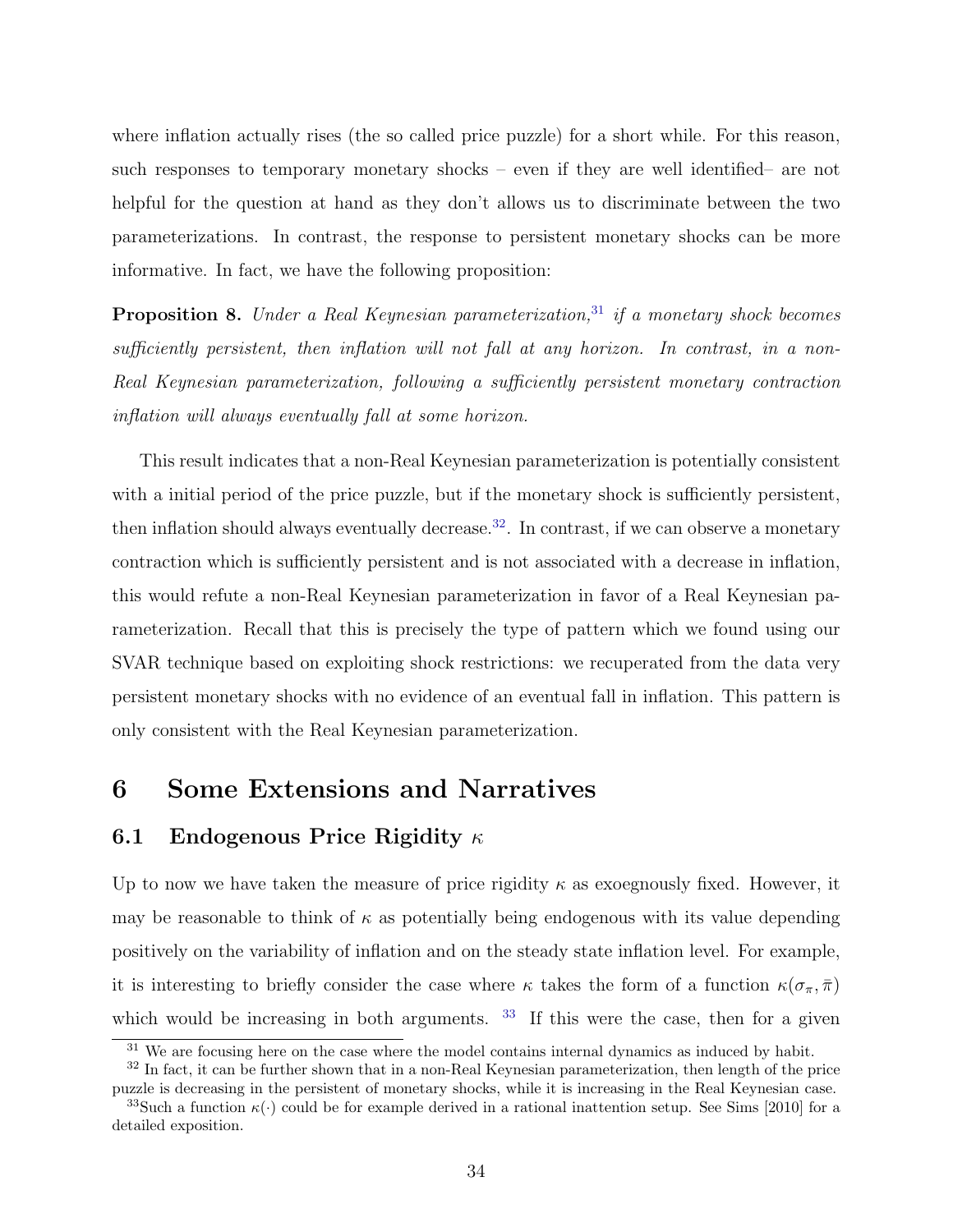where inflation actually rises (the so called price puzzle) for a short while. For this reason, such responses to temporary monetary shocks – even if they are well identified– are not helpful for the question at hand as they don't allows us to discriminate between the two parameterizations. In contrast, the response to persistent monetary shocks can be more informative. In fact, we have the following proposition:

**Proposition 8.** Under a Real Keynesian parameterization,<sup>[31](#page-35-1)</sup> if a monetary shock becomes sufficiently persistent, then inflation will not fall at any horizon. In contrast, in a non-Real Keynesian parameterization, following a sufficiently persistent monetary contraction inflation will always eventually fall at some horizon.

This result indicates that a non-Real Keynesian parameterization is potentially consistent with a initial period of the price puzzle, but if the monetary shock is sufficiently persistent, then inflation should always eventually decrease.<sup>[32](#page-35-2)</sup>. In contrast, if we can observe a monetary contraction which is sufficiently persistent and is not associated with a decrease in inflation, this would refute a non-Real Keynesian parameterization in favor of a Real Keynesian parameterization. Recall that this is precisely the type of pattern which we found using our SVAR technique based on exploiting shock restrictions: we recuperated from the data very persistent monetary shocks with no evidence of an eventual fall in inflation. This pattern is only consistent with the Real Keynesian parameterization.

## <span id="page-35-0"></span>6 Some Extensions and Narratives

### 6.1 Endogenous Price Rigidity  $\kappa$

Up to now we have taken the measure of price rigidity  $\kappa$  as exoegnously fixed. However, it may be reasonable to think of  $\kappa$  as potentially being endogenous with its value depending positively on the variability of inflation and on the steady state inflation level. For example, it is interesting to briefly consider the case where  $\kappa$  takes the form of a function  $\kappa(\sigma_{\pi}, \bar{\pi})$ which would be increasing in both arguments. <sup>[33](#page-35-3)</sup> If this were the case, then for a given

<span id="page-35-2"></span><span id="page-35-1"></span> $\frac{31}{100}$  We are focusing here on the case where the model contains internal dynamics as induced by habit.

<sup>&</sup>lt;sup>32</sup> In fact, it can be further shown that in a non-Real Keynesian parameterization, then length of the price puzzle is decreasing in the persistent of monetary shocks, while it is increasing in the Real Keynesian case.

<span id="page-35-3"></span><sup>&</sup>lt;sup>33</sup>Such a function  $\kappa(\cdot)$  could be for example derived in a rational inattention setup. See Sims [2010] for a detailed exposition.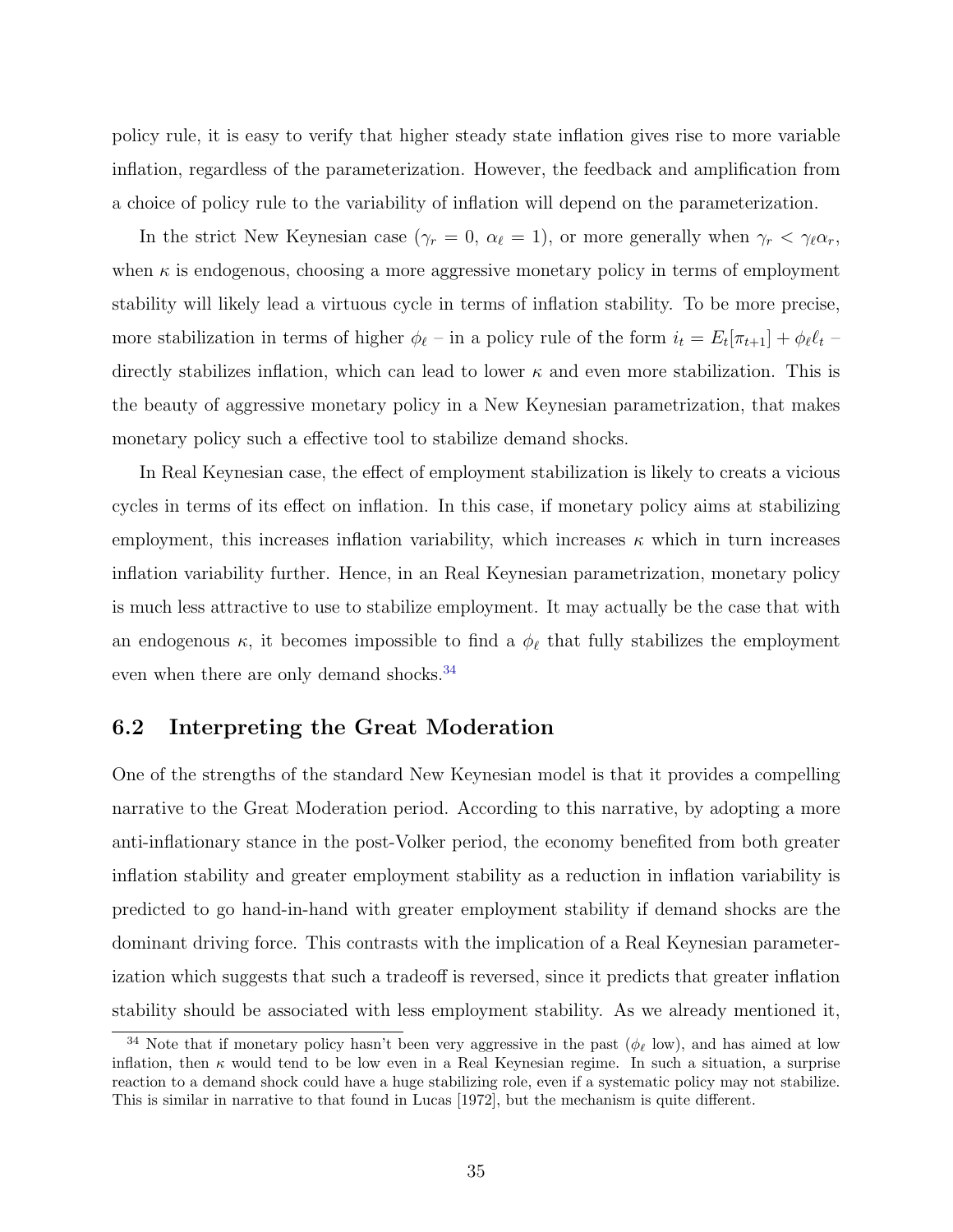policy rule, it is easy to verify that higher steady state inflation gives rise to more variable inflation, regardless of the parameterization. However, the feedback and amplification from a choice of policy rule to the variability of inflation will depend on the parameterization.

In the strict New Keynesian case ( $\gamma_r = 0$ ,  $\alpha_\ell = 1$ ), or more generally when  $\gamma_r < \gamma_\ell \alpha_r$ , when  $\kappa$  is endogenous, choosing a more aggressive monetary policy in terms of employment stability will likely lead a virtuous cycle in terms of inflation stability. To be more precise, more stabilization in terms of higher  $\phi_{\ell}$  – in a policy rule of the form  $i_t = E_t[\pi_{t+1}] + \phi_{\ell} \ell_t$ directly stabilizes inflation, which can lead to lower  $\kappa$  and even more stabilization. This is the beauty of aggressive monetary policy in a New Keynesian parametrization, that makes monetary policy such a effective tool to stabilize demand shocks.

In Real Keynesian case, the effect of employment stabilization is likely to creats a vicious cycles in terms of its effect on inflation. In this case, if monetary policy aims at stabilizing employment, this increases inflation variability, which increases  $\kappa$  which in turn increases inflation variability further. Hence, in an Real Keynesian parametrization, monetary policy is much less attractive to use to stabilize employment. It may actually be the case that with an endogenous  $\kappa$ , it becomes impossible to find a  $\phi_{\ell}$  that fully stabilizes the employment even when there are only demand shocks.<sup>[34](#page-36-0)</sup>

### 6.2 Interpreting the Great Moderation

One of the strengths of the standard New Keynesian model is that it provides a compelling narrative to the Great Moderation period. According to this narrative, by adopting a more anti-inflationary stance in the post-Volker period, the economy benefited from both greater inflation stability and greater employment stability as a reduction in inflation variability is predicted to go hand-in-hand with greater employment stability if demand shocks are the dominant driving force. This contrasts with the implication of a Real Keynesian parameterization which suggests that such a tradeoff is reversed, since it predicts that greater inflation stability should be associated with less employment stability. As we already mentioned it,

<span id="page-36-0"></span><sup>&</sup>lt;sup>34</sup> Note that if monetary policy hasn't been very aggressive in the past ( $\phi_{\ell}$  low), and has aimed at low inflation, then  $\kappa$  would tend to be low even in a Real Keynesian regime. In such a situation, a surprise reaction to a demand shock could have a huge stabilizing role, even if a systematic policy may not stabilize. This is similar in narrative to that found in Lucas [1972], but the mechanism is quite different.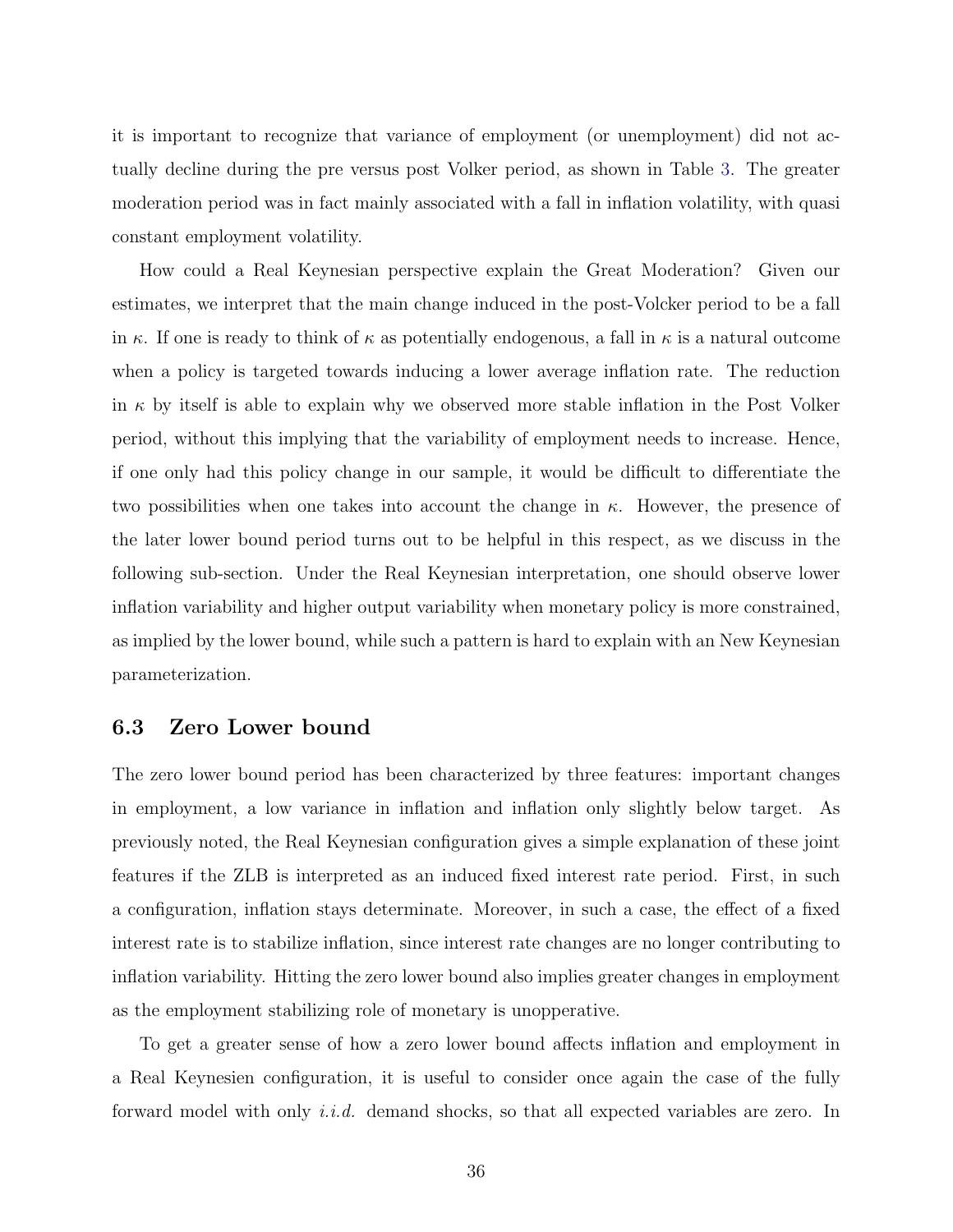it is important to recognize that variance of employment (or unemployment) did not actually decline during the pre versus post Volker period, as shown in Table [3.](#page-75-0) The greater moderation period was in fact mainly associated with a fall in inflation volatility, with quasi constant employment volatility.

How could a Real Keynesian perspective explain the Great Moderation? Given our estimates, we interpret that the main change induced in the post-Volcker period to be a fall in κ. If one is ready to think of  $\kappa$  as potentially endogenous, a fall in  $\kappa$  is a natural outcome when a policy is targeted towards inducing a lower average inflation rate. The reduction in  $\kappa$  by itself is able to explain why we observed more stable inflation in the Post Volker period, without this implying that the variability of employment needs to increase. Hence, if one only had this policy change in our sample, it would be difficult to differentiate the two possibilities when one takes into account the change in  $\kappa$ . However, the presence of the later lower bound period turns out to be helpful in this respect, as we discuss in the following sub-section. Under the Real Keynesian interpretation, one should observe lower inflation variability and higher output variability when monetary policy is more constrained, as implied by the lower bound, while such a pattern is hard to explain with an New Keynesian parameterization.

#### 6.3 Zero Lower bound

The zero lower bound period has been characterized by three features: important changes in employment, a low variance in inflation and inflation only slightly below target. As previously noted, the Real Keynesian configuration gives a simple explanation of these joint features if the ZLB is interpreted as an induced fixed interest rate period. First, in such a configuration, inflation stays determinate. Moreover, in such a case, the effect of a fixed interest rate is to stabilize inflation, since interest rate changes are no longer contributing to inflation variability. Hitting the zero lower bound also implies greater changes in employment as the employment stabilizing role of monetary is unopperative.

To get a greater sense of how a zero lower bound affects inflation and employment in a Real Keynesien configuration, it is useful to consider once again the case of the fully forward model with only *i.i.d.* demand shocks, so that all expected variables are zero. In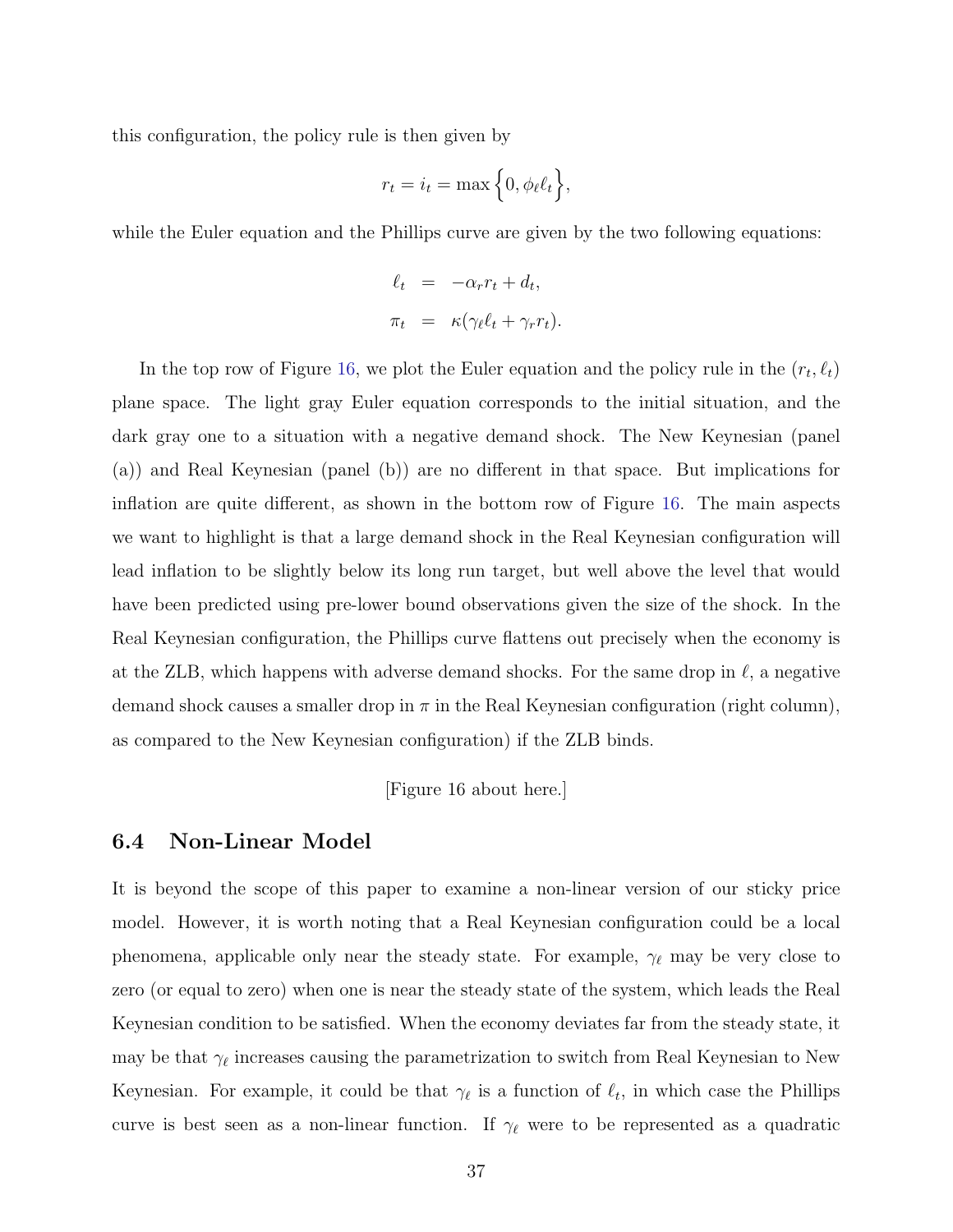this configuration, the policy rule is then given by

$$
r_t = i_t = \max\Big\{0, \phi_\ell \ell_t\Big\},\
$$

while the Euler equation and the Phillips curve are given by the two following equations:

$$
\ell_t = -\alpha_r r_t + d_t,
$$
  

$$
\pi_t = \kappa (\gamma_\ell \ell_t + \gamma_r r_t).
$$

In the top row of Figure [16,](#page-73-0) we plot the Euler equation and the policy rule in the  $(r_t, \ell_t)$ plane space. The light gray Euler equation corresponds to the initial situation, and the dark gray one to a situation with a negative demand shock. The New Keynesian (panel (a)) and Real Keynesian (panel (b)) are no different in that space. But implications for inflation are quite different, as shown in the bottom row of Figure [16.](#page-73-0) The main aspects we want to highlight is that a large demand shock in the Real Keynesian configuration will lead inflation to be slightly below its long run target, but well above the level that would have been predicted using pre-lower bound observations given the size of the shock. In the Real Keynesian configuration, the Phillips curve flattens out precisely when the economy is at the ZLB, which happens with adverse demand shocks. For the same drop in  $\ell$ , a negative demand shock causes a smaller drop in  $\pi$  in the Real Keynesian configuration (right column), as compared to the New Keynesian configuration) if the ZLB binds.

[Figure 16 about here.]

### 6.4 Non-Linear Model

It is beyond the scope of this paper to examine a non-linear version of our sticky price model. However, it is worth noting that a Real Keynesian configuration could be a local phenomena, applicable only near the steady state. For example,  $\gamma_{\ell}$  may be very close to zero (or equal to zero) when one is near the steady state of the system, which leads the Real Keynesian condition to be satisfied. When the economy deviates far from the steady state, it may be that  $\gamma_{\ell}$  increases causing the parametrization to switch from Real Keynesian to New Keynesian. For example, it could be that  $\gamma_{\ell}$  is a function of  $\ell_t$ , in which case the Phillips curve is best seen as a non-linear function. If  $\gamma_{\ell}$  were to be represented as a quadratic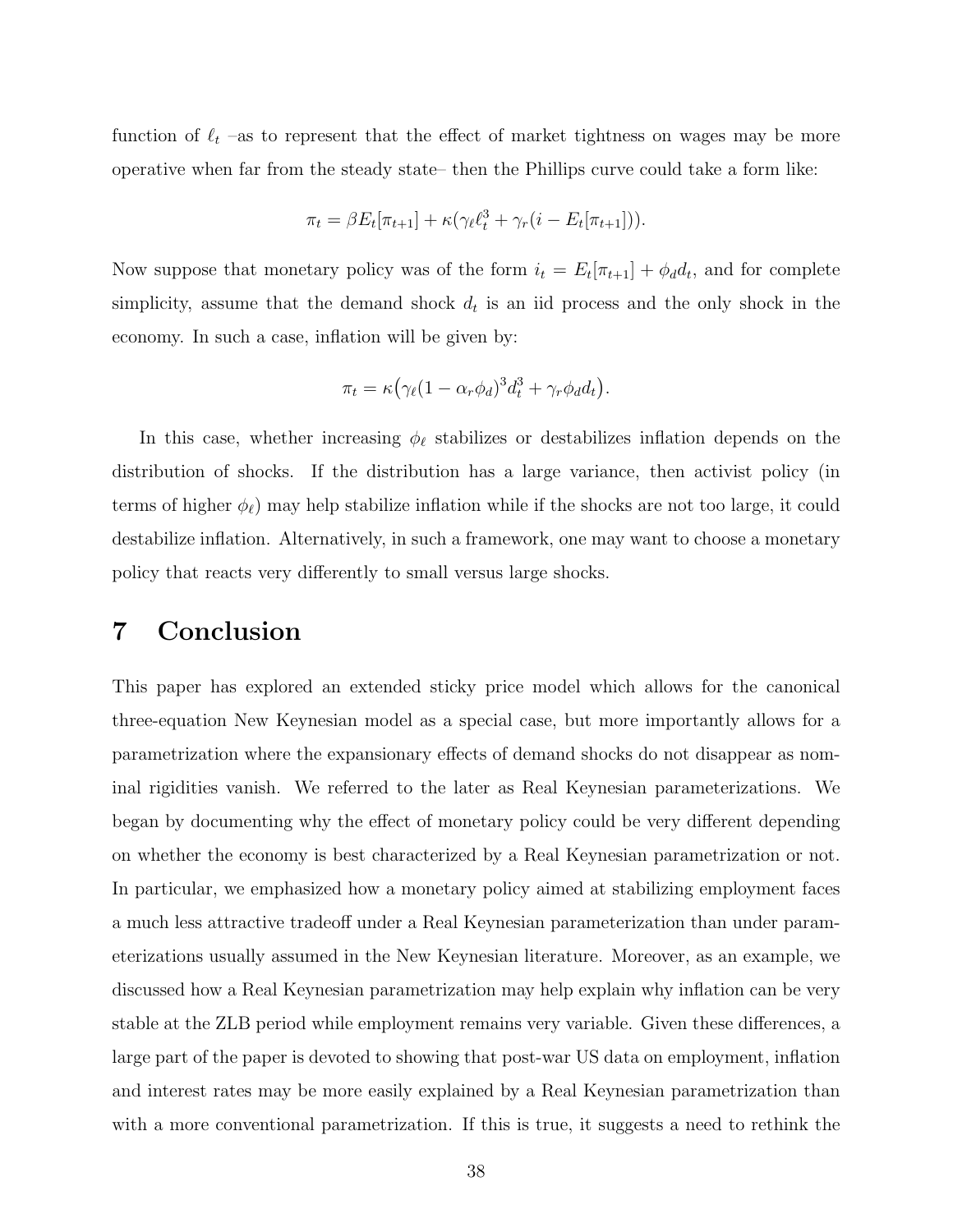function of  $\ell_t$  –as to represent that the effect of market tightness on wages may be more operative when far from the steady state– then the Phillips curve could take a form like:

$$
\pi_t = \beta E_t[\pi_{t+1}] + \kappa (\gamma_\ell \ell_t^3 + \gamma_r (i - E_t[\pi_{t+1}])).
$$

Now suppose that monetary policy was of the form  $i_t = E_t[\pi_{t+1}] + \phi_d d_t$ , and for complete simplicity, assume that the demand shock  $d_t$  is an iid process and the only shock in the economy. In such a case, inflation will be given by:

$$
\pi_t = \kappa \big(\gamma_\ell (1 - \alpha_r \phi_d)^3 d_t^3 + \gamma_r \phi_d d_t\big).
$$

In this case, whether increasing  $\phi_{\ell}$  stabilizes or destabilizes inflation depends on the distribution of shocks. If the distribution has a large variance, then activist policy (in terms of higher  $\phi_{\ell}$ ) may help stabilize inflation while if the shocks are not too large, it could destabilize inflation. Alternatively, in such a framework, one may want to choose a monetary policy that reacts very differently to small versus large shocks.

### 7 Conclusion

This paper has explored an extended sticky price model which allows for the canonical three-equation New Keynesian model as a special case, but more importantly allows for a parametrization where the expansionary effects of demand shocks do not disappear as nominal rigidities vanish. We referred to the later as Real Keynesian parameterizations. We began by documenting why the effect of monetary policy could be very different depending on whether the economy is best characterized by a Real Keynesian parametrization or not. In particular, we emphasized how a monetary policy aimed at stabilizing employment faces a much less attractive tradeoff under a Real Keynesian parameterization than under parameterizations usually assumed in the New Keynesian literature. Moreover, as an example, we discussed how a Real Keynesian parametrization may help explain why inflation can be very stable at the ZLB period while employment remains very variable. Given these differences, a large part of the paper is devoted to showing that post-war US data on employment, inflation and interest rates may be more easily explained by a Real Keynesian parametrization than with a more conventional parametrization. If this is true, it suggests a need to rethink the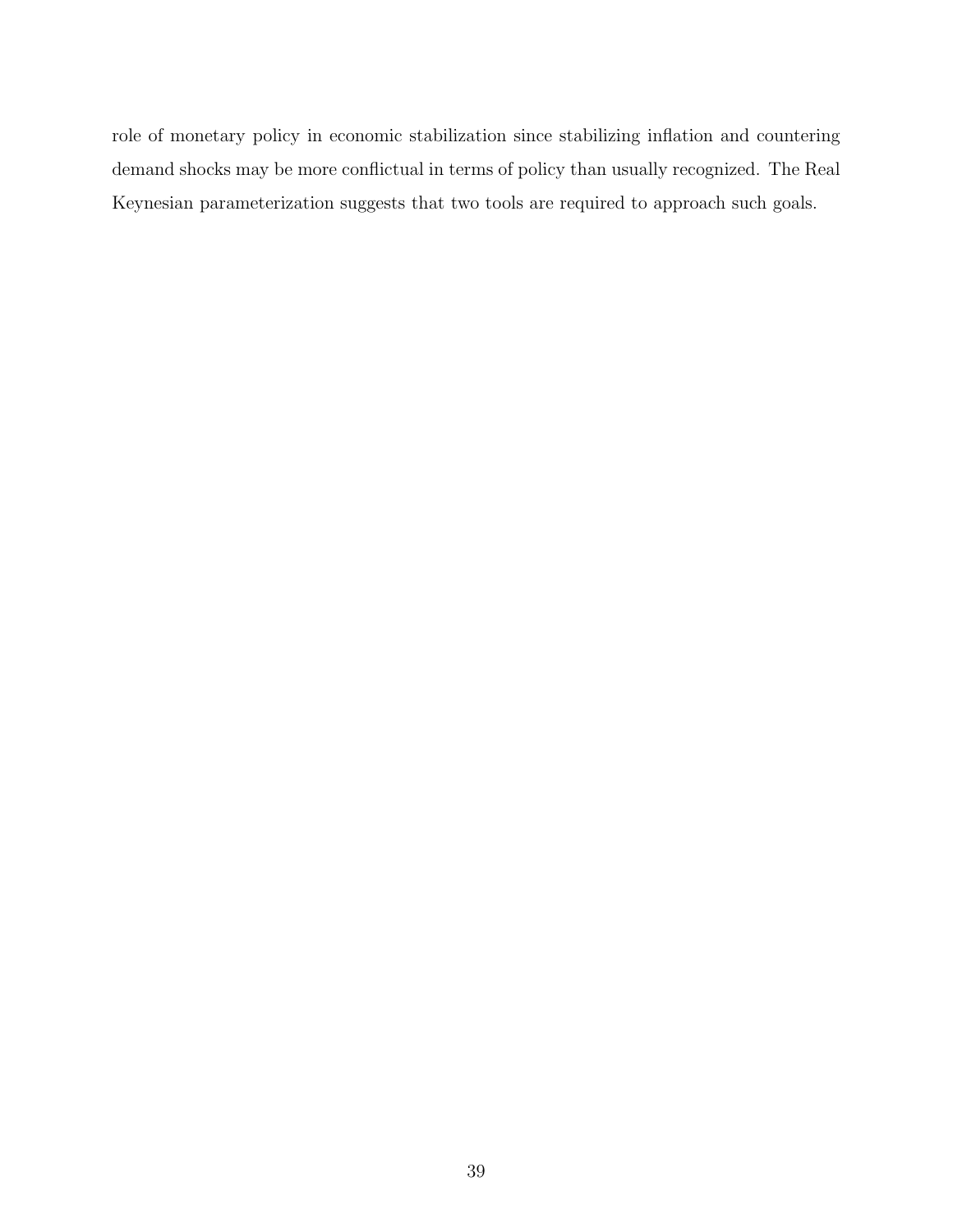role of monetary policy in economic stabilization since stabilizing inflation and countering demand shocks may be more conflictual in terms of policy than usually recognized. The Real Keynesian parameterization suggests that two tools are required to approach such goals.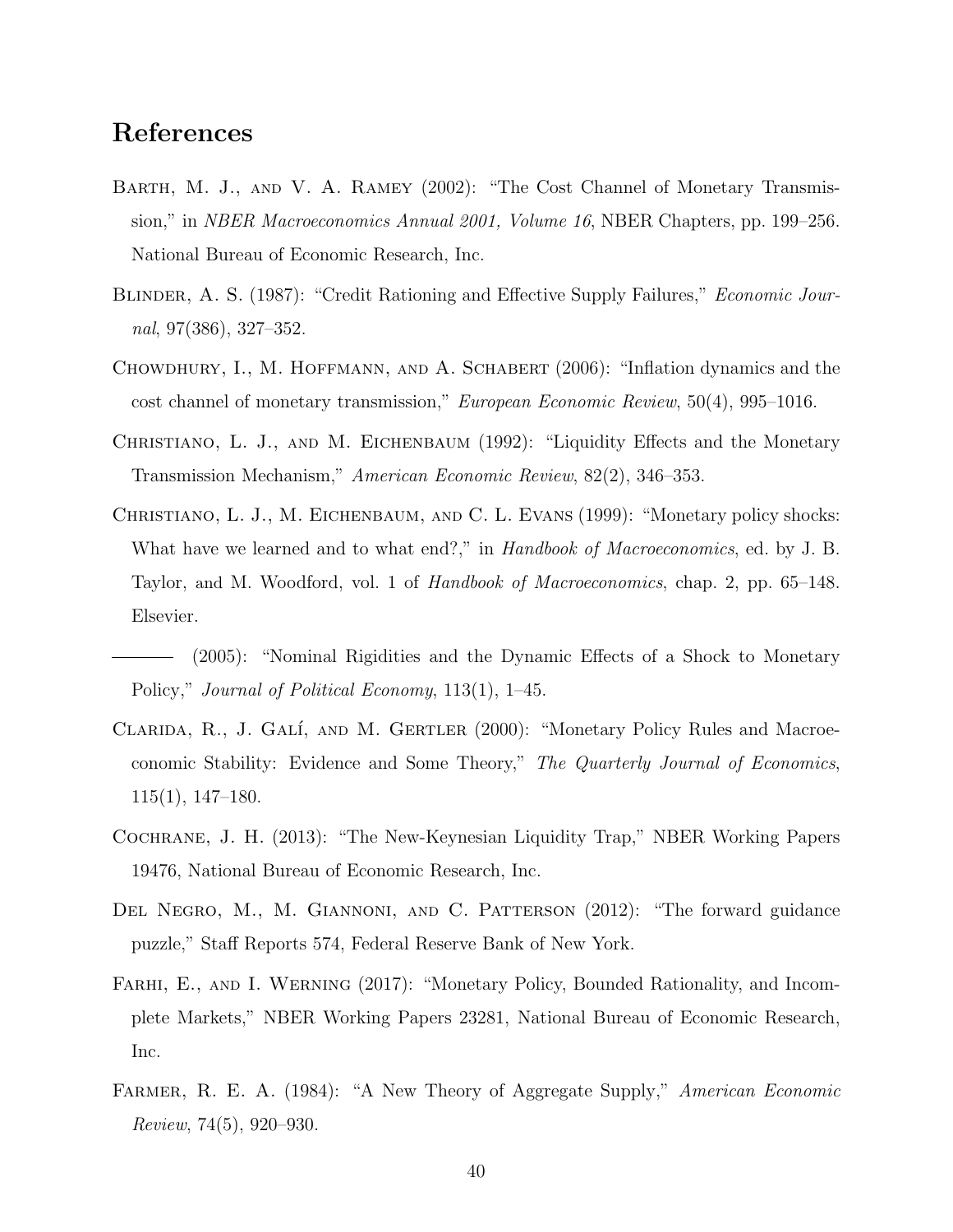### References

- Barth, M. J., and V. A. Ramey (2002): "The Cost Channel of Monetary Transmission," in NBER Macroeconomics Annual 2001, Volume 16, NBER Chapters, pp. 199–256. National Bureau of Economic Research, Inc.
- BLINDER, A. S. (1987): "Credit Rationing and Effective Supply Failures," *Economic Jour*nal, 97(386), 327–352.
- Chowdhury, I., M. Hoffmann, and A. Schabert (2006): "Inflation dynamics and the cost channel of monetary transmission," European Economic Review, 50(4), 995–1016.
- CHRISTIANO, L. J., AND M. EICHENBAUM (1992): "Liquidity Effects and the Monetary Transmission Mechanism," American Economic Review, 82(2), 346–353.
- Christiano, L. J., M. Eichenbaum, and C. L. Evans (1999): "Monetary policy shocks: What have we learned and to what end?," in Handbook of Macroeconomics, ed. by J. B. Taylor, and M. Woodford, vol. 1 of Handbook of Macroeconomics, chap. 2, pp. 65–148. Elsevier.

(2005): "Nominal Rigidities and the Dynamic Effects of a Shock to Monetary Policy," Journal of Political Economy, 113(1), 1–45.

- CLARIDA, R., J. GALÍ, AND M. GERTLER (2000): "Monetary Policy Rules and Macroeconomic Stability: Evidence and Some Theory," The Quarterly Journal of Economics, 115(1), 147–180.
- Cochrane, J. H. (2013): "The New-Keynesian Liquidity Trap," NBER Working Papers 19476, National Bureau of Economic Research, Inc.
- DEL NEGRO, M., M. GIANNONI, AND C. PATTERSON (2012): "The forward guidance puzzle," Staff Reports 574, Federal Reserve Bank of New York.
- FARHI, E., AND I. WERNING (2017): "Monetary Policy, Bounded Rationality, and Incomplete Markets," NBER Working Papers 23281, National Bureau of Economic Research, Inc.
- FARMER, R. E. A. (1984): "A New Theory of Aggregate Supply," American Economic Review, 74(5), 920–930.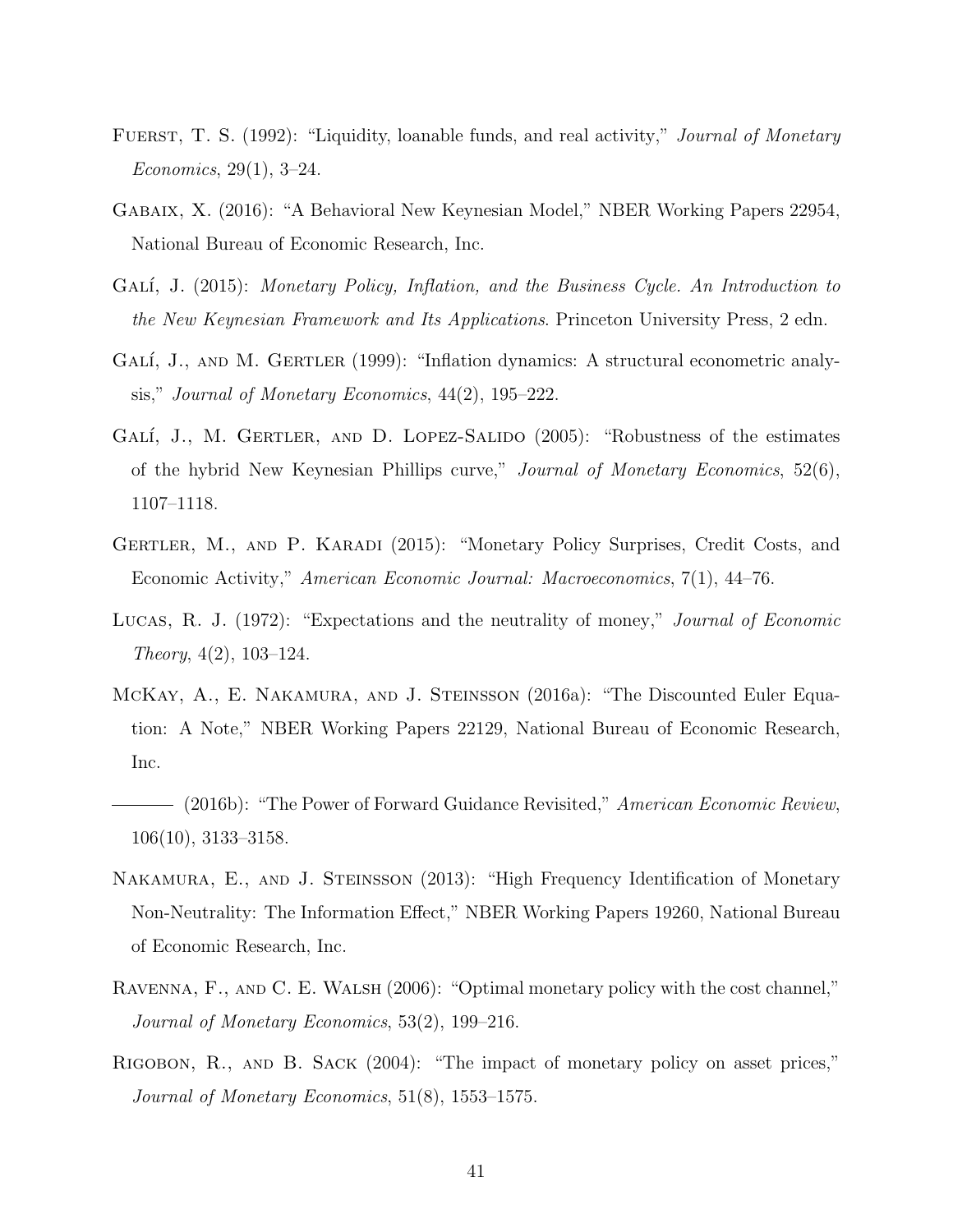- FUERST, T. S. (1992): "Liquidity, loanable funds, and real activity," *Journal of Monetary* Economics, 29(1), 3–24.
- Gabaix, X. (2016): "A Behavioral New Keynesian Model," NBER Working Papers 22954, National Bureau of Economic Research, Inc.
- GALÍ, J. (2015): Monetary Policy, Inflation, and the Business Cycle. An Introduction to the New Keynesian Framework and Its Applications. Princeton University Press, 2 edn.
- GALÍ, J., AND M. GERTLER (1999): "Inflation dynamics: A structural econometric analysis," Journal of Monetary Economics, 44(2), 195–222.
- GALÍ, J., M. GERTLER, AND D. LOPEZ-SALIDO (2005): "Robustness of the estimates of the hybrid New Keynesian Phillips curve," Journal of Monetary Economics, 52(6), 1107–1118.
- GERTLER, M., AND P. KARADI (2015): "Monetary Policy Surprises, Credit Costs, and Economic Activity," American Economic Journal: Macroeconomics, 7(1), 44–76.
- Lucas, R. J. (1972): "Expectations and the neutrality of money," Journal of Economic Theory, 4(2), 103–124.
- McKay, A., E. Nakamura, and J. Steinsson (2016a): "The Discounted Euler Equation: A Note," NBER Working Papers 22129, National Bureau of Economic Research, Inc.
- (2016b): "The Power of Forward Guidance Revisited," American Economic Review, 106(10), 3133–3158.
- NAKAMURA, E., AND J. STEINSSON (2013): "High Frequency Identification of Monetary Non-Neutrality: The Information Effect," NBER Working Papers 19260, National Bureau of Economic Research, Inc.
- Ravenna, F., and C. E. Walsh (2006): "Optimal monetary policy with the cost channel," Journal of Monetary Economics, 53(2), 199–216.
- Rigobon, R., and B. Sack (2004): "The impact of monetary policy on asset prices," Journal of Monetary Economics, 51(8), 1553–1575.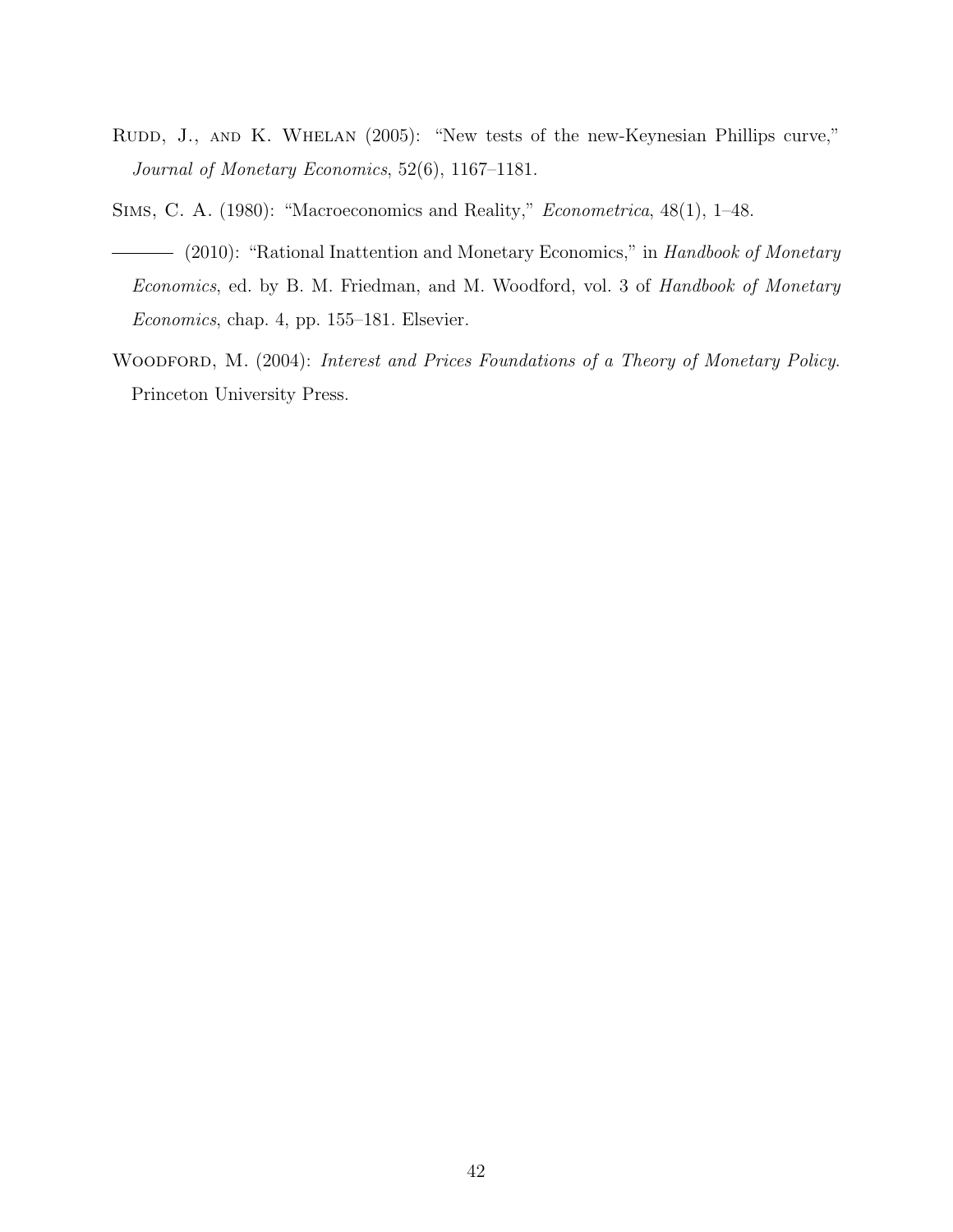- RUDD, J., AND K. WHELAN (2005): "New tests of the new-Keynesian Phillips curve," Journal of Monetary Economics, 52(6), 1167–1181.
- Sims, C. A. (1980): "Macroeconomics and Reality," Econometrica, 48(1), 1–48.
- (2010): "Rational Inattention and Monetary Economics," in Handbook of Monetary Economics, ed. by B. M. Friedman, and M. Woodford, vol. 3 of Handbook of Monetary Economics, chap. 4, pp. 155–181. Elsevier.
- WOODFORD, M. (2004): Interest and Prices Foundations of a Theory of Monetary Policy. Princeton University Press.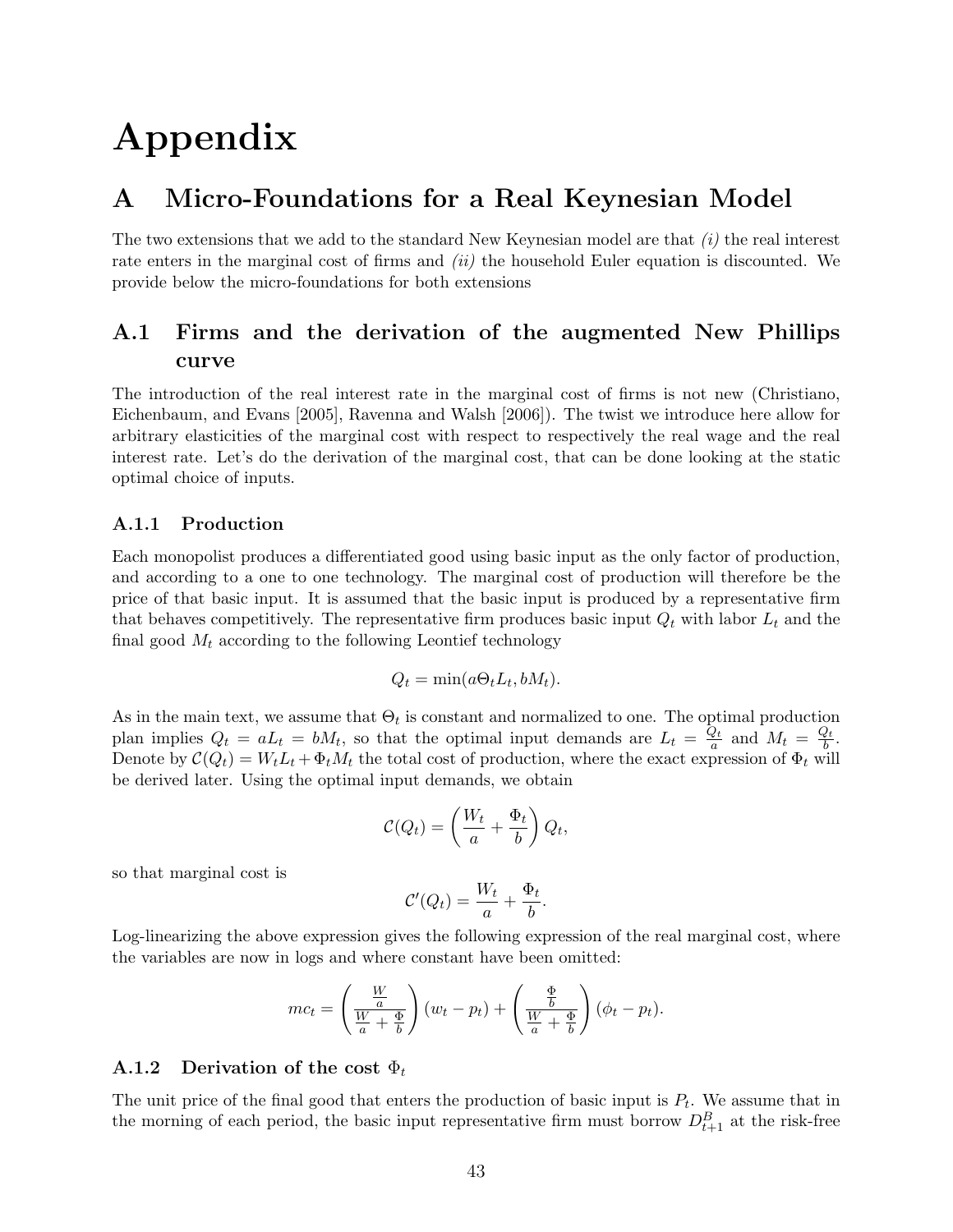# Appendix

### A Micro-Foundations for a Real Keynesian Model

The two extensions that we add to the standard New Keynesian model are that  $(i)$  the real interest rate enters in the marginal cost of firms and *(ii)* the household Euler equation is discounted. We provide below the micro-foundations for both extensions

### A.1 Firms and the derivation of the augmented New Phillips curve

The introduction of the real interest rate in the marginal cost of firms is not new (Christiano, Eichenbaum, and Evans [2005], Ravenna and Walsh [2006]). The twist we introduce here allow for arbitrary elasticities of the marginal cost with respect to respectively the real wage and the real interest rate. Let's do the derivation of the marginal cost, that can be done looking at the static optimal choice of inputs.

#### A.1.1 Production

Each monopolist produces a differentiated good using basic input as the only factor of production, and according to a one to one technology. The marginal cost of production will therefore be the price of that basic input. It is assumed that the basic input is produced by a representative firm that behaves competitively. The representative firm produces basic input  $Q_t$  with labor  $L_t$  and the final good  $M_t$  according to the following Leontief technology

$$
Q_t = \min(a\Theta_t L_t, bM_t).
$$

As in the main text, we assume that  $\Theta_t$  is constant and normalized to one. The optimal production plan implies  $Q_t = a L_t = b M_t$ , so that the optimal input demands are  $L_t = \frac{Q_t}{a}$  $\frac{Q_t}{a}$  and  $M_t = \frac{Q_t}{b}$  $\frac{2t}{b}$ . Denote by  $C(Q_t) = W_t L_t + \Phi_t M_t$  the total cost of production, where the exact expression of  $\Phi_t$  will be derived later. Using the optimal input demands, we obtain

$$
\mathcal{C}(Q_t) = \left(\frac{W_t}{a} + \frac{\Phi_t}{b}\right) Q_t,
$$

so that marginal cost is

$$
\mathcal{C}'(Q_t) = \frac{W_t}{a} + \frac{\Phi_t}{b}.
$$

Log-linearizing the above expression gives the following expression of the real marginal cost, where the variables are now in logs and where constant have been omitted:

$$
mc_t = \left(\frac{\frac{W}{a}}{\frac{W}{a} + \frac{\Phi}{b}}\right)(w_t - p_t) + \left(\frac{\frac{\Phi}{b}}{\frac{W}{a} + \frac{\Phi}{b}}\right)(\phi_t - p_t).
$$

#### A.1.2 Derivation of the cost  $\Phi_t$

The unit price of the final good that enters the production of basic input is  $P_t$ . We assume that in the morning of each period, the basic input representative firm must borrow  $D_{t+1}^B$  at the risk-free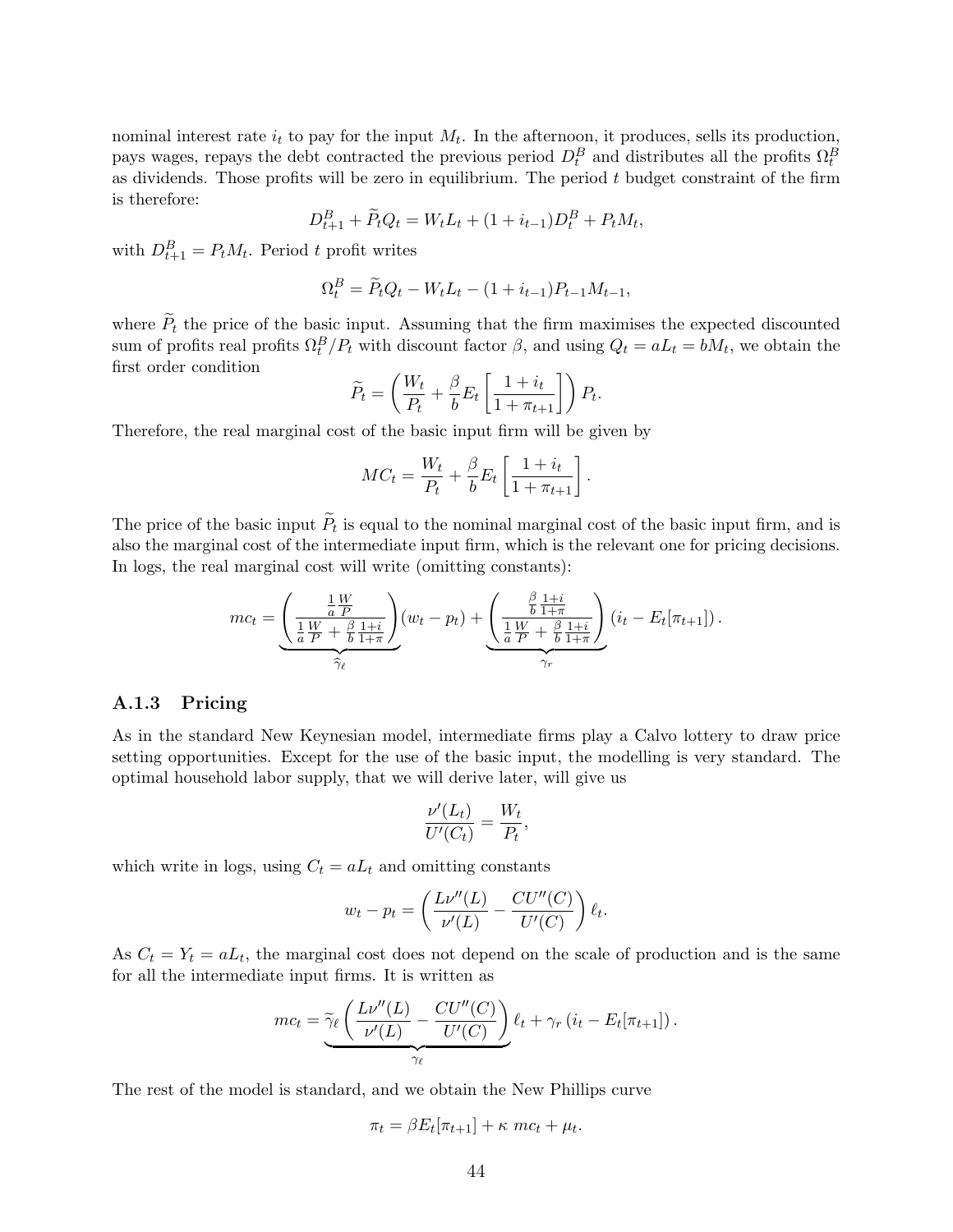nominal interest rate  $i_t$  to pay for the input  $M_t$ . In the afternoon, it produces, sells its production, pays wages, repays the debt contracted the previous period  $D_t^B$  and distributes all the profits  $\Omega_t^B$ as dividends. Those profits will be zero in equilibrium. The period  $t$  budget constraint of the firm is therefore:

$$
D_{t+1}^B + \widetilde{P}_t Q_t = W_t L_t + (1 + i_{t-1}) D_t^B + P_t M_t,
$$

with  $D_{t+1}^B = P_t M_t$ . Period t profit writes

$$
\Omega_t^B = \widetilde{P}_t Q_t - W_t L_t - (1 + i_{t-1}) P_{t-1} M_{t-1},
$$

where  $\widetilde{P}_t$  the price of the basic input. Assuming that the firm maximises the expected discounted sum of profits real profits  $\Omega_t^B/P_t$  with discount factor  $\beta$ , and using  $Q_t = aL_t = bM_t$ , we obtain the first order condition

$$
\widetilde{P}_t = \left(\frac{W_t}{P_t} + \frac{\beta}{b} E_t \left[\frac{1+i_t}{1+\pi_{t+1}}\right]\right) P_t.
$$

Therefore, the real marginal cost of the basic input firm will be given by

$$
MC_t = \frac{W_t}{P_t} + \frac{\beta}{b} E_t \left[ \frac{1 + i_t}{1 + \pi_{t+1}} \right].
$$

The price of the basic input  $P_t$  is equal to the nominal marginal cost of the basic input firm, and is also the marginal cost of the intermediate input firm, which is the relevant one for pricing decisions. In logs, the real marginal cost will write (omitting constants):

$$
mc_t = \underbrace{\left(\frac{\frac{1}{a}\frac{W}{P}}{\frac{1}{a}\frac{W}{P} + \frac{\beta}{b}\frac{1+i}{1+\pi}}\right)}_{\widehat{\gamma}_{\ell}}(w_t - p_t) + \underbrace{\left(\frac{\frac{\beta}{b}\frac{1+i}{1+\pi}}{\frac{1}{a}\frac{W}{P} + \frac{\beta}{b}\frac{1+i}{1+\pi}}\right)}_{\gamma_r}(i_t - E_t[\pi_{t+1}]).
$$

#### A.1.3 Pricing

As in the standard New Keynesian model, intermediate firms play a Calvo lottery to draw price setting opportunities. Except for the use of the basic input, the modelling is very standard. The optimal household labor supply, that we will derive later, will give us

$$
\frac{\nu'(L_t)}{U'(C_t)} = \frac{W_t}{P_t},
$$

which write in logs, using  $C_t = a L_t$  and omitting constants

$$
w_t - p_t = \left(\frac{Lv''(L)}{v'(L)} - \frac{CU''(C)}{U'(C)}\right)\ell_t.
$$

As  $C_t = Y_t = aL_t$ , the marginal cost does not depend on the scale of production and is the same for all the intermediate input firms. It is written as

$$
mc_t = \underbrace{\widetilde{\gamma}_{\ell} \left( \frac{L \nu''(L)}{\nu'(L)} - \frac{CU''(C)}{U'(C)} \right)}_{\gamma_{\ell}} \ell_t + \gamma_r \left( i_t - E_t[\pi_{t+1}] \right).
$$

The rest of the model is standard, and we obtain the New Phillips curve

$$
\pi_t = \beta E_t[\pi_{t+1}] + \kappa mc_t + \mu_t.
$$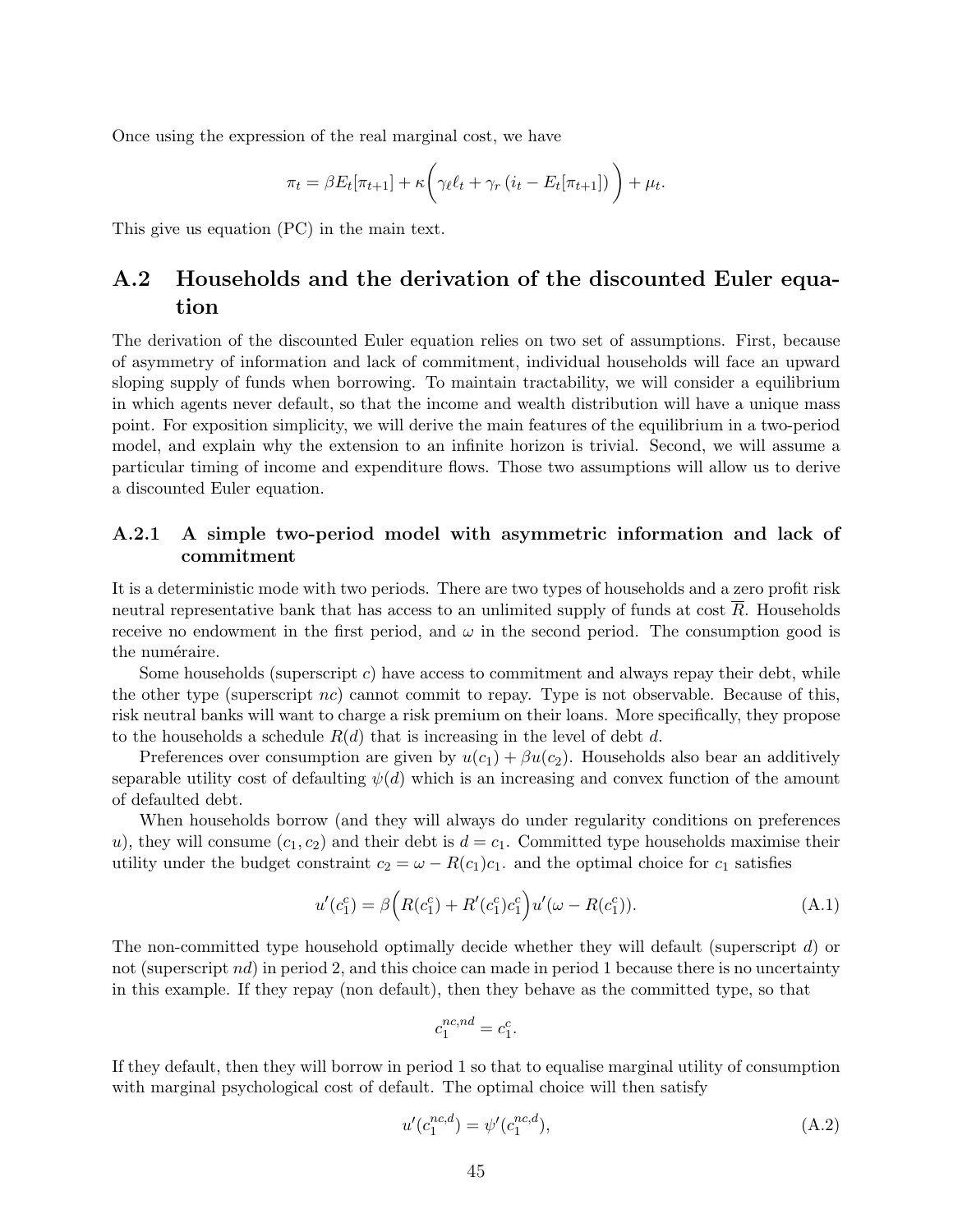Once using the expression of the real marginal cost, we have

$$
\pi_t = \beta E_t[\pi_{t+1}] + \kappa \bigg(\gamma_\ell \ell_t + \gamma_r (i_t - E_t[\pi_{t+1}])\bigg) + \mu_t.
$$

This give us equation (PC) in the main text.

### A.2 Households and the derivation of the discounted Euler equation

The derivation of the discounted Euler equation relies on two set of assumptions. First, because of asymmetry of information and lack of commitment, individual households will face an upward sloping supply of funds when borrowing. To maintain tractability, we will consider a equilibrium in which agents never default, so that the income and wealth distribution will have a unique mass point. For exposition simplicity, we will derive the main features of the equilibrium in a two-period model, and explain why the extension to an infinite horizon is trivial. Second, we will assume a particular timing of income and expenditure flows. Those two assumptions will allow us to derive a discounted Euler equation.

#### A.2.1 A simple two-period model with asymmetric information and lack of commitment

It is a deterministic mode with two periods. There are two types of households and a zero profit risk neutral representative bank that has access to an unlimited supply of funds at cost  $R$ . Households receive no endowment in the first period, and  $\omega$  in the second period. The consumption good is the numéraire.

Some households (superscript c) have access to commitment and always repay their debt, while the other type (superscript nc) cannot commit to repay. Type is not observable. Because of this, risk neutral banks will want to charge a risk premium on their loans. More specifically, they propose to the households a schedule  $R(d)$  that is increasing in the level of debt d.

Preferences over consumption are given by  $u(c_1) + \beta u(c_2)$ . Households also bear an additively separable utility cost of defaulting  $\psi(d)$  which is an increasing and convex function of the amount of defaulted debt.

When households borrow (and they will always do under regularity conditions on preferences u), they will consume  $(c_1, c_2)$  and their debt is  $d = c_1$ . Committed type households maximise their utility under the budget constraint  $c_2 = \omega - R(c_1)c_1$ . and the optimal choice for  $c_1$  satisfies

$$
u'(c_1^c) = \beta \Big( R(c_1^c) + R'(c_1^c)c_1^c \Big) u'(\omega - R(c_1^c)). \tag{A.1}
$$

The non-committed type household optimally decide whether they will default (superscript d) or not (superscript nd) in period 2, and this choice can made in period 1 because there is no uncertainty in this example. If they repay (non default), then they behave as the committed type, so that

$$
c_1^{nc,nd} = c_1^c.
$$

If they default, then they will borrow in period 1 so that to equalise marginal utility of consumption with marginal psychological cost of default. The optimal choice will then satisfy

$$
u'(c_1^{nc,d}) = \psi'(c_1^{nc,d}),\tag{A.2}
$$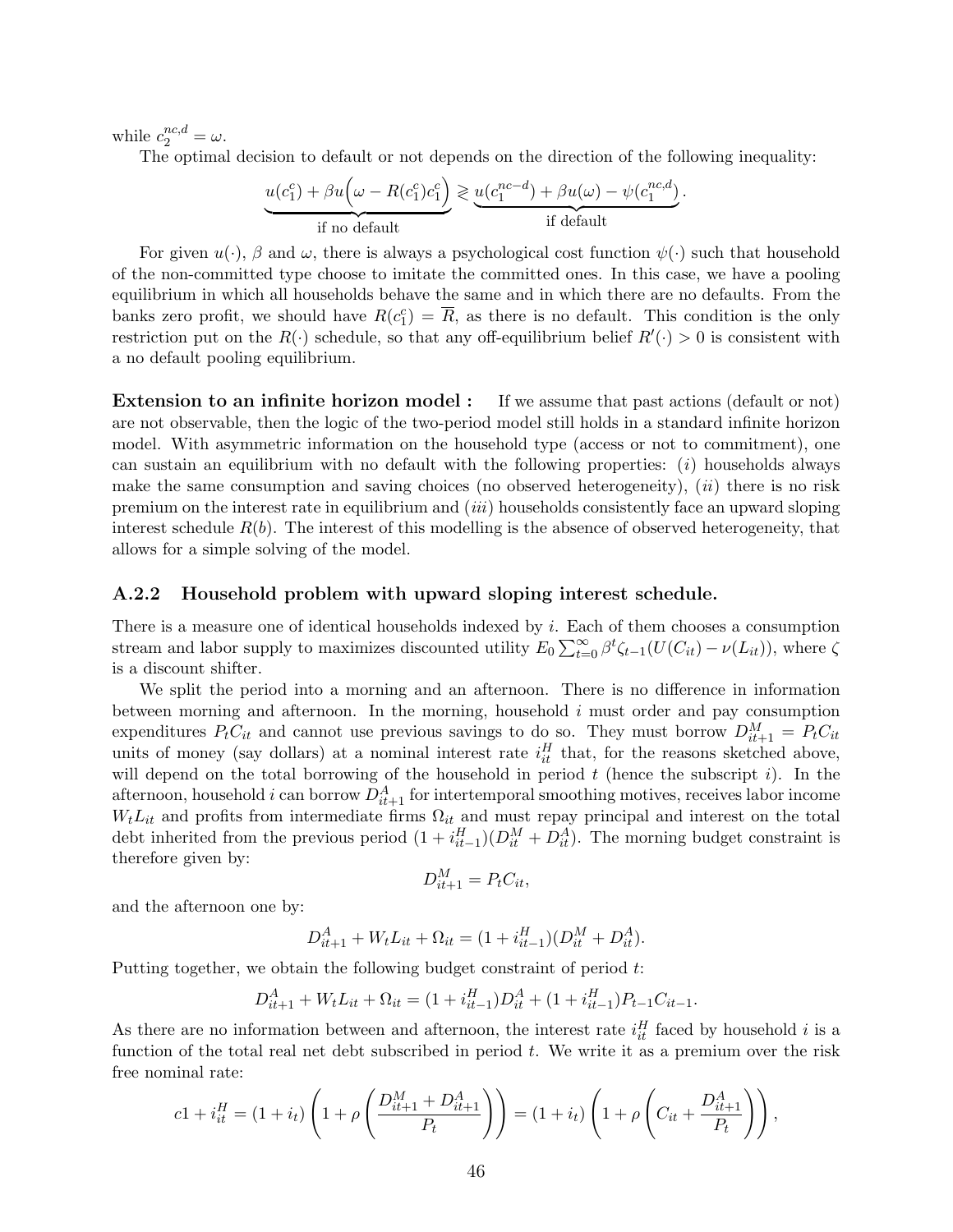while  $c_2^{nc,d} = \omega$ .

The optimal decision to default or not depends on the direction of the following inequality:

$$
\underbrace{u(c_1^c) + \beta u(\omega - R(c_1^c)c_1^c)}_{\text{if no default}} \geq \underbrace{u(c_1^{nc-d}) + \beta u(\omega) - \psi(c_1^{nc,d})}_{\text{if default}}.
$$

For given  $u(\cdot)$ ,  $\beta$  and  $\omega$ , there is always a psychological cost function  $\psi(\cdot)$  such that household of the non-committed type choose to imitate the committed ones. In this case, we have a pooling equilibrium in which all households behave the same and in which there are no defaults. From the banks zero profit, we should have  $R(c_1^c) = \overline{R}$ , as there is no default. This condition is the only restriction put on the  $R(\cdot)$  schedule, so that any off-equilibrium belief  $R'(\cdot) > 0$  is consistent with a no default pooling equilibrium.

Extension to an infinite horizon model : If we assume that past actions (default or not) are not observable, then the logic of the two-period model still holds in a standard infinite horizon model. With asymmetric information on the household type (access or not to commitment), one can sustain an equilibrium with no default with the following properties:  $(i)$  households always make the same consumption and saving choices (no observed heterogeneity),  $(ii)$  there is no risk premium on the interest rate in equilibrium and (iii) households consistently face an upward sloping interest schedule  $R(b)$ . The interest of this modelling is the absence of observed heterogeneity, that allows for a simple solving of the model.

#### A.2.2 Household problem with upward sloping interest schedule.

There is a measure one of identical households indexed by  $i$ . Each of them chooses a consumption stream and labor supply to maximizes discounted utility  $E_0 \sum_{t=0}^{\infty} \beta^t \zeta_{t-1}(U(C_{it}) - \nu(L_{it}))$ , where  $\zeta$ is a discount shifter.

We split the period into a morning and an afternoon. There is no difference in information between morning and afternoon. In the morning, household i must order and pay consumption expenditures  $P_t C_{it}$  and cannot use previous savings to do so. They must borrow  $D_{it+1}^M = P_t C_{it}$ units of money (say dollars) at a nominal interest rate  $i_t^H$  that, for the reasons sketched above, will depend on the total borrowing of the household in period  $t$  (hence the subscript  $i$ ). In the afternoon, household i can borrow  $D_{it+1}^A$  for intertemporal smoothing motives, receives labor income  $W_tL_{it}$  and profits from intermediate firms  $\Omega_{it}$  and must repay principal and interest on the total debt inherited from the previous period  $(1 + i_{it-1}^H)(D_{it}^M + D_{it}^A)$ . The morning budget constraint is therefore given by:

$$
D_{it+1}^M = P_t C_{it},
$$

and the afternoon one by:

$$
D_{it+1}^A + W_t L_{it} + \Omega_{it} = (1 + i_{it-1}^H)(D_{it}^M + D_{it}^A).
$$

Putting together, we obtain the following budget constraint of period t:

$$
D_{it+1}^A + W_t L_{it} + \Omega_{it} = (1 + i_{it-1}^H) D_{it}^A + (1 + i_{it-1}^H) P_{t-1} C_{it-1}.
$$

As there are no information between and afternoon, the interest rate  $i_{it}^H$  faced by household i is a function of the total real net debt subscribed in period  $t$ . We write it as a premium over the risk free nominal rate:

$$
c1 + i_{it}^{H} = (1 + i_{t}) \left( 1 + \rho \left( \frac{D_{it+1}^{M} + D_{it+1}^{A}}{P_{t}} \right) \right) = (1 + i_{t}) \left( 1 + \rho \left( C_{it} + \frac{D_{it+1}^{A}}{P_{t}} \right) \right),
$$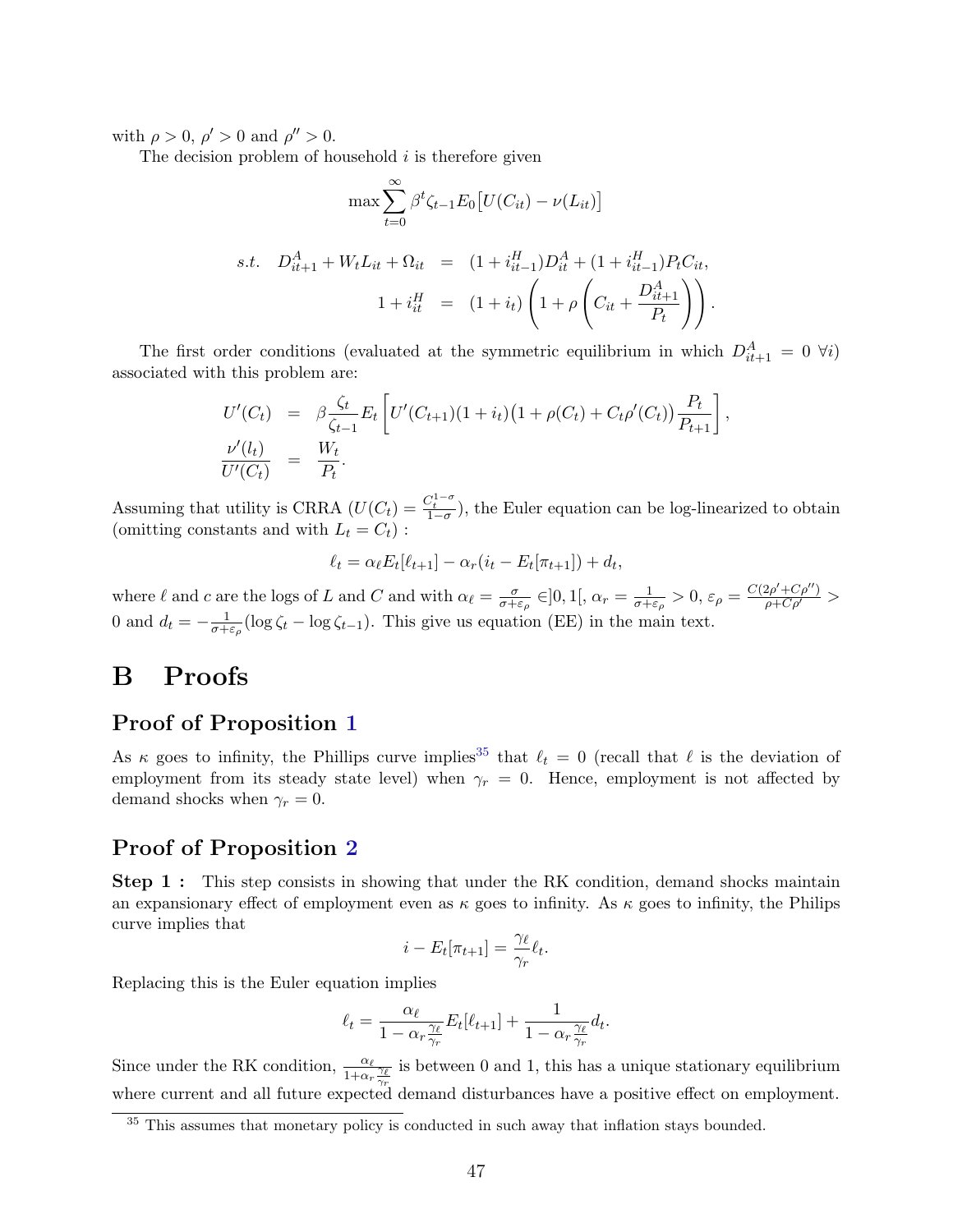with  $\rho > 0$ ,  $\rho' > 0$  and  $\rho'' > 0$ .

The decision problem of household  $i$  is therefore given

$$
\max \sum_{t=0}^{\infty} \beta^t \zeta_{t-1} E_0 \left[ U(C_{it}) - \nu(L_{it}) \right]
$$
  
s.t.  $D_{it+1}^A + W_t L_{it} + \Omega_{it} = (1 + i_{it-1}^H) D_{it}^A + (1 + i_{it-1}^H) P_t C_{it},$   

$$
1 + i_{it}^H = (1 + i_t) \left( 1 + \rho \left( C_{it} + \frac{D_{it+1}^A}{P_t} \right) \right).
$$

The first order conditions (evaluated at the symmetric equilibrium in which  $D_{it+1}^A = 0 \; \forall i$ ) associated with this problem are:

$$
U'(C_t) = \beta \frac{\zeta_t}{\zeta_{t-1}} E_t \left[ U'(C_{t+1})(1+i_t) \left( 1 + \rho(C_t) + C_t \rho'(C_t) \right) \frac{P_t}{P_{t+1}} \right],
$$
  

$$
\frac{\nu'(l_t)}{U'(C_t)} = \frac{W_t}{P_t}.
$$

Assuming that utility is CRRA  $(U(C_t) = \frac{C_t^{1-\sigma}}{1-\sigma})$ , the Euler equation can be log-linearized to obtain (omitting constants and with  $L_t = C_t$ ):

$$
\ell_t = \alpha_\ell E_t[\ell_{t+1}] - \alpha_r(i_t - E_t[\pi_{t+1}]) + d_t,
$$

where  $\ell$  and c are the logs of L and C and with  $\alpha_{\ell} = \frac{\sigma}{\sigma + 1}$  $\frac{\sigma}{\sigma+\varepsilon_{\rho}}\in]0,1[,\alpha_{r}=\frac{1}{\sigma+\varepsilon_{r}}]$  $\frac{1}{\sigma+\varepsilon_{\rho}} > 0, \, \varepsilon_{\rho} = \frac{C(2\rho' + C\rho'')}{\rho + C\rho'} >$ 0 and  $d_t = -\frac{1}{\sigma + 1}$  $\frac{1}{\sigma + \varepsilon_{\rho}}$  (log  $\zeta_t - \log \zeta_{t-1}$ ). This give us equation (EE) in the main text.

### B Proofs

### Proof of Proposition [1](#page-9-0)

As  $\kappa$  goes to infinity, the Phillips curve implies<sup>[35](#page-48-0)</sup> that  $\ell_t = 0$  (recall that  $\ell$  is the deviation of employment from its steady state level) when  $\gamma_r = 0$ . Hence, employment is not affected by demand shocks when  $\gamma_r = 0$ .

### Proof of Proposition [2](#page-10-0)

**Step 1**: This step consists in showing that under the RK condition, demand shocks maintain an expansionary effect of employment even as  $\kappa$  goes to infinity. As  $\kappa$  goes to infinity, the Philips curve implies that

$$
i - E_t[\pi_{t+1}] = \frac{\gamma_\ell}{\gamma_r} \ell_t.
$$

Replacing this is the Euler equation implies

$$
\ell_t = \frac{\alpha_{\ell}}{1 - \alpha_r \frac{\gamma_{\ell}}{\gamma_r}} E_t[\ell_{t+1}] + \frac{1}{1 - \alpha_r \frac{\gamma_{\ell}}{\gamma_r}} d_t.
$$

Since under the RK condition,  $\frac{\alpha_{\ell}}{1+\alpha_{r}} \frac{\gamma_{\ell}}{\gamma_{r}}$ is between 0 and 1, this has a unique stationary equilibrium where current and all future expected demand disturbances have a positive effect on employment.

<span id="page-48-0"></span><sup>&</sup>lt;sup>35</sup> This assumes that monetary policy is conducted in such away that inflation stays bounded.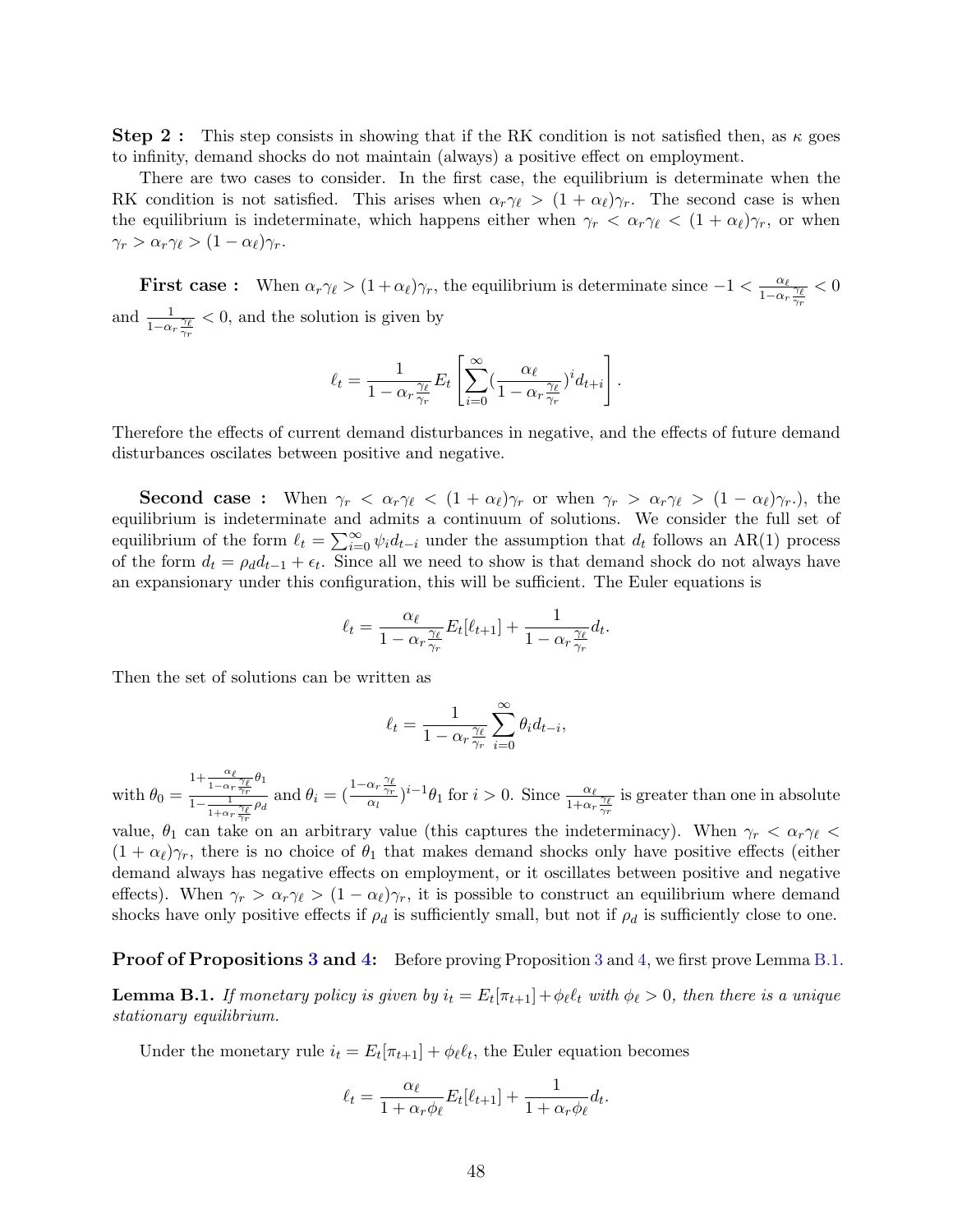**Step 2**: This step consists in showing that if the RK condition is not satisfied then, as  $\kappa$  goes to infinity, demand shocks do not maintain (always) a positive effect on employment.

There are two cases to consider. In the first case, the equilibrium is determinate when the RK condition is not satisfied. This arises when  $\alpha_r\gamma_\ell > (1 + \alpha_\ell)\gamma_r$ . The second case is when the equilibrium is indeterminate, which happens either when  $\gamma_r < \alpha_r \gamma_\ell < (1 + \alpha_\ell) \gamma_r$ , or when  $\gamma_r > \alpha_r \gamma_\ell > (1 - \alpha_\ell) \gamma_r.$ 

**First case :** When  $\alpha_r \gamma_\ell > (1 + \alpha_\ell) \gamma_r$ , the equilibrium is determinate since  $-1 < \frac{\alpha_\ell}{1 - \alpha_\ell}$  $\frac{1-\alpha_r}{\gamma_r} \frac{\gamma_\ell}{\gamma_r}$  $< 0$ and  $\frac{1}{1-\alpha_r\frac{\gamma_\ell}{\gamma_r}}$ < 0, and the solution is given by

$$
\ell_t = \frac{1}{1 - \alpha_r \frac{\gamma_{\ell}}{\gamma_r}} E_t \left[ \sum_{i=0}^{\infty} \left( \frac{\alpha_{\ell}}{1 - \alpha_r \frac{\gamma_{\ell}}{\gamma_r}} \right)^i d_{t+i} \right].
$$

Therefore the effects of current demand disturbances in negative, and the effects of future demand disturbances oscilates between positive and negative.

**Second case :** When  $\gamma_r < \alpha_r \gamma_\ell < (1 + \alpha_\ell) \gamma_r$  or when  $\gamma_r > \alpha_r \gamma_\ell > (1 - \alpha_\ell) \gamma_r$ .), the equilibrium is indeterminate and admits a continuum of solutions. We consider the full set of equilibrium of the form  $\ell_t = \sum_{i=0}^{\infty} \psi_i d_{t-i}$  under the assumption that  $d_t$  follows an AR(1) process of the form  $d_t = \rho_d d_{t-1} + \epsilon_t$ . Since all we need to show is that demand shock do not always have an expansionary under this configuration, this will be sufficient. The Euler equations is

$$
\ell_t = \frac{\alpha_{\ell}}{1 - \alpha_r \frac{\gamma_{\ell}}{\gamma_r}} E_t[\ell_{t+1}] + \frac{1}{1 - \alpha_r \frac{\gamma_{\ell}}{\gamma_r}} d_t.
$$

Then the set of solutions can be written as

$$
\ell_t = \frac{1}{1 - \alpha_r \frac{\gamma_{\ell}}{\gamma_r}} \sum_{i=0}^{\infty} \theta_i d_{t-i},
$$

with  $\theta_0 =$  $1+\frac{\alpha_{\ell}}{1-\alpha_r}\frac{\gamma_{\ell}}{\gamma_r}\theta_1$  $\frac{1+\frac{\epsilon}{1-\alpha_r\frac{\gamma_r}{\gamma_r}}\theta_1}{1-\frac{1}{1+\alpha_r\frac{\gamma_r}{\gamma_r}}\rho_d}$  and  $\theta_i = (\frac{1-\alpha_r\frac{\gamma_\ell}{\gamma_r}}{\alpha_l})^{i-1}\theta_1$  for  $i>0$ . Since  $\frac{\alpha_\ell}{1+\alpha_r\frac{\gamma_\ell}{\gamma_r}}$  $\overline{\gamma_{r}}$ is greater than one in absolute

value,  $\theta_1$  can take on an arbitrary value (this captures the indeterminacy). When  $\gamma_r < \alpha_r \gamma_\ell$  $(1 + \alpha_\ell)\gamma_r$ , there is no choice of  $\theta_1$  that makes demand shocks only have positive effects (either demand always has negative effects on employment, or it oscillates between positive and negative effects). When  $\gamma_r > \alpha_r \gamma_\ell > (1 - \alpha_\ell) \gamma_r$ , it is possible to construct an equilibrium where demand shocks have only positive effects if  $\rho_d$  is sufficiently small, but not if  $\rho_d$  is sufficiently close to one.

#### Proof of Propositions [3](#page-11-0) and [4:](#page-12-0) Before proving Proposition 3 and [4,](#page-12-0) we first prove Lemma [B.1.](#page-49-0)

<span id="page-49-0"></span>**Lemma B.1.** If monetary policy is given by  $i_t = E_t[\pi_{t+1}] + \phi_\ell \ell_t$  with  $\phi_\ell > 0$ , then there is a unique stationary equilibrium.

Under the monetary rule  $i_t = E_t[\pi_{t+1}] + \phi_\ell \ell_t$ , the Euler equation becomes

$$
\ell_t = \frac{\alpha_\ell}{1 + \alpha_r \phi_\ell} E_t[\ell_{t+1}] + \frac{1}{1 + \alpha_r \phi_\ell} d_t.
$$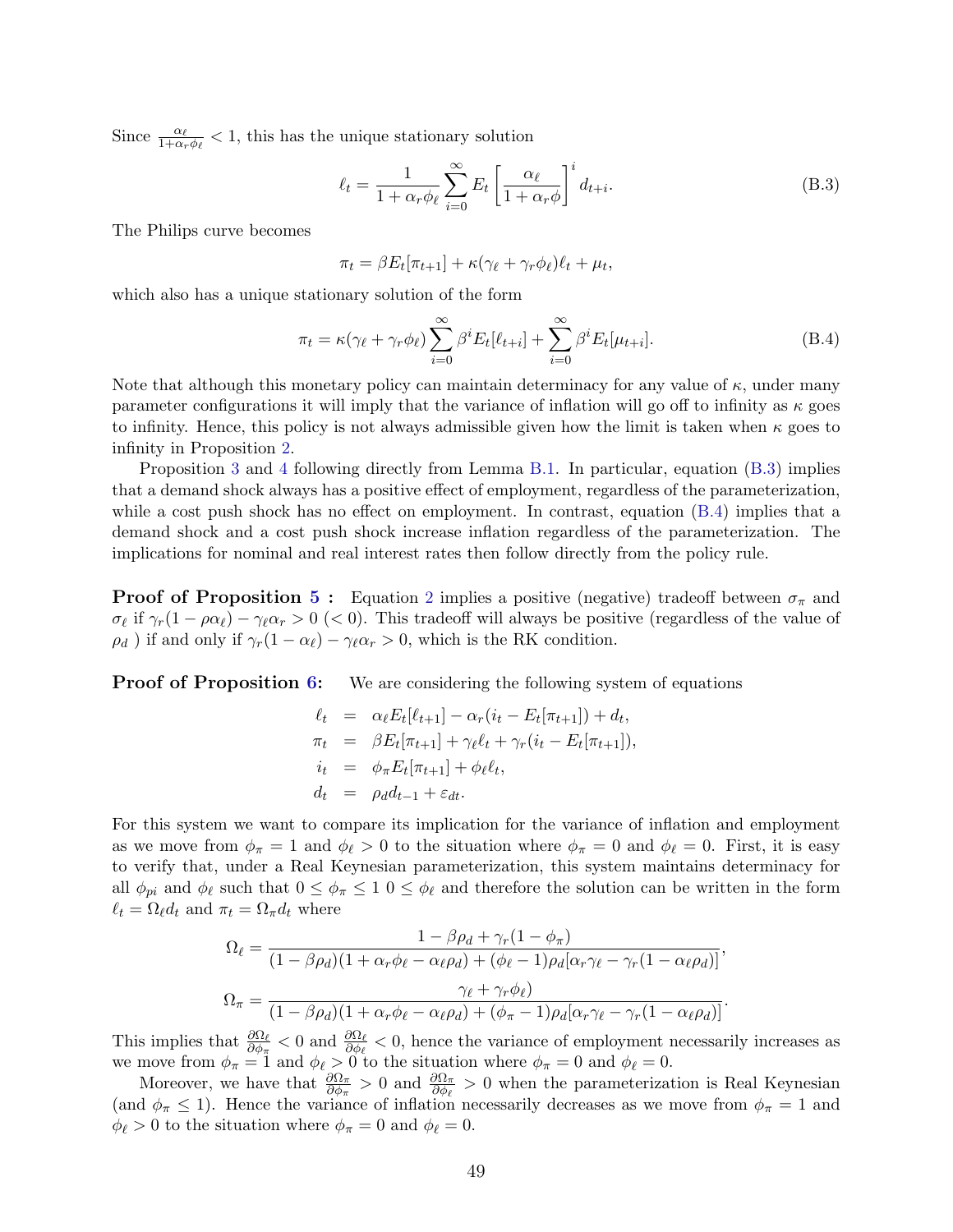Since  $\frac{\alpha_{\ell}}{1+\alpha_r\phi_{\ell}} < 1$ , this has the unique stationary solution

<span id="page-50-0"></span>
$$
\ell_t = \frac{1}{1 + \alpha_r \phi_\ell} \sum_{i=0}^{\infty} E_t \left[ \frac{\alpha_\ell}{1 + \alpha_r \phi} \right]^i d_{t+i}.
$$
 (B.3)

The Philips curve becomes

$$
\pi_t = \beta E_t[\pi_{t+1}] + \kappa (\gamma_\ell + \gamma_r \phi_\ell) \ell_t + \mu_t,
$$

which also has a unique stationary solution of the form

<span id="page-50-1"></span>
$$
\pi_t = \kappa(\gamma_\ell + \gamma_r \phi_\ell) \sum_{i=0}^{\infty} \beta^i E_t[\ell_{t+i}] + \sum_{i=0}^{\infty} \beta^i E_t[\mu_{t+i}].
$$
\n(B.4)

Note that although this monetary policy can maintain determinacy for any value of  $\kappa$ , under many parameter configurations it will imply that the variance of inflation will go off to infinity as  $\kappa$  goes to infinity. Hence, this policy is not always admissible given how the limit is taken when  $\kappa$  goes to infinity in Proposition [2.](#page-10-0)

Proposition [3](#page-11-0) and [4](#page-12-0) following directly from Lemma [B.1.](#page-49-0) In particular, equation [\(B.3\)](#page-50-0) implies that a demand shock always has a positive effect of employment, regardless of the parameterization, while a cost push shock has no effect on employment. In contrast, equation [\(B.4\)](#page-50-1) implies that a demand shock and a cost push shock increase inflation regardless of the parameterization. The implications for nominal and real interest rates then follow directly from the policy rule.

**Proof of Proposition [5](#page-12-1) :** Equation [2](#page-12-2) implies a positive (negative) tradeoff between  $\sigma_{\pi}$  and  $\sigma_\ell$  if  $\gamma_r(1 - \rho \alpha_\ell) - \gamma_\ell \alpha_r > 0$  (< 0). This tradeoff will always be positive (regardless of the value of  $\rho_d$ ) if and only if  $\gamma_r(1 - \alpha_\ell) - \gamma_\ell \alpha_r > 0$ , which is the RK condition.

**Proof of Proposition [6:](#page-14-0)** We are considering the following system of equations

$$
\ell_t = \alpha_{\ell} E_t[\ell_{t+1}] - \alpha_r (i_t - E_t[\pi_{t+1}]) + d_t,
$$
  
\n
$$
\pi_t = \beta E_t[\pi_{t+1}] + \gamma_{\ell} \ell_t + \gamma_r (i_t - E_t[\pi_{t+1}]),
$$
  
\n
$$
i_t = \phi_{\pi} E_t[\pi_{t+1}] + \phi_{\ell} \ell_t,
$$
  
\n
$$
d_t = \rho_d d_{t-1} + \varepsilon_{dt}.
$$

For this system we want to compare its implication for the variance of inflation and employment as we move from  $\phi_{\pi} = 1$  and  $\phi_{\ell} > 0$  to the situation where  $\phi_{\pi} = 0$  and  $\phi_{\ell} = 0$ . First, it is easy to verify that, under a Real Keynesian parameterization, this system maintains determinacy for all  $\phi_{pi}$  and  $\phi_{\ell}$  such that  $0 \le \phi_{\pi} \le 1$   $0 \le \phi_{\ell}$  and therefore the solution can be written in the form  $\ell_t = \Omega_\ell d_t$  and  $\pi_t = \Omega_\pi d_t$  where

$$
\Omega_{\ell} = \frac{1 - \beta \rho_d + \gamma_r (1 - \phi_{\pi})}{(1 - \beta \rho_d)(1 + \alpha_r \phi_{\ell} - \alpha_{\ell} \rho_d) + (\phi_{\ell} - 1) \rho_d [\alpha_r \gamma_{\ell} - \gamma_r (1 - \alpha_{\ell} \rho_d)]},
$$
  

$$
\Omega_{\pi} = \frac{\gamma_{\ell} + \gamma_r \phi_{\ell}}{(1 - \beta \rho_d)(1 + \alpha_r \phi_{\ell} - \alpha_{\ell} \rho_d) + (\phi_{\pi} - 1) \rho_d [\alpha_r \gamma_{\ell} - \gamma_r (1 - \alpha_{\ell} \rho_d)]}.
$$

This implies that  $\frac{\partial \Omega_{\ell}}{\partial \phi_{\pi}} < 0$  and  $\frac{\partial \Omega_{\ell}}{\partial \phi_{\ell}} < 0$ , hence the variance of employment necessarily increases as we move from  $\phi_{\pi} = 1$  and  $\phi_{\ell} > 0$  to the situation where  $\phi_{\pi} = 0$  and  $\phi_{\ell} = 0$ .

Moreover, we have that  $\frac{\partial \Omega_{\pi}}{\partial \phi_{\pi}} > 0$  and  $\frac{\partial \Omega_{\pi}}{\partial \phi_{\ell}} > 0$  when the parameterization is Real Keynesian (and  $\phi_{\pi} \leq 1$ ). Hence the variance of inflation necessarily decreases as we move from  $\phi_{\pi} = 1$  and  $\phi_{\ell} > 0$  to the situation where  $\phi_{\pi} = 0$  and  $\phi_{\ell} = 0$ .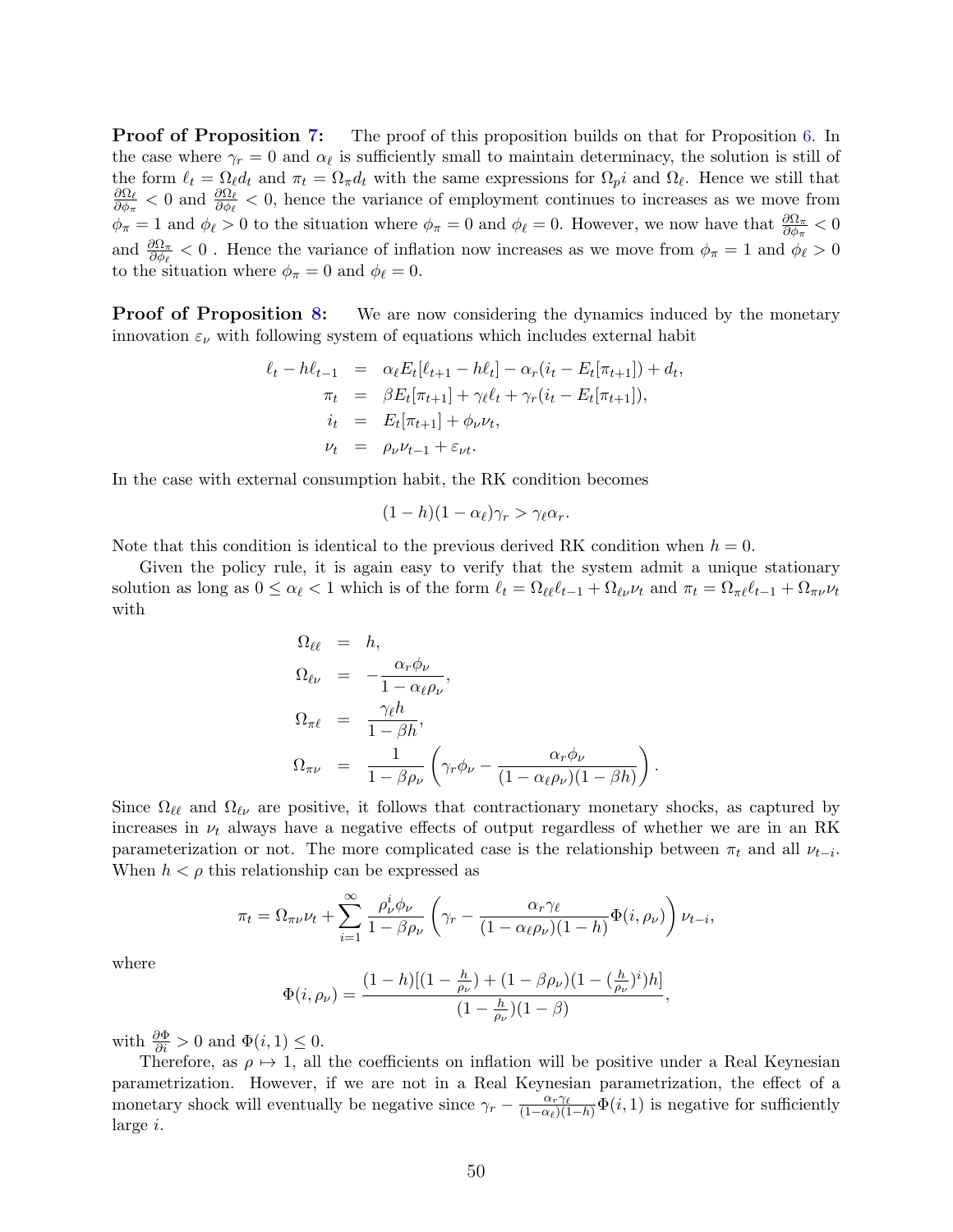**Proof of Proposition [7:](#page-15-0)** The proof of this proposition builds on that for Proposition [6.](#page-14-0) In the case where  $\gamma_r = 0$  and  $\alpha_\ell$  is sufficiently small to maintain determinacy, the solution is still of the form  $\ell_t = \Omega_\ell d_t$  and  $\pi_t = \Omega_\pi d_t$  with the same expressions for  $\Omega_p i$  and  $\Omega_\ell$ . Hence we still that  $\partial \Omega_\ell$  $\frac{\partial \Omega_\ell}{\partial \phi_\pi}$  < 0 and  $\frac{\partial \Omega_\ell}{\partial \phi_\ell}$  < 0, hence the variance of employment continues to increases as we move from  $\phi_{\pi} = 1$  and  $\phi_{\ell} > 0$  to the situation where  $\phi_{\pi} = 0$  and  $\phi_{\ell} = 0$ . However, we now have that  $\frac{\partial \Omega_{\pi}}{\partial \phi_{\pi}} < 0$ and  $\frac{\partial \Omega_\pi}{\partial \phi_\ell} < 0$ . Hence the variance of inflation now increases as we move from  $\phi_\pi = 1$  and  $\phi_\ell > 0$ to the situation where  $\phi_{\pi} = 0$  and  $\phi_{\ell} = 0$ .

**Proof of Proposition [8:](#page-35-0)** We are now considering the dynamics induced by the monetary innovation  $\varepsilon_{\nu}$  with following system of equations which includes external habit

$$
\ell_t - h\ell_{t-1} = \alpha_{\ell} E_t[\ell_{t+1} - h\ell_t] - \alpha_r (i_t - E_t[\pi_{t+1}]) + d_t,
$$
  
\n
$$
\pi_t = \beta E_t[\pi_{t+1}] + \gamma_{\ell}\ell_t + \gamma_r (i_t - E_t[\pi_{t+1}]),
$$
  
\n
$$
i_t = E_t[\pi_{t+1}] + \phi_{\nu} \nu_t,
$$
  
\n
$$
\nu_t = \rho_{\nu} \nu_{t-1} + \varepsilon_{\nu t}.
$$

In the case with external consumption habit, the RK condition becomes

$$
(1-h)(1-\alpha_{\ell})\gamma_r > \gamma_{\ell}\alpha_r.
$$

Note that this condition is identical to the previous derived RK condition when  $h = 0$ .

Given the policy rule, it is again easy to verify that the system admit a unique stationary solution as long as  $0 \leq \alpha_{\ell} < 1$  which is of the form  $\ell_t = \Omega_{\ell\ell} \ell_{t-1} + \Omega_{\ell\nu} \nu_t$  and  $\pi_t = \Omega_{\pi\ell} \ell_{t-1} + \Omega_{\pi\nu} \nu_t$ with

$$
\Omega_{\ell\ell} = h,
$$
\n
$$
\Omega_{\ell\nu} = -\frac{\alpha_r \phi_\nu}{1 - \alpha_\ell \rho_\nu},
$$
\n
$$
\Omega_{\pi\ell} = \frac{\gamma_\ell h}{1 - \beta h},
$$
\n
$$
\Omega_{\pi\nu} = \frac{1}{1 - \beta \rho_\nu} \left( \gamma_r \phi_\nu - \frac{\alpha_r \phi_\nu}{(1 - \alpha_\ell \rho_\nu)(1 - \beta h)} \right).
$$

Since  $\Omega_{\ell\ell}$  and  $\Omega_{\ell\nu}$  are positive, it follows that contractionary monetary shocks, as captured by increases in  $\nu_t$  always have a negative effects of output regardless of whether we are in an RK parameterization or not. The more complicated case is the relationship between  $\pi_t$  and all  $\nu_{t-i}$ . When  $h < \rho$  this relationship can be expressed as

$$
\pi_t = \Omega_{\pi\nu}\nu_t + \sum_{i=1}^{\infty} \frac{\rho_\nu^i \phi_\nu}{1 - \beta \rho_\nu} \left( \gamma_r - \frac{\alpha_r \gamma_\ell}{(1 - \alpha_\ell \rho_\nu)(1 - h)} \Phi(i, \rho_\nu) \right) \nu_{t-i},
$$

where

$$
\Phi(i,\rho_{\nu}) = \frac{(1-h)[(1-\frac{h}{\rho_{\nu}})+(1-\beta \rho_{\nu})(1-(\frac{h}{\rho_{\nu}})^i)h]}{(1-\frac{h}{\rho_{\nu}})(1-\beta)},
$$

with  $\frac{\partial \Phi}{\partial i} > 0$  and  $\Phi(i, 1) \leq 0$ .

Therefore, as  $\rho \mapsto 1$ , all the coefficients on inflation will be positive under a Real Keynesian parametrization. However, if we are not in a Real Keynesian parametrization, the effect of a monetary shock will eventually be negative since  $\gamma_r - \frac{\alpha_r \gamma_\ell}{(1-\alpha_\ell)(1-h)} \Phi(i, 1)$  is negative for sufficiently large i.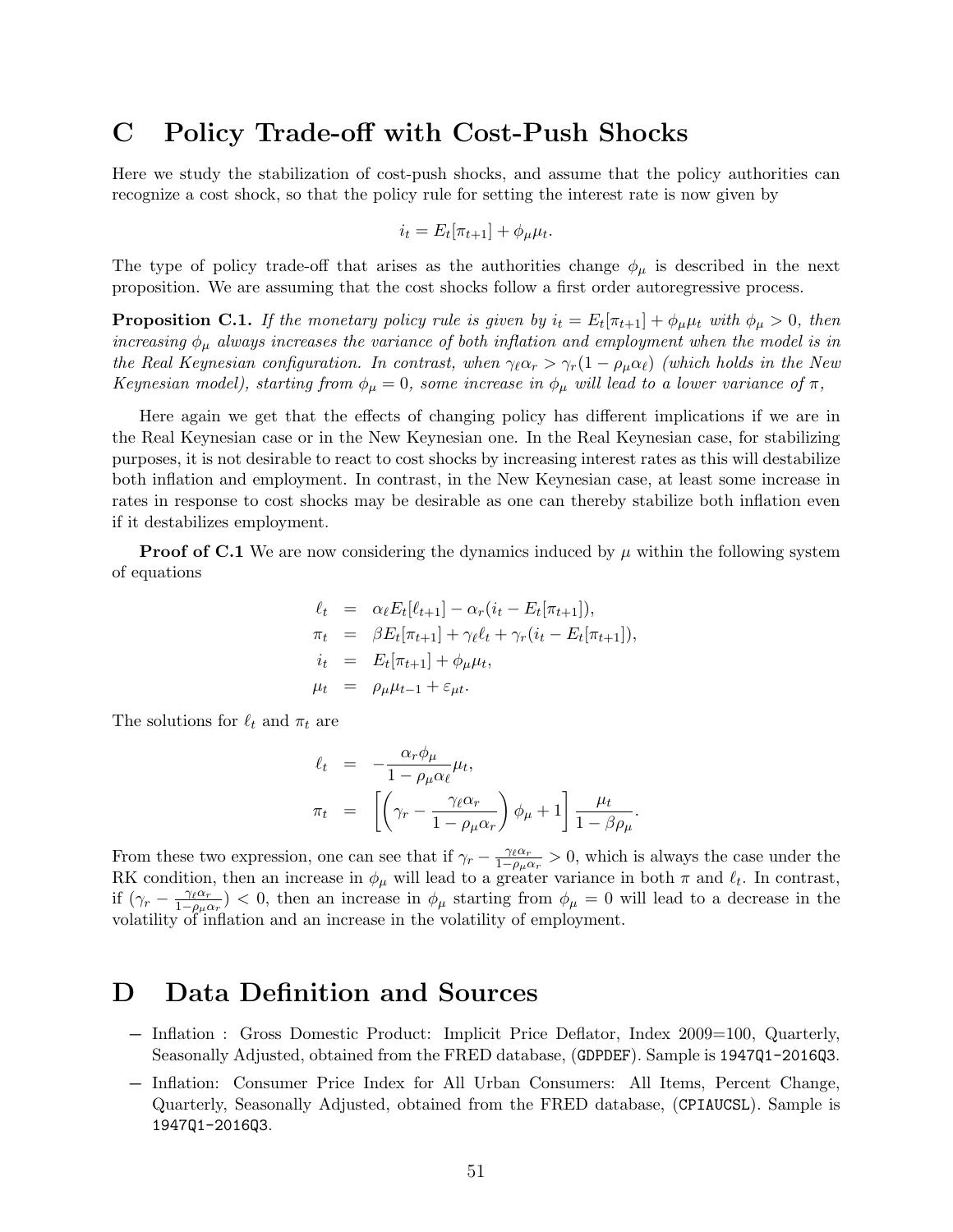### C Policy Trade-off with Cost-Push Shocks

Here we study the stabilization of cost-push shocks, and assume that the policy authorities can recognize a cost shock, so that the policy rule for setting the interest rate is now given by

$$
i_t = E_t[\pi_{t+1}] + \phi_\mu \mu_t.
$$

The type of policy trade-off that arises as the authorities change  $\phi_{\mu}$  is described in the next proposition. We are assuming that the cost shocks follow a first order autoregressive process.

**Proposition C.1.** If the monetary policy rule is given by  $i_t = E_t[\pi_{t+1}] + \phi_\mu \mu_t$  with  $\phi_\mu > 0$ , then increasing  $\phi_{\mu}$  always increases the variance of both inflation and employment when the model is in the Real Keynesian configuration. In contrast, when  $\gamma_{\ell} \alpha_r > \gamma_r(1 - \rho_{\mu} \alpha_{\ell})$  (which holds in the New Keynesian model), starting from  $\phi_{\mu} = 0$ , some increase in  $\phi_{\mu}$  will lead to a lower variance of  $\pi$ ,

Here again we get that the effects of changing policy has different implications if we are in the Real Keynesian case or in the New Keynesian one. In the Real Keynesian case, for stabilizing purposes, it is not desirable to react to cost shocks by increasing interest rates as this will destabilize both inflation and employment. In contrast, in the New Keynesian case, at least some increase in rates in response to cost shocks may be desirable as one can thereby stabilize both inflation even if it destabilizes employment.

**Proof of C.1** We are now considering the dynamics induced by  $\mu$  within the following system of equations

$$
\ell_t = \alpha_{\ell} E_t[\ell_{t+1}] - \alpha_r (i_t - E_t[\pi_{t+1}]),
$$
  
\n
$$
\pi_t = \beta E_t[\pi_{t+1}] + \gamma_{\ell} \ell_t + \gamma_r (i_t - E_t[\pi_{t+1}]),
$$
  
\n
$$
i_t = E_t[\pi_{t+1}] + \phi_{\mu} \mu_t,
$$
  
\n
$$
\mu_t = \rho_{\mu} \mu_{t-1} + \varepsilon_{\mu t}.
$$

The solutions for  $\ell_t$  and  $\pi_t$  are

$$
\ell_t = -\frac{\alpha_r \phi_\mu}{1 - \rho_\mu \alpha_\ell} \mu_t,
$$
  

$$
\pi_t = \left[ \left( \gamma_r - \frac{\gamma_\ell \alpha_r}{1 - \rho_\mu \alpha_r} \right) \phi_\mu + 1 \right] \frac{\mu_t}{1 - \beta \rho_\mu}.
$$

From these two expression, one can see that if  $\gamma_r - \frac{\gamma_\ell \alpha_r}{1 - \alpha_r \alpha_r}$  $\frac{\gamma_{\ell} \alpha_r}{1-\rho_{\mu} \alpha_r} > 0$ , which is always the case under the RK condition, then an increase in  $\phi_{\mu}$  will lead to a greater variance in both  $\pi$  and  $\ell_t$ . In contrast, if  $(\gamma_r - \frac{\gamma_\ell \alpha_r}{1 - \rho_{\ell} \alpha_r})$  $\frac{\gamma_{\ell} \alpha_r}{1-\rho_{\mu} \alpha_r}$  < 0, then an increase in  $\phi_{\mu}$  starting from  $\phi_{\mu} = 0$  will lead to a decrease in the volatility of inflation and an increase in the volatility of employment.

## D Data Definition and Sources

- − Inflation : Gross Domestic Product: Implicit Price Deflator, Index 2009=100, Quarterly, Seasonally Adjusted, obtained from the FRED database, (GDPDEF). Sample is 1947Q1-2016Q3.
- − Inflation: Consumer Price Index for All Urban Consumers: All Items, Percent Change, Quarterly, Seasonally Adjusted, obtained from the FRED database, (CPIAUCSL). Sample is 1947Q1-2016Q3.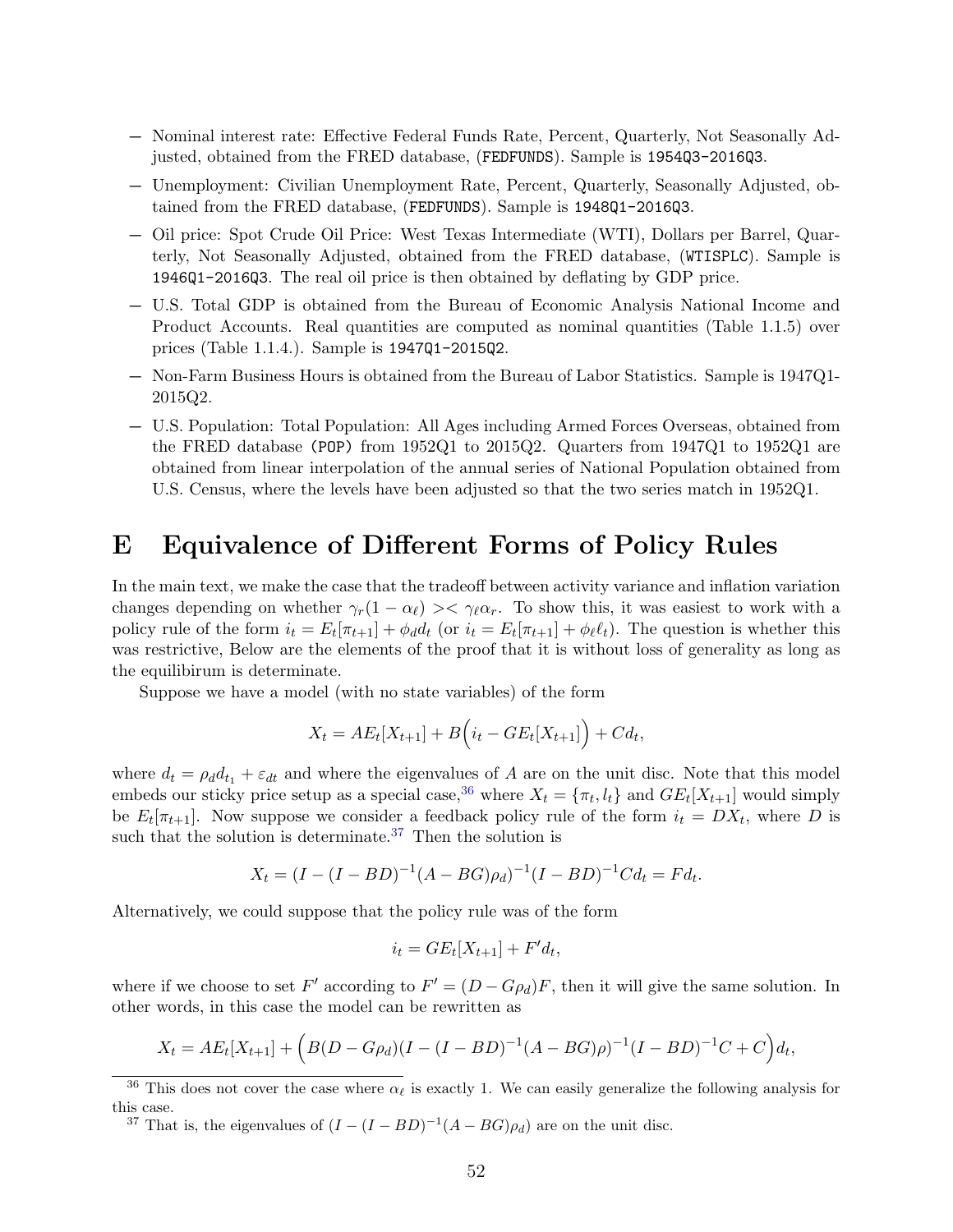- − Nominal interest rate: Effective Federal Funds Rate, Percent, Quarterly, Not Seasonally Adjusted, obtained from the FRED database, (FEDFUNDS). Sample is 1954Q3-2016Q3.
- − Unemployment: Civilian Unemployment Rate, Percent, Quarterly, Seasonally Adjusted, obtained from the FRED database, (FEDFUNDS). Sample is 1948Q1-2016Q3.
- − Oil price: Spot Crude Oil Price: West Texas Intermediate (WTI), Dollars per Barrel, Quarterly, Not Seasonally Adjusted, obtained from the FRED database, (WTISPLC). Sample is 1946Q1-2016Q3. The real oil price is then obtained by deflating by GDP price.
- − U.S. Total GDP is obtained from the Bureau of Economic Analysis National Income and Product Accounts. Real quantities are computed as nominal quantities (Table 1.1.5) over prices (Table 1.1.4.). Sample is 1947Q1-2015Q2.
- − Non-Farm Business Hours is obtained from the Bureau of Labor Statistics. Sample is 1947Q1- 2015Q2.
- − U.S. Population: Total Population: All Ages including Armed Forces Overseas, obtained from the FRED database (POP) from 1952Q1 to 2015Q2. Quarters from 1947Q1 to 1952Q1 are obtained from linear interpolation of the annual series of National Population obtained from U.S. Census, where the levels have been adjusted so that the two series match in 1952Q1.

## E Equivalence of Different Forms of Policy Rules

In the main text, we make the case that the tradeoff between activity variance and inflation variation changes depending on whether  $\gamma_r(1 - \alpha_\ell) \ll \gamma_\ell \alpha_r$ . To show this, it was easiest to work with a policy rule of the form  $i_t = E_t[\pi_{t+1}] + \phi_d d_t$  (or  $i_t = E_t[\pi_{t+1}] + \phi_\ell \ell_t$ ). The question is whether this was restrictive, Below are the elements of the proof that it is without loss of generality as long as the equilibirum is determinate.

Suppose we have a model (with no state variables) of the form

$$
X_t = AE_t[X_{t+1}] + B(i_t - GE_t[X_{t+1}]) + Cd_t,
$$

where  $d_t = \rho_d d_{t_1} + \varepsilon_{dt}$  and where the eigenvalues of A are on the unit disc. Note that this model embeds our sticky price setup as a special case,<sup>[36](#page-53-0)</sup> where  $X_t = \{\pi_t, l_t\}$  and  $GE_t[X_{t+1}]$  would simply be  $E_t[\pi_{t+1}]$ . Now suppose we consider a feedback policy rule of the form  $i_t = DX_t$ , where D is such that the solution is determinate.<sup>[37](#page-53-1)</sup> Then the solution is

$$
X_t = (I - (I - BD)^{-1}(A - BG)\rho_d)^{-1}(I - BD)^{-1}Cd_t = Fd_t.
$$

Alternatively, we could suppose that the policy rule was of the form

$$
i_t = GE_t[X_{t+1}] + F'd_t,
$$

where if we choose to set F' according to  $F' = (D - G\rho_d)F$ , then it will give the same solution. In other words, in this case the model can be rewritten as

$$
X_t = AE_t[X_{t+1}] + (B(D - G\rho_d)(I - (I - BD)^{-1}(A - BG)\rho)^{-1}(I - BD)^{-1}C + C)d_t,
$$

<span id="page-53-1"></span><sup>37</sup> That is, the eigenvalues of  $(I - (I - BD)^{-1}(A - BG)\rho_d)$  are on the unit disc.

<span id="page-53-0"></span><sup>&</sup>lt;sup>36</sup> This does not cover the case where  $\alpha_{\ell}$  is exactly 1. We can easily generalize the following analysis for this case.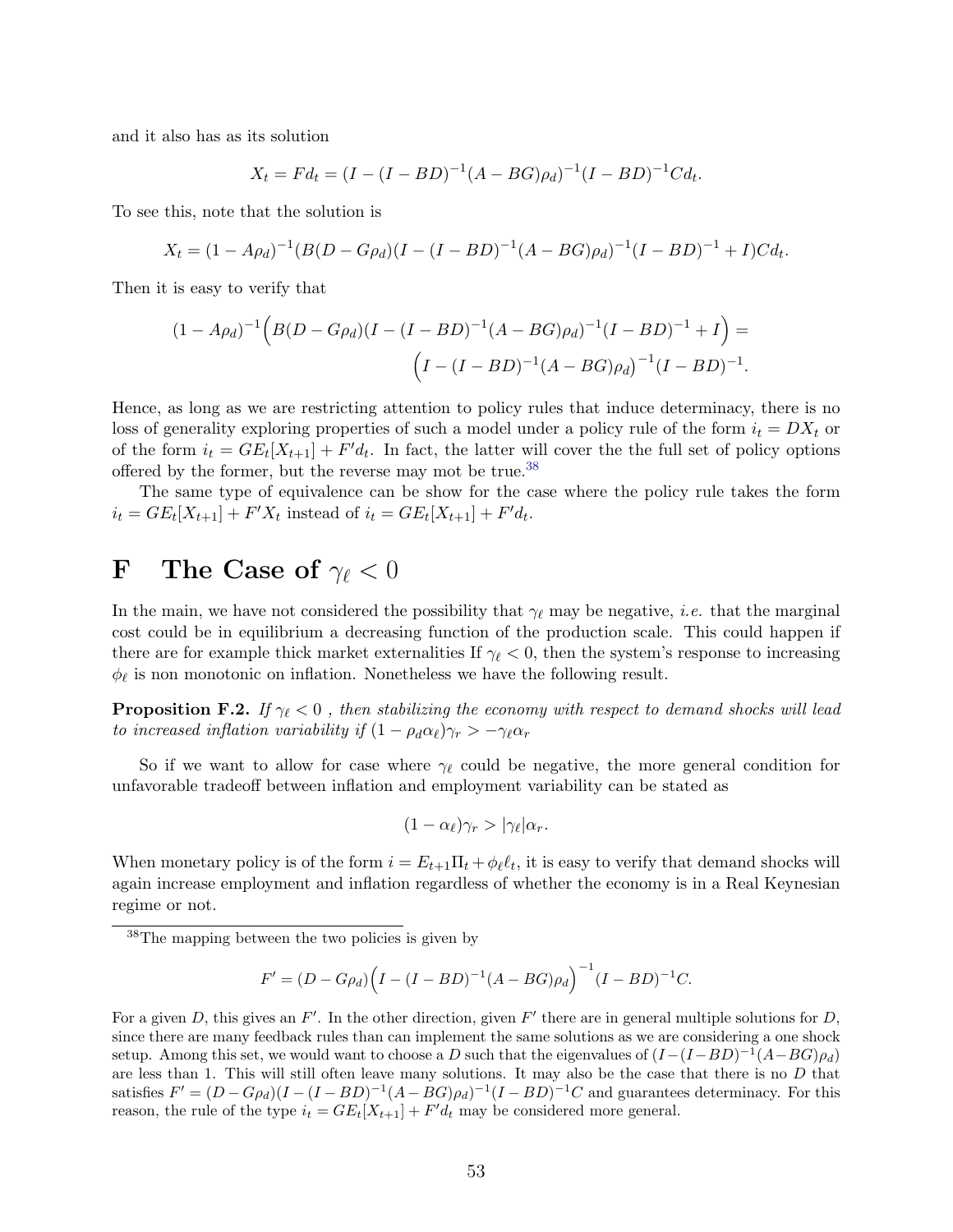and it also has as its solution

$$
X_t = Fd_t = (I - (I - BD)^{-1}(A - BG)\rho_d)^{-1}(I - BD)^{-1}Cd_t.
$$

To see this, note that the solution is

 $X_t = (1 - A\rho_d)^{-1}(B(D - G\rho_d)(I - (I - BD)^{-1}(A - BG)\rho_d)^{-1}(I - BD)^{-1} + I)Cd_t.$ 

Then it is easy to verify that

$$
(1 - A\rho_d)^{-1} \Big( B(D - G\rho_d)(I - (I - BD)^{-1}(A - BG)\rho_d)^{-1}(I - BD)^{-1} + I \Big) =
$$
  

$$
\Big( I - (I - BD)^{-1}(A - BG)\rho_d \Big)^{-1}(I - BD)^{-1}.
$$

Hence, as long as we are restricting attention to policy rules that induce determinacy, there is no loss of generality exploring properties of such a model under a policy rule of the form  $i_t = DX_t$  or of the form  $i_t = GE_t[X_{t+1}] + F'd_t$ . In fact, the latter will cover the the full set of policy options offered by the former, but the reverse may mot be true.<sup>[38](#page-54-0)</sup>

The same type of equivalence can be show for the case where the policy rule takes the form  $i_t = GE_t[X_{t+1}] + F'X_t$  instead of  $i_t = GE_t[X_{t+1}] + F'd_t$ .

# F The Case of  $\gamma_{\ell} < 0$

In the main, we have not considered the possibility that  $\gamma_{\ell}$  may be negative, *i.e.* that the marginal cost could be in equilibrium a decreasing function of the production scale. This could happen if there are for example thick market externalities If  $\gamma_{\ell} < 0$ , then the system's response to increasing  $\phi_{\ell}$  is non monotonic on inflation. Nonetheless we have the following result.

**Proposition F.2.** If  $\gamma_{\ell} < 0$ , then stabilizing the economy with respect to demand shocks will lead to increased inflation variability if  $(1 - \rho_d \alpha_\ell) \gamma_r > -\gamma_\ell \alpha_r$ 

So if we want to allow for case where  $\gamma_{\ell}$  could be negative, the more general condition for unfavorable tradeoff between inflation and employment variability can be stated as

$$
(1-\alpha_{\ell})\gamma_r > |\gamma_{\ell}|\alpha_r.
$$

When monetary policy is of the form  $i = E_{t+1} \Pi_t + \phi_\ell \ell_t$ , it is easy to verify that demand shocks will again increase employment and inflation regardless of whether the economy is in a Real Keynesian regime or not.

$$
F' = (D - G\rho_d)\Big(I - (I - BD)^{-1}(A - BG)\rho_d\Big)^{-1}(I - BD)^{-1}C.
$$

<span id="page-54-0"></span><sup>38</sup>The mapping between the two policies is given by

For a given D, this gives an  $F'$ . In the other direction, given  $F'$  there are in general multiple solutions for D, since there are many feedback rules than can implement the same solutions as we are considering a one shock setup. Among this set, we would want to choose a D such that the eigenvalues of  $(I-(I-BD)^{-1}(A-BG)\rho_d)$ are less than 1. This will still often leave many solutions. It may also be the case that there is no  $D$  that satisfies  $F' = (D - G\rho_d)(I - (I - BD)^{-1}(A - BG)\rho_d)^{-1}(I - BD)^{-1}C$  and guarantees determinacy. For this reason, the rule of the type  $i_t = GE_t[X_{t+1}] + F'd_t$  may be considered more general.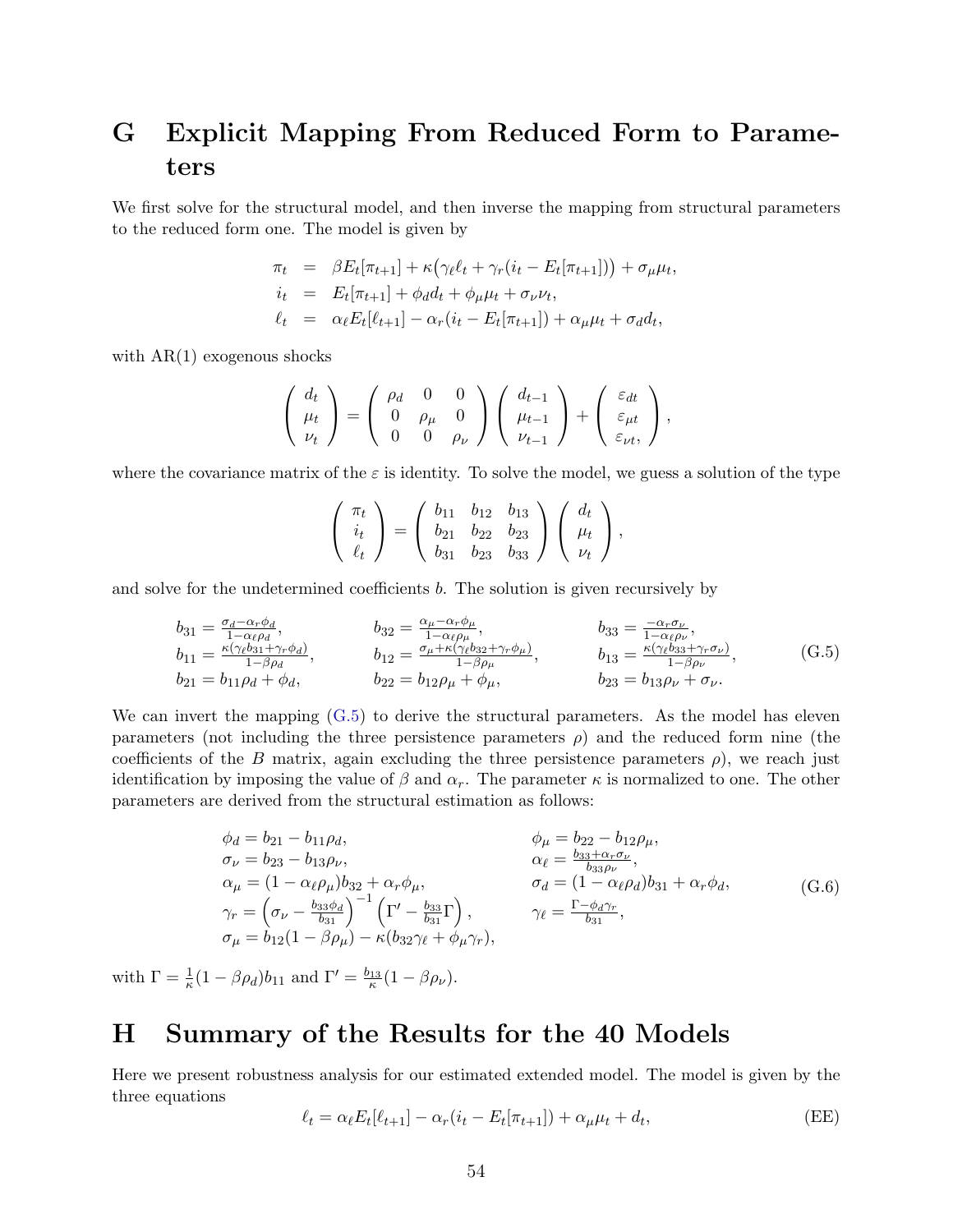# <span id="page-55-1"></span>G Explicit Mapping From Reduced Form to Parameters

We first solve for the structural model, and then inverse the mapping from structural parameters to the reduced form one. The model is given by

$$
\pi_t = \beta E_t[\pi_{t+1}] + \kappa (\gamma_{\ell} \ell_t + \gamma_r (i_t - E_t[\pi_{t+1}])) + \sigma_{\mu} \mu_t,\n i_t = E_t[\pi_{t+1}] + \phi_d d_t + \phi_{\mu} \mu_t + \sigma_{\nu} \nu_t,\n \ell_t = \alpha_{\ell} E_t[\ell_{t+1}] - \alpha_r (i_t - E_t[\pi_{t+1}]) + \alpha_{\mu} \mu_t + \sigma_d d_t,
$$

with  $AR(1)$  exogenous shocks

$$
\left(\begin{array}{c} d_t \\ \mu_t \\ \nu_t \end{array}\right) = \left(\begin{array}{ccc} \rho_d & 0 & 0 \\ 0 & \rho_\mu & 0 \\ 0 & 0 & \rho_\nu \end{array}\right) \left(\begin{array}{c} d_{t-1} \\ \mu_{t-1} \\ \nu_{t-1} \end{array}\right) + \left(\begin{array}{c} \varepsilon_{dt} \\ \varepsilon_{\mu t} \\ \varepsilon_{\nu t} \end{array}\right),
$$

where the covariance matrix of the  $\varepsilon$  is identity. To solve the model, we guess a solution of the type

$$
\begin{pmatrix} \pi_t \\ i_t \\ \ell_t \end{pmatrix} = \begin{pmatrix} b_{11} & b_{12} & b_{13} \\ b_{21} & b_{22} & b_{23} \\ b_{31} & b_{23} & b_{33} \end{pmatrix} \begin{pmatrix} d_t \\ \mu_t \\ \nu_t \end{pmatrix},
$$

and solve for the undetermined coefficients b. The solution is given recursively by

<span id="page-55-0"></span>
$$
b_{31} = \frac{\sigma_d - \alpha_r \phi_d}{1 - \alpha_\ell \rho_d}, \qquad b_{32} = \frac{\alpha_\mu - \alpha_r \phi_\mu}{1 - \alpha_\ell \rho_\mu}, \qquad b_{33} = \frac{-\alpha_r \sigma_\nu}{1 - \alpha_\ell \rho_\nu}, \n b_{11} = \frac{\kappa (\gamma_\ell b_{31} + \gamma_r \phi_d)}{1 - \beta \rho_d}, \qquad b_{12} = \frac{\sigma_\mu + \kappa (\gamma_\ell b_{32} + \gamma_r \phi_\mu)}{1 - \beta \rho_\mu}, \qquad b_{13} = \frac{\kappa (\gamma_\ell b_{33} + \gamma_r \sigma_\nu)}{1 - \beta \rho_\nu}, \n b_{21} = b_{11} \rho_d + \phi_d, \qquad b_{22} = b_{12} \rho_\mu + \phi_\mu, \qquad b_{23} = b_{13} \rho_\nu + \sigma_\nu.
$$
\n(G.5)

We can invert the mapping  $(G.5)$  to derive the structural parameters. As the model has eleven parameters (not including the three persistence parameters  $\rho$ ) and the reduced form nine (the coefficients of the B matrix, again excluding the three persistence parameters  $\rho$ ), we reach just identification by imposing the value of  $\beta$  and  $\alpha_r$ . The parameter  $\kappa$  is normalized to one. The other parameters are derived from the structural estimation as follows:

<span id="page-55-2"></span>
$$
\phi_d = b_{21} - b_{11}\rho_d, \qquad \phi_\mu = b_{22} - b_{12}\rho_\mu, \n\sigma_\nu = b_{23} - b_{13}\rho_\nu, \qquad \alpha_\ell = \frac{b_{33} + \alpha_r \sigma_\nu}{b_{33}\rho_\nu}, \n\alpha_\mu = (1 - \alpha_\ell \rho_\mu) b_{32} + \alpha_r \phi_\mu, \qquad \sigma_d = (1 - \alpha_\ell \rho_d) b_{31} + \alpha_r \phi_d, \n\gamma_r = \left(\sigma_\nu - \frac{b_{33}\phi_d}{b_{31}}\right)^{-1} \left(\Gamma' - \frac{b_{33}}{b_{31}}\Gamma\right), \qquad \gamma_\ell = \frac{\Gamma - \phi_d \gamma_r}{b_{31}}, \n\sigma_\mu = b_{12}(1 - \beta \rho_\mu) - \kappa (b_{32}\gamma_\ell + \phi_\mu \gamma_r), \qquad (G.6)
$$

with  $\Gamma = \frac{1}{\kappa} (1 - \beta \rho_d) b_{11}$  and  $\Gamma' = \frac{b_{13}}{\kappa} (1 - \beta \rho_\nu)$ .

### H Summary of the Results for the 40 Models

Here we present robustness analysis for our estimated extended model. The model is given by the three equations

$$
\ell_t = \alpha_\ell E_t[\ell_{t+1}] - \alpha_r(i_t - E_t[\pi_{t+1}]) + \alpha_\mu \mu_t + d_t,
$$
 (EE)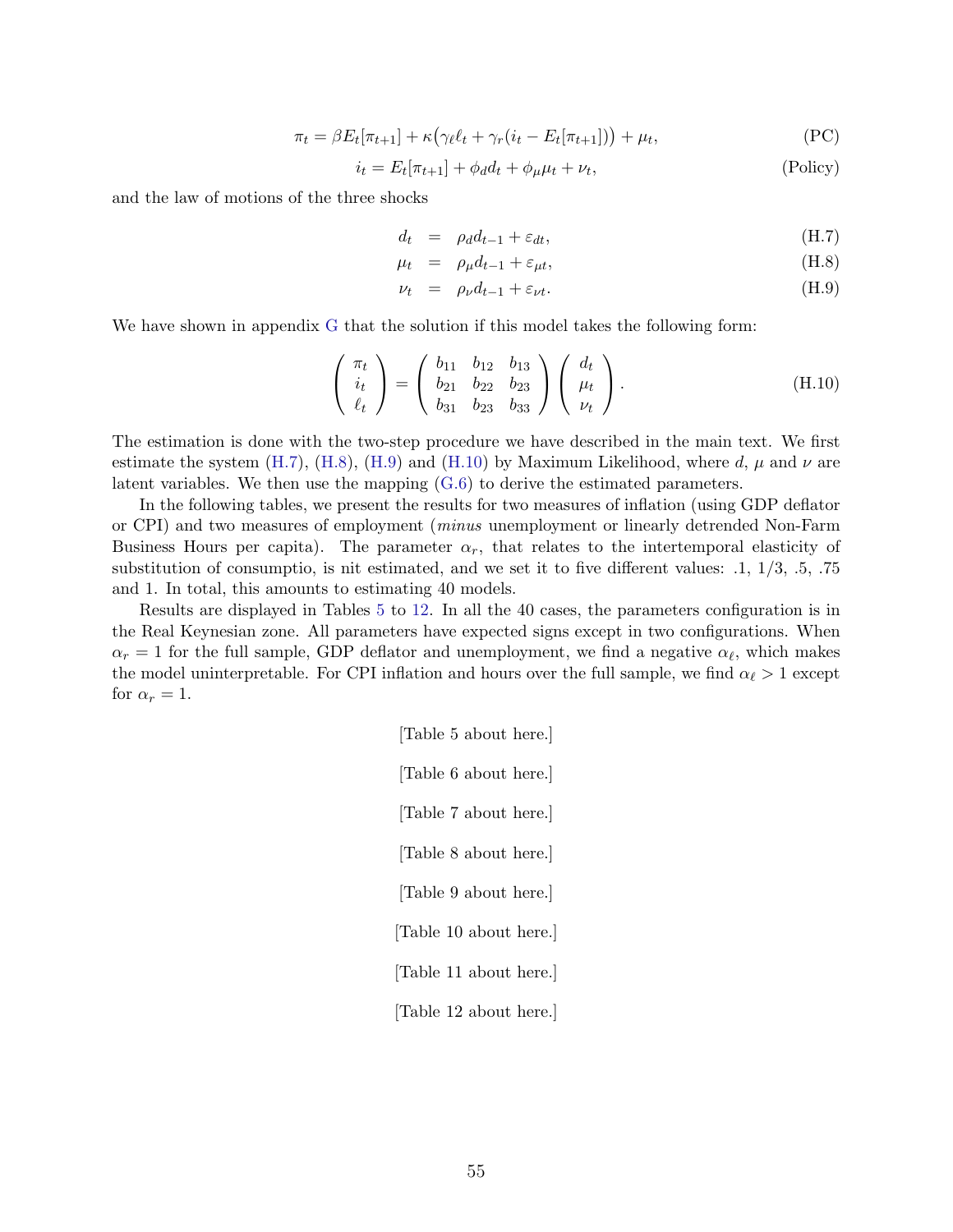$$
\pi_t = \beta E_t[\pi_{t+1}] + \kappa \left( \gamma_\ell \ell_t + \gamma_r (i_t - E_t[\pi_{t+1}]) \right) + \mu_t,
$$
\n(PC)

$$
i_t = E_t[\pi_{t+1}] + \phi_d d_t + \phi_\mu \mu_t + \nu_t,
$$
\n(Policy)

and the law of motions of the three shocks

<span id="page-56-0"></span>
$$
d_t = \rho_d d_{t-1} + \varepsilon_{dt}, \tag{H.7}
$$

$$
\mu_t = \rho_\mu d_{t-1} + \varepsilon_{\mu t}, \tag{H.8}
$$

$$
\nu_t = \rho_\nu d_{t-1} + \varepsilon_{\nu t}.\tag{H.9}
$$

We have shown in appendix [G](#page-55-1) that the solution if this model takes the following form:

<span id="page-56-1"></span>
$$
\begin{pmatrix} \pi_t \\ i_t \\ \ell_t \end{pmatrix} = \begin{pmatrix} b_{11} & b_{12} & b_{13} \\ b_{21} & b_{22} & b_{23} \\ b_{31} & b_{23} & b_{33} \end{pmatrix} \begin{pmatrix} d_t \\ \mu_t \\ \nu_t \end{pmatrix}.
$$
 (H.10)

The estimation is done with the two-step procedure we have described in the main text. We first estimate the system [\(H.7\)](#page-56-0), [\(H.8\)](#page-56-0), [\(H.9\)](#page-56-0) and [\(H.10\)](#page-56-1) by Maximum Likelihood, where d,  $\mu$  and  $\nu$  are latent variables. We then use the mapping [\(G.6\)](#page-55-2) to derive the estimated parameters.

In the following tables, we present the results for two measures of inflation (using GDP deflator or CPI) and two measures of employment (minus unemployment or linearly detrended Non-Farm Business Hours per capita). The parameter  $\alpha_r$ , that relates to the intertemporal elasticity of substitution of consumptio, is nit estimated, and we set it to five different values: .1, 1/3, .5, .75 and 1. In total, this amounts to estimating 40 models.

Results are displayed in Tables [5](#page-76-0) to [12.](#page-79-0) In all the 40 cases, the parameters configuration is in the Real Keynesian zone. All parameters have expected signs except in two configurations. When  $\alpha_r = 1$  for the full sample, GDP deflator and unemployment, we find a negative  $\alpha_{\ell}$ , which makes the model uninterpretable. For CPI inflation and hours over the full sample, we find  $\alpha_{\ell} > 1$  except for  $\alpha_r = 1$ .

> [Table 5 about here.] [Table 6 about here.] [Table 7 about here.] [Table 8 about here.] [Table 9 about here.] [Table 10 about here.] [Table 11 about here.] [Table 12 about here.]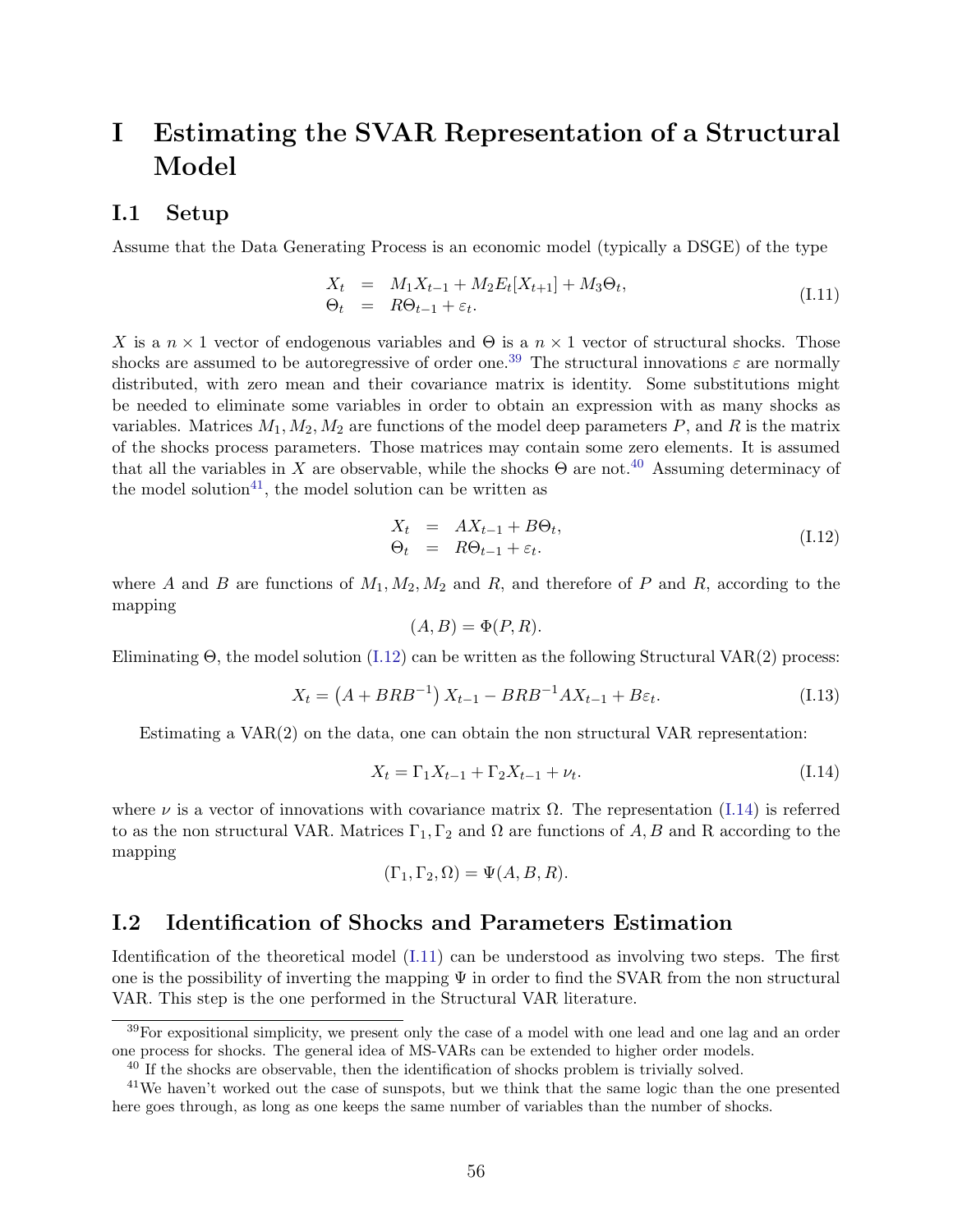# I Estimating the SVAR Representation of a Structural Model

#### I.1 Setup

Assume that the Data Generating Process is an economic model (typically a DSGE) of the type

<span id="page-57-5"></span>
$$
X_t = M_1 X_{t-1} + M_2 E_t [X_{t+1}] + M_3 \Theta_t,
$$
  
\n
$$
\Theta_t = R \Theta_{t-1} + \varepsilon_t.
$$
\n(I.11)

X is a  $n \times 1$  vector of endogenous variables and  $\Theta$  is a  $n \times 1$  vector of structural shocks. Those shocks are assumed to be autoregressive of order one.<sup>[39](#page-57-0)</sup> The structural innovations  $\varepsilon$  are normally distributed, with zero mean and their covariance matrix is identity. Some substitutions might be needed to eliminate some variables in order to obtain an expression with as many shocks as variables. Matrices  $M_1, M_2, M_2$  are functions of the model deep parameters P, and R is the matrix of the shocks process parameters. Those matrices may contain some zero elements. It is assumed that all the variables in X are observable, while the shocks  $\Theta$  are not.<sup>[40](#page-57-1)</sup> Assuming determinacy of the model solution<sup>[41](#page-57-2)</sup>, the model solution can be written as

<span id="page-57-3"></span>
$$
X_t = AX_{t-1} + B\Theta_t,
$$
  
\n
$$
\Theta_t = R\Theta_{t-1} + \varepsilon_t.
$$
\n(1.12)

where A and B are functions of  $M_1, M_2, M_2$  and R, and therefore of P and R, according to the mapping

$$
(A, B) = \Phi(P, R).
$$

Eliminating  $\Theta$ , the model solution [\(I.12\)](#page-57-3) can be written as the following Structural VAR(2) process:

<span id="page-57-6"></span>
$$
X_t = (A + BRB^{-1}) X_{t-1} - BRB^{-1}AX_{t-1} + B\varepsilon_t.
$$
 (I.13)

Estimating a  $VAR(2)$  on the data, one can obtain the non structural VAR representation:

<span id="page-57-4"></span>
$$
X_t = \Gamma_1 X_{t-1} + \Gamma_2 X_{t-1} + \nu_t.
$$
 (I.14)

where  $\nu$  is a vector of innovations with covariance matrix  $\Omega$ . The representation [\(I.14\)](#page-57-4) is referred to as the non structural VAR. Matrices  $\Gamma_1, \Gamma_2$  and  $\Omega$  are functions of A, B and R according to the mapping

$$
(\Gamma_1, \Gamma_2, \Omega) = \Psi(A, B, R).
$$

### I.2 Identification of Shocks and Parameters Estimation

Identification of the theoretical model [\(I.11\)](#page-57-5) can be understood as involving two steps. The first one is the possibility of inverting the mapping  $\Psi$  in order to find the SVAR from the non structural VAR. This step is the one performed in the Structural VAR literature.

<span id="page-57-0"></span><sup>&</sup>lt;sup>39</sup>For expositional simplicity, we present only the case of a model with one lead and one lag and an order one process for shocks. The general idea of MS-VARs can be extended to higher order models.

<span id="page-57-2"></span><span id="page-57-1"></span><sup>&</sup>lt;sup>40</sup> If the shocks are observable, then the identification of shocks problem is trivially solved.

<sup>41</sup>We haven't worked out the case of sunspots, but we think that the same logic than the one presented here goes through, as long as one keeps the same number of variables than the number of shocks.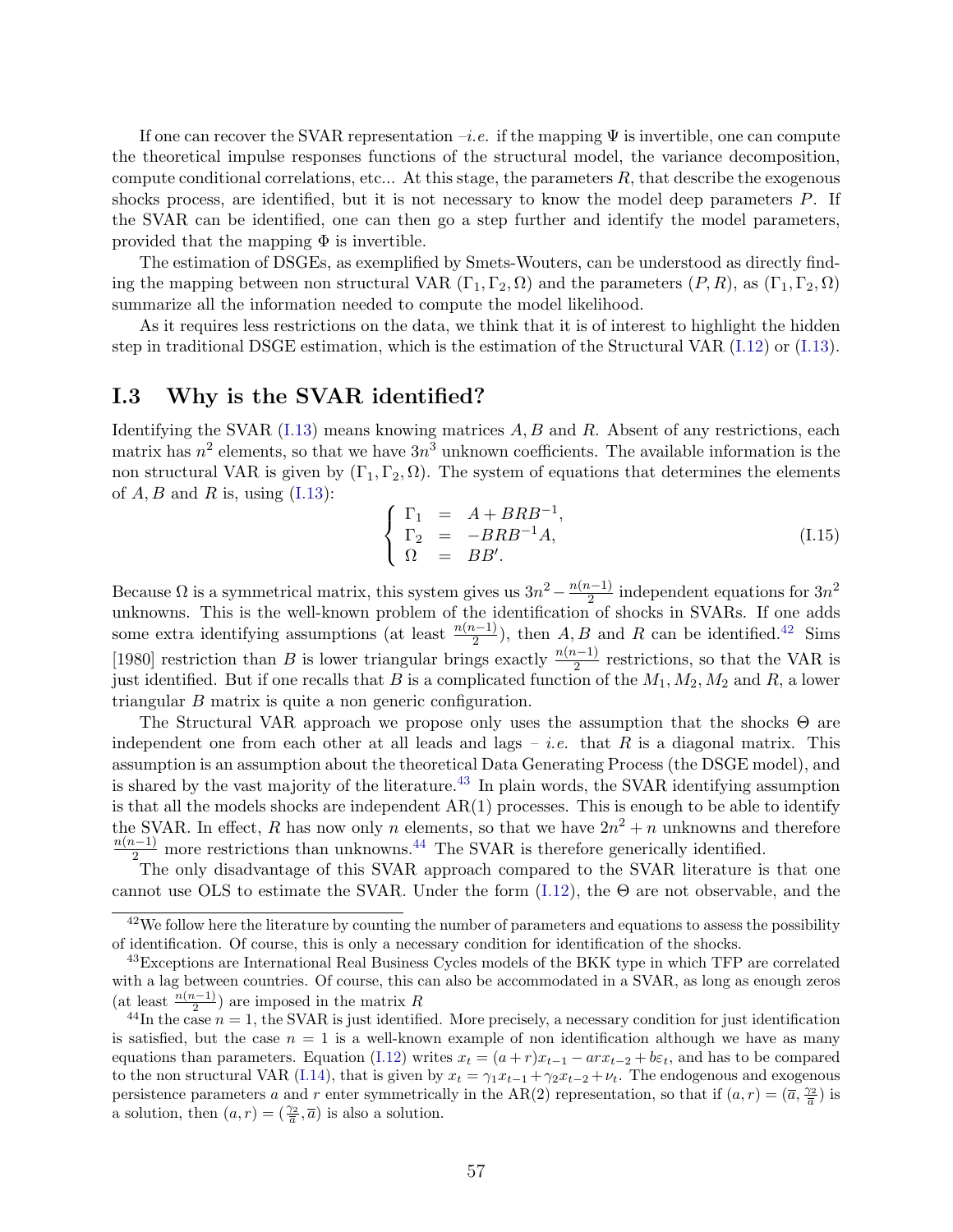If one can recover the SVAR representation  $-i.e.$  if the mapping  $\Psi$  is invertible, one can compute the theoretical impulse responses functions of the structural model, the variance decomposition, compute conditional correlations, etc... At this stage, the parameters  $R$ , that describe the exogenous shocks process, are identified, but it is not necessary to know the model deep parameters P. If the SVAR can be identified, one can then go a step further and identify the model parameters, provided that the mapping  $\Phi$  is invertible.

The estimation of DSGEs, as exemplified by Smets-Wouters, can be understood as directly finding the mapping between non structural VAR  $(\Gamma_1, \Gamma_2, \Omega)$  and the parameters  $(P, R)$ , as  $(\Gamma_1, \Gamma_2, \Omega)$ summarize all the information needed to compute the model likelihood.

As it requires less restrictions on the data, we think that it is of interest to highlight the hidden step in traditional DSGE estimation, which is the estimation of the Structural VAR [\(I.12\)](#page-57-3) or [\(I.13\)](#page-57-6).

#### I.3 Why is the SVAR identified?

Identifying the SVAR  $(1.13)$  means knowing matrices  $A, B$  and  $R$ . Absent of any restrictions, each matrix has  $n^2$  elements, so that we have  $3n^3$  unknown coefficients. The available information is the non structural VAR is given by  $(\Gamma_1, \Gamma_2, \Omega)$ . The system of equations that determines the elements of  $A, B$  and  $R$  is, using  $(I.13)$ :

$$
\begin{cases}\n\Gamma_1 = A + BRB^{-1}, \\
\Gamma_2 = -BRB^{-1}A, \\
\Omega = BB'.\n\end{cases}
$$
\n(I.15)

Because  $\Omega$  is a symmetrical matrix, this system gives us  $3n^2 - \frac{n(n-1)}{2}$  $\frac{1}{2}$  independent equations for  $3n^2$ unknowns. This is the well-known problem of the identification of shocks in SVARs. If one adds some extra identifying assumptions (at least  $\frac{n(n-1)}{2}$ ), then A, B and R can be identified.<sup>[42](#page-58-0)</sup> Sims [1980] restriction than B is lower triangular brings exactly  $\frac{n(n-1)}{2}$  restrictions, so that the VAR is just identified. But if one recalls that B is a complicated function of the  $M_1, M_2, M_2$  and R, a lower triangular B matrix is quite a non generic configuration.

The Structural VAR approach we propose only uses the assumption that the shocks Θ are independent one from each other at all leads and lags – *i.e.* that R is a diagonal matrix. This assumption is an assumption about the theoretical Data Generating Process (the DSGE model), and is shared by the vast majority of the literature.<sup>[43](#page-58-1)</sup> In plain words, the SVAR identifying assumption is that all the models shocks are independent AR(1) processes. This is enough to be able to identify the SVAR. In effect, R has now only n elements, so that we have  $2n^2 + n$  unknowns and therefore  $\frac{n(n-1)}{2}$  more restrictions than unknowns.<sup>[44](#page-58-2)</sup> The SVAR is therefore generically identified.

The only disadvantage of this SVAR approach compared to the SVAR literature is that one cannot use OLS to estimate the SVAR. Under the form  $(1.12)$ , the  $\Theta$  are not observable, and the

<span id="page-58-0"></span> $42$ We follow here the literature by counting the number of parameters and equations to assess the possibility of identification. Of course, this is only a necessary condition for identification of the shocks.

<span id="page-58-1"></span><sup>&</sup>lt;sup>43</sup>Exceptions are International Real Business Cycles models of the BKK type in which TFP are correlated with a lag between countries. Of course, this can also be accommodated in a SVAR, as long as enough zeros (at least  $\frac{n(n-1)}{2}$ ) are imposed in the matrix R

<span id="page-58-2"></span><sup>&</sup>lt;sup>44</sup>In the case  $n = 1$ , the SVAR is just identified. More precisely, a necessary condition for just identification is satisfied, but the case  $n = 1$  is a well-known example of non identification although we have as many equations than parameters. Equation [\(I.12\)](#page-57-3) writes  $x_t = (a+r)x_{t-1} - arx_{t-2} + b\varepsilon_t$ , and has to be compared to the non structural VAR [\(I.14\)](#page-57-4), that is given by  $x_t = \gamma_1 x_{t-1} + \gamma_2 x_{t-2} + \nu_t$ . The endogenous and exogenous persistence parameters a and r enter symmetrically in the AR(2) representation, so that if  $(a, r) = (\overline{a}, \frac{\gamma_2}{\overline{a}})$  is a solution, then  $(a, r) = (\frac{\gamma_2}{\overline{a}}, \overline{a})$  is also a solution.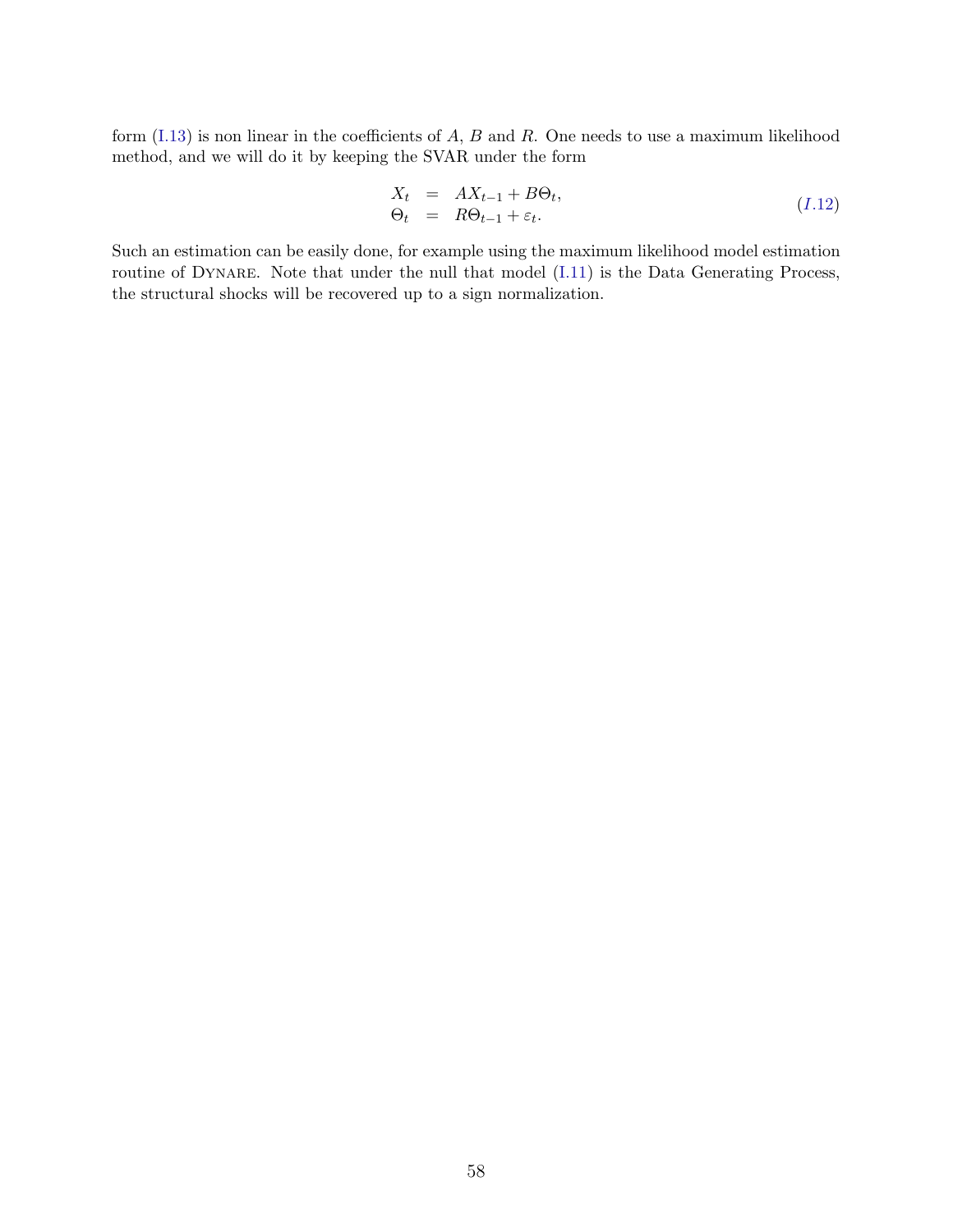form  $(1.13)$  is non linear in the coefficients of A, B and R. One needs to use a maximum likelihood method, and we will do it by keeping the SVAR under the form

$$
X_t = AX_{t-1} + B\Theta_t,
$$
  
\n
$$
\Theta_t = R\Theta_{t-1} + \varepsilon_t.
$$
\n(1.12)

Such an estimation can be easily done, for example using the maximum likelihood model estimation routine of DYNARE. Note that under the null that model [\(I.11\)](#page-57-5) is the Data Generating Process, the structural shocks will be recovered up to a sign normalization.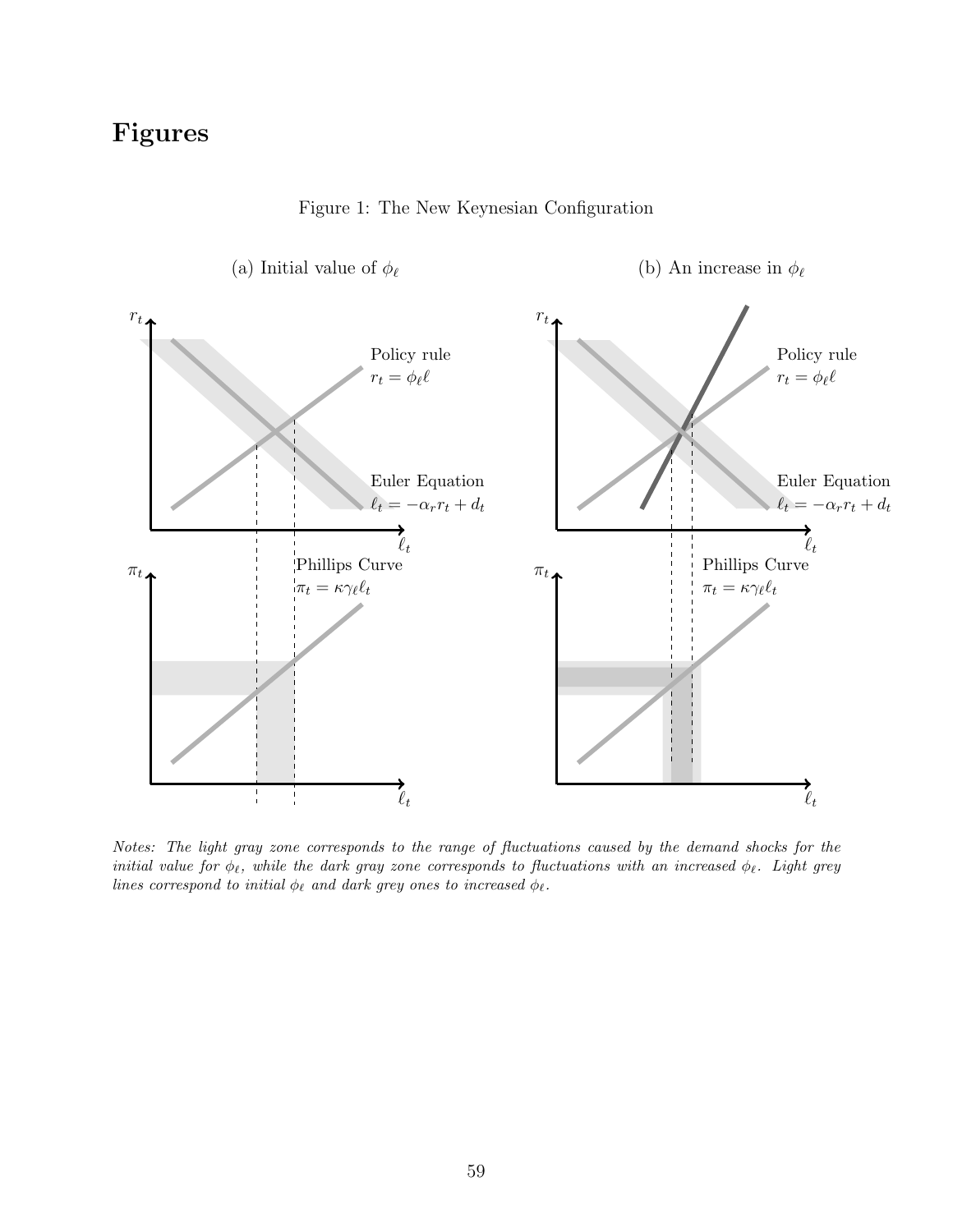# Figures



Figure 1: The New Keynesian Configuration

Notes: The light gray zone corresponds to the range of fluctuations caused by the demand shocks for the initial value for  $\phi_\ell$ , while the dark gray zone corresponds to fluctuations with an increased  $\phi_\ell$ . Light grey lines correspond to initial  $\phi_{\ell}$  and dark grey ones to increased  $\phi_{\ell}$ .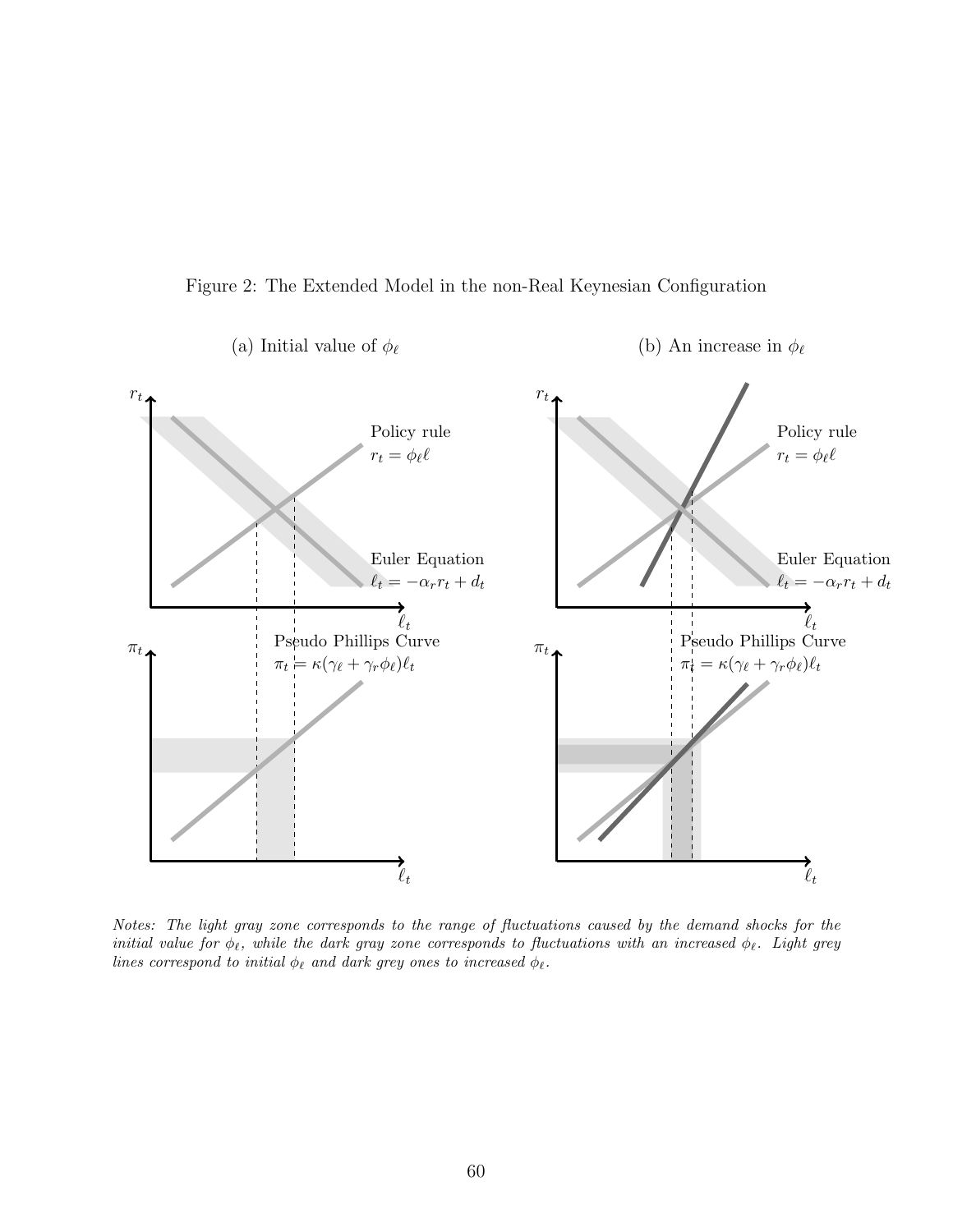



Notes: The light gray zone corresponds to the range of fluctuations caused by the demand shocks for the initial value for  $\phi_\ell$ , while the dark gray zone corresponds to fluctuations with an increased  $\phi_\ell$ . Light grey lines correspond to initial  $\phi_\ell$  and dark grey ones to increased  $\phi_\ell.$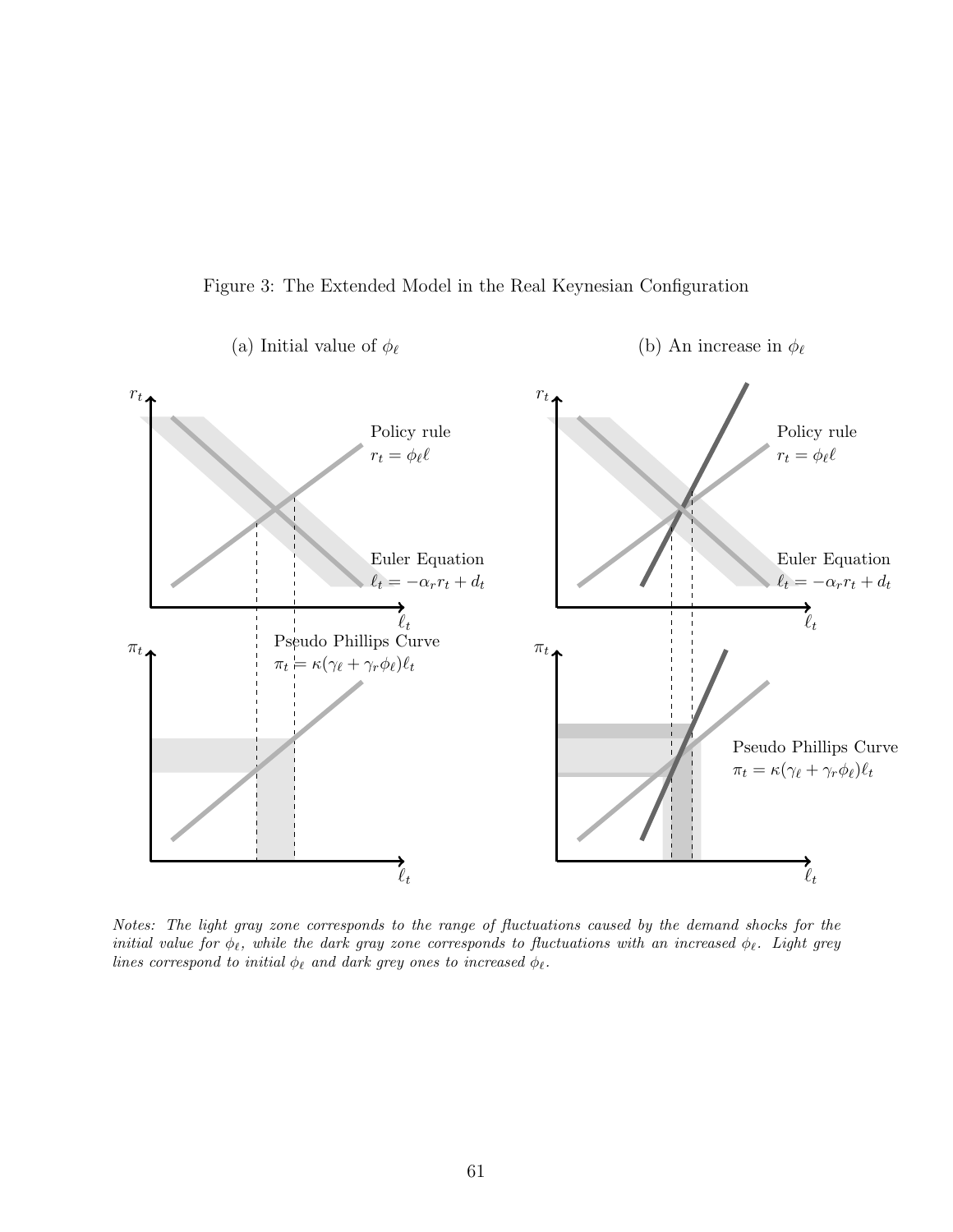



Notes: The light gray zone corresponds to the range of fluctuations caused by the demand shocks for the initial value for  $\phi_\ell$ , while the dark gray zone corresponds to fluctuations with an increased  $\phi_\ell$ . Light grey lines correspond to initial  $\phi_\ell$  and dark grey ones to increased  $\phi_\ell.$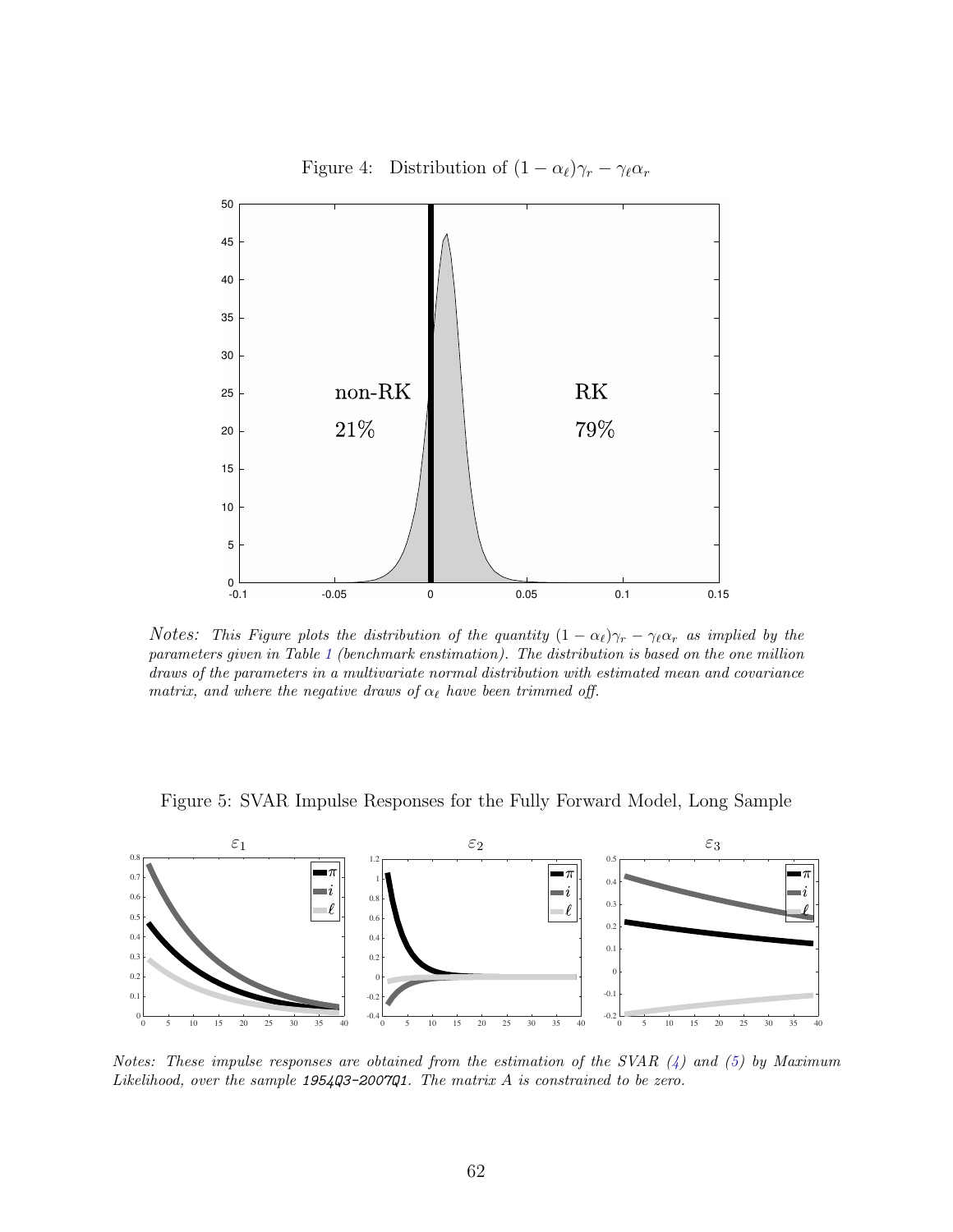

Notes: This Figure plots the distribution of the quantity  $(1 - \alpha_\ell)\gamma_r - \gamma_\ell \alpha_r$  as implied by the parameters given in Table [1](#page-74-0) (benchmark enstimation). The distribution is based on the one million draws of the parameters in a multivariate normal distribution with estimated mean and covariance matrix, and where the negative draws of  $\alpha_{\ell}$  have been trimmed off.





Notes: These impulse responses are obtained from the estimation of the SVAR  $(4)$  and  $(5)$  by Maximum Likelihood, over the sample  $1954Q3 - 2007Q1$ . The matrix A is constrained to be zero.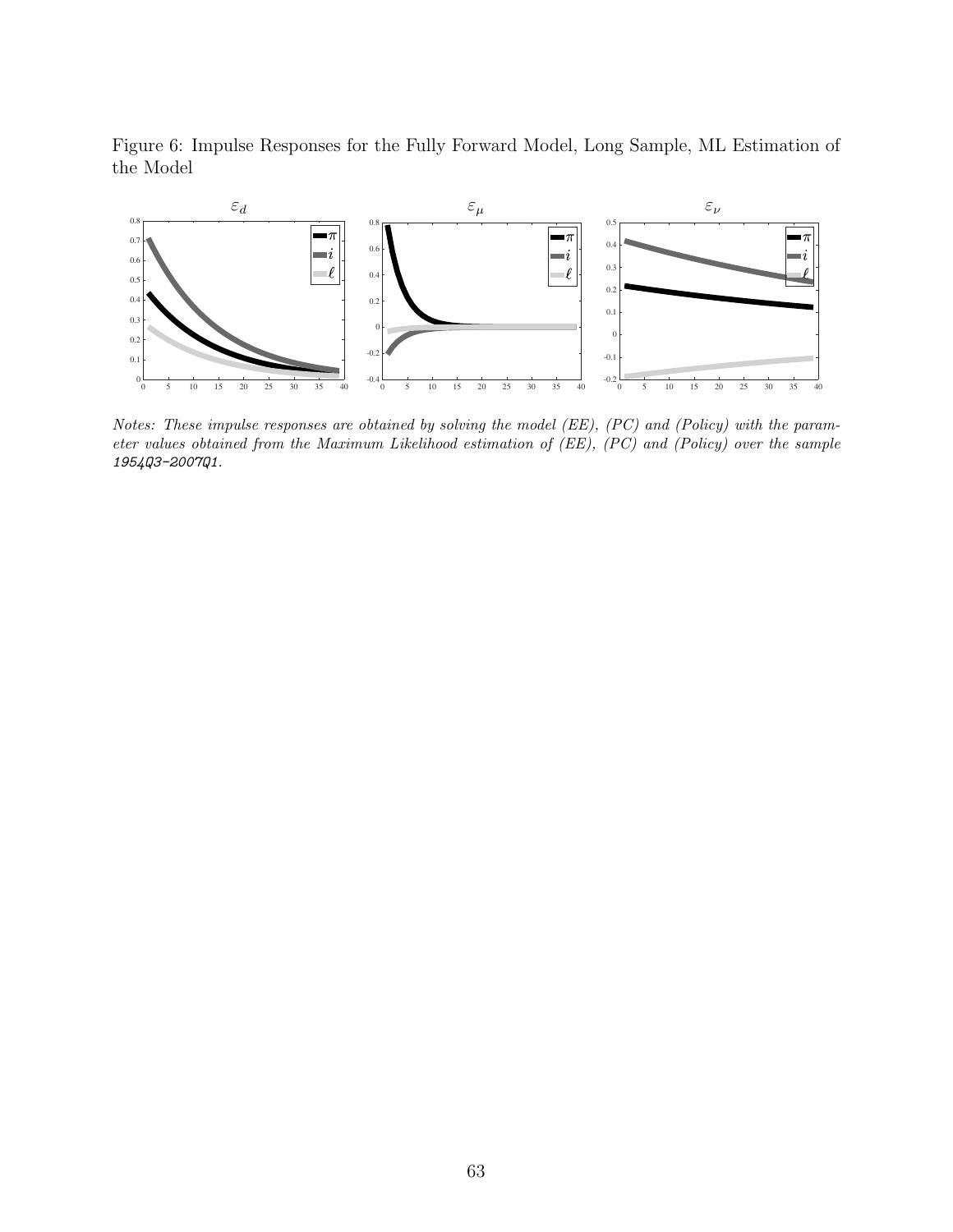Figure 6: Impulse Responses for the Fully Forward Model, Long Sample, ML Estimation of the Model



Notes: These impulse responses are obtained by solving the model (EE), (PC) and (Policy) with the parameter values obtained from the Maximum Likelihood estimation of (EE), (PC) and (Policy) over the sample 1954Q3-2007Q1.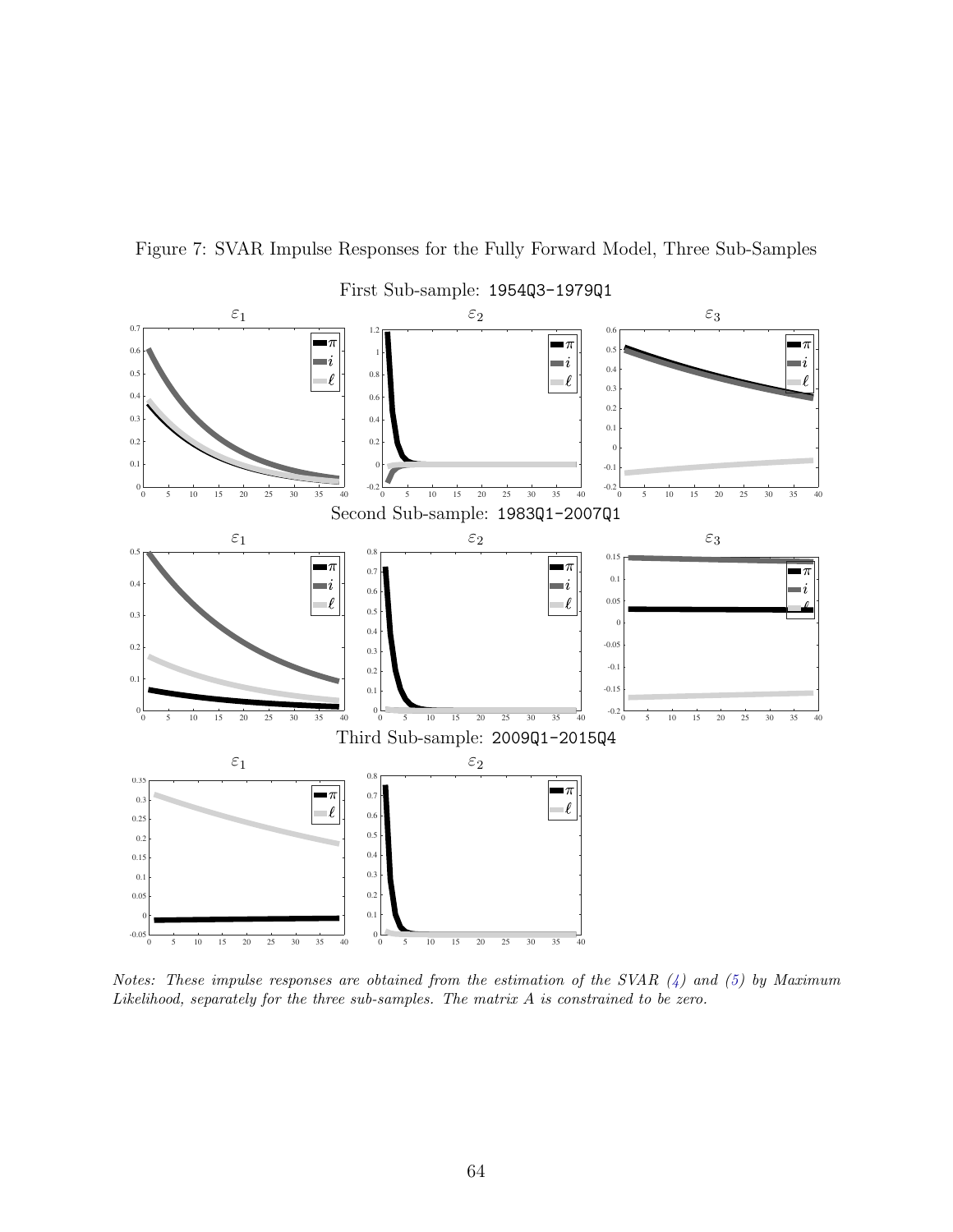

Figure 7: SVAR Impulse Responses for the Fully Forward Model, Three Sub-Samples

Notes: These impulse responses are obtained from the estimation of the SVAR  $(4)$  and  $(5)$  by Maximum Likelihood, separately for the three sub-samples. The matrix A is constrained to be zero.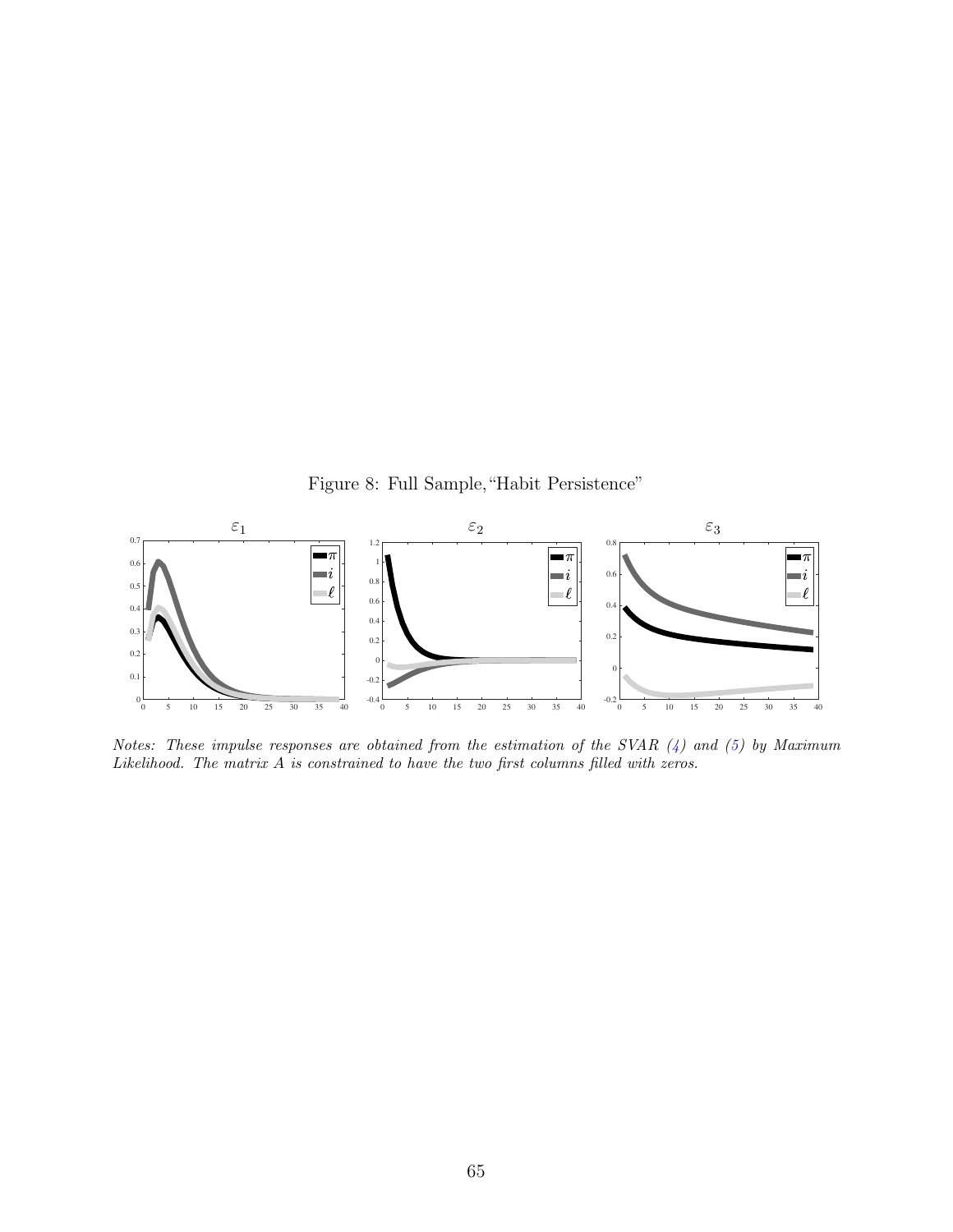Figure 8: Full Sample,"Habit Persistence"



Notes: These impulse responses are obtained from the estimation of the SVAR  $(4)$  and  $(5)$  by Maximum Likelihood. The matrix A is constrained to have the two first columns filled with zeros.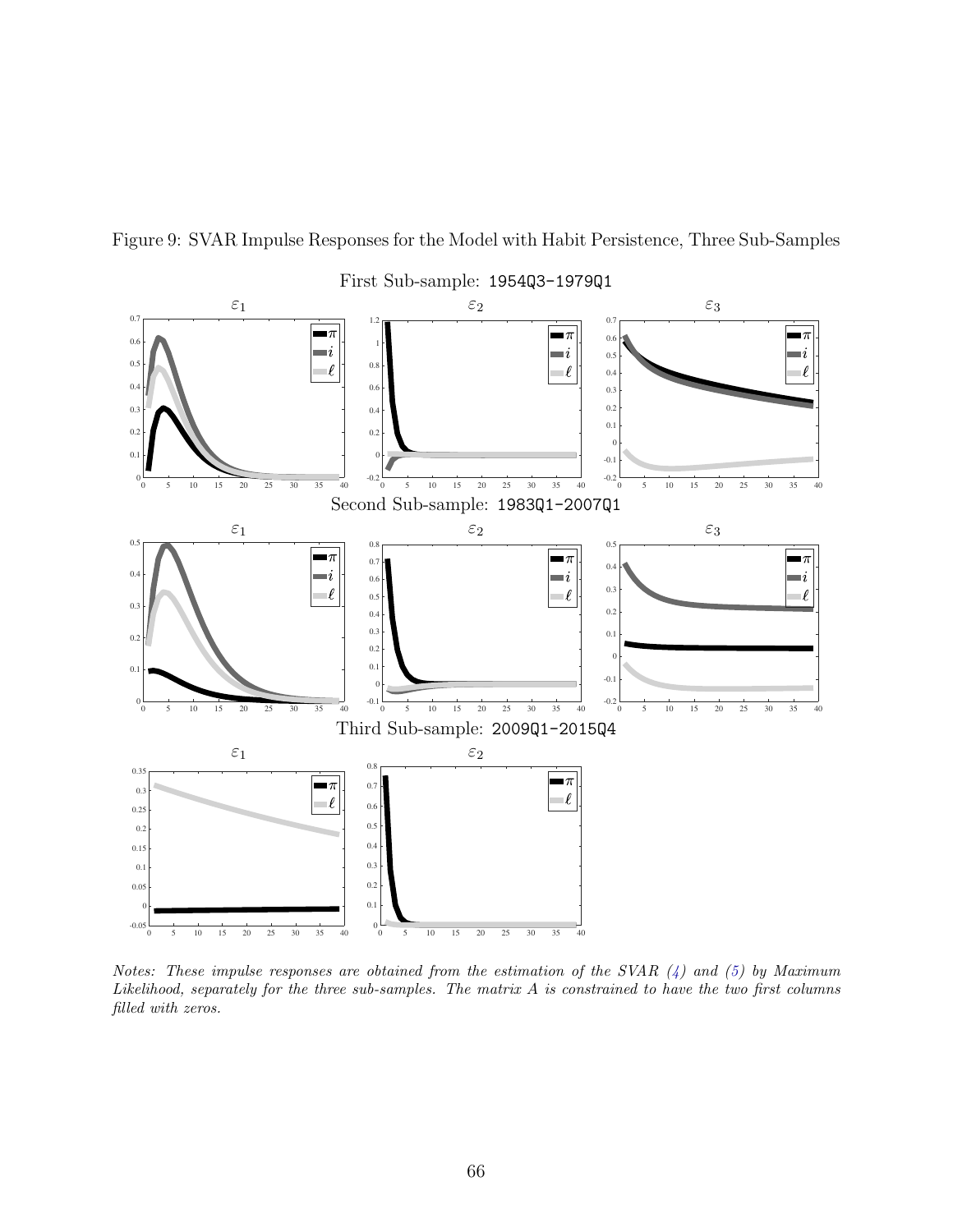

Figure 9: SVAR Impulse Responses for the Model with Habit Persistence, Three Sub-Samples

Notes: These impulse responses are obtained from the estimation of the SVAR  $(4)$  and  $(5)$  by Maximum Likelihood, separately for the three sub-samples. The matrix A is constrained to have the two first columns filled with zeros.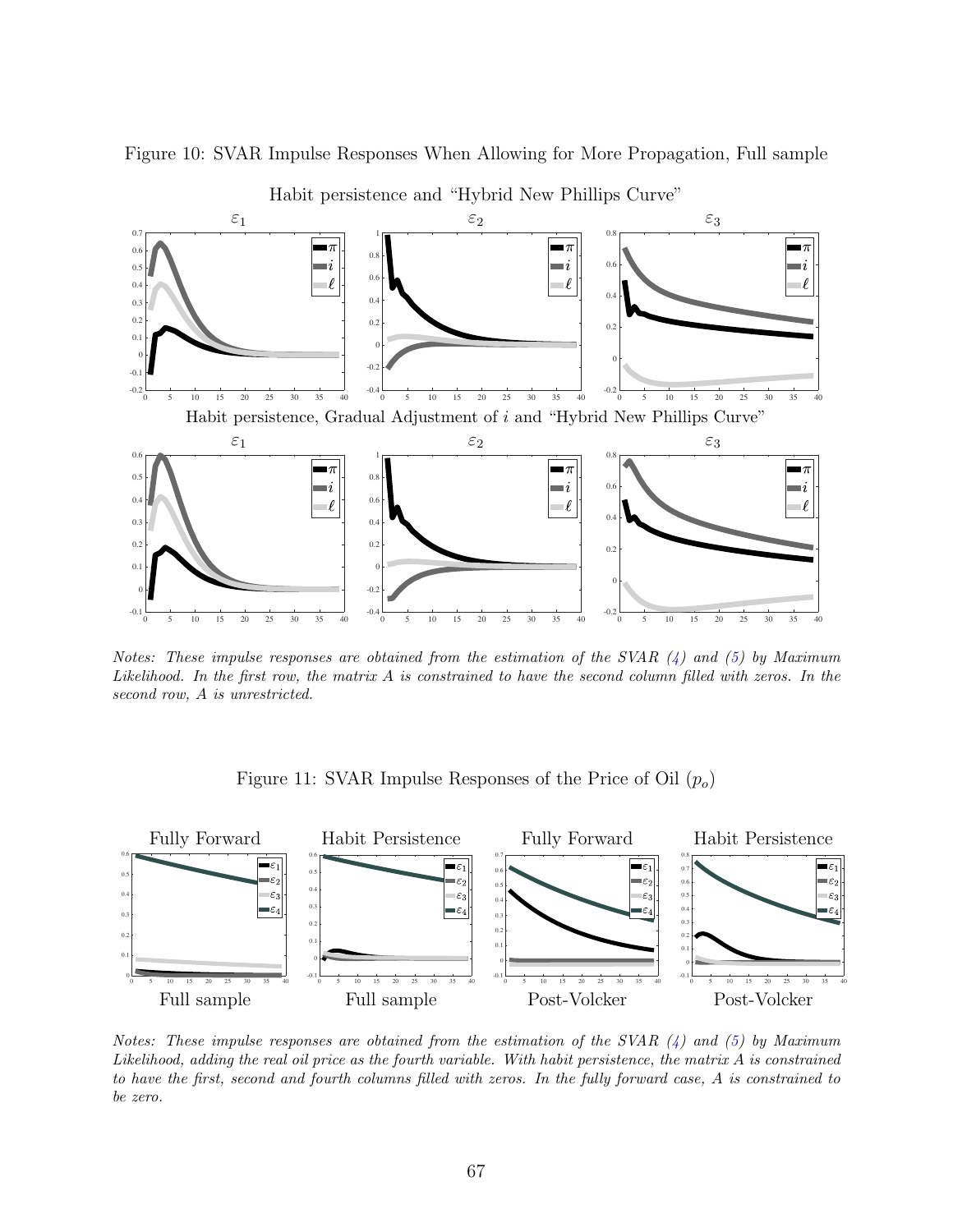

Figure 10: SVAR Impulse Responses When Allowing for More Propagation, Full sample

Habit persistence and "Hybrid New Phillips Curve"

Notes: These impulse responses are obtained from the estimation of the SVAR  $(4)$  and  $(5)$  by Maximum Likelihood. In the first row, the matrix A is constrained to have the second column filled with zeros. In the second row, A is unrestricted.

Figure 11: SVAR Impulse Responses of the Price of Oil  $(p_0)$ 



Notes: These impulse responses are obtained from the estimation of the SVAR  $(4)$  and  $(5)$  by Maximum Likelihood, adding the real oil price as the fourth variable. With habit persistence, the matrix  $A$  is constrained to have the first, second and fourth columns filled with zeros. In the fully forward case, A is constrained to be zero.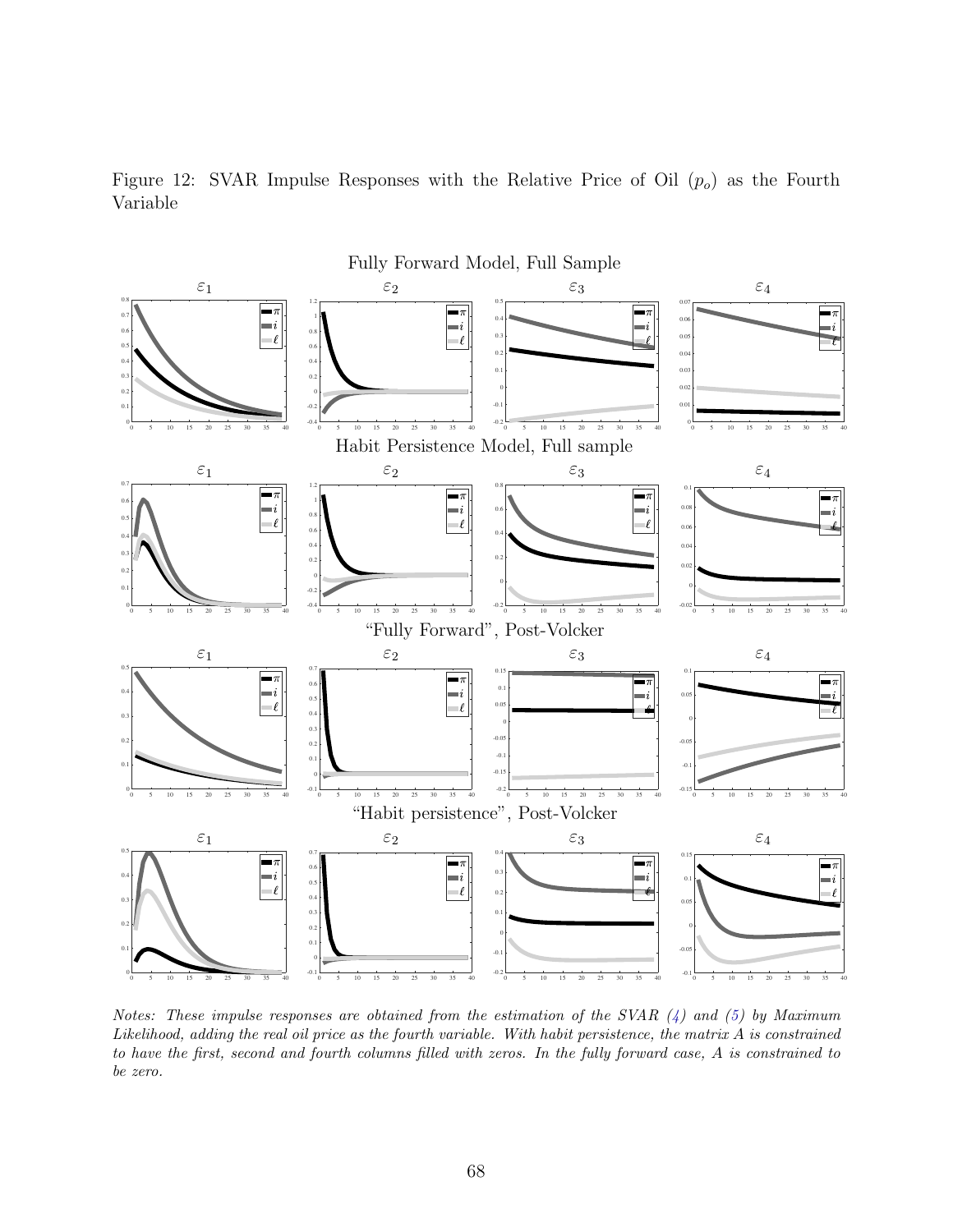



Notes: These impulse responses are obtained from the estimation of the SVAR  $(4)$  and  $(5)$  by Maximum Likelihood, adding the real oil price as the fourth variable. With habit persistence, the matrix  $A$  is constrained to have the first, second and fourth columns filled with zeros. In the fully forward case, A is constrained to be zero.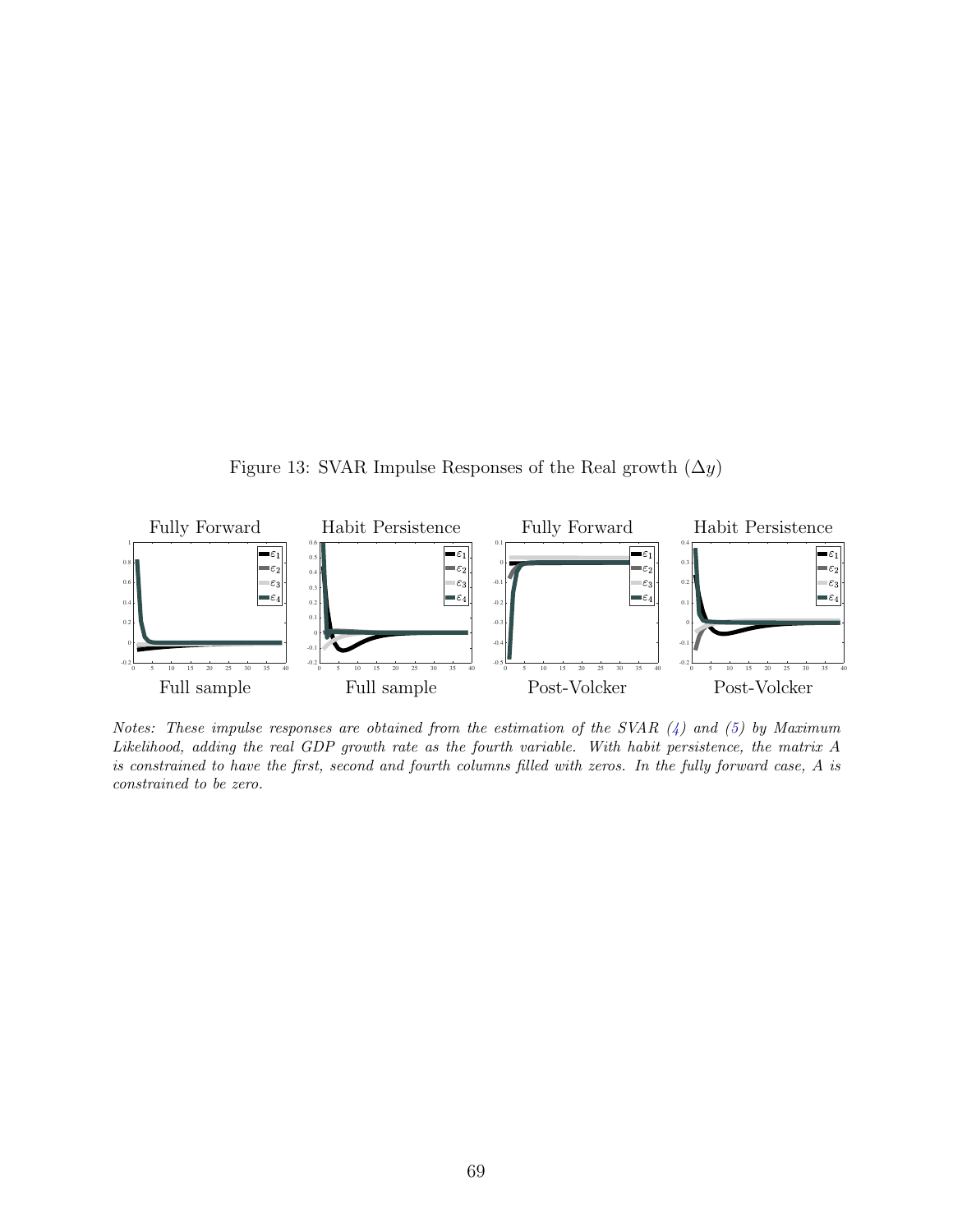Figure 13: SVAR Impulse Responses of the Real growth  $(\Delta y)$ 



Notes: These impulse responses are obtained from the estimation of the SVAR  $(4)$  and  $(5)$  by Maximum Likelihood, adding the real GDP growth rate as the fourth variable. With habit persistence, the matrix A is constrained to have the first, second and fourth columns filled with zeros. In the fully forward case, A is constrained to be zero.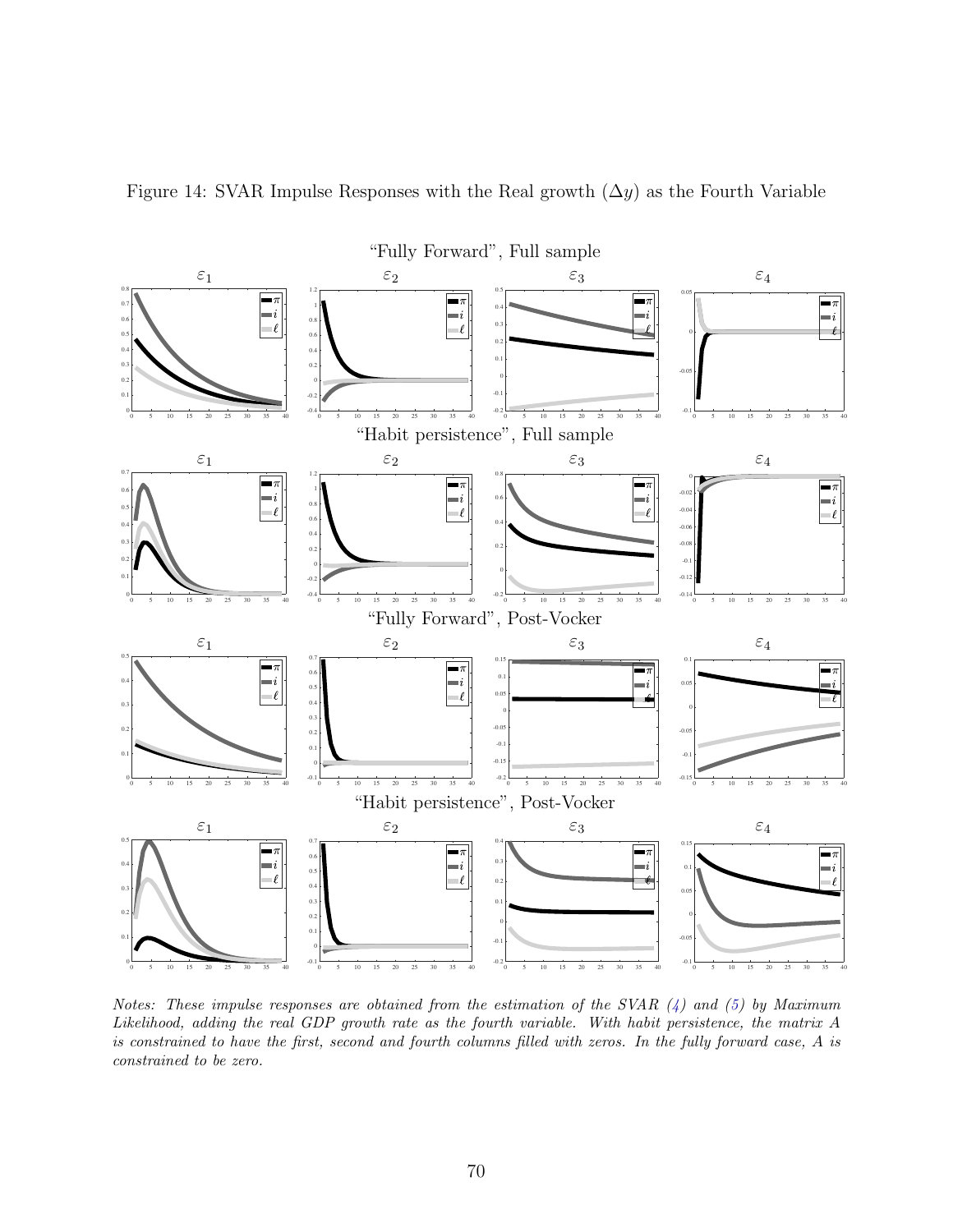

Figure 14: SVAR Impulse Responses with the Real growth  $(\Delta y)$  as the Fourth Variable

Notes: These impulse responses are obtained from the estimation of the SVAR  $(4)$  and  $(5)$  by Maximum Likelihood, adding the real GDP growth rate as the fourth variable. With habit persistence, the matrix A is constrained to have the first, second and fourth columns filled with zeros. In the fully forward case, A is constrained to be zero.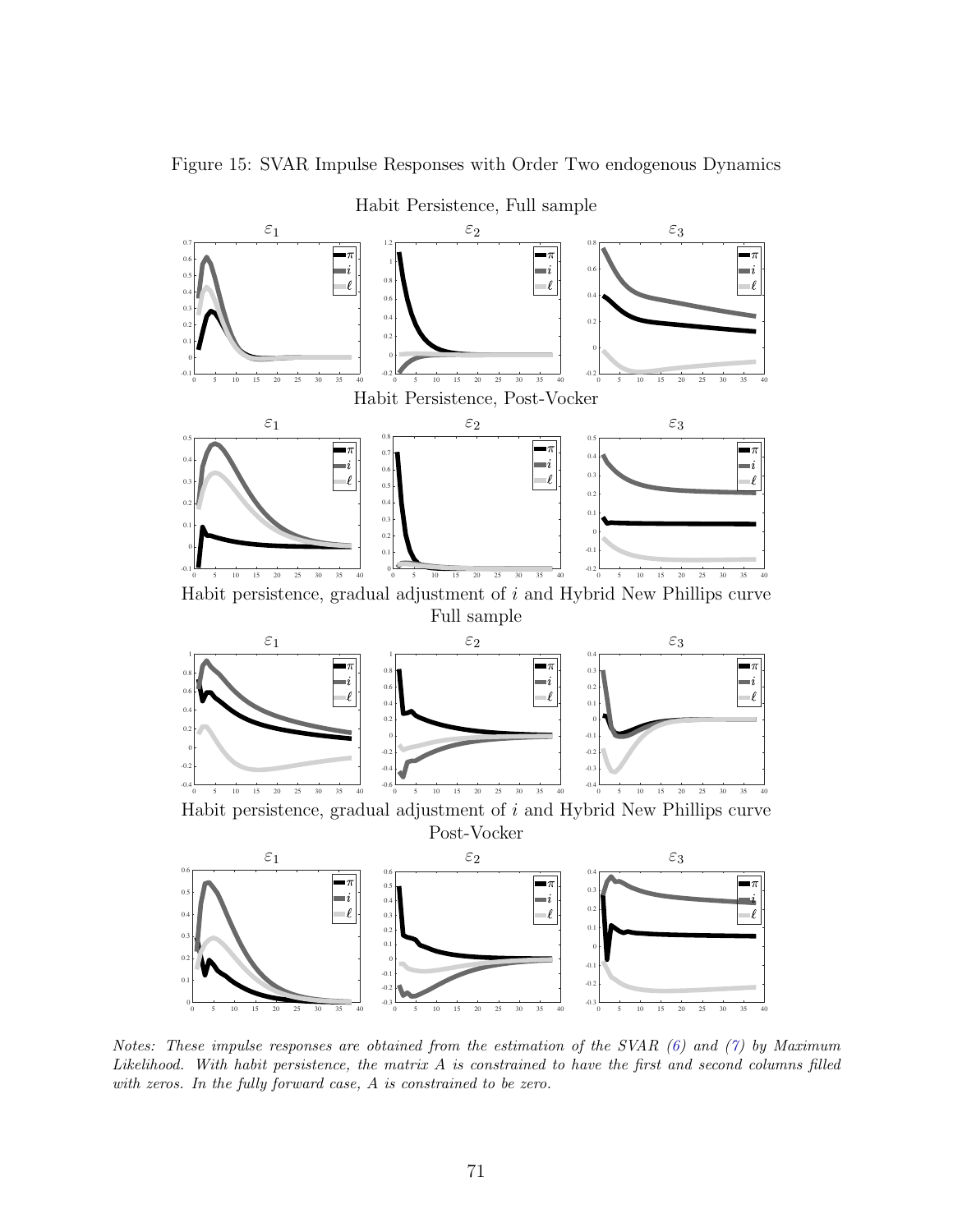

Figure 15: SVAR Impulse Responses with Order Two endogenous Dynamics

Notes: These impulse responses are obtained from the estimation of the SVAR [\(6\)](#page-31-0) and [\(7\)](#page-31-0) by Maximum Likelihood. With habit persistence, the matrix A is constrained to have the first and second columns filled with zeros. In the fully forward case, A is constrained to be zero.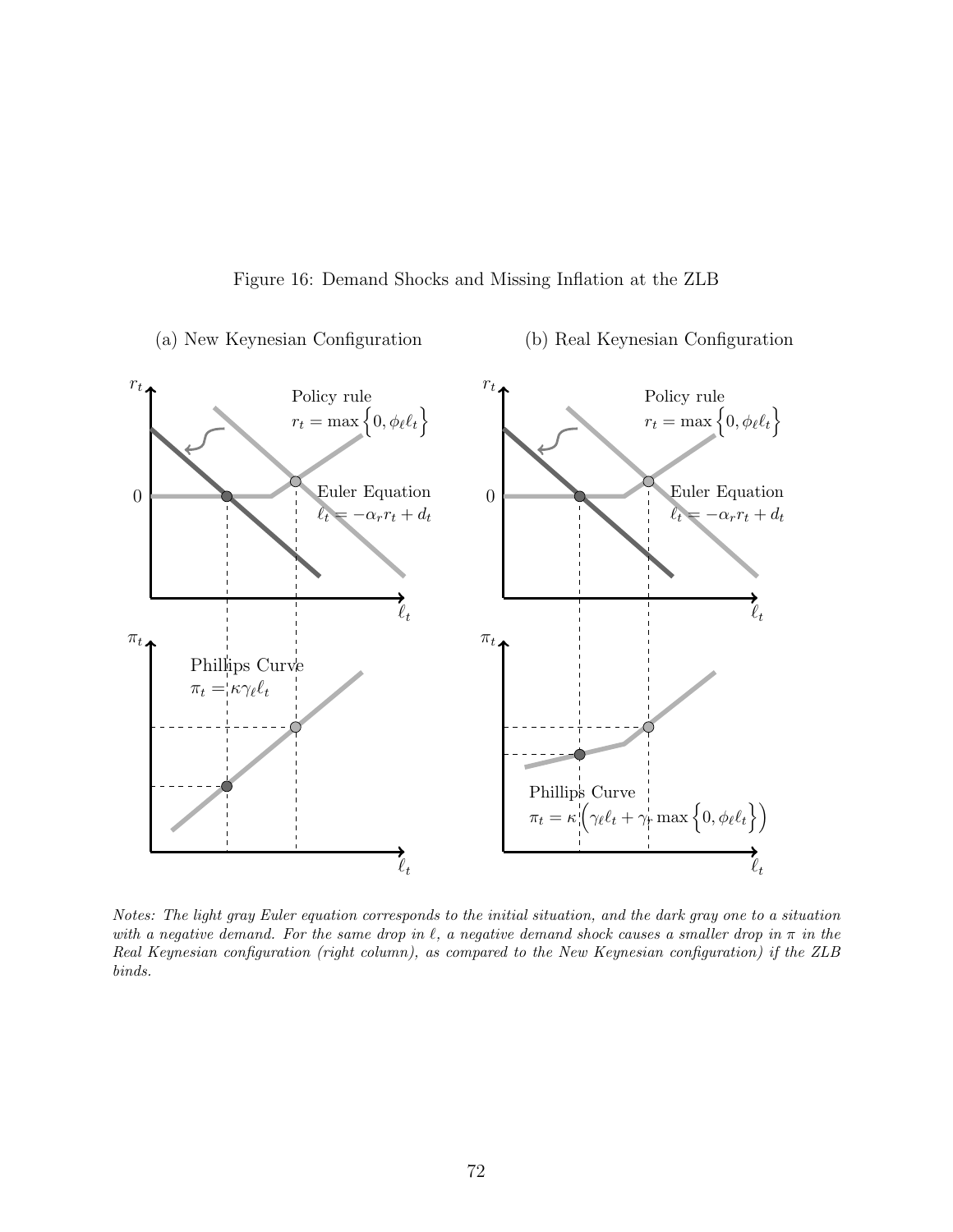



Notes: The light gray Euler equation corresponds to the initial situation, and the dark gray one to a situation with a negative demand. For the same drop in  $\ell$ , a negative demand shock causes a smaller drop in  $\pi$  in the Real Keynesian configuration (right column), as compared to the New Keynesian configuration) if the ZLB binds.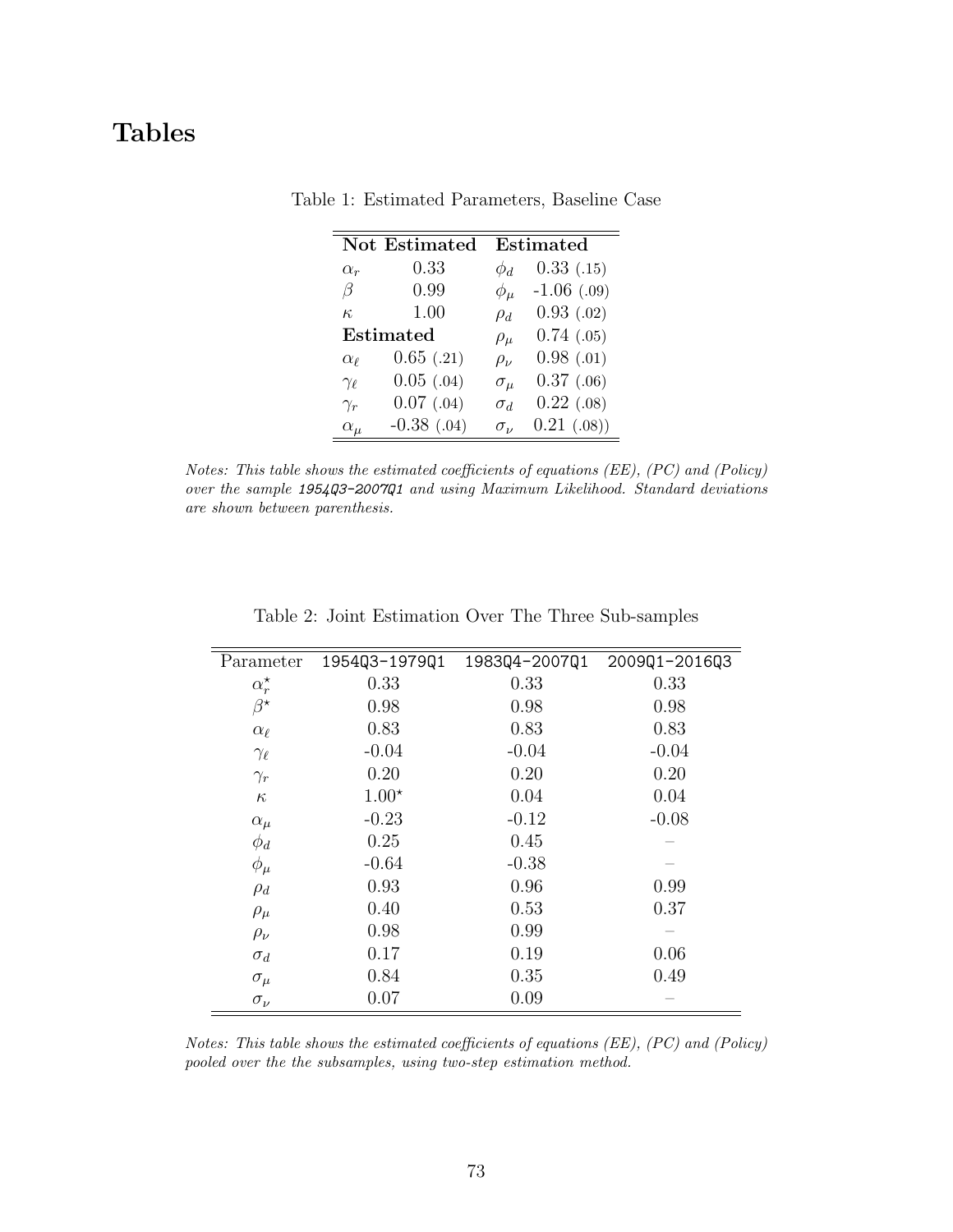## Tables

|                 | Not Estimated    |                | <b>Estimated</b> |
|-----------------|------------------|----------------|------------------|
| $\alpha_r$      | 0.33             | $\phi_d$       | 0.33(0.15)       |
| B               | 0.99             | $\phi_\mu$     | $-1.06$ (.09)    |
| $\kappa$        | 1.00             | $\rho_d$       | 0.93(0.02)       |
|                 | <b>Estimated</b> | $\rho_\mu$     | 0.74(0.05)       |
| $\alpha_{\ell}$ | $0.65$ $(.21)$   | $\rho_\nu$     | 0.98(0.01)       |
| $\gamma_{\ell}$ | $0.05$ $(.04)$   | $\sigma_\mu$   | 0.37(0.06)       |
| $\gamma_r$      | $0.07$ $(.04)$   | $\sigma_d$     | 0.22(0.08)       |
| $\alpha_{\mu}$  | $-0.38$ $(.04)$  | $\sigma_{\nu}$ | $0.21$ $(.08)$   |

Table 1: Estimated Parameters, Baseline Case

Notes: This table shows the estimated coefficients of equations (EE), (PC) and (Policy) over the sample 1954Q3-2007Q1 and using Maximum Likelihood. Standard deviations are shown between parenthesis.

| Parameter          | 1954Q3-1979Q1 | 1983Q4-2007Q1 | 2009Q1-2016Q3 |
|--------------------|---------------|---------------|---------------|
| $\alpha_r^{\star}$ | 0.33          | 0.33          | 0.33          |
| $\beta^{\star}$    | 0.98          | 0.98          | 0.98          |
| $\alpha_{\ell}$    | 0.83          | 0.83          | 0.83          |
| $\gamma_{\ell}$    | $-0.04$       | $-0.04$       | $-0.04$       |
| $\gamma_r$         | 0.20          | 0.20          | 0.20          |
| $\kappa$           | $1.00*$       | 0.04          | 0.04          |
| $\alpha_{\mu}$     | $-0.23$       | $-0.12$       | $-0.08$       |
| $\phi_d$           | 0.25          | 0.45          |               |
| $\phi_\mu$         | $-0.64$       | $-0.38$       |               |
| $\rho_d$           | 0.93          | 0.96          | 0.99          |
| $\rho_\mu$         | 0.40          | 0.53          | 0.37          |
| $\rho_\nu$         | 0.98          | 0.99          |               |
| $\sigma_d$         | 0.17          | 0.19          | 0.06          |
| $\sigma_{\mu}$     | 0.84          | 0.35          | 0.49          |
| $\sigma_{\nu}$     | 0.07          | 0.09          |               |

Table 2: Joint Estimation Over The Three Sub-samples

Notes: This table shows the estimated coefficients of equations (EE), (PC) and (Policy) pooled over the the subsamples, using two-step estimation method.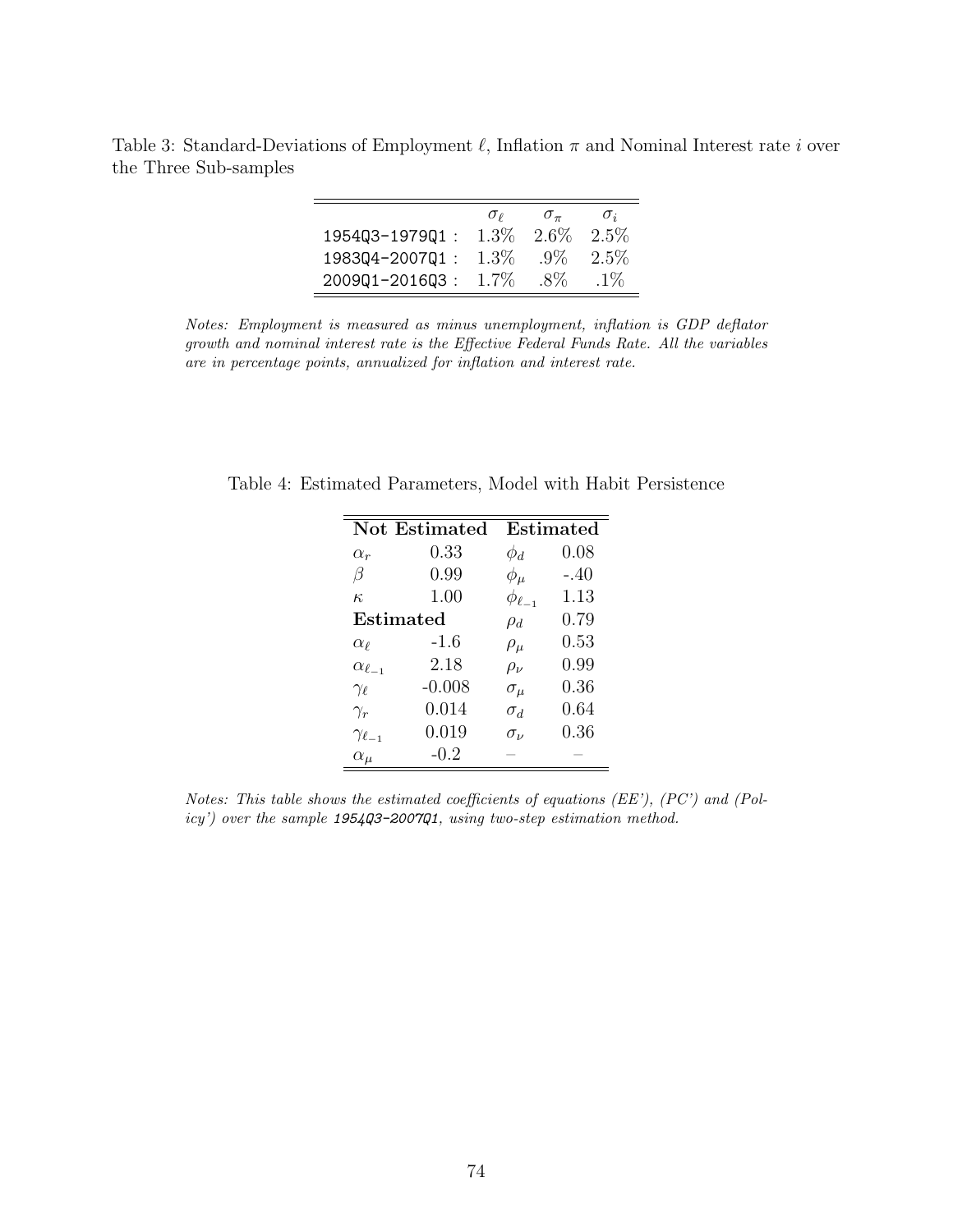Table 3: Standard-Deviations of Employment  $\ell$ , Inflation  $\pi$  and Nominal Interest rate i over the Three Sub-samples

|                | $\sigma_{\ell}$ | $\sigma_{\pi}$ | $\sigma_i$ |
|----------------|-----------------|----------------|------------|
| 1954Q3-1979Q1: | $1.3\%$         | 2.6\%          | $2.5\%$    |
| 1983Q4-2007Q1: | $1.3\%$         | $.9\%$         | $2.5\%$    |
| 200901-201603: | $1.7\%$         | -8%            | $.1\%$     |

Notes: Employment is measured as minus unemployment, inflation is GDP deflator growth and nominal interest rate is the Effective Federal Funds Rate. All the variables are in percentage points, annualized for inflation and interest rate.

|                      | <b>Not Estimated</b> |                    | Estimated |
|----------------------|----------------------|--------------------|-----------|
| $\alpha_r$           | 0.33                 | $\phi_d$           | 0.08      |
| β                    | 0.99                 | $\phi_\mu$         | $-.40$    |
| $\kappa$             | 1.00                 | $\phi_{\ell_{-1}}$ | 1.13      |
|                      | Estimated            | $\rho_d$           | 0.79      |
| $\alpha_{\ell}$      | -1.6                 | $\rho_\mu$         | 0.53      |
| $\alpha_{\ell-1}$    | 2.18                 | $\rho_\nu$         | 0.99      |
| $\gamma_{\ell}$      | $-0.008$             | $\sigma_{\mu}$     | 0.36      |
| $\gamma_r$           | 0.014                | $\sigma_d$         | 0.64      |
| $\gamma_{\ell_{-1}}$ | 0.019                | $\sigma_{\nu}$     | 0.36      |
| $\alpha_{\mu}$       | $-0.2$               |                    |           |

Table 4: Estimated Parameters, Model with Habit Persistence

Notes: This table shows the estimated coefficients of equations (EE'),  $(PC')$  and  $(Pol$ icy') over the sample 1954Q3-2007Q1, using two-step estimation method.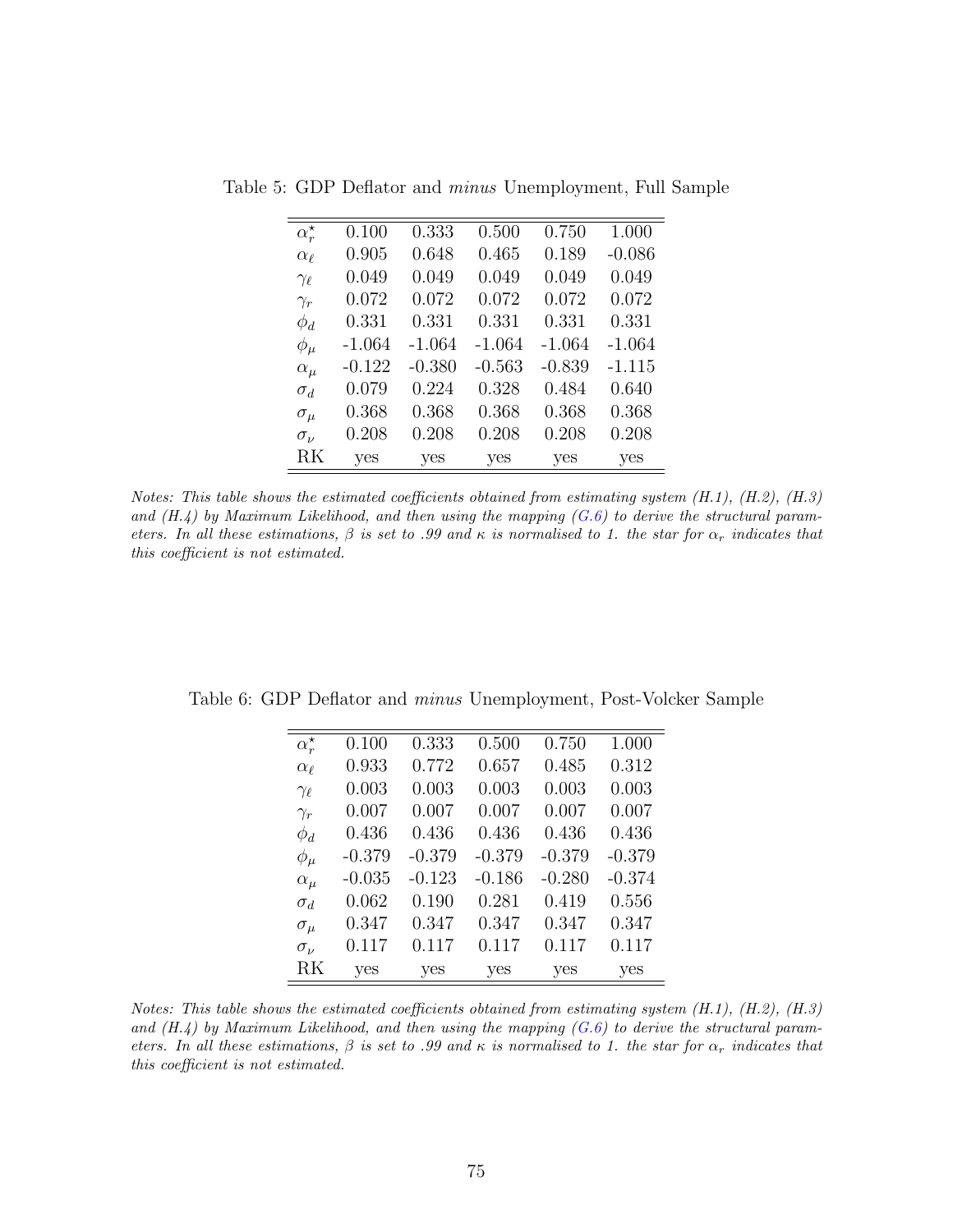| $\alpha_r^{\star}$ | 0.100    | 0.333    | 0.500    | 0.750    | 1.000    |
|--------------------|----------|----------|----------|----------|----------|
| $\alpha_{\ell}$    | 0.905    | 0.648    | 0.465    | 0.189    | $-0.086$ |
| $\gamma_{\ell}$    | 0.049    | 0.049    | 0.049    | 0.049    | 0.049    |
| $\gamma_r$         | 0.072    | 0.072    | 0.072    | 0.072    | 0.072    |
| $\phi_d$           | 0.331    | 0.331    | 0.331    | 0.331    | 0.331    |
| $\phi_\mu$         | $-1.064$ | $-1.064$ | $-1.064$ | $-1.064$ | $-1.064$ |
| $\alpha_{\mu}$     | $-0.122$ | $-0.380$ | $-0.563$ | $-0.839$ | $-1.115$ |
| $\sigma_d$         | 0.079    | 0.224    | 0.328    | 0.484    | 0.640    |
| $\sigma_\mu$       | 0.368    | 0.368    | 0.368    | 0.368    | 0.368    |
| $\sigma_{\nu}$     | 0.208    | 0.208    | 0.208    | 0.208    | 0.208    |
| RK                 | yes      | yes      | yes      | yes      | yes      |

Table 5: GDP Deflator and minus Unemployment, Full Sample

Notes: This table shows the estimated coefficients obtained from estimating system  $(H.1)$ ,  $(H.2)$ ,  $(H.3)$ and  $(H.4)$  by Maximum Likelihood, and then using the mapping  $(G.6)$  to derive the structural parameters. In all these estimations,  $\beta$  is set to .99 and  $\kappa$  is normalised to 1. the star for  $\alpha_r$  indicates that this coefficient is not estimated.

| $\alpha_r^{\star}$ | 0.100    | 0.333    | 0.500    | 0.750    | 1.000    |
|--------------------|----------|----------|----------|----------|----------|
| $\alpha_{\ell}$    | 0.933    | 0.772    | 0.657    | 0.485    | 0.312    |
| $\gamma_{\ell}$    | 0.003    | 0.003    | 0.003    | 0.003    | 0.003    |
| $\gamma_r$         | 0.007    | 0.007    | 0.007    | 0.007    | 0.007    |
| $\phi_d$           | 0.436    | 0.436    | 0.436    | 0.436    | 0.436    |
| $\phi_\mu$         | $-0.379$ | $-0.379$ | $-0.379$ | $-0.379$ | $-0.379$ |
| $\alpha_\mu$       | $-0.035$ | $-0.123$ | $-0.186$ | $-0.280$ | $-0.374$ |
| $\sigma_d$         | 0.062    | 0.190    | 0.281    | 0.419    | 0.556    |
| $\sigma_{\mu}$     | 0.347    | 0.347    | 0.347    | 0.347    | 0.347    |
| $\sigma_{\nu}$     | 0.117    | 0.117    | 0.117    | 0.117    | 0.117    |
| RK                 | yes      | yes      | yes      | yes      | yes      |

Table 6: GDP Deflator and minus Unemployment, Post-Volcker Sample

Notes: This table shows the estimated coefficients obtained from estimating system  $(H.1)$ ,  $(H.2)$ ,  $(H.3)$ and  $(H.4)$  by Maximum Likelihood, and then using the mapping  $(G.6)$  to derive the structural parameters. In all these estimations,  $\beta$  is set to .99 and  $\kappa$  is normalised to 1. the star for  $\alpha_r$  indicates that this coefficient is not estimated.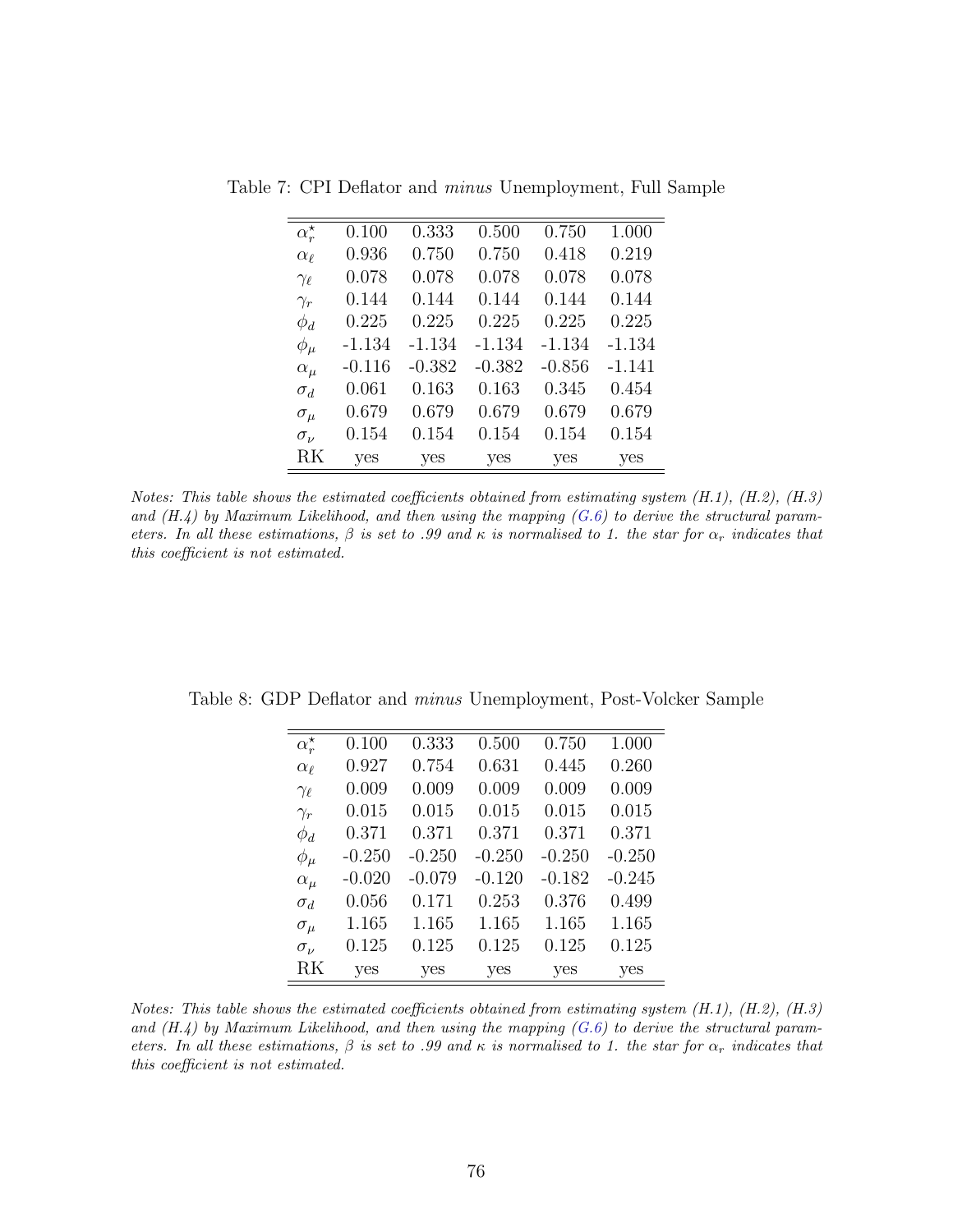| $\alpha_r^{\star}$ | 0.100    | 0.333    | 0.500    | 0.750    | 1.000    |
|--------------------|----------|----------|----------|----------|----------|
| $\alpha_{\ell}$    | 0.936    | 0.750    | 0.750    | 0.418    | 0.219    |
| $\gamma_{\ell}$    | 0.078    | 0.078    | 0.078    | 0.078    | 0.078    |
| $\gamma_r$         | 0.144    | 0.144    | 0.144    | 0.144    | 0.144    |
| $\phi_d$           | 0.225    | 0.225    | 0.225    | 0.225    | 0.225    |
| $\phi_\mu$         | $-1.134$ | $-1.134$ | $-1.134$ | $-1.134$ | $-1.134$ |
| $\alpha_{\mu}$     | $-0.116$ | $-0.382$ | $-0.382$ | $-0.856$ | $-1.141$ |
| $\sigma_d$         | 0.061    | 0.163    | 0.163    | 0.345    | 0.454    |
| $\sigma_\mu$       | 0.679    | 0.679    | 0.679    | 0.679    | 0.679    |
| $\sigma_{\nu}$     | 0.154    | 0.154    | 0.154    | 0.154    | 0.154    |
| RK                 | yes      | yes      | yes      | yes      | yes      |

Table 7: CPI Deflator and minus Unemployment, Full Sample

Notes: This table shows the estimated coefficients obtained from estimating system (H.1), (H.2), (H.3) and  $(H.4)$  by Maximum Likelihood, and then using the mapping  $(G.6)$  to derive the structural parameters. In all these estimations,  $\beta$  is set to .99 and  $\kappa$  is normalised to 1. the star for  $\alpha_r$  indicates that this coefficient is not estimated.

| $\alpha_r^{\star}$ | 0.100    | 0.333    | 0.500    | 0.750    | 1.000    |
|--------------------|----------|----------|----------|----------|----------|
| $\alpha_{\ell}$    | 0.927    | 0.754    | 0.631    | 0.445    | 0.260    |
| $\gamma_{\ell}$    | 0.009    | 0.009    | 0.009    | 0.009    | 0.009    |
| $\gamma_r$         | 0.015    | 0.015    | 0.015    | 0.015    | 0.015    |
| $\phi_d$           | 0.371    | 0.371    | 0.371    | 0.371    | 0.371    |
| $\phi_\mu$         | $-0.250$ | $-0.250$ | $-0.250$ | $-0.250$ | $-0.250$ |
| $\alpha_\mu$       | $-0.020$ | $-0.079$ | $-0.120$ | $-0.182$ | $-0.245$ |
| $\sigma_d$         | 0.056    | 0.171    | 0.253    | 0.376    | 0.499    |
| $\sigma_{\mu}$     | 1.165    | 1.165    | 1.165    | 1.165    | 1.165    |
| $\sigma_{\nu}$     | 0.125    | 0.125    | 0.125    | 0.125    | 0.125    |
| RK                 | yes      | yes      | yes      | yes      | yes      |

Table 8: GDP Deflator and minus Unemployment, Post-Volcker Sample

Notes: This table shows the estimated coefficients obtained from estimating system  $(H.1)$ ,  $(H.2)$ ,  $(H.3)$ and  $(H.4)$  by Maximum Likelihood, and then using the mapping  $(G.6)$  to derive the structural parameters. In all these estimations,  $\beta$  is set to .99 and  $\kappa$  is normalised to 1. the star for  $\alpha_r$  indicates that this coefficient is not estimated.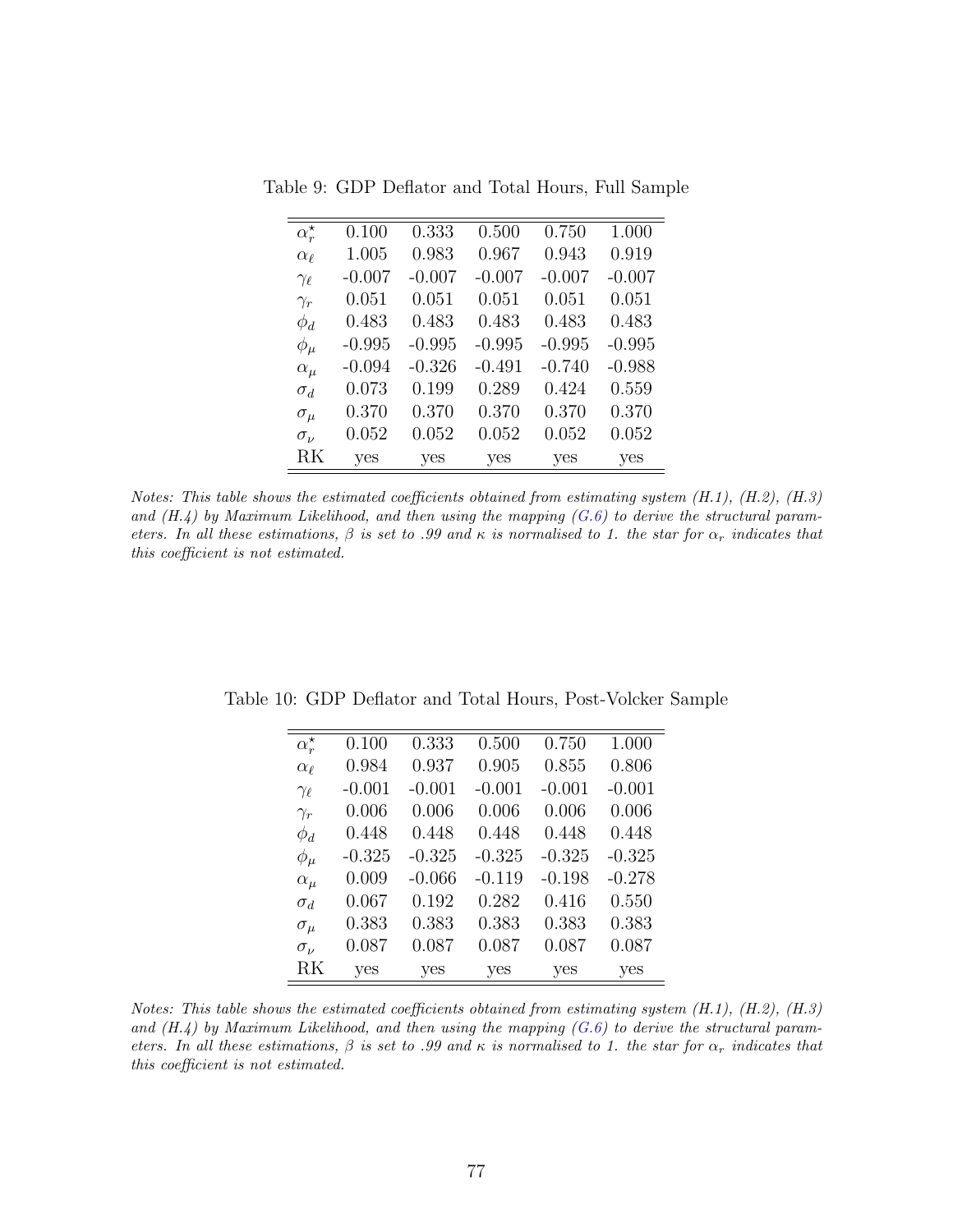| $\alpha_r^{\star}$ | 0.100    | 0.333    | 0.500    | 0.750    | 1.000    |
|--------------------|----------|----------|----------|----------|----------|
| $\alpha_{\ell}$    | 1.005    | 0.983    | 0.967    | 0.943    | 0.919    |
| $\gamma_{\ell}$    | $-0.007$ | $-0.007$ | $-0.007$ | $-0.007$ | $-0.007$ |
| $\gamma_r$         | 0.051    | 0.051    | 0.051    | 0.051    | 0.051    |
| $\phi_d$           | 0.483    | 0.483    | 0.483    | 0.483    | 0.483    |
| $\phi_\mu$         | $-0.995$ | $-0.995$ | $-0.995$ | $-0.995$ | $-0.995$ |
| $\alpha_{\mu}$     | $-0.094$ | $-0.326$ | $-0.491$ | $-0.740$ | $-0.988$ |
| $\sigma_d$         | 0.073    | 0.199    | 0.289    | 0.424    | 0.559    |
| $\sigma_{\mu}$     | 0.370    | 0.370    | 0.370    | 0.370    | 0.370    |
| $\sigma_{\nu}$     | 0.052    | 0.052    | 0.052    | 0.052    | 0.052    |
| RK                 | yes      | yes      | yes      | yes      | yes      |

Table 9: GDP Deflator and Total Hours, Full Sample

Notes: This table shows the estimated coefficients obtained from estimating system (H.1), (H.2), (H.3) and  $(H.4)$  by Maximum Likelihood, and then using the mapping  $(G.6)$  to derive the structural parameters. In all these estimations,  $\beta$  is set to .99 and  $\kappa$  is normalised to 1. the star for  $\alpha_r$  indicates that this coefficient is not estimated.

| $\alpha_r^{\star}$ | 0.100    | 0.333    | 0.500    | 0.750    | 1.000    |
|--------------------|----------|----------|----------|----------|----------|
| $\alpha_{\ell}$    | 0.984    | 0.937    | 0.905    | 0.855    | 0.806    |
| $\gamma_{\ell}$    | $-0.001$ | $-0.001$ | $-0.001$ | $-0.001$ | $-0.001$ |
| $\gamma_r$         | 0.006    | 0.006    | 0.006    | 0.006    | 0.006    |
| $\phi_d$           | 0.448    | 0.448    | 0.448    | 0.448    | 0.448    |
| $\phi_\mu$         | $-0.325$ | $-0.325$ | $-0.325$ | $-0.325$ | $-0.325$ |
| $\alpha_{\mu}$     | 0.009    | $-0.066$ | $-0.119$ | $-0.198$ | $-0.278$ |
| $\sigma_d$         | 0.067    | 0.192    | 0.282    | 0.416    | 0.550    |
| $\sigma_\mu$       | 0.383    | 0.383    | 0.383    | 0.383    | 0.383    |
| $\sigma_{\nu}$     | 0.087    | 0.087    | 0.087    | 0.087    | 0.087    |
| RK                 | yes      | yes      | yes      | yes      | yes      |

Table 10: GDP Deflator and Total Hours, Post-Volcker Sample

Notes: This table shows the estimated coefficients obtained from estimating system  $(H.1)$ ,  $(H.2)$ ,  $(H.3)$ and  $(H.4)$  by Maximum Likelihood, and then using the mapping  $(G.6)$  to derive the structural parameters. In all these estimations,  $\beta$  is set to .99 and  $\kappa$  is normalised to 1. the star for  $\alpha_r$  indicates that this coefficient is not estimated.